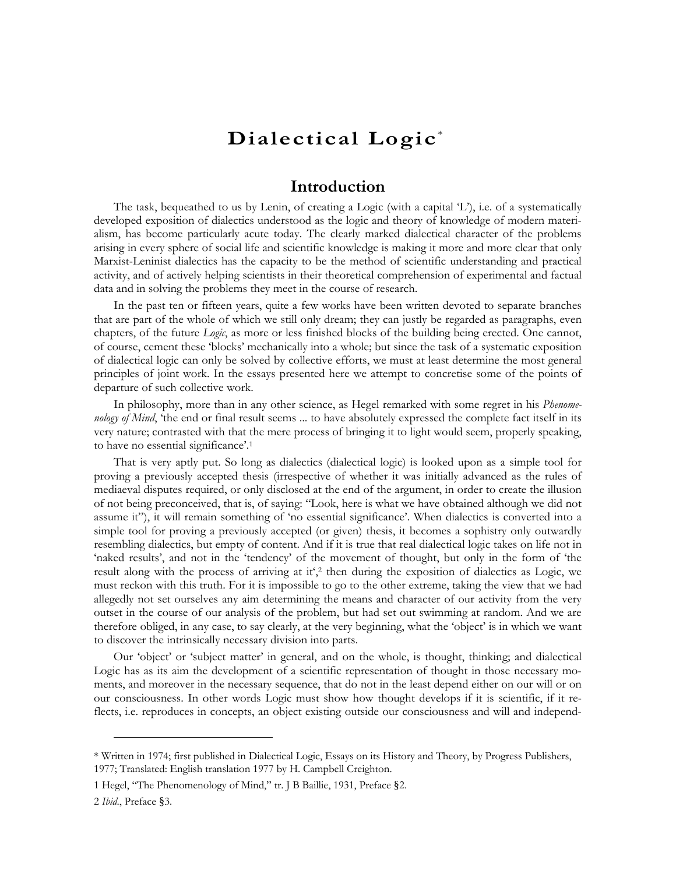# **Dialectical Logic**\*

# **Introduction**

The task, bequeathed to us by Lenin, of creating a Logic (with a capital 'L'), i.e. of a systematically developed exposition of dialectics understood as the logic and theory of knowledge of modern materialism, has become particularly acute today. The clearly marked dialectical character of the problems arising in every sphere of social life and scientific knowledge is making it more and more clear that only Marxist-Leninist dialectics has the capacity to be the method of scientific understanding and practical activity, and of actively helping scientists in their theoretical comprehension of experimental and factual data and in solving the problems they meet in the course of research.

In the past ten or fifteen years, quite a few works have been written devoted to separate branches that are part of the whole of which we still only dream; they can justly be regarded as paragraphs, even chapters, of the future *Logic*, as more or less finished blocks of the building being erected. One cannot, of course, cement these 'blocks' mechanically into a whole; but since the task of a systematic exposition of dialectical logic can only be solved by collective efforts, we must at least determine the most general principles of joint work. In the essays presented here we attempt to concretise some of the points of departure of such collective work.

In philosophy, more than in any other science, as Hegel remarked with some regret in his *Phenomenology of Mind*, 'the end or final result seems ... to have absolutely expressed the complete fact itself in its very nature; contrasted with that the mere process of bringing it to light would seem, properly speaking, to have no essential significance'.1

That is very aptly put. So long as dialectics (dialectical logic) is looked upon as a simple tool for proving a previously accepted thesis (irrespective of whether it was initially advanced as the rules of mediaeval disputes required, or only disclosed at the end of the argument, in order to create the illusion of not being preconceived, that is, of saying: "Look, here is what we have obtained although we did not assume it"), it will remain something of 'no essential significance'. When dialectics is converted into a simple tool for proving a previously accepted (or given) thesis, it becomes a sophistry only outwardly resembling dialectics, but empty of content. And if it is true that real dialectical logic takes on life not in 'naked results', and not in the 'tendency' of the movement of thought, but only in the form of 'the result along with the process of arriving at it',2 then during the exposition of dialectics as Logic, we must reckon with this truth. For it is impossible to go to the other extreme, taking the view that we had allegedly not set ourselves any aim determining the means and character of our activity from the very outset in the course of our analysis of the problem, but had set out swimming at random. And we are therefore obliged, in any case, to say clearly, at the very beginning, what the 'object' is in which we want to discover the intrinsically necessary division into parts.

Our 'object' or 'subject matter' in general, and on the whole, is thought, thinking; and dialectical Logic has as its aim the development of a scientific representation of thought in those necessary moments, and moreover in the necessary sequence, that do not in the least depend either on our will or on our consciousness. In other words Logic must show how thought develops if it is scientific, if it reflects, i.e. reproduces in concepts, an object existing outside our consciousness and will and independ-

1

<sup>\*</sup> Written in 1974; first published in Dialectical Logic, Essays on its History and Theory, by Progress Publishers, 1977; Translated: English translation 1977 by H. Campbell Creighton.

<sup>1</sup> Hegel, "The Phenomenology of Mind," tr. J B Baillie, 1931, Preface §2.

<sup>2</sup> *Ibid*., Preface §3.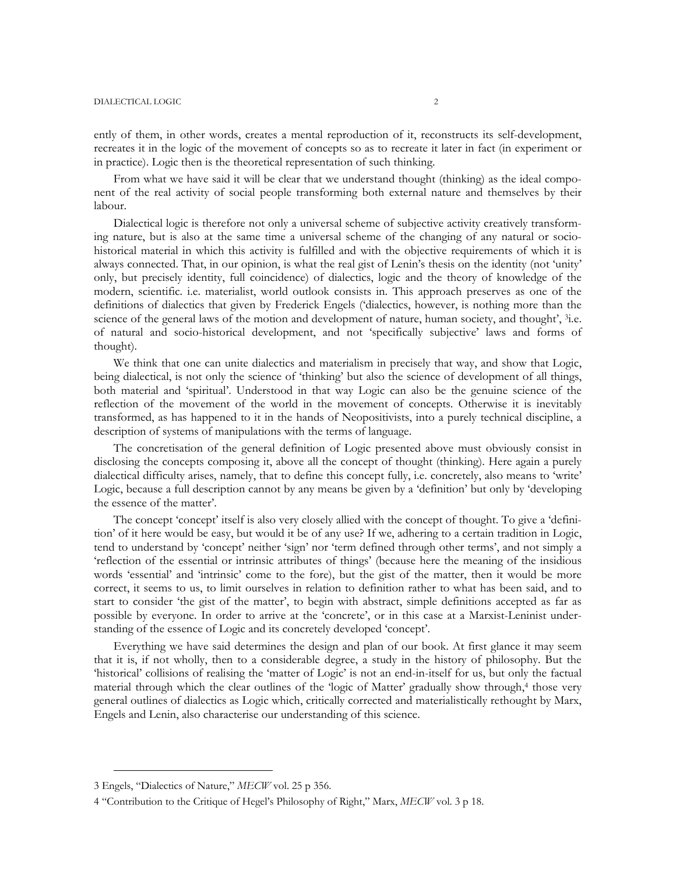ently of them, in other words, creates a mental reproduction of it, reconstructs its self-development, recreates it in the logic of the movement of concepts so as to recreate it later in fact (in experiment or in practice). Logic then is the theoretical representation of such thinking.

From what we have said it will be clear that we understand thought (thinking) as the ideal component of the real activity of social people transforming both external nature and themselves by their labour.

Dialectical logic is therefore not only a universal scheme of subjective activity creatively transforming nature, but is also at the same time a universal scheme of the changing of any natural or sociohistorical material in which this activity is fulfilled and with the objective requirements of which it is always connected. That, in our opinion, is what the real gist of Lenin's thesis on the identity (not 'unity' only, but precisely identity, full coincidence) of dialectics, logic and the theory of knowledge of the modern, scientific. i.e. materialist, world outlook consists in. This approach preserves as one of the definitions of dialectics that given by Frederick Engels ('dialectics, however, is nothing more than the science of the general laws of the motion and development of nature, human society, and thought', 3i.e. of natural and socio-historical development, and not 'specifically subjective' laws and forms of thought).

We think that one can unite dialectics and materialism in precisely that way, and show that Logic, being dialectical, is not only the science of 'thinking' but also the science of development of all things, both material and 'spiritual'. Understood in that way Logic can also be the genuine science of the reflection of the movement of the world in the movement of concepts. Otherwise it is inevitably transformed, as has happened to it in the hands of Neopositivists, into a purely technical discipline, a description of systems of manipulations with the terms of language.

The concretisation of the general definition of Logic presented above must obviously consist in disclosing the concepts composing it, above all the concept of thought (thinking). Here again a purely dialectical difficulty arises, namely, that to define this concept fully, i.e. concretely, also means to 'write' Logic, because a full description cannot by any means be given by a 'definition' but only by 'developing the essence of the matter'.

The concept 'concept' itself is also very closely allied with the concept of thought. To give a 'definition' of it here would be easy, but would it be of any use? If we, adhering to a certain tradition in Logic, tend to understand by 'concept' neither 'sign' nor 'term defined through other terms', and not simply a 'reflection of the essential or intrinsic attributes of things' (because here the meaning of the insidious words 'essential' and 'intrinsic' come to the fore), but the gist of the matter, then it would be more correct, it seems to us, to limit ourselves in relation to definition rather to what has been said, and to start to consider 'the gist of the matter', to begin with abstract, simple definitions accepted as far as possible by everyone. In order to arrive at the 'concrete', or in this case at a Marxist-Leninist understanding of the essence of Logic and its concretely developed 'concept'.

Everything we have said determines the design and plan of our book. At first glance it may seem that it is, if not wholly, then to a considerable degree, a study in the history of philosophy. But the 'historical' collisions of realising the 'matter of Logic' is not an end-in-itself for us, but only the factual material through which the clear outlines of the 'logic of Matter' gradually show through,<sup>4</sup> those very general outlines of dialectics as Logic which, critically corrected and materialistically rethought by Marx, Engels and Lenin, also characterise our understanding of this science.

<sup>3</sup> Engels, "Dialectics of Nature," *MECW* vol. 25 p 356.

<sup>4 &</sup>quot;Contribution to the Critique of Hegel's Philosophy of Right," Marx, *MECW* vol. 3 p 18.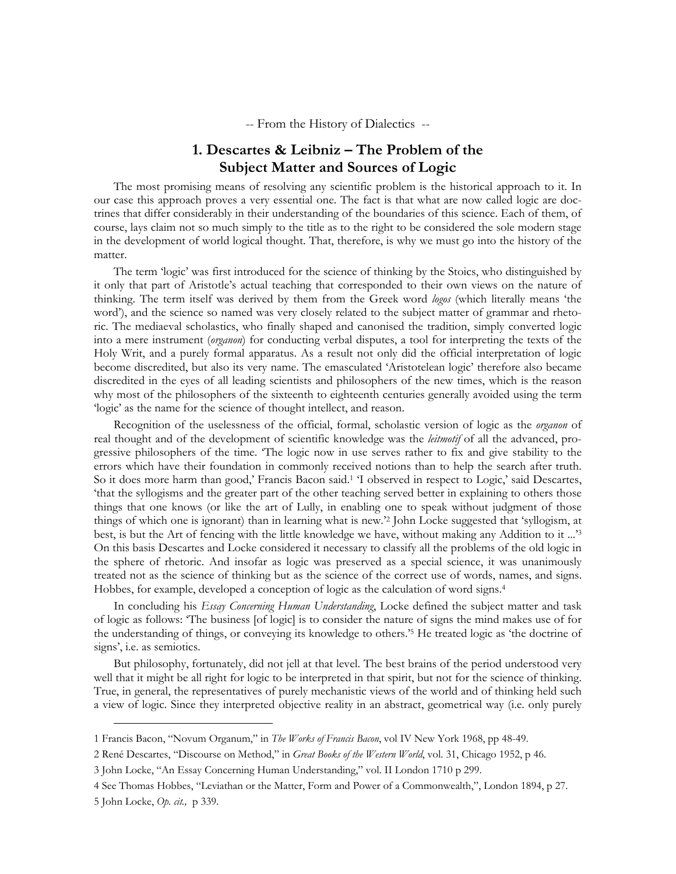-- From the History of Dialectics --

# **1. Descartes & Leibniz – The Problem of the Subject Matter and Sources of Logic**

The most promising means of resolving any scientific problem is the historical approach to it. In our case this approach proves a very essential one. The fact is that what are now called logic are doctrines that differ considerably in their understanding of the boundaries of this science. Each of them, of course, lays claim not so much simply to the title as to the right to be considered the sole modern stage in the development of world logical thought. That, therefore, is why we must go into the history of the matter.

The term 'logic' was first introduced for the science of thinking by the Stoics, who distinguished by it only that part of Aristotle's actual teaching that corresponded to their own views on the nature of thinking. The term itself was derived by them from the Greek word *logos* (which literally means 'the word'), and the science so named was very closely related to the subject matter of grammar and rhetoric. The mediaeval scholastics, who finally shaped and canonised the tradition, simply converted logic into a mere instrument (*organon*) for conducting verbal disputes, a tool for interpreting the texts of the Holy Writ, and a purely formal apparatus. As a result not only did the official interpretation of logic become discredited, but also its very name. The emasculated 'Aristotelean logic' therefore also became discredited in the eyes of all leading scientists and philosophers of the new times, which is the reason why most of the philosophers of the sixteenth to eighteenth centuries generally avoided using the term 'logic' as the name for the science of thought intellect, and reason.

Recognition of the uselessness of the official, formal, scholastic version of logic as the *organon* of real thought and of the development of scientific knowledge was the *leitmotif* of all the advanced, progressive philosophers of the time. 'The logic now in use serves rather to fix and give stability to the errors which have their foundation in commonly received notions than to help the search after truth. So it does more harm than good,' Francis Bacon said.1 'I observed in respect to Logic,' said Descartes, 'that the syllogisms and the greater part of the other teaching served better in explaining to others those things that one knows (or like the art of Lully, in enabling one to speak without judgment of those things of which one is ignorant) than in learning what is new.'2 John Locke suggested that 'syllogism, at best, is but the Art of fencing with the little knowledge we have, without making any Addition to it ...'3 On this basis Descartes and Locke considered it necessary to classify all the problems of the old logic in the sphere of rhetoric. And insofar as logic was preserved as a special science, it was unanimously treated not as the science of thinking but as the science of the correct use of words, names, and signs. Hobbes, for example, developed a conception of logic as the calculation of word signs.4

In concluding his *Essay Concerning Human Understanding*, Locke defined the subject matter and task of logic as follows: 'The business [of logic] is to consider the nature of signs the mind makes use of for the understanding of things, or conveying its knowledge to others.'5 He treated logic as 'the doctrine of signs', i.e. as semiotics.

But philosophy, fortunately, did not jell at that level. The best brains of the period understood very well that it might be all right for logic to be interpreted in that spirit, but not for the science of thinking. True, in general, the representatives of purely mechanistic views of the world and of thinking held such a view of logic. Since they interpreted objective reality in an abstract, geometrical way (i.e. only purely

<sup>1</sup> Francis Bacon, "Novum Organum," in *The Works of Francis Bacon*, vol IV New York 1968, pp 48-49.

<sup>2</sup> René Descartes, "Discourse on Method," in *Great Books of the Western World*, vol. 31, Chicago 1952, p 46.

<sup>3</sup> John Locke, "An Essay Concerning Human Understanding," vol. II London 1710 p 299.

<sup>4</sup> See Thomas Hobbes, "Leviathan or the Matter, Form and Power of a Commonwealth,", London 1894, p 27. 5 John Locke, *Op. cit.,* p 339.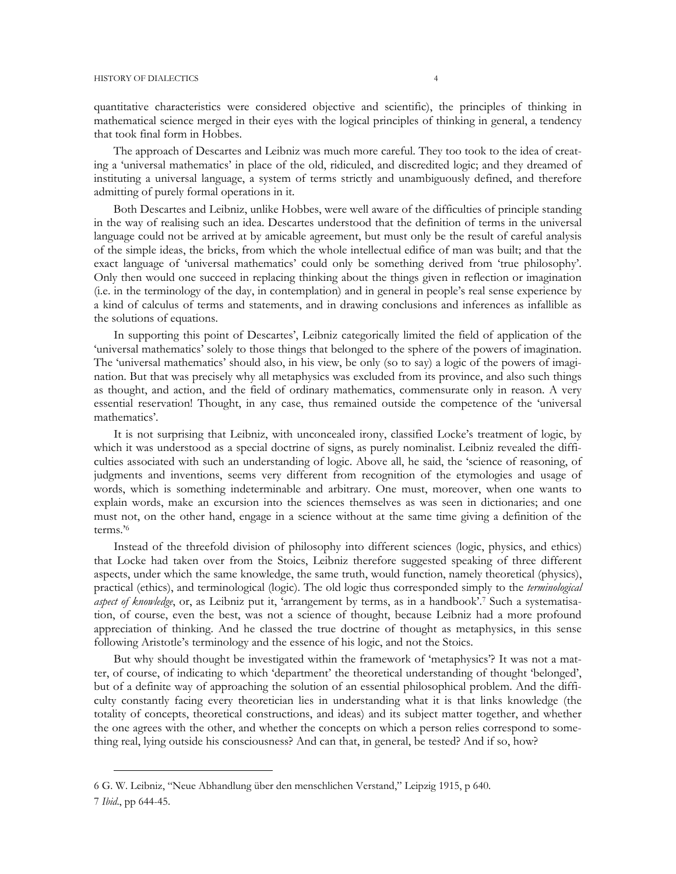quantitative characteristics were considered objective and scientific), the principles of thinking in mathematical science merged in their eyes with the logical principles of thinking in general, a tendency that took final form in Hobbes.

The approach of Descartes and Leibniz was much more careful. They too took to the idea of creating a 'universal mathematics' in place of the old, ridiculed, and discredited logic; and they dreamed of instituting a universal language, a system of terms strictly and unambiguously defined, and therefore admitting of purely formal operations in it.

Both Descartes and Leibniz, unlike Hobbes, were well aware of the difficulties of principle standing in the way of realising such an idea. Descartes understood that the definition of terms in the universal language could not be arrived at by amicable agreement, but must only be the result of careful analysis of the simple ideas, the bricks, from which the whole intellectual edifice of man was built; and that the exact language of 'universal mathematics' could only be something derived from 'true philosophy'. Only then would one succeed in replacing thinking about the things given in reflection or imagination (i.e. in the terminology of the day, in contemplation) and in general in people's real sense experience by a kind of calculus of terms and statements, and in drawing conclusions and inferences as infallible as the solutions of equations.

In supporting this point of Descartes', Leibniz categorically limited the field of application of the 'universal mathematics' solely to those things that belonged to the sphere of the powers of imagination. The 'universal mathematics' should also, in his view, be only (so to say) a logic of the powers of imagination. But that was precisely why all metaphysics was excluded from its province, and also such things as thought, and action, and the field of ordinary mathematics, commensurate only in reason. A very essential reservation! Thought, in any case, thus remained outside the competence of the 'universal mathematics'.

It is not surprising that Leibniz, with unconcealed irony, classified Locke's treatment of logic, by which it was understood as a special doctrine of signs, as purely nominalist. Leibniz revealed the difficulties associated with such an understanding of logic. Above all, he said, the 'science of reasoning, of judgments and inventions, seems very different from recognition of the etymologies and usage of words, which is something indeterminable and arbitrary. One must, moreover, when one wants to explain words, make an excursion into the sciences themselves as was seen in dictionaries; and one must not, on the other hand, engage in a science without at the same time giving a definition of the terms.'6

Instead of the threefold division of philosophy into different sciences (logic, physics, and ethics) that Locke had taken over from the Stoics, Leibniz therefore suggested speaking of three different aspects, under which the same knowledge, the same truth, would function, namely theoretical (physics), practical (ethics), and terminological (logic). The old logic thus corresponded simply to the *terminological aspect of knowledge*, or, as Leibniz put it, 'arrangement by terms, as in a handbook'.7 Such a systematisation, of course, even the best, was not a science of thought, because Leibniz had a more profound appreciation of thinking. And he classed the true doctrine of thought as metaphysics, in this sense following Aristotle's terminology and the essence of his logic, and not the Stoics.

But why should thought be investigated within the framework of 'metaphysics'? It was not a matter, of course, of indicating to which 'department' the theoretical understanding of thought 'belonged', but of a definite way of approaching the solution of an essential philosophical problem. And the difficulty constantly facing every theoretician lies in understanding what it is that links knowledge (the totality of concepts, theoretical constructions, and ideas) and its subject matter together, and whether the one agrees with the other, and whether the concepts on which a person relies correspond to something real, lying outside his consciousness? And can that, in general, be tested? And if so, how?

<sup>6</sup> G. W. Leibniz, "Neue Abhandlung über den menschlichen Verstand," Leipzig 1915, p 640.

<sup>7</sup> *Ibid*., pp 644-45.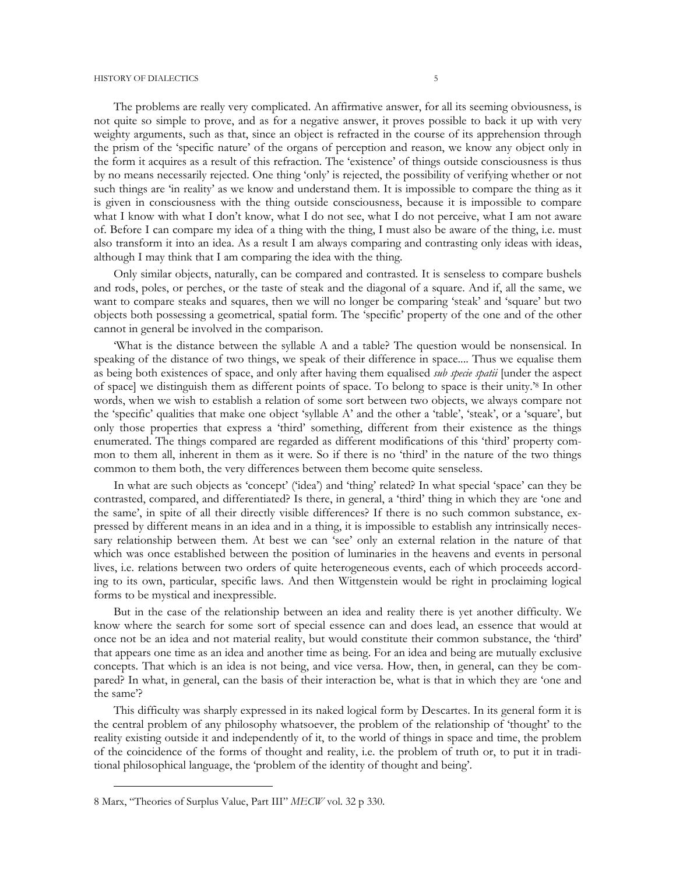The problems are really very complicated. An affirmative answer, for all its seeming obviousness, is not quite so simple to prove, and as for a negative answer, it proves possible to back it up with very weighty arguments, such as that, since an object is refracted in the course of its apprehension through the prism of the 'specific nature' of the organs of perception and reason, we know any object only in the form it acquires as a result of this refraction. The 'existence' of things outside consciousness is thus by no means necessarily rejected. One thing 'only' is rejected, the possibility of verifying whether or not such things are 'in reality' as we know and understand them. It is impossible to compare the thing as it is given in consciousness with the thing outside consciousness, because it is impossible to compare what I know with what I don't know, what I do not see, what I do not perceive, what I am not aware of. Before I can compare my idea of a thing with the thing, I must also be aware of the thing, i.e. must also transform it into an idea. As a result I am always comparing and contrasting only ideas with ideas, although I may think that I am comparing the idea with the thing.

Only similar objects, naturally, can be compared and contrasted. It is senseless to compare bushels and rods, poles, or perches, or the taste of steak and the diagonal of a square. And if, all the same, we want to compare steaks and squares, then we will no longer be comparing 'steak' and 'square' but two objects both possessing a geometrical, spatial form. The 'specific' property of the one and of the other cannot in general be involved in the comparison.

'What is the distance between the syllable A and a table? The question would be nonsensical. In speaking of the distance of two things, we speak of their difference in space.... Thus we equalise them as being both existences of space, and only after having them equalised *sub specie spatii* [under the aspect of space] we distinguish them as different points of space. To belong to space is their unity.'8 In other words, when we wish to establish a relation of some sort between two objects, we always compare not the 'specific' qualities that make one object 'syllable A' and the other a 'table', 'steak', or a 'square', but only those properties that express a 'third' something, different from their existence as the things enumerated. The things compared are regarded as different modifications of this 'third' property common to them all, inherent in them as it were. So if there is no 'third' in the nature of the two things common to them both, the very differences between them become quite senseless.

In what are such objects as 'concept' ('idea') and 'thing' related? In what special 'space' can they be contrasted, compared, and differentiated? Is there, in general, a 'third' thing in which they are 'one and the same', in spite of all their directly visible differences? If there is no such common substance, expressed by different means in an idea and in a thing, it is impossible to establish any intrinsically necessary relationship between them. At best we can 'see' only an external relation in the nature of that which was once established between the position of luminaries in the heavens and events in personal lives, i.e. relations between two orders of quite heterogeneous events, each of which proceeds according to its own, particular, specific laws. And then Wittgenstein would be right in proclaiming logical forms to be mystical and inexpressible.

But in the case of the relationship between an idea and reality there is yet another difficulty. We know where the search for some sort of special essence can and does lead, an essence that would at once not be an idea and not material reality, but would constitute their common substance, the 'third' that appears one time as an idea and another time as being. For an idea and being are mutually exclusive concepts. That which is an idea is not being, and vice versa. How, then, in general, can they be compared? In what, in general, can the basis of their interaction be, what is that in which they are 'one and the same'?

This difficulty was sharply expressed in its naked logical form by Descartes. In its general form it is the central problem of any philosophy whatsoever, the problem of the relationship of 'thought' to the reality existing outside it and independently of it, to the world of things in space and time, the problem of the coincidence of the forms of thought and reality, i.e. the problem of truth or, to put it in traditional philosophical language, the 'problem of the identity of thought and being'.

<sup>8</sup> Marx, "Theories of Surplus Value, Part III" *MECW* vol. 32 p 330.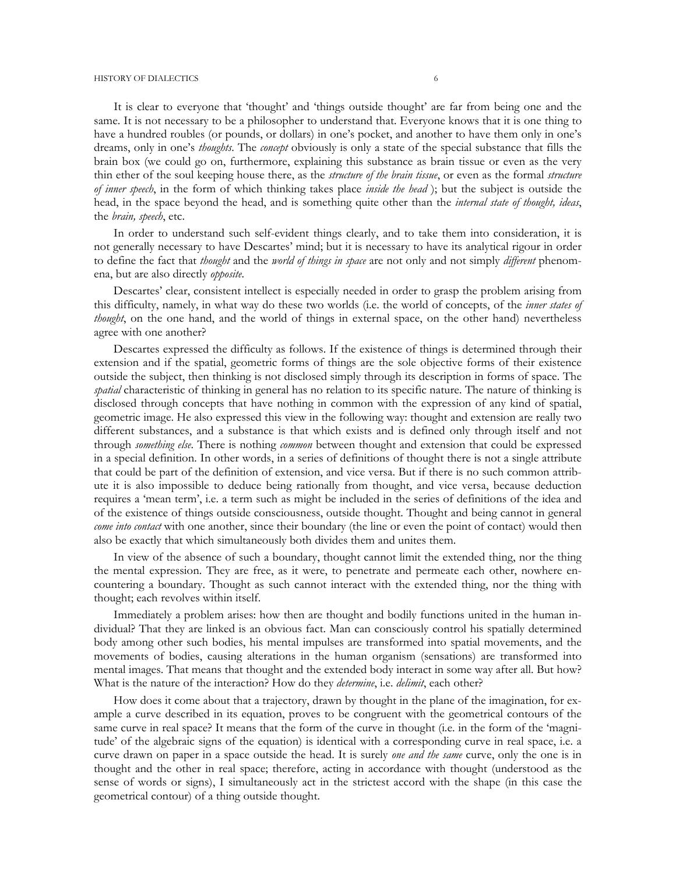It is clear to everyone that 'thought' and 'things outside thought' are far from being one and the same. It is not necessary to be a philosopher to understand that. Everyone knows that it is one thing to have a hundred roubles (or pounds, or dollars) in one's pocket, and another to have them only in one's dreams, only in one's *thoughts*. The *concept* obviously is only a state of the special substance that fills the brain box (we could go on, furthermore, explaining this substance as brain tissue or even as the very thin ether of the soul keeping house there, as the *structure of the brain tissue*, or even as the formal *structure of inner speech*, in the form of which thinking takes place *inside the head* ); but the subject is outside the head, in the space beyond the head, and is something quite other than the *internal state of thought, ideas*, the *brain, speech*, etc.

In order to understand such self-evident things clearly, and to take them into consideration, it is not generally necessary to have Descartes' mind; but it is necessary to have its analytical rigour in order to define the fact that *thought* and the *world of things in space* are not only and not simply *different* phenomena, but are also directly *opposite*.

Descartes' clear, consistent intellect is especially needed in order to grasp the problem arising from this difficulty, namely, in what way do these two worlds (i.e. the world of concepts, of the *inner states of thought*, on the one hand, and the world of things in external space, on the other hand) nevertheless agree with one another?

Descartes expressed the difficulty as follows. If the existence of things is determined through their extension and if the spatial, geometric forms of things are the sole objective forms of their existence outside the subject, then thinking is not disclosed simply through its description in forms of space. The *spatial* characteristic of thinking in general has no relation to its specific nature. The nature of thinking is disclosed through concepts that have nothing in common with the expression of any kind of spatial, geometric image. He also expressed this view in the following way: thought and extension are really two different substances, and a substance is that which exists and is defined only through itself and not through *something else*. There is nothing *common* between thought and extension that could be expressed in a special definition. In other words, in a series of definitions of thought there is not a single attribute that could be part of the definition of extension, and vice versa. But if there is no such common attribute it is also impossible to deduce being rationally from thought, and vice versa, because deduction requires a 'mean term', i.e. a term such as might be included in the series of definitions of the idea and of the existence of things outside consciousness, outside thought. Thought and being cannot in general *come into contact* with one another, since their boundary (the line or even the point of contact) would then also be exactly that which simultaneously both divides them and unites them.

In view of the absence of such a boundary, thought cannot limit the extended thing, nor the thing the mental expression. They are free, as it were, to penetrate and permeate each other, nowhere encountering a boundary. Thought as such cannot interact with the extended thing, nor the thing with thought; each revolves within itself.

Immediately a problem arises: how then are thought and bodily functions united in the human individual? That they are linked is an obvious fact. Man can consciously control his spatially determined body among other such bodies, his mental impulses are transformed into spatial movements, and the movements of bodies, causing alterations in the human organism (sensations) are transformed into mental images. That means that thought and the extended body interact in some way after all. But how? What is the nature of the interaction? How do they *determine*, i.e. *delimit*, each other?

How does it come about that a trajectory, drawn by thought in the plane of the imagination, for example a curve described in its equation, proves to be congruent with the geometrical contours of the same curve in real space? It means that the form of the curve in thought (i.e. in the form of the 'magnitude' of the algebraic signs of the equation) is identical with a corresponding curve in real space, i.e. a curve drawn on paper in a space outside the head. It is surely *one and the same* curve, only the one is in thought and the other in real space; therefore, acting in accordance with thought (understood as the sense of words or signs), I simultaneously act in the strictest accord with the shape (in this case the geometrical contour) of a thing outside thought.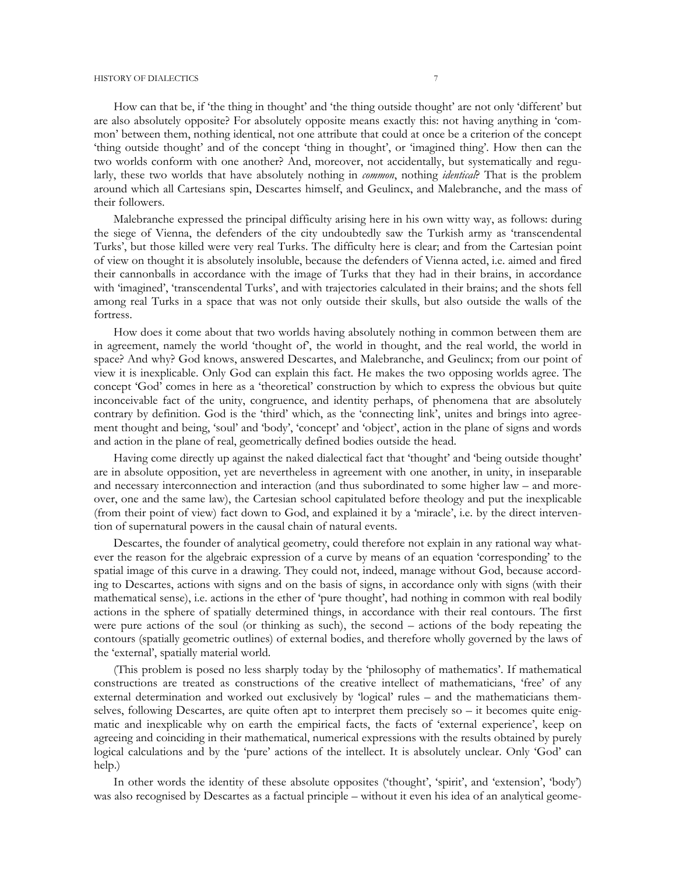#### HISTORY OF DIALECTICS 7

How can that be, if 'the thing in thought' and 'the thing outside thought' are not only 'different' but are also absolutely opposite? For absolutely opposite means exactly this: not having anything in 'common' between them, nothing identical, not one attribute that could at once be a criterion of the concept 'thing outside thought' and of the concept 'thing in thought', or 'imagined thing'. How then can the two worlds conform with one another? And, moreover, not accidentally, but systematically and regularly, these two worlds that have absolutely nothing in *common*, nothing *identical*? That is the problem around which all Cartesians spin, Descartes himself, and Geulincx, and Malebranche, and the mass of their followers.

Malebranche expressed the principal difficulty arising here in his own witty way, as follows: during the siege of Vienna, the defenders of the city undoubtedly saw the Turkish army as 'transcendental Turks', but those killed were very real Turks. The difficulty here is clear; and from the Cartesian point of view on thought it is absolutely insoluble, because the defenders of Vienna acted, i.e. aimed and fired their cannonballs in accordance with the image of Turks that they had in their brains, in accordance with 'imagined', 'transcendental Turks', and with trajectories calculated in their brains; and the shots fell among real Turks in a space that was not only outside their skulls, but also outside the walls of the fortress.

How does it come about that two worlds having absolutely nothing in common between them are in agreement, namely the world 'thought of', the world in thought, and the real world, the world in space? And why? God knows, answered Descartes, and Malebranche, and Geulincx; from our point of view it is inexplicable. Only God can explain this fact. He makes the two opposing worlds agree. The concept 'God' comes in here as a 'theoretical' construction by which to express the obvious but quite inconceivable fact of the unity, congruence, and identity perhaps, of phenomena that are absolutely contrary by definition. God is the 'third' which, as the 'connecting link', unites and brings into agreement thought and being, 'soul' and 'body', 'concept' and 'object', action in the plane of signs and words and action in the plane of real, geometrically defined bodies outside the head.

Having come directly up against the naked dialectical fact that 'thought' and 'being outside thought' are in absolute opposition, yet are nevertheless in agreement with one another, in unity, in inseparable and necessary interconnection and interaction (and thus subordinated to some higher law – and moreover, one and the same law), the Cartesian school capitulated before theology and put the inexplicable (from their point of view) fact down to God, and explained it by a 'miracle', i.e. by the direct intervention of supernatural powers in the causal chain of natural events.

Descartes, the founder of analytical geometry, could therefore not explain in any rational way whatever the reason for the algebraic expression of a curve by means of an equation 'corresponding' to the spatial image of this curve in a drawing. They could not, indeed, manage without God, because according to Descartes, actions with signs and on the basis of signs, in accordance only with signs (with their mathematical sense), i.e. actions in the ether of 'pure thought', had nothing in common with real bodily actions in the sphere of spatially determined things, in accordance with their real contours. The first were pure actions of the soul (or thinking as such), the second – actions of the body repeating the contours (spatially geometric outlines) of external bodies, and therefore wholly governed by the laws of the 'external', spatially material world.

(This problem is posed no less sharply today by the 'philosophy of mathematics'. If mathematical constructions are treated as constructions of the creative intellect of mathematicians, 'free' of any external determination and worked out exclusively by 'logical' rules – and the mathematicians themselves, following Descartes, are quite often apt to interpret them precisely so – it becomes quite enigmatic and inexplicable why on earth the empirical facts, the facts of 'external experience', keep on agreeing and coinciding in their mathematical, numerical expressions with the results obtained by purely logical calculations and by the 'pure' actions of the intellect. It is absolutely unclear. Only 'God' can help.)

In other words the identity of these absolute opposites ('thought', 'spirit', and 'extension', 'body') was also recognised by Descartes as a factual principle – without it even his idea of an analytical geome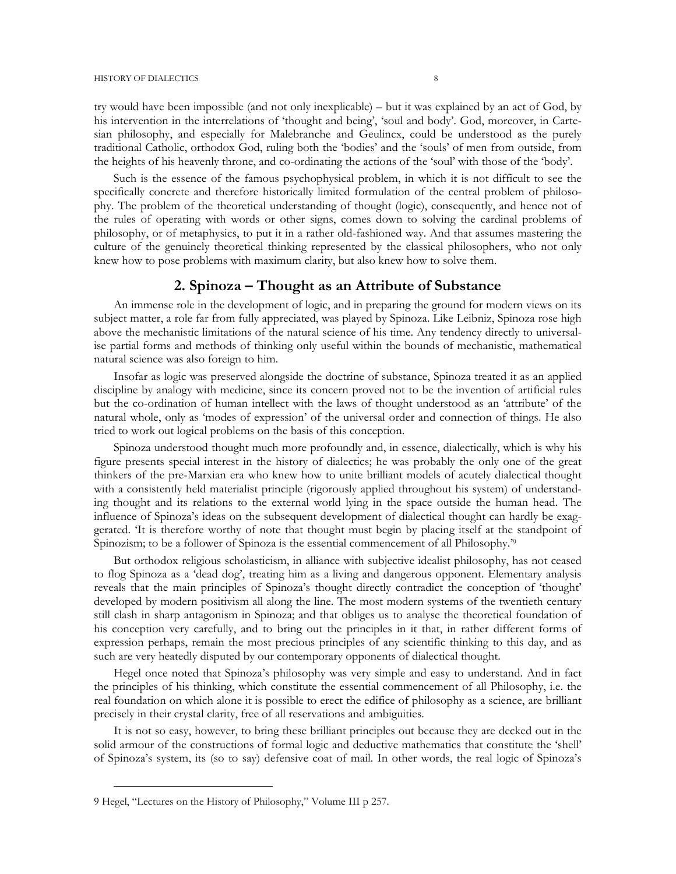try would have been impossible (and not only inexplicable) – but it was explained by an act of God, by his intervention in the interrelations of 'thought and being', 'soul and body'. God, moreover, in Cartesian philosophy, and especially for Malebranche and Geulincx, could be understood as the purely traditional Catholic, orthodox God, ruling both the 'bodies' and the 'souls' of men from outside, from the heights of his heavenly throne, and co-ordinating the actions of the 'soul' with those of the 'body'.

Such is the essence of the famous psychophysical problem, in which it is not difficult to see the specifically concrete and therefore historically limited formulation of the central problem of philosophy. The problem of the theoretical understanding of thought (logic), consequently, and hence not of the rules of operating with words or other signs, comes down to solving the cardinal problems of philosophy, or of metaphysics, to put it in a rather old-fashioned way. And that assumes mastering the culture of the genuinely theoretical thinking represented by the classical philosophers, who not only knew how to pose problems with maximum clarity, but also knew how to solve them.

### **2. Spinoza – Thought as an Attribute of Substance**

An immense role in the development of logic, and in preparing the ground for modern views on its subject matter, a role far from fully appreciated, was played by Spinoza. Like Leibniz, Spinoza rose high above the mechanistic limitations of the natural science of his time. Any tendency directly to universalise partial forms and methods of thinking only useful within the bounds of mechanistic, mathematical natural science was also foreign to him.

Insofar as logic was preserved alongside the doctrine of substance, Spinoza treated it as an applied discipline by analogy with medicine, since its concern proved not to be the invention of artificial rules but the co-ordination of human intellect with the laws of thought understood as an 'attribute' of the natural whole, only as 'modes of expression' of the universal order and connection of things. He also tried to work out logical problems on the basis of this conception.

Spinoza understood thought much more profoundly and, in essence, dialectically, which is why his figure presents special interest in the history of dialectics; he was probably the only one of the great thinkers of the pre-Marxian era who knew how to unite brilliant models of acutely dialectical thought with a consistently held materialist principle (rigorously applied throughout his system) of understanding thought and its relations to the external world lying in the space outside the human head. The influence of Spinoza's ideas on the subsequent development of dialectical thought can hardly be exaggerated. 'It is therefore worthy of note that thought must begin by placing itself at the standpoint of Spinozism; to be a follower of Spinoza is the essential commencement of all Philosophy.'9

But orthodox religious scholasticism, in alliance with subjective idealist philosophy, has not ceased to flog Spinoza as a 'dead dog', treating him as a living and dangerous opponent. Elementary analysis reveals that the main principles of Spinoza's thought directly contradict the conception of 'thought' developed by modern positivism all along the line. The most modern systems of the twentieth century still clash in sharp antagonism in Spinoza; and that obliges us to analyse the theoretical foundation of his conception very carefully, and to bring out the principles in it that, in rather different forms of expression perhaps, remain the most precious principles of any scientific thinking to this day, and as such are very heatedly disputed by our contemporary opponents of dialectical thought.

Hegel once noted that Spinoza's philosophy was very simple and easy to understand. And in fact the principles of his thinking, which constitute the essential commencement of all Philosophy, i.e. the real foundation on which alone it is possible to erect the edifice of philosophy as a science, are brilliant precisely in their crystal clarity, free of all reservations and ambiguities.

It is not so easy, however, to bring these brilliant principles out because they are decked out in the solid armour of the constructions of formal logic and deductive mathematics that constitute the 'shell' of Spinoza's system, its (so to say) defensive coat of mail. In other words, the real logic of Spinoza's

<sup>9</sup> Hegel, "Lectures on the History of Philosophy," Volume III p 257.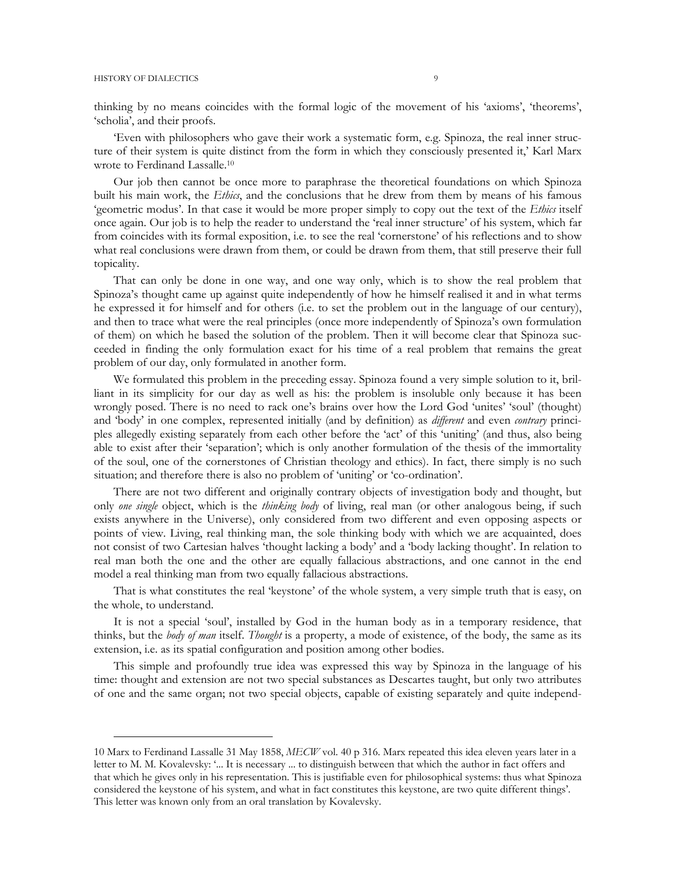#### HISTORY OF DIALECTICS 9

**.** 

'Even with philosophers who gave their work a systematic form, e.g. Spinoza, the real inner structure of their system is quite distinct from the form in which they consciously presented it,' Karl Marx wrote to Ferdinand Lassalle.10

Our job then cannot be once more to paraphrase the theoretical foundations on which Spinoza built his main work, the *Ethics*, and the conclusions that he drew from them by means of his famous 'geometric modus'. In that case it would be more proper simply to copy out the text of the *Ethics* itself once again. Our job is to help the reader to understand the 'real inner structure' of his system, which far from coincides with its formal exposition, i.e. to see the real 'cornerstone' of his reflections and to show what real conclusions were drawn from them, or could be drawn from them, that still preserve their full topicality.

That can only be done in one way, and one way only, which is to show the real problem that Spinoza's thought came up against quite independently of how he himself realised it and in what terms he expressed it for himself and for others (i.e. to set the problem out in the language of our century), and then to trace what were the real principles (once more independently of Spinoza's own formulation of them) on which he based the solution of the problem. Then it will become clear that Spinoza succeeded in finding the only formulation exact for his time of a real problem that remains the great problem of our day, only formulated in another form.

We formulated this problem in the preceding essay. Spinoza found a very simple solution to it, brilliant in its simplicity for our day as well as his: the problem is insoluble only because it has been wrongly posed. There is no need to rack one's brains over how the Lord God 'unites' 'soul' (thought) and 'body' in one complex, represented initially (and by definition) as *different* and even *contrary* principles allegedly existing separately from each other before the 'act' of this 'uniting' (and thus, also being able to exist after their 'separation'; which is only another formulation of the thesis of the immortality of the soul, one of the cornerstones of Christian theology and ethics). In fact, there simply is no such situation; and therefore there is also no problem of 'uniting' or 'co-ordination'.

There are not two different and originally contrary objects of investigation body and thought, but only *one single* object, which is the *thinking body* of living, real man (or other analogous being, if such exists anywhere in the Universe), only considered from two different and even opposing aspects or points of view. Living, real thinking man, the sole thinking body with which we are acquainted, does not consist of two Cartesian halves 'thought lacking a body' and a 'body lacking thought'. In relation to real man both the one and the other are equally fallacious abstractions, and one cannot in the end model a real thinking man from two equally fallacious abstractions.

That is what constitutes the real 'keystone' of the whole system, a very simple truth that is easy, on the whole, to understand.

It is not a special 'soul', installed by God in the human body as in a temporary residence, that thinks, but the *body of man* itself. *Thought* is a property, a mode of existence, of the body, the same as its extension, i.e. as its spatial configuration and position among other bodies.

This simple and profoundly true idea was expressed this way by Spinoza in the language of his time: thought and extension are not two special substances as Descartes taught, but only two attributes of one and the same organ; not two special objects, capable of existing separately and quite independ-

<sup>10</sup> Marx to Ferdinand Lassalle 31 May 1858, *MECW* vol. 40 p 316. Marx repeated this idea eleven years later in a letter to M. M. Kovalevsky: '... It is necessary ... to distinguish between that which the author in fact offers and that which he gives only in his representation. This is justifiable even for philosophical systems: thus what Spinoza considered the keystone of his system, and what in fact constitutes this keystone, are two quite different things'. This letter was known only from an oral translation by Kovalevsky.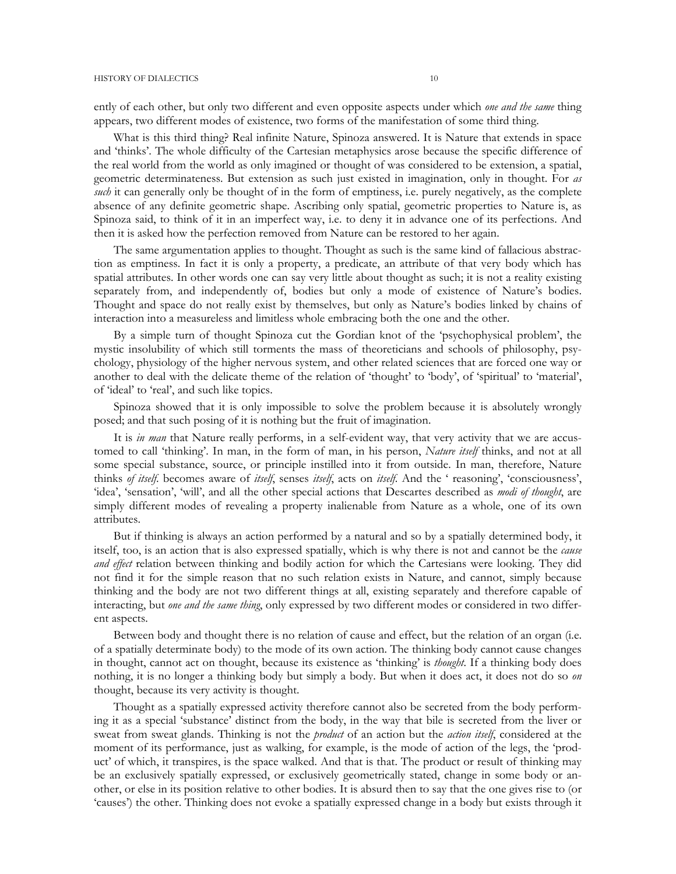ently of each other, but only two different and even opposite aspects under which *one and the same* thing appears, two different modes of existence, two forms of the manifestation of some third thing.

What is this third thing? Real infinite Nature, Spinoza answered. It is Nature that extends in space and 'thinks'. The whole difficulty of the Cartesian metaphysics arose because the specific difference of the real world from the world as only imagined or thought of was considered to be extension, a spatial, geometric determinateness. But extension as such just existed in imagination, only in thought. For *as such* it can generally only be thought of in the form of emptiness, i.e. purely negatively, as the complete absence of any definite geometric shape. Ascribing only spatial, geometric properties to Nature is, as Spinoza said, to think of it in an imperfect way, i.e. to deny it in advance one of its perfections. And then it is asked how the perfection removed from Nature can be restored to her again.

The same argumentation applies to thought. Thought as such is the same kind of fallacious abstraction as emptiness. In fact it is only a property, a predicate, an attribute of that very body which has spatial attributes. In other words one can say very little about thought as such; it is not a reality existing separately from, and independently of, bodies but only a mode of existence of Nature's bodies. Thought and space do not really exist by themselves, but only as Nature's bodies linked by chains of interaction into a measureless and limitless whole embracing both the one and the other.

By a simple turn of thought Spinoza cut the Gordian knot of the 'psychophysical problem', the mystic insolubility of which still torments the mass of theoreticians and schools of philosophy, psychology, physiology of the higher nervous system, and other related sciences that are forced one way or another to deal with the delicate theme of the relation of 'thought' to 'body', of 'spiritual' to 'material', of 'ideal' to 'real', and such like topics.

Spinoza showed that it is only impossible to solve the problem because it is absolutely wrongly posed; and that such posing of it is nothing but the fruit of imagination.

It is *in man* that Nature really performs, in a self-evident way, that very activity that we are accustomed to call 'thinking'. In man, in the form of man, in his person, *Nature itself* thinks, and not at all some special substance, source, or principle instilled into it from outside. In man, therefore, Nature thinks *of itself*. becomes aware of *itself*, senses *itself*, acts on *itself*. And the ' reasoning', 'consciousness', 'idea', 'sensation', 'will', and all the other special actions that Descartes described as *modi of thought*, are simply different modes of revealing a property inalienable from Nature as a whole, one of its own attributes.

But if thinking is always an action performed by a natural and so by a spatially determined body, it itself, too, is an action that is also expressed spatially, which is why there is not and cannot be the *cause and effect* relation between thinking and bodily action for which the Cartesians were looking. They did not find it for the simple reason that no such relation exists in Nature, and cannot, simply because thinking and the body are not two different things at all, existing separately and therefore capable of interacting, but *one and the same thing*, only expressed by two different modes or considered in two different aspects.

Between body and thought there is no relation of cause and effect, but the relation of an organ (i.e. of a spatially determinate body) to the mode of its own action. The thinking body cannot cause changes in thought, cannot act on thought, because its existence as 'thinking' is *thought*. If a thinking body does nothing, it is no longer a thinking body but simply a body. But when it does act, it does not do so *on* thought, because its very activity is thought.

Thought as a spatially expressed activity therefore cannot also be secreted from the body performing it as a special 'substance' distinct from the body, in the way that bile is secreted from the liver or sweat from sweat glands. Thinking is not the *product* of an action but the *action itself*, considered at the moment of its performance, just as walking, for example, is the mode of action of the legs, the 'product' of which, it transpires, is the space walked. And that is that. The product or result of thinking may be an exclusively spatially expressed, or exclusively geometrically stated, change in some body or another, or else in its position relative to other bodies. It is absurd then to say that the one gives rise to (or 'causes') the other. Thinking does not evoke a spatially expressed change in a body but exists through it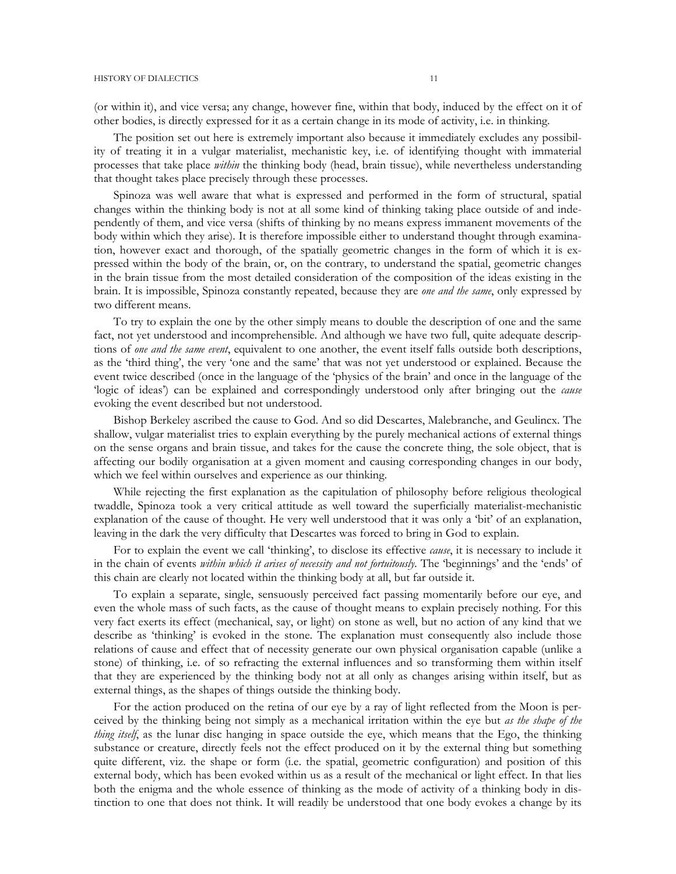(or within it), and vice versa; any change, however fine, within that body, induced by the effect on it of other bodies, is directly expressed for it as a certain change in its mode of activity, i.e. in thinking.

The position set out here is extremely important also because it immediately excludes any possibility of treating it in a vulgar materialist, mechanistic key, i.e. of identifying thought with immaterial processes that take place *within* the thinking body (head, brain tissue), while nevertheless understanding that thought takes place precisely through these processes.

Spinoza was well aware that what is expressed and performed in the form of structural, spatial changes within the thinking body is not at all some kind of thinking taking place outside of and independently of them, and vice versa (shifts of thinking by no means express immanent movements of the body within which they arise). It is therefore impossible either to understand thought through examination, however exact and thorough, of the spatially geometric changes in the form of which it is expressed within the body of the brain, or, on the contrary, to understand the spatial, geometric changes in the brain tissue from the most detailed consideration of the composition of the ideas existing in the brain. It is impossible, Spinoza constantly repeated, because they are *one and the same*, only expressed by two different means.

To try to explain the one by the other simply means to double the description of one and the same fact, not yet understood and incomprehensible. And although we have two full, quite adequate descriptions of *one and the same event*, equivalent to one another, the event itself falls outside both descriptions, as the 'third thing', the very 'one and the same' that was not yet understood or explained. Because the event twice described (once in the language of the 'physics of the brain' and once in the language of the 'logic of ideas') can be explained and correspondingly understood only after bringing out the *cause* evoking the event described but not understood.

Bishop Berkeley ascribed the cause to God. And so did Descartes, Malebranche, and Geulincx. The shallow, vulgar materialist tries to explain everything by the purely mechanical actions of external things on the sense organs and brain tissue, and takes for the cause the concrete thing, the sole object, that is affecting our bodily organisation at a given moment and causing corresponding changes in our body, which we feel within ourselves and experience as our thinking.

While rejecting the first explanation as the capitulation of philosophy before religious theological twaddle, Spinoza took a very critical attitude as well toward the superficially materialist-mechanistic explanation of the cause of thought. He very well understood that it was only a 'bit' of an explanation, leaving in the dark the very difficulty that Descartes was forced to bring in God to explain.

For to explain the event we call 'thinking', to disclose its effective *cause*, it is necessary to include it in the chain of events *within which it arises of necessity and not fortuitously*. The 'beginnings' and the 'ends' of this chain are clearly not located within the thinking body at all, but far outside it.

To explain a separate, single, sensuously perceived fact passing momentarily before our eye, and even the whole mass of such facts, as the cause of thought means to explain precisely nothing. For this very fact exerts its effect (mechanical, say, or light) on stone as well, but no action of any kind that we describe as 'thinking' is evoked in the stone. The explanation must consequently also include those relations of cause and effect that of necessity generate our own physical organisation capable (unlike a stone) of thinking, i.e. of so refracting the external influences and so transforming them within itself that they are experienced by the thinking body not at all only as changes arising within itself, but as external things, as the shapes of things outside the thinking body.

For the action produced on the retina of our eye by a ray of light reflected from the Moon is perceived by the thinking being not simply as a mechanical irritation within the eye but *as the shape of the thing itself*, as the lunar disc hanging in space outside the eye, which means that the Ego, the thinking substance or creature, directly feels not the effect produced on it by the external thing but something quite different, viz. the shape or form (i.e. the spatial, geometric configuration) and position of this external body, which has been evoked within us as a result of the mechanical or light effect. In that lies both the enigma and the whole essence of thinking as the mode of activity of a thinking body in distinction to one that does not think. It will readily be understood that one body evokes a change by its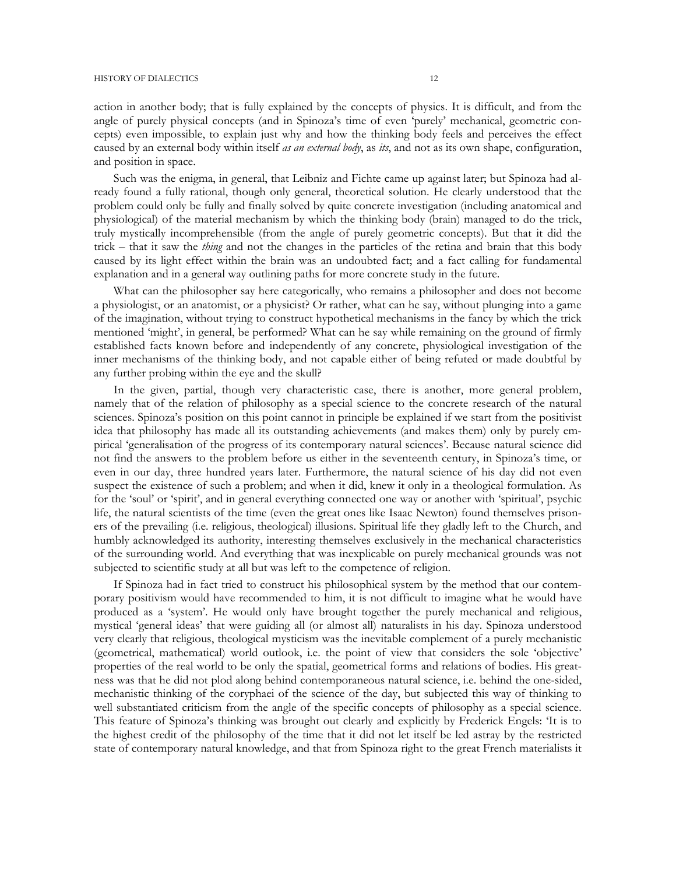action in another body; that is fully explained by the concepts of physics. It is difficult, and from the angle of purely physical concepts (and in Spinoza's time of even 'purely' mechanical, geometric concepts) even impossible, to explain just why and how the thinking body feels and perceives the effect caused by an external body within itself *as an external body*, as *its*, and not as its own shape, configuration, and position in space.

Such was the enigma, in general, that Leibniz and Fichte came up against later; but Spinoza had already found a fully rational, though only general, theoretical solution. He clearly understood that the problem could only be fully and finally solved by quite concrete investigation (including anatomical and physiological) of the material mechanism by which the thinking body (brain) managed to do the trick, truly mystically incomprehensible (from the angle of purely geometric concepts). But that it did the trick – that it saw the *thing* and not the changes in the particles of the retina and brain that this body caused by its light effect within the brain was an undoubted fact; and a fact calling for fundamental explanation and in a general way outlining paths for more concrete study in the future.

What can the philosopher say here categorically, who remains a philosopher and does not become a physiologist, or an anatomist, or a physicist? Or rather, what can he say, without plunging into a game of the imagination, without trying to construct hypothetical mechanisms in the fancy by which the trick mentioned 'might', in general, be performed? What can he say while remaining on the ground of firmly established facts known before and independently of any concrete, physiological investigation of the inner mechanisms of the thinking body, and not capable either of being refuted or made doubtful by any further probing within the eye and the skull?

In the given, partial, though very characteristic case, there is another, more general problem, namely that of the relation of philosophy as a special science to the concrete research of the natural sciences. Spinoza's position on this point cannot in principle be explained if we start from the positivist idea that philosophy has made all its outstanding achievements (and makes them) only by purely empirical 'generalisation of the progress of its contemporary natural sciences'. Because natural science did not find the answers to the problem before us either in the seventeenth century, in Spinoza's time, or even in our day, three hundred years later. Furthermore, the natural science of his day did not even suspect the existence of such a problem; and when it did, knew it only in a theological formulation. As for the 'soul' or 'spirit', and in general everything connected one way or another with 'spiritual', psychic life, the natural scientists of the time (even the great ones like Isaac Newton) found themselves prisoners of the prevailing (i.e. religious, theological) illusions. Spiritual life they gladly left to the Church, and humbly acknowledged its authority, interesting themselves exclusively in the mechanical characteristics of the surrounding world. And everything that was inexplicable on purely mechanical grounds was not subjected to scientific study at all but was left to the competence of religion.

If Spinoza had in fact tried to construct his philosophical system by the method that our contemporary positivism would have recommended to him, it is not difficult to imagine what he would have produced as a 'system'. He would only have brought together the purely mechanical and religious, mystical 'general ideas' that were guiding all (or almost all) naturalists in his day. Spinoza understood very clearly that religious, theological mysticism was the inevitable complement of a purely mechanistic (geometrical, mathematical) world outlook, i.e. the point of view that considers the sole 'objective' properties of the real world to be only the spatial, geometrical forms and relations of bodies. His greatness was that he did not plod along behind contemporaneous natural science, i.e. behind the one-sided, mechanistic thinking of the coryphaei of the science of the day, but subjected this way of thinking to well substantiated criticism from the angle of the specific concepts of philosophy as a special science. This feature of Spinoza's thinking was brought out clearly and explicitly by Frederick Engels: 'It is to the highest credit of the philosophy of the time that it did not let itself be led astray by the restricted state of contemporary natural knowledge, and that from Spinoza right to the great French materialists it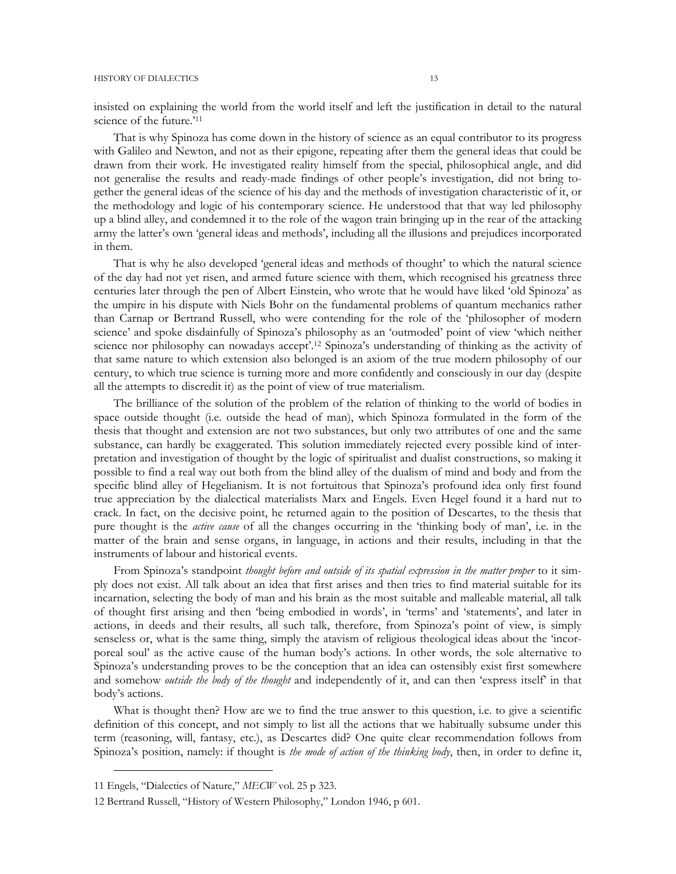insisted on explaining the world from the world itself and left the justification in detail to the natural science of the future.'<sup>11</sup>

That is why Spinoza has come down in the history of science as an equal contributor to its progress with Galileo and Newton, and not as their epigone, repeating after them the general ideas that could be drawn from their work. He investigated reality himself from the special, philosophical angle, and did not generalise the results and ready-made findings of other people's investigation, did not bring together the general ideas of the science of his day and the methods of investigation characteristic of it, or the methodology and logic of his contemporary science. He understood that that way led philosophy up a blind alley, and condemned it to the role of the wagon train bringing up in the rear of the attacking army the latter's own 'general ideas and methods', including all the illusions and prejudices incorporated in them.

That is why he also developed 'general ideas and methods of thought' to which the natural science of the day had not yet risen, and armed future science with them, which recognised his greatness three centuries later through the pen of Albert Einstein, who wrote that he would have liked 'old Spinoza' as the umpire in his dispute with Niels Bohr on the fundamental problems of quantum mechanics rather than Carnap or Bertrand Russell, who were contending for the role of the 'philosopher of modern science' and spoke disdainfully of Spinoza's philosophy as an 'outmoded' point of view 'which neither science nor philosophy can nowadays accept'.<sup>12</sup> Spinoza's understanding of thinking as the activity of that same nature to which extension also belonged is an axiom of the true modern philosophy of our century, to which true science is turning more and more confidently and consciously in our day (despite all the attempts to discredit it) as the point of view of true materialism.

The brilliance of the solution of the problem of the relation of thinking to the world of bodies in space outside thought (i.e. outside the head of man), which Spinoza formulated in the form of the thesis that thought and extension are not two substances, but only two attributes of one and the same substance, can hardly be exaggerated. This solution immediately rejected every possible kind of interpretation and investigation of thought by the logic of spiritualist and dualist constructions, so making it possible to find a real way out both from the blind alley of the dualism of mind and body and from the specific blind alley of Hegelianism. It is not fortuitous that Spinoza's profound idea only first found true appreciation by the dialectical materialists Marx and Engels. Even Hegel found it a hard nut to crack. In fact, on the decisive point, he returned again to the position of Descartes, to the thesis that pure thought is the *active cause* of all the changes occurring in the 'thinking body of man', i.e. in the matter of the brain and sense organs, in language, in actions and their results, including in that the instruments of labour and historical events.

From Spinoza's standpoint *thought before and outside of its spatial expression in the matter proper* to it simply does not exist. All talk about an idea that first arises and then tries to find material suitable for its incarnation, selecting the body of man and his brain as the most suitable and malleable material, all talk of thought first arising and then 'being embodied in words', in 'terms' and 'statements', and later in actions, in deeds and their results, all such talk, therefore, from Spinoza's point of view, is simply senseless or, what is the same thing, simply the atavism of religious theological ideas about the 'incorporeal soul' as the active cause of the human body's actions. In other words, the sole alternative to Spinoza's understanding proves to be the conception that an idea can ostensibly exist first somewhere and somehow *outside the body of the thought* and independently of it, and can then 'express itself' in that body's actions.

What is thought then? How are we to find the true answer to this question, i.e. to give a scientific definition of this concept, and not simply to list all the actions that we habitually subsume under this term (reasoning, will, fantasy, etc.), as Descartes did? One quite clear recommendation follows from Spinoza's position, namely: if thought is *the mode of action of the thinking body*, then, in order to define it,

<sup>11</sup> Engels, "Dialectics of Nature," *MECW* vol. 25 p 323.

<sup>12</sup> Bertrand Russell, "History of Western Philosophy," London 1946, p 601.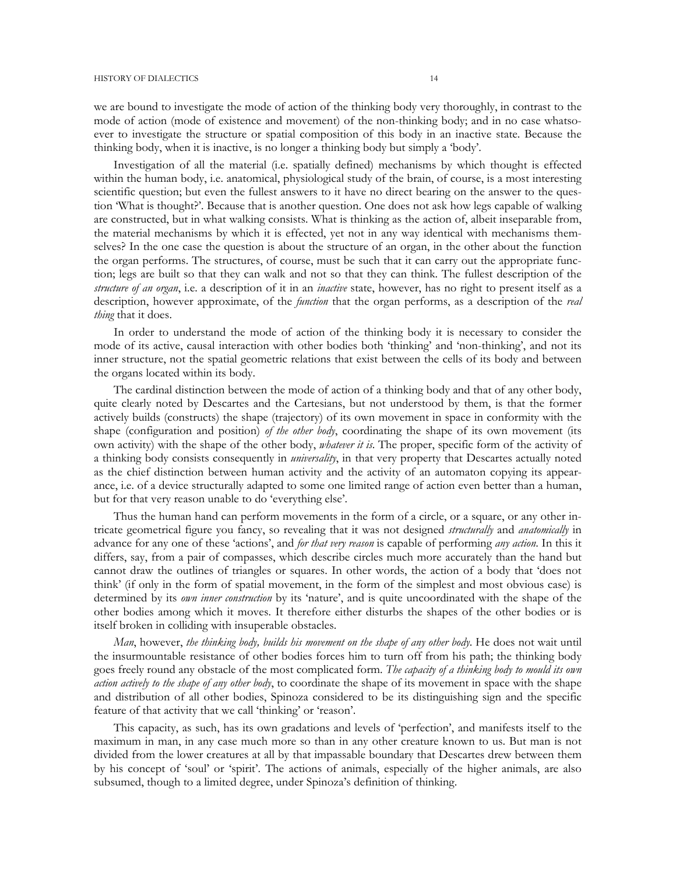we are bound to investigate the mode of action of the thinking body very thoroughly, in contrast to the mode of action (mode of existence and movement) of the non-thinking body; and in no case whatsoever to investigate the structure or spatial composition of this body in an inactive state. Because the thinking body, when it is inactive, is no longer a thinking body but simply a 'body'.

Investigation of all the material (i.e. spatially defined) mechanisms by which thought is effected within the human body, i.e. anatomical, physiological study of the brain, of course, is a most interesting scientific question; but even the fullest answers to it have no direct bearing on the answer to the question 'What is thought?'. Because that is another question. One does not ask how legs capable of walking are constructed, but in what walking consists. What is thinking as the action of, albeit inseparable from, the material mechanisms by which it is effected, yet not in any way identical with mechanisms themselves? In the one case the question is about the structure of an organ, in the other about the function the organ performs. The structures, of course, must be such that it can carry out the appropriate function; legs are built so that they can walk and not so that they can think. The fullest description of the *structure of an organ*, i.e. a description of it in an *inactive* state, however, has no right to present itself as a description, however approximate, of the *function* that the organ performs, as a description of the *real thing* that it does.

In order to understand the mode of action of the thinking body it is necessary to consider the mode of its active, causal interaction with other bodies both 'thinking' and 'non-thinking', and not its inner structure, not the spatial geometric relations that exist between the cells of its body and between the organs located within its body.

The cardinal distinction between the mode of action of a thinking body and that of any other body, quite clearly noted by Descartes and the Cartesians, but not understood by them, is that the former actively builds (constructs) the shape (trajectory) of its own movement in space in conformity with the shape (configuration and position) *of the other body*, coordinating the shape of its own movement (its own activity) with the shape of the other body, *whatever it is*. The proper, specific form of the activity of a thinking body consists consequently in *universality*, in that very property that Descartes actually noted as the chief distinction between human activity and the activity of an automaton copying its appearance, i.e. of a device structurally adapted to some one limited range of action even better than a human, but for that very reason unable to do 'everything else'.

Thus the human hand can perform movements in the form of a circle, or a square, or any other intricate geometrical figure you fancy, so revealing that it was not designed *structurally* and *anatomically* in advance for any one of these 'actions', and *for that very reason* is capable of performing *any action*. In this it differs, say, from a pair of compasses, which describe circles much more accurately than the hand but cannot draw the outlines of triangles or squares. In other words, the action of a body that 'does not think' (if only in the form of spatial movement, in the form of the simplest and most obvious case) is determined by its *own inner construction* by its 'nature', and is quite uncoordinated with the shape of the other bodies among which it moves. It therefore either disturbs the shapes of the other bodies or is itself broken in colliding with insuperable obstacles.

*Man*, however, *the thinking body, builds his movement on the shape of any other body*. He does not wait until the insurmountable resistance of other bodies forces him to turn off from his path; the thinking body goes freely round any obstacle of the most complicated form. *The capacity of a thinking body to mould its own action actively to the shape of any other body*, to coordinate the shape of its movement in space with the shape and distribution of all other bodies, Spinoza considered to be its distinguishing sign and the specific feature of that activity that we call 'thinking' or 'reason'.

This capacity, as such, has its own gradations and levels of 'perfection', and manifests itself to the maximum in man, in any case much more so than in any other creature known to us. But man is not divided from the lower creatures at all by that impassable boundary that Descartes drew between them by his concept of 'soul' or 'spirit'. The actions of animals, especially of the higher animals, are also subsumed, though to a limited degree, under Spinoza's definition of thinking.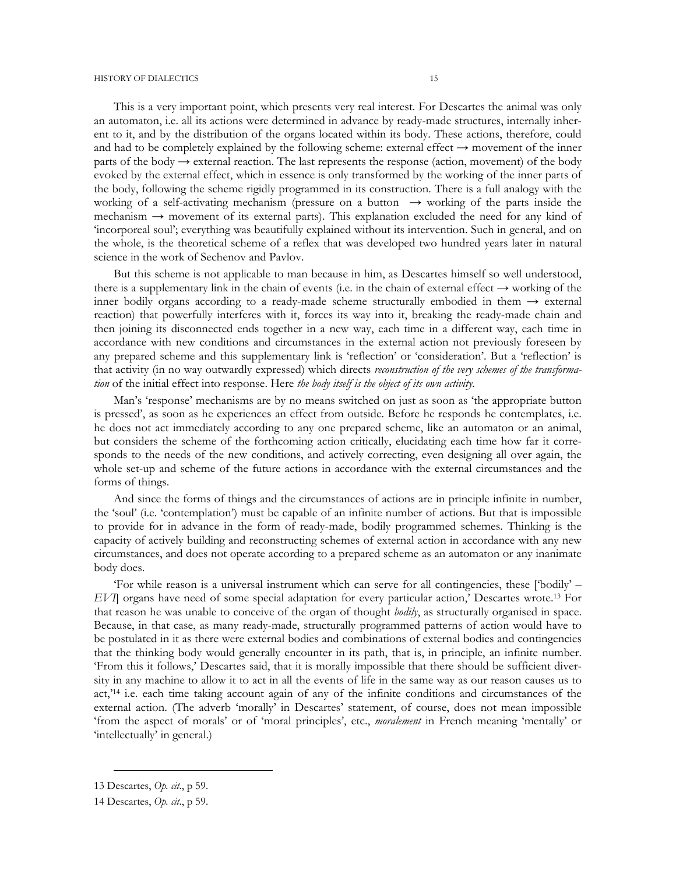This is a very important point, which presents very real interest. For Descartes the animal was only an automaton, i.e. all its actions were determined in advance by ready-made structures, internally inherent to it, and by the distribution of the organs located within its body. These actions, therefore, could and had to be completely explained by the following scheme: external effect  $\rightarrow$  movement of the inner parts of the body  $\rightarrow$  external reaction. The last represents the response (action, movement) of the body evoked by the external effect, which in essence is only transformed by the working of the inner parts of the body, following the scheme rigidly programmed in its construction. There is a full analogy with the working of a self-activating mechanism (pressure on a button  $\rightarrow$  working of the parts inside the mechanism  $\rightarrow$  movement of its external parts). This explanation excluded the need for any kind of 'incorporeal soul'; everything was beautifully explained without its intervention. Such in general, and on the whole, is the theoretical scheme of a reflex that was developed two hundred years later in natural science in the work of Sechenov and Pavlov.

But this scheme is not applicable to man because in him, as Descartes himself so well understood, there is a supplementary link in the chain of events (i.e. in the chain of external effect  $\rightarrow$  working of the inner bodily organs according to a ready-made scheme structurally embodied in them  $\rightarrow$  external reaction) that powerfully interferes with it, forces its way into it, breaking the ready-made chain and then joining its disconnected ends together in a new way, each time in a different way, each time in accordance with new conditions and circumstances in the external action not previously foreseen by any prepared scheme and this supplementary link is 'reflection' or 'consideration'. But a 'reflection' is that activity (in no way outwardly expressed) which directs *reconstruction of the very schemes of the transformation* of the initial effect into response. Here *the body itself is the object of its own activity*.

Man's 'response' mechanisms are by no means switched on just as soon as 'the appropriate button is pressed', as soon as he experiences an effect from outside. Before he responds he contemplates, i.e. he does not act immediately according to any one prepared scheme, like an automaton or an animal, but considers the scheme of the forthcoming action critically, elucidating each time how far it corresponds to the needs of the new conditions, and actively correcting, even designing all over again, the whole set-up and scheme of the future actions in accordance with the external circumstances and the forms of things.

And since the forms of things and the circumstances of actions are in principle infinite in number, the 'soul' (i.e. 'contemplation') must be capable of an infinite number of actions. But that is impossible to provide for in advance in the form of ready-made, bodily programmed schemes. Thinking is the capacity of actively building and reconstructing schemes of external action in accordance with any new circumstances, and does not operate according to a prepared scheme as an automaton or any inanimate body does.

'For while reason is a universal instrument which can serve for all contingencies, these ['bodily' – *EVI*] organs have need of some special adaptation for every particular action,' Descartes wrote.13 For that reason he was unable to conceive of the organ of thought *bodily*, as structurally organised in space. Because, in that case, as many ready-made, structurally programmed patterns of action would have to be postulated in it as there were external bodies and combinations of external bodies and contingencies that the thinking body would generally encounter in its path, that is, in principle, an infinite number. 'From this it follows,' Descartes said, that it is morally impossible that there should be sufficient diversity in any machine to allow it to act in all the events of life in the same way as our reason causes us to  $act<sub>14</sub>$  i.e. each time taking account again of any of the infinite conditions and circumstances of the external action. (The adverb 'morally' in Descartes' statement, of course, does not mean impossible 'from the aspect of morals' or of 'moral principles', etc., *moralement* in French meaning 'mentally' or 'intellectually' in general.)

<sup>13</sup> Descartes, *Op. cit*., p 59.

<sup>14</sup> Descartes, *Op. cit*., p 59.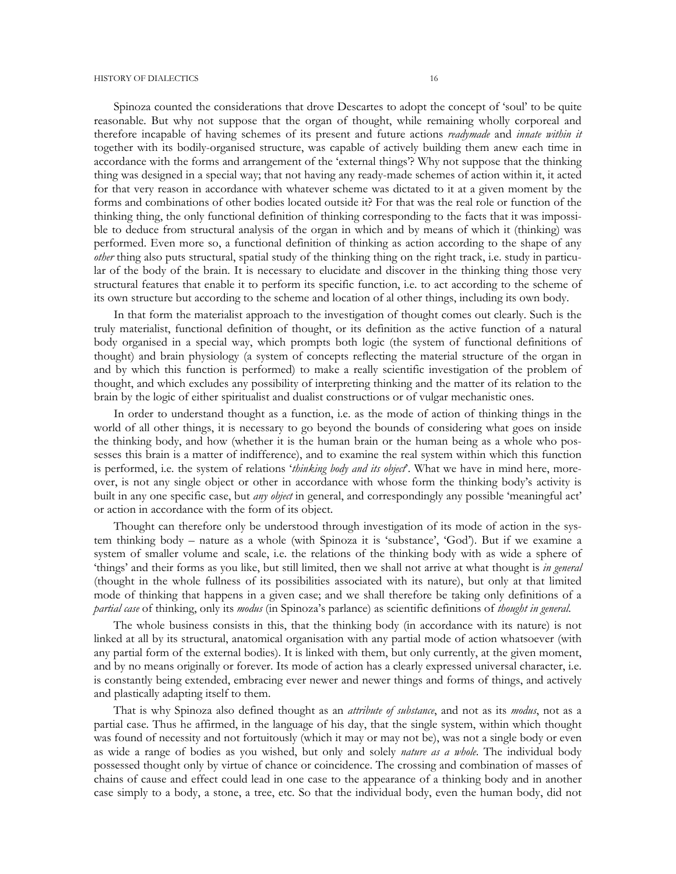Spinoza counted the considerations that drove Descartes to adopt the concept of 'soul' to be quite reasonable. But why not suppose that the organ of thought, while remaining wholly corporeal and therefore incapable of having schemes of its present and future actions *readymade* and *innate within it* together with its bodily-organised structure, was capable of actively building them anew each time in accordance with the forms and arrangement of the 'external things'? Why not suppose that the thinking thing was designed in a special way; that not having any ready-made schemes of action within it, it acted for that very reason in accordance with whatever scheme was dictated to it at a given moment by the forms and combinations of other bodies located outside it? For that was the real role or function of the thinking thing, the only functional definition of thinking corresponding to the facts that it was impossible to deduce from structural analysis of the organ in which and by means of which it (thinking) was performed. Even more so, a functional definition of thinking as action according to the shape of any *other* thing also puts structural, spatial study of the thinking thing on the right track, i.e. study in particular of the body of the brain. It is necessary to elucidate and discover in the thinking thing those very structural features that enable it to perform its specific function, i.e. to act according to the scheme of its own structure but according to the scheme and location of al other things, including its own body.

In that form the materialist approach to the investigation of thought comes out clearly. Such is the truly materialist, functional definition of thought, or its definition as the active function of a natural body organised in a special way, which prompts both logic (the system of functional definitions of thought) and brain physiology (a system of concepts reflecting the material structure of the organ in and by which this function is performed) to make a really scientific investigation of the problem of thought, and which excludes any possibility of interpreting thinking and the matter of its relation to the brain by the logic of either spiritualist and dualist constructions or of vulgar mechanistic ones.

In order to understand thought as a function, i.e. as the mode of action of thinking things in the world of all other things, it is necessary to go beyond the bounds of considering what goes on inside the thinking body, and how (whether it is the human brain or the human being as a whole who possesses this brain is a matter of indifference), and to examine the real system within which this function is performed, i.e. the system of relations '*thinking body and its object*'. What we have in mind here, moreover, is not any single object or other in accordance with whose form the thinking body's activity is built in any one specific case, but *any object* in general, and correspondingly any possible 'meaningful act' or action in accordance with the form of its object.

Thought can therefore only be understood through investigation of its mode of action in the system thinking body – nature as a whole (with Spinoza it is 'substance', 'God'). But if we examine a system of smaller volume and scale, i.e. the relations of the thinking body with as wide a sphere of 'things' and their forms as you like, but still limited, then we shall not arrive at what thought is *in general* (thought in the whole fullness of its possibilities associated with its nature), but only at that limited mode of thinking that happens in a given case; and we shall therefore be taking only definitions of a *partial case* of thinking, only its *modus* (in Spinoza's parlance) as scientific definitions of *thought in general*.

The whole business consists in this, that the thinking body (in accordance with its nature) is not linked at all by its structural, anatomical organisation with any partial mode of action whatsoever (with any partial form of the external bodies). It is linked with them, but only currently, at the given moment, and by no means originally or forever. Its mode of action has a clearly expressed universal character, i.e. is constantly being extended, embracing ever newer and newer things and forms of things, and actively and plastically adapting itself to them.

That is why Spinoza also defined thought as an *attribute of substance*, and not as its *modus*, not as a partial case. Thus he affirmed, in the language of his day, that the single system, within which thought was found of necessity and not fortuitously (which it may or may not be), was not a single body or even as wide a range of bodies as you wished, but only and solely *nature as a whole*. The individual body possessed thought only by virtue of chance or coincidence. The crossing and combination of masses of chains of cause and effect could lead in one case to the appearance of a thinking body and in another case simply to a body, a stone, a tree, etc. So that the individual body, even the human body, did not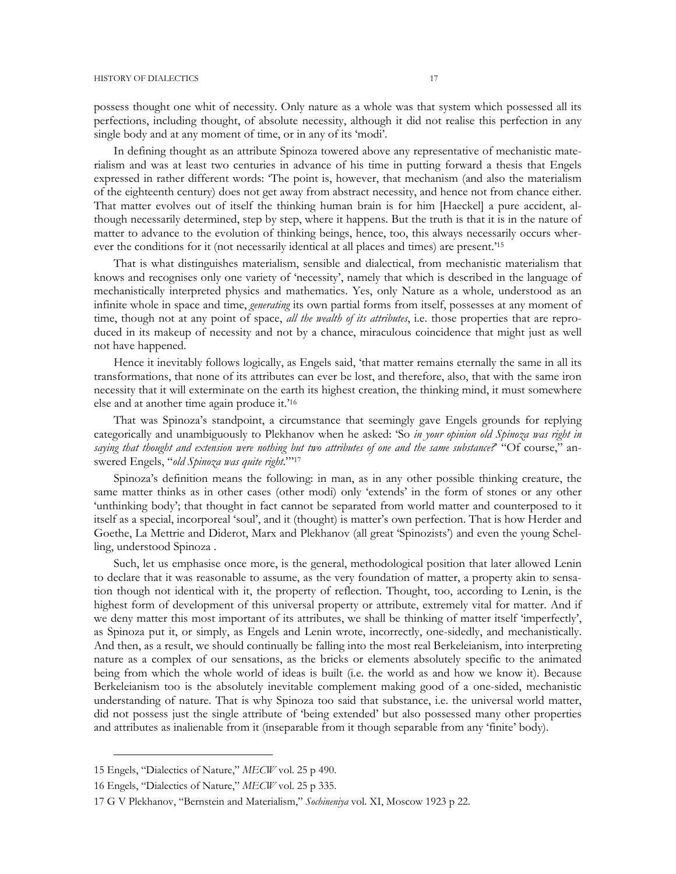possess thought one whit of necessity. Only nature as a whole was that system which possessed all its perfections, including thought, of absolute necessity, although it did not realise this perfection in any single body and at any moment of time, or in any of its 'modi'.

In defining thought as an attribute Spinoza towered above any representative of mechanistic materialism and was at least two centuries in advance of his time in putting forward a thesis that Engels expressed in rather different words: 'The point is, however, that mechanism (and also the materialism of the eighteenth century) does not get away from abstract necessity, and hence not from chance either. That matter evolves out of itself the thinking human brain is for him [Haeckel] a pure accident, although necessarily determined, step by step, where it happens. But the truth is that it is in the nature of matter to advance to the evolution of thinking beings, hence, too, this always necessarily occurs wherever the conditions for it (not necessarily identical at all places and times) are present.'15

That is what distinguishes materialism, sensible and dialectical, from mechanistic materialism that knows and recognises only one variety of 'necessity', namely that which is described in the language of mechanistically interpreted physics and mathematics. Yes, only Nature as a whole, understood as an infinite whole in space and time, *generating* its own partial forms from itself, possesses at any moment of time, though not at any point of space, *all the wealth of its attributes*, i.e. those properties that are reproduced in its makeup of necessity and not by a chance, miraculous coincidence that might just as well not have happened.

Hence it inevitably follows logically, as Engels said, 'that matter remains eternally the same in all its transformations, that none of its attributes can ever be lost, and therefore, also, that with the same iron necessity that it will exterminate on the earth its highest creation, the thinking mind, it must somewhere else and at another time again produce it.'16

That was Spinoza's standpoint, a circumstance that seemingly gave Engels grounds for replying categorically and unambiguously to Plekhanov when he asked: 'So *in your opinion old Spinoza was right in saying that thought and extension were nothing but two attributes of one and the same substance?*' "Of course," answered Engels, "*old Spinoza was quite right*."'17

Spinoza's definition means the following: in man, as in any other possible thinking creature, the same matter thinks as in other cases (other modi) only 'extends' in the form of stones or any other 'unthinking body'; that thought in fact cannot be separated from world matter and counterposed to it itself as a special, incorporeal 'soul', and it (thought) is matter's own perfection. That is how Herder and Goethe, La Mettrie and Diderot, Marx and Plekhanov (all great 'Spinozists') and even the young Schelling, understood Spinoza .

Such, let us emphasise once more, is the general, methodological position that later allowed Lenin to declare that it was reasonable to assume, as the very foundation of matter, a property akin to sensation though not identical with it, the property of reflection. Thought, too, according to Lenin, is the highest form of development of this universal property or attribute, extremely vital for matter. And if we deny matter this most important of its attributes, we shall be thinking of matter itself 'imperfectly', as Spinoza put it, or simply, as Engels and Lenin wrote, incorrectly, one-sidedly, and mechanistically. And then, as a result, we should continually be falling into the most real Berkeleianism, into interpreting nature as a complex of our sensations, as the bricks or elements absolutely specific to the animated being from which the whole world of ideas is built (i.e. the world as and how we know it). Because Berkeleianism too is the absolutely inevitable complement making good of a one-sided, mechanistic understanding of nature. That is why Spinoza too said that substance, i.e. the universal world matter, did not possess just the single attribute of 'being extended' but also possessed many other properties and attributes as inalienable from it (inseparable from it though separable from any 'finite' body).

<sup>15</sup> Engels, "Dialectics of Nature," *MECW* vol. 25 p 490.

<sup>16</sup> Engels, "Dialectics of Nature," *MECW* vol. 25 p 335.

<sup>17</sup> G V Plekhanov, "Bernstein and Materialism," *Sochineniya* vol. XI, Moscow 1923 p 22.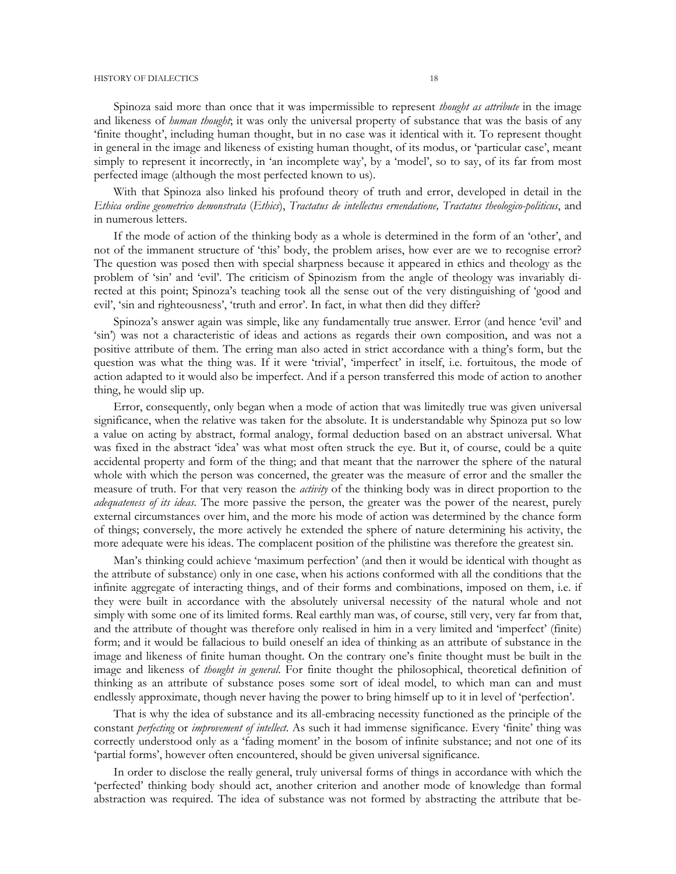#### HISTORY OF DIALECTICS 18

Spinoza said more than once that it was impermissible to represent *thought as attribute* in the image and likeness of *human thought*; it was only the universal property of substance that was the basis of any 'finite thought', including human thought, but in no case was it identical with it. To represent thought in general in the image and likeness of existing human thought, of its modus, or 'particular case', meant simply to represent it incorrectly, in 'an incomplete way', by a 'model', so to say, of its far from most perfected image (although the most perfected known to us).

With that Spinoza also linked his profound theory of truth and error, developed in detail in the *Ethica ordine geometrico demonstrata* (*Ethics*), *Tractatus de intellectus ernendatione, Tractatus theologico-politicus*, and in numerous letters.

If the mode of action of the thinking body as a whole is determined in the form of an 'other', and not of the immanent structure of 'this' body, the problem arises, how ever are we to recognise error? The question was posed then with special sharpness because it appeared in ethics and theology as the problem of 'sin' and 'evil'. The criticism of Spinozism from the angle of theology was invariably directed at this point; Spinoza's teaching took all the sense out of the very distinguishing of 'good and evil', 'sin and righteousness', 'truth and error'. In fact, in what then did they differ?

Spinoza's answer again was simple, like any fundamentally true answer. Error (and hence 'evil' and 'sin') was not a characteristic of ideas and actions as regards their own composition, and was not a positive attribute of them. The erring man also acted in strict accordance with a thing's form, but the question was what the thing was. If it were 'trivial', 'imperfect' in itself, i.e. fortuitous, the mode of action adapted to it would also be imperfect. And if a person transferred this mode of action to another thing, he would slip up.

Error, consequently, only began when a mode of action that was limitedly true was given universal significance, when the relative was taken for the absolute. It is understandable why Spinoza put so low a value on acting by abstract, formal analogy, formal deduction based on an abstract universal. What was fixed in the abstract 'idea' was what most often struck the eye. But it, of course, could be a quite accidental property and form of the thing; and that meant that the narrower the sphere of the natural whole with which the person was concerned, the greater was the measure of error and the smaller the measure of truth. For that very reason the *activity* of the thinking body was in direct proportion to the *adequateness of its ideas*. The more passive the person, the greater was the power of the nearest, purely external circumstances over him, and the more his mode of action was determined by the chance form of things; conversely, the more actively he extended the sphere of nature determining his activity, the more adequate were his ideas. The complacent position of the philistine was therefore the greatest sin.

Man's thinking could achieve 'maximum perfection' (and then it would be identical with thought as the attribute of substance) only in one case, when his actions conformed with all the conditions that the infinite aggregate of interacting things, and of their forms and combinations, imposed on them, i.e. if they were built in accordance with the absolutely universal necessity of the natural whole and not simply with some one of its limited forms. Real earthly man was, of course, still very, very far from that, and the attribute of thought was therefore only realised in him in a very limited and 'imperfect' (finite) form; and it would be fallacious to build oneself an idea of thinking as an attribute of substance in the image and likeness of finite human thought. On the contrary one's finite thought must be built in the image and likeness of *thought in general*. For finite thought the philosophical, theoretical definition of thinking as an attribute of substance poses some sort of ideal model, to which man can and must endlessly approximate, though never having the power to bring himself up to it in level of 'perfection'.

That is why the idea of substance and its all-embracing necessity functioned as the principle of the constant *perfecting* or *improvement of intellect*. As such it had immense significance. Every 'finite' thing was correctly understood only as a 'fading moment' in the bosom of infinite substance; and not one of its 'partial forms', however often encountered, should be given universal significance.

In order to disclose the really general, truly universal forms of things in accordance with which the 'perfected' thinking body should act, another criterion and another mode of knowledge than formal abstraction was required. The idea of substance was not formed by abstracting the attribute that be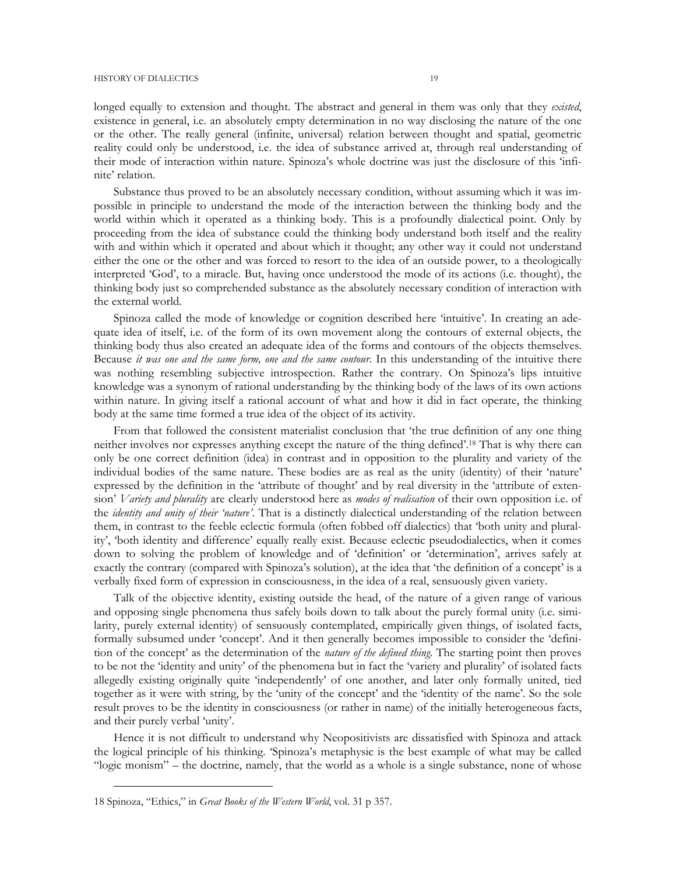longed equally to extension and thought. The abstract and general in them was only that they *existed*, existence in general, i.e. an absolutely empty determination in no way disclosing the nature of the one or the other. The really general (infinite, universal) relation between thought and spatial, geometric reality could only be understood, i.e. the idea of substance arrived at, through real understanding of their mode of interaction within nature. Spinoza's whole doctrine was just the disclosure of this 'infinite' relation.

Substance thus proved to be an absolutely necessary condition, without assuming which it was impossible in principle to understand the mode of the interaction between the thinking body and the world within which it operated as a thinking body. This is a profoundly dialectical point. Only by proceeding from the idea of substance could the thinking body understand both itself and the reality with and within which it operated and about which it thought; any other way it could not understand either the one or the other and was forced to resort to the idea of an outside power, to a theologically interpreted 'God', to a miracle. But, having once understood the mode of its actions (i.e. thought), the thinking body just so comprehended substance as the absolutely necessary condition of interaction with the external world.

Spinoza called the mode of knowledge or cognition described here 'intuitive'. In creating an adequate idea of itself, i.e. of the form of its own movement along the contours of external objects, the thinking body thus also created an adequate idea of the forms and contours of the objects themselves. Because *it was one and the same form, one and the same contour*. In this understanding of the intuitive there was nothing resembling subjective introspection. Rather the contrary. On Spinoza's lips intuitive knowledge was a synonym of rational understanding by the thinking body of the laws of its own actions within nature. In giving itself a rational account of what and how it did in fact operate, the thinking body at the same time formed a true idea of the object of its activity.

From that followed the consistent materialist conclusion that 'the true definition of any one thing neither involves nor expresses anything except the nature of the thing defined'.18 That is why there can only be one correct definition (idea) in contrast and in opposition to the plurality and variety of the individual bodies of the same nature. These bodies are as real as the unity (identity) of their 'nature' expressed by the definition in the 'attribute of thought' and by real diversity in the 'attribute of extension' *Variety and plurality* are clearly understood here as *modes of realisation* of their own opposition i.e. of the *identity and unity of their 'nature'*. That is a distinctly dialectical understanding of the relation between them, in contrast to the feeble eclectic formula (often fobbed off dialectics) that 'both unity and plurality', 'both identity and difference' equally really exist. Because eclectic pseudodialectics, when it comes down to solving the problem of knowledge and of 'definition' or 'determination', arrives safely at exactly the contrary (compared with Spinoza's solution), at the idea that 'the definition of a concept' is a verbally fixed form of expression in consciousness, in the idea of a real, sensuously given variety.

Talk of the objective identity, existing outside the head, of the nature of a given range of various and opposing single phenomena thus safely boils down to talk about the purely formal unity (i.e. similarity, purely external identity) of sensuously contemplated, empirically given things, of isolated facts, formally subsumed under 'concept'. And it then generally becomes impossible to consider the 'definition of the concept' as the determination of the *nature of the defined thing*. The starting point then proves to be not the 'identity and unity' of the phenomena but in fact the 'variety and plurality' of isolated facts allegedly existing originally quite 'independently' of one another, and later only formally united, tied together as it were with string, by the 'unity of the concept' and the 'identity of the name'. So the sole result proves to be the identity in consciousness (or rather in name) of the initially heterogeneous facts, and their purely verbal 'unity'.

Hence it is not difficult to understand why Neopositivists are dissatisfied with Spinoza and attack the logical principle of his thinking. 'Spinoza's metaphysic is the best example of what may be called "logic monism" – the doctrine, namely, that the world as a whole is a single substance, none of whose

<sup>18</sup> Spinoza, "Ethics," in *Great Books of the Western World*, vol. 31 p 357.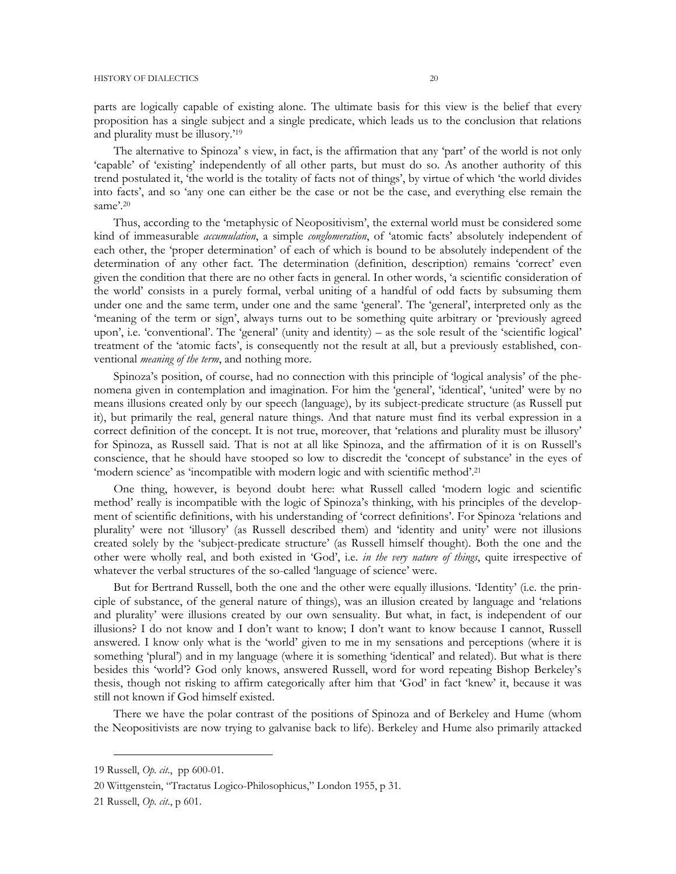parts are logically capable of existing alone. The ultimate basis for this view is the belief that every proposition has a single subject and a single predicate, which leads us to the conclusion that relations and plurality must be illusory.'19

The alternative to Spinoza' s view, in fact, is the affirmation that any 'part' of the world is not only 'capable' of 'existing' independently of all other parts, but must do so. As another authority of this trend postulated it, 'the world is the totality of facts not of things', by virtue of which 'the world divides into facts', and so 'any one can either be the case or not be the case, and everything else remain the same'.<sup>20</sup>

Thus, according to the 'metaphysic of Neopositivism', the external world must be considered some kind of immeasurable *accumulation*, a simple *conglomeration*, of 'atomic facts' absolutely independent of each other, the 'proper determination' of each of which is bound to be absolutely independent of the determination of any other fact. The determination (definition, description) remains 'correct' even given the condition that there are no other facts in general. In other words, 'a scientific consideration of the world' consists in a purely formal, verbal uniting of a handful of odd facts by subsuming them under one and the same term, under one and the same 'general'. The 'general', interpreted only as the 'meaning of the term or sign', always turns out to be something quite arbitrary or 'previously agreed upon', i.e. 'conventional'. The 'general' (unity and identity) – as the sole result of the 'scientific logical' treatment of the 'atomic facts', is consequently not the result at all, but a previously established, conventional *meaning of the term*, and nothing more.

Spinoza's position, of course, had no connection with this principle of 'logical analysis' of the phenomena given in contemplation and imagination. For him the 'general', 'identical', 'united' were by no means illusions created only by our speech (language), by its subject-predicate structure (as Russell put it), but primarily the real, general nature things. And that nature must find its verbal expression in a correct definition of the concept. It is not true, moreover, that 'relations and plurality must be illusory' for Spinoza, as Russell said. That is not at all like Spinoza, and the affirmation of it is on Russell's conscience, that he should have stooped so low to discredit the 'concept of substance' in the eyes of 'modern science' as 'incompatible with modern logic and with scientific method'.21

One thing, however, is beyond doubt here: what Russell called 'modern logic and scientific method' really is incompatible with the logic of Spinoza's thinking, with his principles of the development of scientific definitions, with his understanding of 'correct definitions'. For Spinoza 'relations and plurality' were not 'illusory' (as Russell described them) and 'identity and unity' were not illusions created solely by the 'subject-predicate structure' (as Russell himself thought). Both the one and the other were wholly real, and both existed in 'God', i.e. *in the very nature of things*, quite irrespective of whatever the verbal structures of the so-called 'language of science' were.

But for Bertrand Russell, both the one and the other were equally illusions. 'Identity' (i.e. the principle of substance, of the general nature of things), was an illusion created by language and 'relations and plurality' were illusions created by our own sensuality. But what, in fact, is independent of our illusions? I do not know and I don't want to know; I don't want to know because I cannot, Russell answered. I know only what is the 'world' given to me in my sensations and perceptions (where it is something 'plural') and in my language (where it is something 'identical' and related). But what is there besides this 'world'? God only knows, answered Russell, word for word repeating Bishop Berkeley's thesis, though not risking to affirm categorically after him that 'God' in fact 'knew' it, because it was still not known if God himself existed.

There we have the polar contrast of the positions of Spinoza and of Berkeley and Hume (whom the Neopositivists are now trying to galvanise back to life). Berkeley and Hume also primarily attacked

<sup>19</sup> Russell, *Op. cit*., pp 600-01.

<sup>20</sup> Wittgenstein, "Tractatus Logico-Philosophicus," London 1955, p 31.

<sup>21</sup> Russell, *Op. cit*., p 601.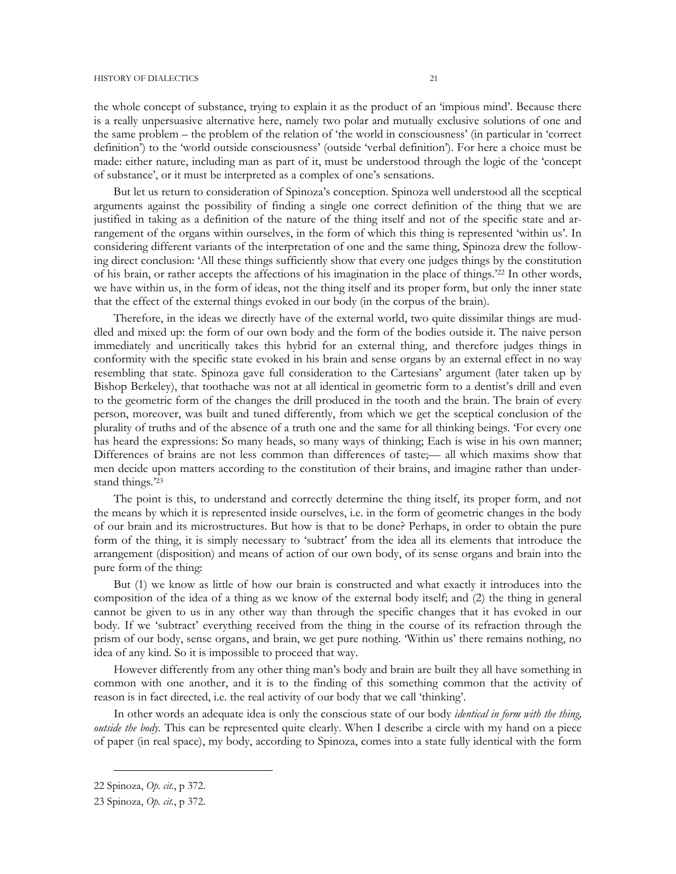the whole concept of substance, trying to explain it as the product of an 'impious mind'. Because there is a really unpersuasive alternative here, namely two polar and mutually exclusive solutions of one and the same problem – the problem of the relation of 'the world in consciousness' (in particular in 'correct definition') to the 'world outside consciousness' (outside 'verbal definition'). For here a choice must be made: either nature, including man as part of it, must be understood through the logic of the 'concept of substance', or it must be interpreted as a complex of one's sensations.

But let us return to consideration of Spinoza's conception. Spinoza well understood all the sceptical arguments against the possibility of finding a single one correct definition of the thing that we are justified in taking as a definition of the nature of the thing itself and not of the specific state and arrangement of the organs within ourselves, in the form of which this thing is represented 'within us'. In considering different variants of the interpretation of one and the same thing, Spinoza drew the following direct conclusion: 'All these things sufficiently show that every one judges things by the constitution of his brain, or rather accepts the affections of his imagination in the place of things.'22 In other words, we have within us, in the form of ideas, not the thing itself and its proper form, but only the inner state that the effect of the external things evoked in our body (in the corpus of the brain).

Therefore, in the ideas we directly have of the external world, two quite dissimilar things are muddled and mixed up: the form of our own body and the form of the bodies outside it. The naive person immediately and uncritically takes this hybrid for an external thing, and therefore judges things in conformity with the specific state evoked in his brain and sense organs by an external effect in no way resembling that state. Spinoza gave full consideration to the Cartesians' argument (later taken up by Bishop Berkeley), that toothache was not at all identical in geometric form to a dentist's drill and even to the geometric form of the changes the drill produced in the tooth and the brain. The brain of every person, moreover, was built and tuned differently, from which we get the sceptical conclusion of the plurality of truths and of the absence of a truth one and the same for all thinking beings. 'For every one has heard the expressions: So many heads, so many ways of thinking; Each is wise in his own manner; Differences of brains are not less common than differences of taste;— all which maxims show that men decide upon matters according to the constitution of their brains, and imagine rather than understand things.'23

The point is this, to understand and correctly determine the thing itself, its proper form, and not the means by which it is represented inside ourselves, i.e. in the form of geometric changes in the body of our brain and its microstructures. But how is that to be done? Perhaps, in order to obtain the pure form of the thing, it is simply necessary to 'subtract' from the idea all its elements that introduce the arrangement (disposition) and means of action of our own body, of its sense organs and brain into the pure form of the thing:

But (1) we know as little of how our brain is constructed and what exactly it introduces into the composition of the idea of a thing as we know of the external body itself; and (2) the thing in general cannot be given to us in any other way than through the specific changes that it has evoked in our body. If we 'subtract' everything received from the thing in the course of its refraction through the prism of our body, sense organs, and brain, we get pure nothing. 'Within us' there remains nothing, no idea of any kind. So it is impossible to proceed that way.

However differently from any other thing man's body and brain are built they all have something in common with one another, and it is to the finding of this something common that the activity of reason is in fact directed, i.e. the real activity of our body that we call 'thinking'.

In other words an adequate idea is only the conscious state of our body *identical in form with the thing, outside the body.* This can be represented quite clearly. When I describe a circle with my hand on a piece of paper (in real space), my body, according to Spinoza, comes into a state fully identical with the form

<sup>22</sup> Spinoza, *Op. cit.*, p 372.

<sup>23</sup> Spinoza, *Op. cit.*, p 372.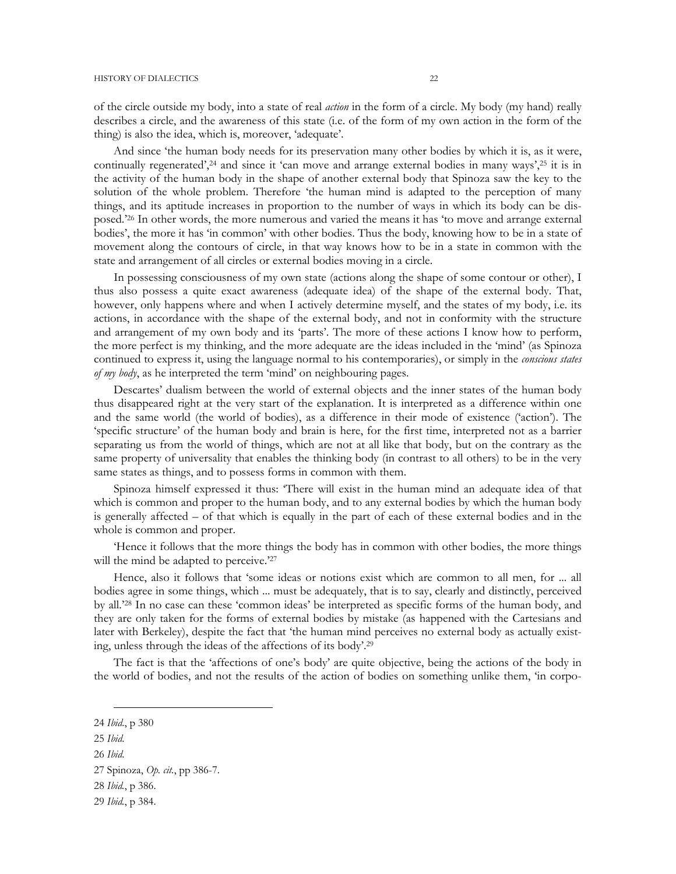of the circle outside my body, into a state of real *action* in the form of a circle. My body (my hand) really describes a circle, and the awareness of this state (i.e. of the form of my own action in the form of the thing) is also the idea, which is, moreover, 'adequate'.

And since 'the human body needs for its preservation many other bodies by which it is, as it were, continually regenerated',<sup>24</sup> and since it 'can move and arrange external bodies in many ways',<sup>25</sup> it is in the activity of the human body in the shape of another external body that Spinoza saw the key to the solution of the whole problem. Therefore 'the human mind is adapted to the perception of many things, and its aptitude increases in proportion to the number of ways in which its body can be disposed.'26 In other words, the more numerous and varied the means it has 'to move and arrange external bodies', the more it has 'in common' with other bodies. Thus the body, knowing how to be in a state of movement along the contours of circle, in that way knows how to be in a state in common with the state and arrangement of all circles or external bodies moving in a circle.

In possessing consciousness of my own state (actions along the shape of some contour or other), I thus also possess a quite exact awareness (adequate idea) of the shape of the external body. That, however, only happens where and when I actively determine myself, and the states of my body, i.e. its actions, in accordance with the shape of the external body, and not in conformity with the structure and arrangement of my own body and its 'parts'. The more of these actions I know how to perform, the more perfect is my thinking, and the more adequate are the ideas included in the 'mind' (as Spinoza continued to express it, using the language normal to his contemporaries), or simply in the *conscious states of my body*, as he interpreted the term 'mind' on neighbouring pages.

Descartes' dualism between the world of external objects and the inner states of the human body thus disappeared right at the very start of the explanation. It is interpreted as a difference within one and the same world (the world of bodies), as a difference in their mode of existence ('action'). The 'specific structure' of the human body and brain is here, for the first time, interpreted not as a barrier separating us from the world of things, which are not at all like that body, but on the contrary as the same property of universality that enables the thinking body (in contrast to all others) to be in the very same states as things, and to possess forms in common with them.

Spinoza himself expressed it thus: 'There will exist in the human mind an adequate idea of that which is common and proper to the human body, and to any external bodies by which the human body is generally affected – of that which is equally in the part of each of these external bodies and in the whole is common and proper.

'Hence it follows that the more things the body has in common with other bodies, the more things will the mind be adapted to perceive.'27

Hence, also it follows that 'some ideas or notions exist which are common to all men, for ... all bodies agree in some things, which ... must be adequately, that is to say, clearly and distinctly, perceived by all.'28 In no case can these 'common ideas' be interpreted as specific forms of the human body, and they are only taken for the forms of external bodies by mistake (as happened with the Cartesians and later with Berkeley), despite the fact that 'the human mind perceives no external body as actually existing, unless through the ideas of the affections of its body'.29

The fact is that the 'affections of one's body' are quite objective, being the actions of the body in the world of bodies, and not the results of the action of bodies on something unlike them, 'in corpo-

<sup>24</sup> *Ibid*., p 380

<sup>25</sup> *Ibid*.

<sup>26</sup> *Ibid*.

<sup>27</sup> Spinoza, *Op. cit.*, pp 386-7.

<sup>28</sup> *Ibid.*, p 386.

<sup>29</sup> *Ibid.*, p 384.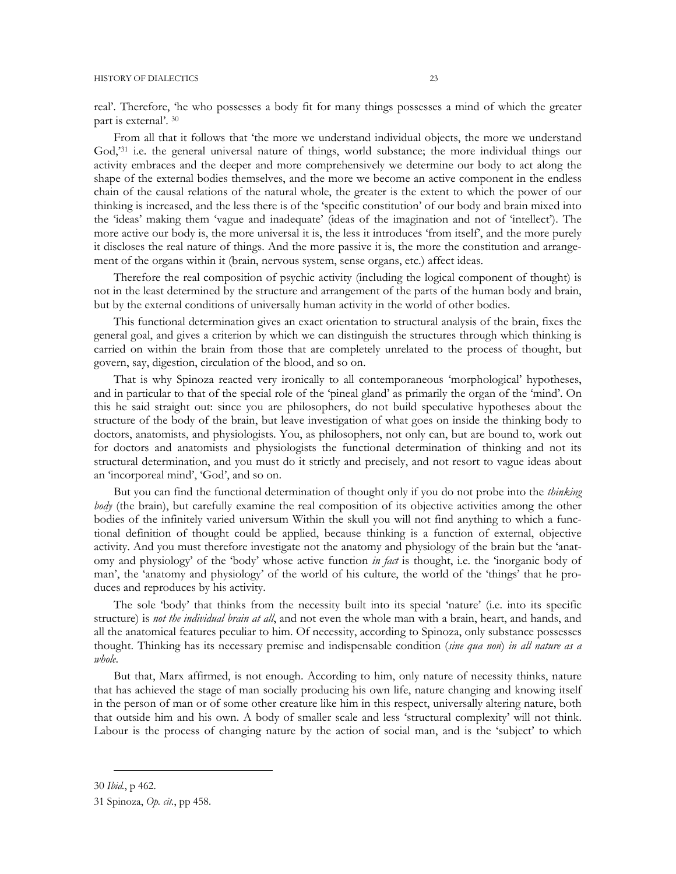real'. Therefore, 'he who possesses a body fit for many things possesses a mind of which the greater part is external'. 30

From all that it follows that 'the more we understand individual objects, the more we understand God,<sup>'31</sup> i.e. the general universal nature of things, world substance; the more individual things our activity embraces and the deeper and more comprehensively we determine our body to act along the shape of the external bodies themselves, and the more we become an active component in the endless chain of the causal relations of the natural whole, the greater is the extent to which the power of our thinking is increased, and the less there is of the 'specific constitution' of our body and brain mixed into the 'ideas' making them 'vague and inadequate' (ideas of the imagination and not of 'intellect'). The more active our body is, the more universal it is, the less it introduces 'from itself', and the more purely it discloses the real nature of things. And the more passive it is, the more the constitution and arrangement of the organs within it (brain, nervous system, sense organs, etc.) affect ideas.

Therefore the real composition of psychic activity (including the logical component of thought) is not in the least determined by the structure and arrangement of the parts of the human body and brain, but by the external conditions of universally human activity in the world of other bodies.

This functional determination gives an exact orientation to structural analysis of the brain, fixes the general goal, and gives a criterion by which we can distinguish the structures through which thinking is carried on within the brain from those that are completely unrelated to the process of thought, but govern, say, digestion, circulation of the blood, and so on.

That is why Spinoza reacted very ironically to all contemporaneous 'morphological' hypotheses, and in particular to that of the special role of the 'pineal gland' as primarily the organ of the 'mind'. On this he said straight out: since you are philosophers, do not build speculative hypotheses about the structure of the body of the brain, but leave investigation of what goes on inside the thinking body to doctors, anatomists, and physiologists. You, as philosophers, not only can, but are bound to, work out for doctors and anatomists and physiologists the functional determination of thinking and not its structural determination, and you must do it strictly and precisely, and not resort to vague ideas about an 'incorporeal mind', 'God', and so on.

But you can find the functional determination of thought only if you do not probe into the *thinking body* (the brain), but carefully examine the real composition of its objective activities among the other bodies of the infinitely varied universum Within the skull you will not find anything to which a functional definition of thought could be applied, because thinking is a function of external, objective activity. And you must therefore investigate not the anatomy and physiology of the brain but the 'anatomy and physiology' of the 'body' whose active function *in fact* is thought, i.e. the 'inorganic body of man', the 'anatomy and physiology' of the world of his culture, the world of the 'things' that he produces and reproduces by his activity.

The sole 'body' that thinks from the necessity built into its special 'nature' (i.e. into its specific structure) is *not the individual brain at all*, and not even the whole man with a brain, heart, and hands, and all the anatomical features peculiar to him. Of necessity, according to Spinoza, only substance possesses thought. Thinking has its necessary premise and indispensable condition (*sine qua non*) *in all nature as a whole*.

But that, Marx affirmed, is not enough. According to him, only nature of necessity thinks, nature that has achieved the stage of man socially producing his own life, nature changing and knowing itself in the person of man or of some other creature like him in this respect, universally altering nature, both that outside him and his own. A body of smaller scale and less 'structural complexity' will not think. Labour is the process of changing nature by the action of social man, and is the 'subject' to which

<sup>30</sup> *Ibid.*, p 462.

<sup>31</sup> Spinoza, *Op. cit.*, pp 458.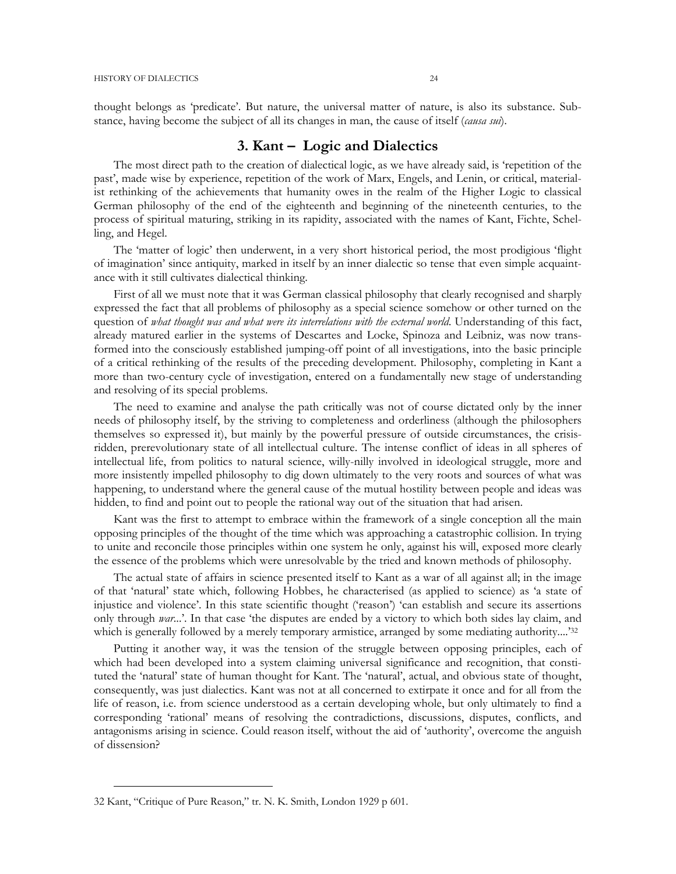thought belongs as 'predicate'. But nature, the universal matter of nature, is also its substance. Substance, having become the subject of all its changes in man, the cause of itself (*causa sui*).

### **3. Kant – Logic and Dialectics**

The most direct path to the creation of dialectical logic, as we have already said, is 'repetition of the past', made wise by experience, repetition of the work of Marx, Engels, and Lenin, or critical, materialist rethinking of the achievements that humanity owes in the realm of the Higher Logic to classical German philosophy of the end of the eighteenth and beginning of the nineteenth centuries, to the process of spiritual maturing, striking in its rapidity, associated with the names of Kant, Fichte, Schelling, and Hegel.

The 'matter of logic' then underwent, in a very short historical period, the most prodigious 'flight of imagination' since antiquity, marked in itself by an inner dialectic so tense that even simple acquaintance with it still cultivates dialectical thinking.

First of all we must note that it was German classical philosophy that clearly recognised and sharply expressed the fact that all problems of philosophy as a special science somehow or other turned on the question of *what thought was and what were its interrelations with the external world*. Understanding of this fact, already matured earlier in the systems of Descartes and Locke, Spinoza and Leibniz, was now transformed into the consciously established jumping-off point of all investigations, into the basic principle of a critical rethinking of the results of the preceding development. Philosophy, completing in Kant a more than two-century cycle of investigation, entered on a fundamentally new stage of understanding and resolving of its special problems.

The need to examine and analyse the path critically was not of course dictated only by the inner needs of philosophy itself, by the striving to completeness and orderliness (although the philosophers themselves so expressed it), but mainly by the powerful pressure of outside circumstances, the crisisridden, prerevolutionary state of all intellectual culture. The intense conflict of ideas in all spheres of intellectual life, from politics to natural science, willy-nilly involved in ideological struggle, more and more insistently impelled philosophy to dig down ultimately to the very roots and sources of what was happening, to understand where the general cause of the mutual hostility between people and ideas was hidden, to find and point out to people the rational way out of the situation that had arisen.

Kant was the first to attempt to embrace within the framework of a single conception all the main opposing principles of the thought of the time which was approaching a catastrophic collision. In trying to unite and reconcile those principles within one system he only, against his will, exposed more clearly the essence of the problems which were unresolvable by the tried and known methods of philosophy.

The actual state of affairs in science presented itself to Kant as a war of all against all; in the image of that 'natural' state which, following Hobbes, he characterised (as applied to science) as 'a state of injustice and violence'. In this state scientific thought ('reason') 'can establish and secure its assertions only through *war*...'. In that case 'the disputes are ended by a victory to which both sides lay claim, and which is generally followed by a merely temporary armistice, arranged by some mediating authority....'<sup>32</sup>

Putting it another way, it was the tension of the struggle between opposing principles, each of which had been developed into a system claiming universal significance and recognition, that constituted the 'natural' state of human thought for Kant. The 'natural', actual, and obvious state of thought, consequently, was just dialectics. Kant was not at all concerned to extirpate it once and for all from the life of reason, i.e. from science understood as a certain developing whole, but only ultimately to find a corresponding 'rational' means of resolving the contradictions, discussions, disputes, conflicts, and antagonisms arising in science. Could reason itself, without the aid of 'authority', overcome the anguish of dissension?

<sup>32</sup> Kant, "Critique of Pure Reason," tr. N. K. Smith, London 1929 p 601.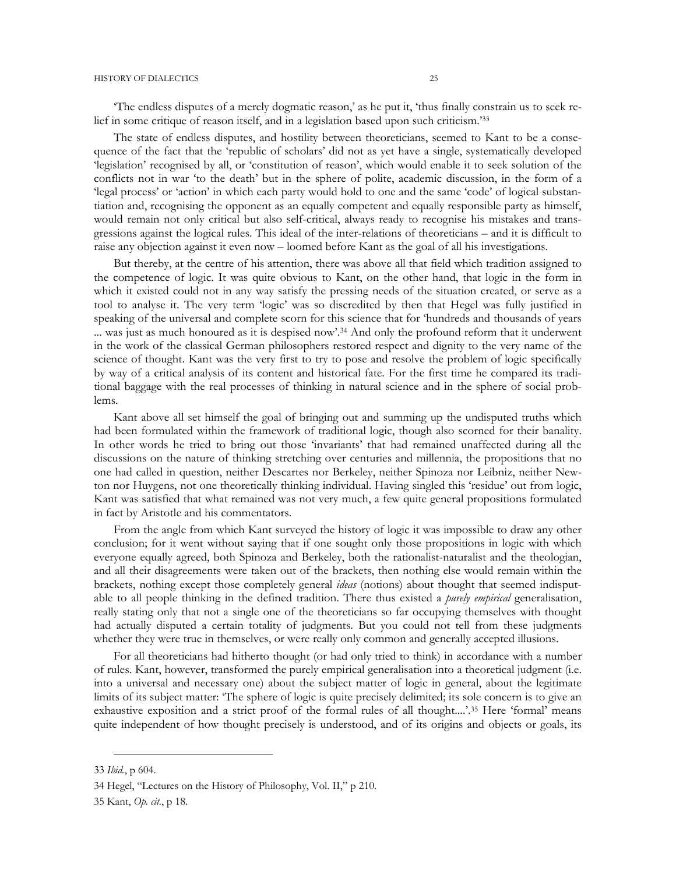'The endless disputes of a merely dogmatic reason,' as he put it, 'thus finally constrain us to seek relief in some critique of reason itself, and in a legislation based upon such criticism.'33

The state of endless disputes, and hostility between theoreticians, seemed to Kant to be a consequence of the fact that the 'republic of scholars' did not as yet have a single, systematically developed 'legislation' recognised by all, or 'constitution of reason', which would enable it to seek solution of the conflicts not in war 'to the death' but in the sphere of polite, academic discussion, in the form of a 'legal process' or 'action' in which each party would hold to one and the same 'code' of logical substantiation and, recognising the opponent as an equally competent and equally responsible party as himself, would remain not only critical but also self-critical, always ready to recognise his mistakes and transgressions against the logical rules. This ideal of the inter-relations of theoreticians – and it is difficult to raise any objection against it even now – loomed before Kant as the goal of all his investigations.

But thereby, at the centre of his attention, there was above all that field which tradition assigned to the competence of logic. It was quite obvious to Kant, on the other hand, that logic in the form in which it existed could not in any way satisfy the pressing needs of the situation created, or serve as a tool to analyse it. The very term 'logic' was so discredited by then that Hegel was fully justified in speaking of the universal and complete scorn for this science that for 'hundreds and thousands of years ... was just as much honoured as it is despised now'.34 And only the profound reform that it underwent in the work of the classical German philosophers restored respect and dignity to the very name of the science of thought. Kant was the very first to try to pose and resolve the problem of logic specifically by way of a critical analysis of its content and historical fate. For the first time he compared its traditional baggage with the real processes of thinking in natural science and in the sphere of social problems.

Kant above all set himself the goal of bringing out and summing up the undisputed truths which had been formulated within the framework of traditional logic, though also scorned for their banality. In other words he tried to bring out those 'invariants' that had remained unaffected during all the discussions on the nature of thinking stretching over centuries and millennia, the propositions that no one had called in question, neither Descartes nor Berkeley, neither Spinoza nor Leibniz, neither Newton nor Huygens, not one theoretically thinking individual. Having singled this 'residue' out from logic, Kant was satisfied that what remained was not very much, a few quite general propositions formulated in fact by Aristotle and his commentators.

From the angle from which Kant surveyed the history of logic it was impossible to draw any other conclusion; for it went without saying that if one sought only those propositions in logic with which everyone equally agreed, both Spinoza and Berkeley, both the rationalist-naturalist and the theologian, and all their disagreements were taken out of the brackets, then nothing else would remain within the brackets, nothing except those completely general *ideas* (notions) about thought that seemed indisputable to all people thinking in the defined tradition. There thus existed a *purely empirical* generalisation, really stating only that not a single one of the theoreticians so far occupying themselves with thought had actually disputed a certain totality of judgments. But you could not tell from these judgments whether they were true in themselves, or were really only common and generally accepted illusions.

For all theoreticians had hitherto thought (or had only tried to think) in accordance with a number of rules. Kant, however, transformed the purely empirical generalisation into a theoretical judgment (i.e. into a universal and necessary one) about the subject matter of logic in general, about the legitimate limits of its subject matter: 'The sphere of logic is quite precisely delimited; its sole concern is to give an exhaustive exposition and a strict proof of the formal rules of all thought....'.35 Here 'formal' means quite independent of how thought precisely is understood, and of its origins and objects or goals, its

<sup>33</sup> *Ibid.*, p 604.

<sup>34</sup> Hegel, "Lectures on the History of Philosophy, Vol. II," p 210.

<sup>35</sup> Kant, *Op. cit.*, p 18.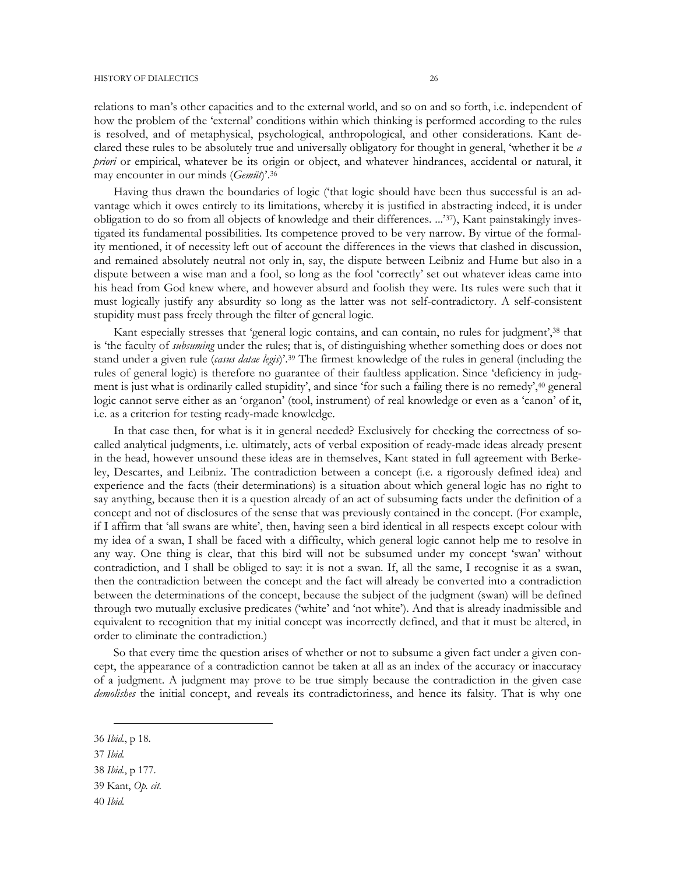relations to man's other capacities and to the external world, and so on and so forth, i.e. independent of how the problem of the 'external' conditions within which thinking is performed according to the rules is resolved, and of metaphysical, psychological, anthropological, and other considerations. Kant declared these rules to be absolutely true and universally obligatory for thought in general, 'whether it be *a priori* or empirical, whatever be its origin or object, and whatever hindrances, accidental or natural, it may encounter in our minds (*Gemüt*)'.36

Having thus drawn the boundaries of logic ('that logic should have been thus successful is an advantage which it owes entirely to its limitations, whereby it is justified in abstracting indeed, it is under obligation to do so from all objects of knowledge and their differences. ...'37), Kant painstakingly investigated its fundamental possibilities. Its competence proved to be very narrow. By virtue of the formality mentioned, it of necessity left out of account the differences in the views that clashed in discussion, and remained absolutely neutral not only in, say, the dispute between Leibniz and Hume but also in a dispute between a wise man and a fool, so long as the fool 'correctly' set out whatever ideas came into his head from God knew where, and however absurd and foolish they were. Its rules were such that it must logically justify any absurdity so long as the latter was not self-contradictory. A self-consistent stupidity must pass freely through the filter of general logic.

Kant especially stresses that 'general logic contains, and can contain, no rules for judgment',<sup>38</sup> that is 'the faculty of *subsuming* under the rules; that is, of distinguishing whether something does or does not stand under a given rule (*casus datae legis*)'.39 The firmest knowledge of the rules in general (including the rules of general logic) is therefore no guarantee of their faultless application. Since 'deficiency in judgment is just what is ordinarily called stupidity', and since 'for such a failing there is no remedy',40 general logic cannot serve either as an 'organon' (tool, instrument) of real knowledge or even as a 'canon' of it, i.e. as a criterion for testing ready-made knowledge.

In that case then, for what is it in general needed? Exclusively for checking the correctness of socalled analytical judgments, i.e. ultimately, acts of verbal exposition of ready-made ideas already present in the head, however unsound these ideas are in themselves, Kant stated in full agreement with Berkeley, Descartes, and Leibniz. The contradiction between a concept (i.e. a rigorously defined idea) and experience and the facts (their determinations) is a situation about which general logic has no right to say anything, because then it is a question already of an act of subsuming facts under the definition of a concept and not of disclosures of the sense that was previously contained in the concept. (For example, if I affirm that 'all swans are white', then, having seen a bird identical in all respects except colour with my idea of a swan, I shall be faced with a difficulty, which general logic cannot help me to resolve in any way. One thing is clear, that this bird will not be subsumed under my concept 'swan' without contradiction, and I shall be obliged to say: it is not a swan. If, all the same, I recognise it as a swan, then the contradiction between the concept and the fact will already be converted into a contradiction between the determinations of the concept, because the subject of the judgment (swan) will be defined through two mutually exclusive predicates ('white' and 'not white'). And that is already inadmissible and equivalent to recognition that my initial concept was incorrectly defined, and that it must be altered, in order to eliminate the contradiction.)

So that every time the question arises of whether or not to subsume a given fact under a given concept, the appearance of a contradiction cannot be taken at all as an index of the accuracy or inaccuracy of a judgment. A judgment may prove to be true simply because the contradiction in the given case *demolishes* the initial concept, and reveals its contradictoriness, and hence its falsity. That is why one

38 *Ibid.*, p 177.

**<sup>.</sup>** 36 *Ibid.*, p 18.

<sup>37</sup> *Ibid.*

<sup>39</sup> Kant, *Op. cit.*

<sup>40</sup> *Ibid.*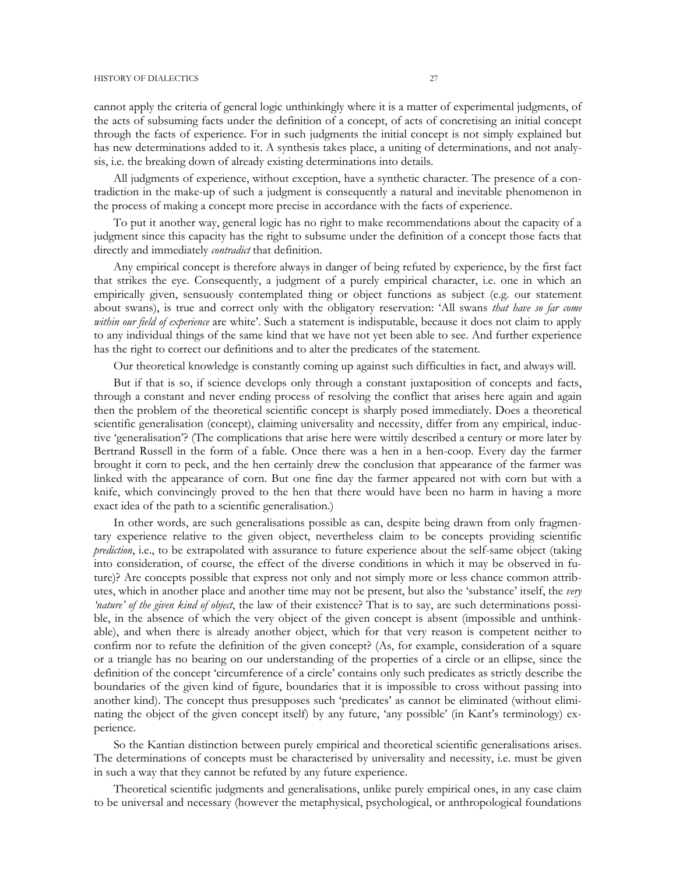cannot apply the criteria of general logic unthinkingly where it is a matter of experimental judgments, of the acts of subsuming facts under the definition of a concept, of acts of concretising an initial concept through the facts of experience. For in such judgments the initial concept is not simply explained but has new determinations added to it. A synthesis takes place, a uniting of determinations, and not analysis, i.e. the breaking down of already existing determinations into details.

All judgments of experience, without exception, have a synthetic character. The presence of a contradiction in the make-up of such a judgment is consequently a natural and inevitable phenomenon in the process of making a concept more precise in accordance with the facts of experience.

To put it another way, general logic has no right to make recommendations about the capacity of a judgment since this capacity has the right to subsume under the definition of a concept those facts that directly and immediately *contradict* that definition.

Any empirical concept is therefore always in danger of being refuted by experience, by the first fact that strikes the eye. Consequently, a judgment of a purely empirical character, i.e. one in which an empirically given, sensuously contemplated thing or object functions as subject (e.g. our statement about swans), is true and correct only with the obligatory reservation: 'All swans *that have so far come within our field of experience* are white'. Such a statement is indisputable, because it does not claim to apply to any individual things of the same kind that we have not yet been able to see. And further experience has the right to correct our definitions and to alter the predicates of the statement.

Our theoretical knowledge is constantly coming up against such difficulties in fact, and always will.

But if that is so, if science develops only through a constant juxtaposition of concepts and facts, through a constant and never ending process of resolving the conflict that arises here again and again then the problem of the theoretical scientific concept is sharply posed immediately. Does a theoretical scientific generalisation (concept), claiming universality and necessity, differ from any empirical, inductive 'generalisation'? (The complications that arise here were wittily described a century or more later by Bertrand Russell in the form of a fable. Once there was a hen in a hen-coop. Every day the farmer brought it corn to peck, and the hen certainly drew the conclusion that appearance of the farmer was linked with the appearance of corn. But one fine day the farmer appeared not with corn but with a knife, which convincingly proved to the hen that there would have been no harm in having a more exact idea of the path to a scientific generalisation.)

In other words, are such generalisations possible as can, despite being drawn from only fragmentary experience relative to the given object, nevertheless claim to be concepts providing scientific *prediction*, i.e., to be extrapolated with assurance to future experience about the self-same object (taking into consideration, of course, the effect of the diverse conditions in which it may be observed in future)? Are concepts possible that express not only and not simply more or less chance common attributes, which in another place and another time may not be present, but also the 'substance' itself, the *very 'nature' of the given kind of object*, the law of their existence? That is to say, are such determinations possible, in the absence of which the very object of the given concept is absent (impossible and unthinkable), and when there is already another object, which for that very reason is competent neither to confirm nor to refute the definition of the given concept? (As, for example, consideration of a square or a triangle has no bearing on our understanding of the properties of a circle or an ellipse, since the definition of the concept 'circumference of a circle' contains only such predicates as strictly describe the boundaries of the given kind of figure, boundaries that it is impossible to cross without passing into another kind). The concept thus presupposes such 'predicates' as cannot be eliminated (without eliminating the object of the given concept itself) by any future, 'any possible' (in Kant's terminology) experience.

So the Kantian distinction between purely empirical and theoretical scientific generalisations arises. The determinations of concepts must be characterised by universality and necessity, i.e. must be given in such a way that they cannot be refuted by any future experience.

Theoretical scientific judgments and generalisations, unlike purely empirical ones, in any case claim to be universal and necessary (however the metaphysical, psychological, or anthropological foundations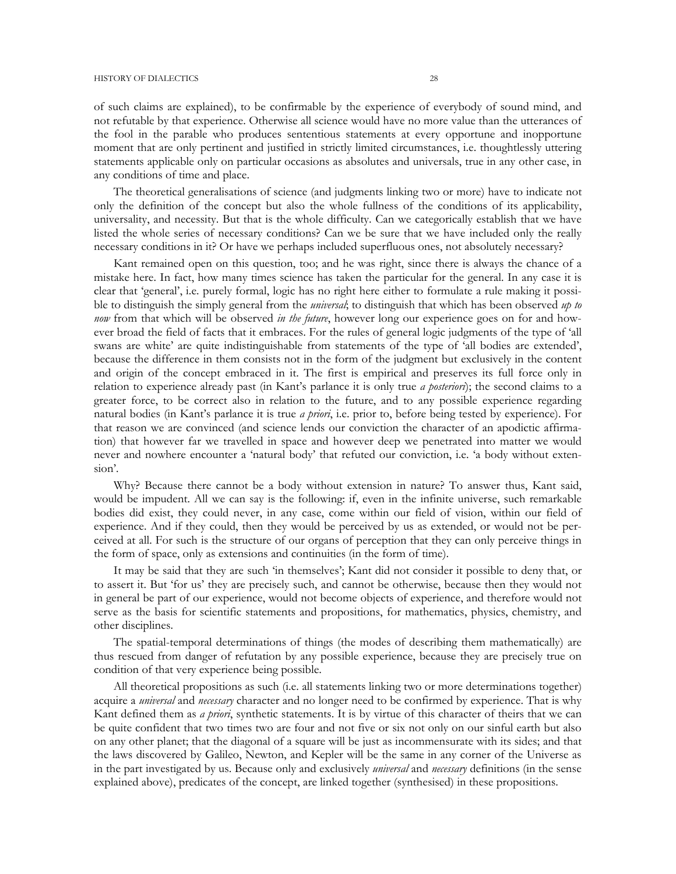of such claims are explained), to be confirmable by the experience of everybody of sound mind, and not refutable by that experience. Otherwise all science would have no more value than the utterances of the fool in the parable who produces sententious statements at every opportune and inopportune moment that are only pertinent and justified in strictly limited circumstances, i.e. thoughtlessly uttering statements applicable only on particular occasions as absolutes and universals, true in any other case, in any conditions of time and place.

The theoretical generalisations of science (and judgments linking two or more) have to indicate not only the definition of the concept but also the whole fullness of the conditions of its applicability, universality, and necessity. But that is the whole difficulty. Can we categorically establish that we have listed the whole series of necessary conditions? Can we be sure that we have included only the really necessary conditions in it? Or have we perhaps included superfluous ones, not absolutely necessary?

Kant remained open on this question, too; and he was right, since there is always the chance of a mistake here. In fact, how many times science has taken the particular for the general. In any case it is clear that 'general', i.e. purely formal, logic has no right here either to formulate a rule making it possible to distinguish the simply general from the *universal*; to distinguish that which has been observed *up to now* from that which will be observed *in the future*, however long our experience goes on for and however broad the field of facts that it embraces. For the rules of general logic judgments of the type of 'all swans are white' are quite indistinguishable from statements of the type of 'all bodies are extended', because the difference in them consists not in the form of the judgment but exclusively in the content and origin of the concept embraced in it. The first is empirical and preserves its full force only in relation to experience already past (in Kant's parlance it is only true *a posteriori*); the second claims to a greater force, to be correct also in relation to the future, and to any possible experience regarding natural bodies (in Kant's parlance it is true *a priori*, i.e. prior to, before being tested by experience). For that reason we are convinced (and science lends our conviction the character of an apodictic affirmation) that however far we travelled in space and however deep we penetrated into matter we would never and nowhere encounter a 'natural body' that refuted our conviction, i.e. 'a body without extension'.

Why? Because there cannot be a body without extension in nature? To answer thus, Kant said, would be impudent. All we can say is the following: if, even in the infinite universe, such remarkable bodies did exist, they could never, in any case, come within our field of vision, within our field of experience. And if they could, then they would be perceived by us as extended, or would not be perceived at all. For such is the structure of our organs of perception that they can only perceive things in the form of space, only as extensions and continuities (in the form of time).

It may be said that they are such 'in themselves'; Kant did not consider it possible to deny that, or to assert it. But 'for us' they are precisely such, and cannot be otherwise, because then they would not in general be part of our experience, would not become objects of experience, and therefore would not serve as the basis for scientific statements and propositions, for mathematics, physics, chemistry, and other disciplines.

The spatial-temporal determinations of things (the modes of describing them mathematically) are thus rescued from danger of refutation by any possible experience, because they are precisely true on condition of that very experience being possible.

All theoretical propositions as such (i.e. all statements linking two or more determinations together) acquire a *universal* and *necessary* character and no longer need to be confirmed by experience. That is why Kant defined them as *a priori*, synthetic statements. It is by virtue of this character of theirs that we can be quite confident that two times two are four and not five or six not only on our sinful earth but also on any other planet; that the diagonal of a square will be just as incommensurate with its sides; and that the laws discovered by Galileo, Newton, and Kepler will be the same in any corner of the Universe as in the part investigated by us. Because only and exclusively *universal* and *necessary* definitions (in the sense explained above), predicates of the concept, are linked together (synthesised) in these propositions.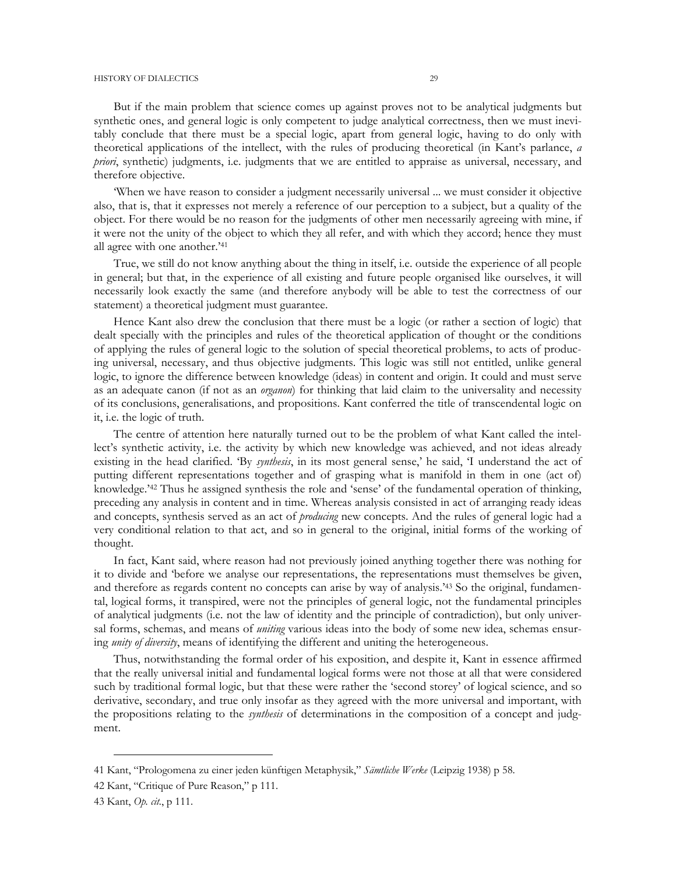#### HISTORY OF DIALECTICS 29

But if the main problem that science comes up against proves not to be analytical judgments but synthetic ones, and general logic is only competent to judge analytical correctness, then we must inevitably conclude that there must be a special logic, apart from general logic, having to do only with theoretical applications of the intellect, with the rules of producing theoretical (in Kant's parlance, *a priori*, synthetic) judgments, i.e. judgments that we are entitled to appraise as universal, necessary, and therefore objective.

'When we have reason to consider a judgment necessarily universal ... we must consider it objective also, that is, that it expresses not merely a reference of our perception to a subject, but a quality of the object. For there would be no reason for the judgments of other men necessarily agreeing with mine, if it were not the unity of the object to which they all refer, and with which they accord; hence they must all agree with one another.'41

True, we still do not know anything about the thing in itself, i.e. outside the experience of all people in general; but that, in the experience of all existing and future people organised like ourselves, it will necessarily look exactly the same (and therefore anybody will be able to test the correctness of our statement) a theoretical judgment must guarantee.

Hence Kant also drew the conclusion that there must be a logic (or rather a section of logic) that dealt specially with the principles and rules of the theoretical application of thought or the conditions of applying the rules of general logic to the solution of special theoretical problems, to acts of producing universal, necessary, and thus objective judgments. This logic was still not entitled, unlike general logic, to ignore the difference between knowledge (ideas) in content and origin. It could and must serve as an adequate canon (if not as an *organon*) for thinking that laid claim to the universality and necessity of its conclusions, generalisations, and propositions. Kant conferred the title of transcendental logic on it, i.e. the logic of truth.

The centre of attention here naturally turned out to be the problem of what Kant called the intellect's synthetic activity, i.e. the activity by which new knowledge was achieved, and not ideas already existing in the head clarified. 'By *synthesis*, in its most general sense,' he said, 'I understand the act of putting different representations together and of grasping what is manifold in them in one (act of) knowledge.'42 Thus he assigned synthesis the role and 'sense' of the fundamental operation of thinking, preceding any analysis in content and in time. Whereas analysis consisted in act of arranging ready ideas and concepts, synthesis served as an act of *producing* new concepts. And the rules of general logic had a very conditional relation to that act, and so in general to the original, initial forms of the working of thought.

In fact, Kant said, where reason had not previously joined anything together there was nothing for it to divide and 'before we analyse our representations, the representations must themselves be given, and therefore as regards content no concepts can arise by way of analysis.'43 So the original, fundamental, logical forms, it transpired, were not the principles of general logic, not the fundamental principles of analytical judgments (i.e. not the law of identity and the principle of contradiction), but only universal forms, schemas, and means of *uniting* various ideas into the body of some new idea, schemas ensuring *unity of diversity*, means of identifying the different and uniting the heterogeneous.

Thus, notwithstanding the formal order of his exposition, and despite it, Kant in essence affirmed that the really universal initial and fundamental logical forms were not those at all that were considered such by traditional formal logic, but that these were rather the 'second storey' of logical science, and so derivative, secondary, and true only insofar as they agreed with the more universal and important, with the propositions relating to the *synthesis* of determinations in the composition of a concept and judgment.

<sup>41</sup> Kant, "Prologomena zu einer jeden künftigen Metaphysik," *Sämtliche Werke* (Leipzig 1938) p 58.

<sup>42</sup> Kant, "Critique of Pure Reason," p 111.

<sup>43</sup> Kant, *Op. cit.*, p 111.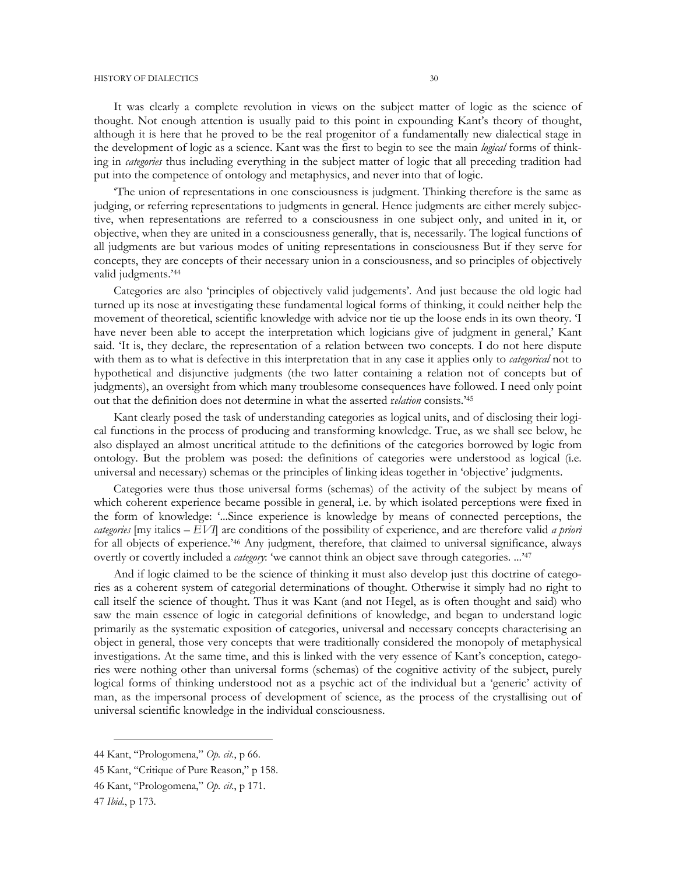#### HISTORY OF DIALECTICS 30

It was clearly a complete revolution in views on the subject matter of logic as the science of thought. Not enough attention is usually paid to this point in expounding Kant's theory of thought, although it is here that he proved to be the real progenitor of a fundamentally new dialectical stage in the development of logic as a science. Kant was the first to begin to see the main *logical* forms of thinking in *categories* thus including everything in the subject matter of logic that all preceding tradition had put into the competence of ontology and metaphysics, and never into that of logic.

'The union of representations in one consciousness is judgment. Thinking therefore is the same as judging, or referring representations to judgments in general. Hence judgments are either merely subjective, when representations are referred to a consciousness in one subject only, and united in it, or objective, when they are united in a consciousness generally, that is, necessarily. The logical functions of all judgments are but various modes of uniting representations in consciousness But if they serve for concepts, they are concepts of their necessary union in a consciousness, and so principles of objectively valid judgments.'44

Categories are also 'principles of objectively valid judgements'. And just because the old logic had turned up its nose at investigating these fundamental logical forms of thinking, it could neither help the movement of theoretical, scientific knowledge with advice nor tie up the loose ends in its own theory. 'I have never been able to accept the interpretation which logicians give of judgment in general,' Kant said. 'It is, they declare, the representation of a relation between two concepts. I do not here dispute with them as to what is defective in this interpretation that in any case it applies only to *categorical* not to hypothetical and disjunctive judgments (the two latter containing a relation not of concepts but of judgments), an oversight from which many troublesome consequences have followed. I need only point out that the definition does not determine in what the asserted r*elation* consists.'45

Kant clearly posed the task of understanding categories as logical units, and of disclosing their logical functions in the process of producing and transforming knowledge. True, as we shall see below, he also displayed an almost uncritical attitude to the definitions of the categories borrowed by logic from ontology. But the problem was posed: the definitions of categories were understood as logical (i.e. universal and necessary) schemas or the principles of linking ideas together in 'objective' judgments.

Categories were thus those universal forms (schemas) of the activity of the subject by means of which coherent experience became possible in general, i.e. by which isolated perceptions were fixed in the form of knowledge: '...Since experience is knowledge by means of connected perceptions, the *categories* [my italics – *EVI*] are conditions of the possibility of experience, and are therefore valid *a priori* for all objects of experience.'46 Any judgment, therefore, that claimed to universal significance, always overtly or covertly included a *category*: 'we cannot think an object save through categories. ...'47

And if logic claimed to be the science of thinking it must also develop just this doctrine of categories as a coherent system of categorial determinations of thought. Otherwise it simply had no right to call itself the science of thought. Thus it was Kant (and not Hegel, as is often thought and said) who saw the main essence of logic in categorial definitions of knowledge, and began to understand logic primarily as the systematic exposition of categories, universal and necessary concepts characterising an object in general, those very concepts that were traditionally considered the monopoly of metaphysical investigations. At the same time, and this is linked with the very essence of Kant's conception, categories were nothing other than universal forms (schemas) of the cognitive activity of the subject, purely logical forms of thinking understood not as a psychic act of the individual but a 'generic' activity of man, as the impersonal process of development of science, as the process of the crystallising out of universal scientific knowledge in the individual consciousness.

<sup>44</sup> Kant, "Prologomena," *Op. cit.*, p 66.

<sup>45</sup> Kant, "Critique of Pure Reason," p 158.

<sup>46</sup> Kant, "Prologomena," *Op. cit.*, p 171.

<sup>47</sup> *Ibid*., p 173.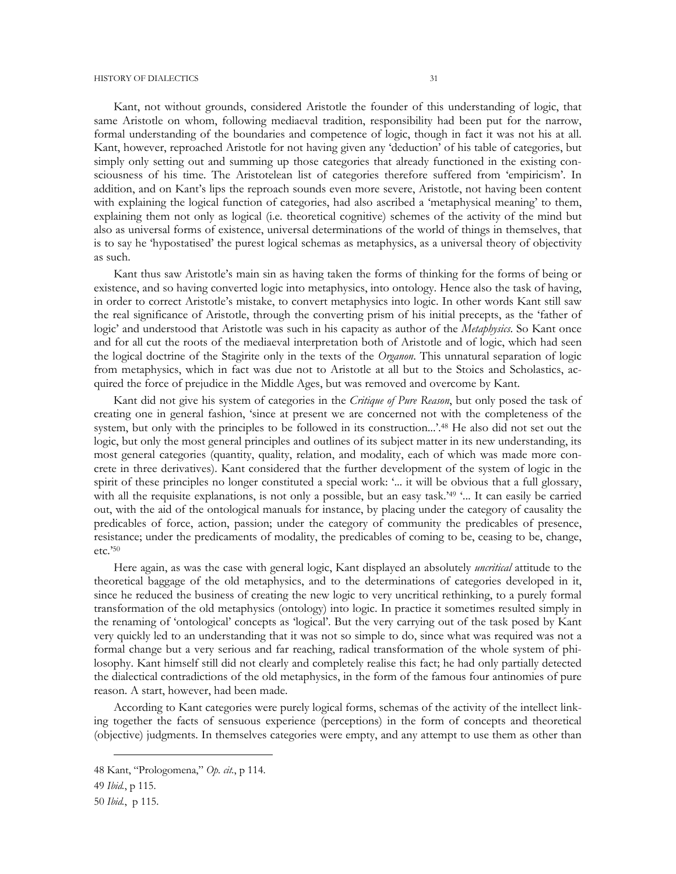Kant, not without grounds, considered Aristotle the founder of this understanding of logic, that same Aristotle on whom, following mediaeval tradition, responsibility had been put for the narrow, formal understanding of the boundaries and competence of logic, though in fact it was not his at all. Kant, however, reproached Aristotle for not having given any 'deduction' of his table of categories, but simply only setting out and summing up those categories that already functioned in the existing consciousness of his time. The Aristotelean list of categories therefore suffered from 'empiricism'. In addition, and on Kant's lips the reproach sounds even more severe, Aristotle, not having been content with explaining the logical function of categories, had also ascribed a 'metaphysical meaning' to them, explaining them not only as logical (i.e. theoretical cognitive) schemes of the activity of the mind but also as universal forms of existence, universal determinations of the world of things in themselves, that is to say he 'hypostatised' the purest logical schemas as metaphysics, as a universal theory of objectivity as such.

Kant thus saw Aristotle's main sin as having taken the forms of thinking for the forms of being or existence, and so having converted logic into metaphysics, into ontology. Hence also the task of having, in order to correct Aristotle's mistake, to convert metaphysics into logic. In other words Kant still saw the real significance of Aristotle, through the converting prism of his initial precepts, as the 'father of logic' and understood that Aristotle was such in his capacity as author of the *Metaphysics*. So Kant once and for all cut the roots of the mediaeval interpretation both of Aristotle and of logic, which had seen the logical doctrine of the Stagirite only in the texts of the *Organon*. This unnatural separation of logic from metaphysics, which in fact was due not to Aristotle at all but to the Stoics and Scholastics, acquired the force of prejudice in the Middle Ages, but was removed and overcome by Kant.

Kant did not give his system of categories in the *Critique of Pure Reason*, but only posed the task of creating one in general fashion, 'since at present we are concerned not with the completeness of the system, but only with the principles to be followed in its construction...'.<sup>48</sup> He also did not set out the logic, but only the most general principles and outlines of its subject matter in its new understanding, its most general categories (quantity, quality, relation, and modality, each of which was made more concrete in three derivatives). Kant considered that the further development of the system of logic in the spirit of these principles no longer constituted a special work: '... it will be obvious that a full glossary, with all the requisite explanations, is not only a possible, but an easy task.<sup>249</sup> '... It can easily be carried out, with the aid of the ontological manuals for instance, by placing under the category of causality the predicables of force, action, passion; under the category of community the predicables of presence, resistance; under the predicaments of modality, the predicables of coming to be, ceasing to be, change, etc.'50

Here again, as was the case with general logic, Kant displayed an absolutely *uncritical* attitude to the theoretical baggage of the old metaphysics, and to the determinations of categories developed in it, since he reduced the business of creating the new logic to very uncritical rethinking, to a purely formal transformation of the old metaphysics (ontology) into logic. In practice it sometimes resulted simply in the renaming of 'ontological' concepts as 'logical'. But the very carrying out of the task posed by Kant very quickly led to an understanding that it was not so simple to do, since what was required was not a formal change but a very serious and far reaching, radical transformation of the whole system of philosophy. Kant himself still did not clearly and completely realise this fact; he had only partially detected the dialectical contradictions of the old metaphysics, in the form of the famous four antinomies of pure reason. A start, however, had been made.

According to Kant categories were purely logical forms, schemas of the activity of the intellect linking together the facts of sensuous experience (perceptions) in the form of concepts and theoretical (objective) judgments. In themselves categories were empty, and any attempt to use them as other than

<sup>48</sup> Kant, "Prologomena," *Op. cit.*, p 114.

<sup>49</sup> *Ibid.*, p 115.

<sup>50</sup> *Ibid.*, p 115.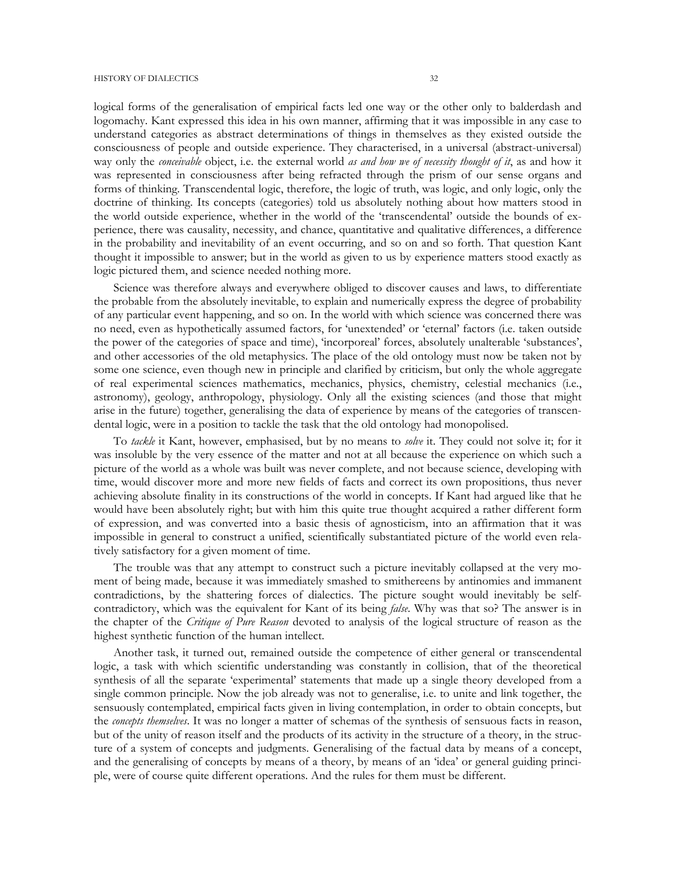logical forms of the generalisation of empirical facts led one way or the other only to balderdash and logomachy. Kant expressed this idea in his own manner, affirming that it was impossible in any case to understand categories as abstract determinations of things in themselves as they existed outside the consciousness of people and outside experience. They characterised, in a universal (abstract-universal) way only the *conceivable* object, i.e. the external world *as and how we of necessity thought of it*, as and how it was represented in consciousness after being refracted through the prism of our sense organs and forms of thinking. Transcendental logic, therefore, the logic of truth, was logic, and only logic, only the doctrine of thinking. Its concepts (categories) told us absolutely nothing about how matters stood in the world outside experience, whether in the world of the 'transcendental' outside the bounds of experience, there was causality, necessity, and chance, quantitative and qualitative differences, a difference in the probability and inevitability of an event occurring, and so on and so forth. That question Kant thought it impossible to answer; but in the world as given to us by experience matters stood exactly as logic pictured them, and science needed nothing more.

Science was therefore always and everywhere obliged to discover causes and laws, to differentiate the probable from the absolutely inevitable, to explain and numerically express the degree of probability of any particular event happening, and so on. In the world with which science was concerned there was no need, even as hypothetically assumed factors, for 'unextended' or 'eternal' factors (i.e. taken outside the power of the categories of space and time), 'incorporeal' forces, absolutely unalterable 'substances', and other accessories of the old metaphysics. The place of the old ontology must now be taken not by some one science, even though new in principle and clarified by criticism, but only the whole aggregate of real experimental sciences mathematics, mechanics, physics, chemistry, celestial mechanics (i.e., astronomy), geology, anthropology, physiology. Only all the existing sciences (and those that might arise in the future) together, generalising the data of experience by means of the categories of transcendental logic, were in a position to tackle the task that the old ontology had monopolised.

To *tackle* it Kant, however, emphasised, but by no means to *solve* it. They could not solve it; for it was insoluble by the very essence of the matter and not at all because the experience on which such a picture of the world as a whole was built was never complete, and not because science, developing with time, would discover more and more new fields of facts and correct its own propositions, thus never achieving absolute finality in its constructions of the world in concepts. If Kant had argued like that he would have been absolutely right; but with him this quite true thought acquired a rather different form of expression, and was converted into a basic thesis of agnosticism, into an affirmation that it was impossible in general to construct a unified, scientifically substantiated picture of the world even relatively satisfactory for a given moment of time.

The trouble was that any attempt to construct such a picture inevitably collapsed at the very moment of being made, because it was immediately smashed to smithereens by antinomies and immanent contradictions, by the shattering forces of dialectics. The picture sought would inevitably be selfcontradictory, which was the equivalent for Kant of its being *false*. Why was that so? The answer is in the chapter of the *Critique of Pure Reason* devoted to analysis of the logical structure of reason as the highest synthetic function of the human intellect.

Another task, it turned out, remained outside the competence of either general or transcendental logic, a task with which scientific understanding was constantly in collision, that of the theoretical synthesis of all the separate 'experimental' statements that made up a single theory developed from a single common principle. Now the job already was not to generalise, i.e. to unite and link together, the sensuously contemplated, empirical facts given in living contemplation, in order to obtain concepts, but the *concepts themselves*. It was no longer a matter of schemas of the synthesis of sensuous facts in reason, but of the unity of reason itself and the products of its activity in the structure of a theory, in the structure of a system of concepts and judgments. Generalising of the factual data by means of a concept, and the generalising of concepts by means of a theory, by means of an 'idea' or general guiding principle, were of course quite different operations. And the rules for them must be different.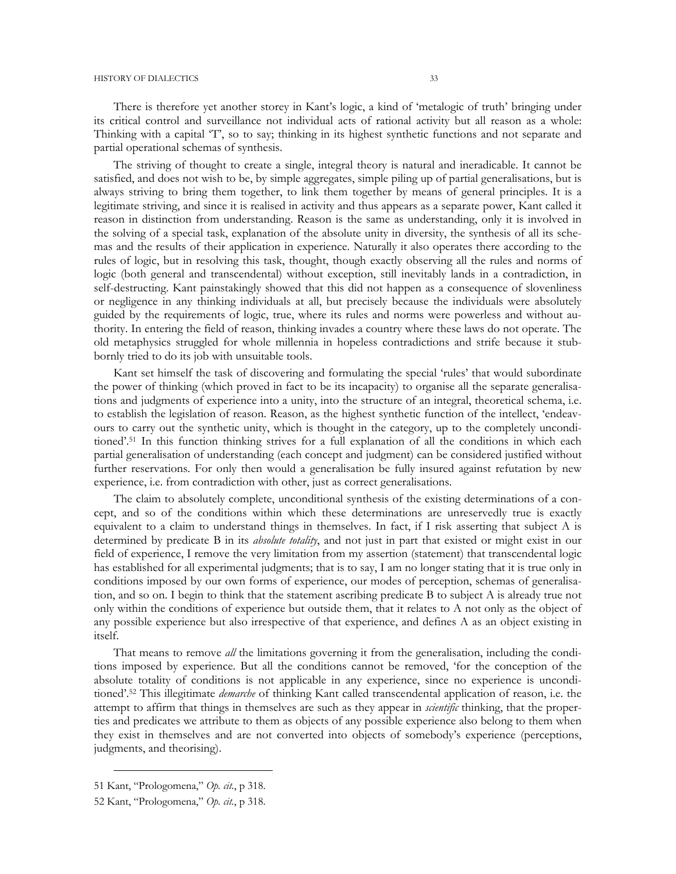#### HISTORY OF DIALECTICS 33

There is therefore yet another storey in Kant's logic, a kind of 'metalogic of truth' bringing under its critical control and surveillance not individual acts of rational activity but all reason as a whole: Thinking with a capital 'T', so to say; thinking in its highest synthetic functions and not separate and partial operational schemas of synthesis.

The striving of thought to create a single, integral theory is natural and ineradicable. It cannot be satisfied, and does not wish to be, by simple aggregates, simple piling up of partial generalisations, but is always striving to bring them together, to link them together by means of general principles. It is a legitimate striving, and since it is realised in activity and thus appears as a separate power, Kant called it reason in distinction from understanding. Reason is the same as understanding, only it is involved in the solving of a special task, explanation of the absolute unity in diversity, the synthesis of all its schemas and the results of their application in experience. Naturally it also operates there according to the rules of logic, but in resolving this task, thought, though exactly observing all the rules and norms of logic (both general and transcendental) without exception, still inevitably lands in a contradiction, in self-destructing. Kant painstakingly showed that this did not happen as a consequence of slovenliness or negligence in any thinking individuals at all, but precisely because the individuals were absolutely guided by the requirements of logic, true, where its rules and norms were powerless and without authority. In entering the field of reason, thinking invades a country where these laws do not operate. The old metaphysics struggled for whole millennia in hopeless contradictions and strife because it stubbornly tried to do its job with unsuitable tools.

Kant set himself the task of discovering and formulating the special 'rules' that would subordinate the power of thinking (which proved in fact to be its incapacity) to organise all the separate generalisations and judgments of experience into a unity, into the structure of an integral, theoretical schema, i.e. to establish the legislation of reason. Reason, as the highest synthetic function of the intellect, 'endeavours to carry out the synthetic unity, which is thought in the category, up to the completely unconditioned'.<sup>51</sup> In this function thinking strives for a full explanation of all the conditions in which each partial generalisation of understanding (each concept and judgment) can be considered justified without further reservations. For only then would a generalisation be fully insured against refutation by new experience, i.e. from contradiction with other, just as correct generalisations.

The claim to absolutely complete, unconditional synthesis of the existing determinations of a concept, and so of the conditions within which these determinations are unreservedly true is exactly equivalent to a claim to understand things in themselves. In fact, if I risk asserting that subject A is determined by predicate B in its *absolute totality*, and not just in part that existed or might exist in our field of experience, I remove the very limitation from my assertion (statement) that transcendental logic has established for all experimental judgments; that is to say, I am no longer stating that it is true only in conditions imposed by our own forms of experience, our modes of perception, schemas of generalisation, and so on. I begin to think that the statement ascribing predicate B to subject A is already true not only within the conditions of experience but outside them, that it relates to A not only as the object of any possible experience but also irrespective of that experience, and defines A as an object existing in itself.

That means to remove *all* the limitations governing it from the generalisation, including the conditions imposed by experience. But all the conditions cannot be removed, 'for the conception of the absolute totality of conditions is not applicable in any experience, since no experience is unconditioned'.52 This illegitimate *demarche* of thinking Kant called transcendental application of reason, i.e. the attempt to affirm that things in themselves are such as they appear in *scientific* thinking, that the properties and predicates we attribute to them as objects of any possible experience also belong to them when they exist in themselves and are not converted into objects of somebody's experience (perceptions, judgments, and theorising).

<sup>51</sup> Kant, "Prologomena," *Op. cit.*, p 318.

<sup>52</sup> Kant, "Prologomena," *Op. cit.*, p 318.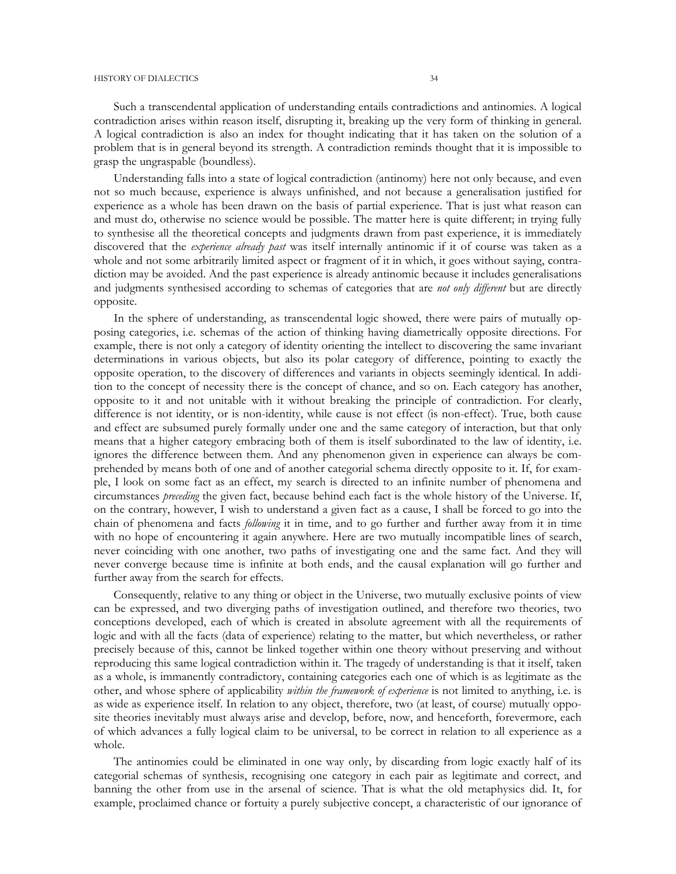Such a transcendental application of understanding entails contradictions and antinomies. A logical contradiction arises within reason itself, disrupting it, breaking up the very form of thinking in general. A logical contradiction is also an index for thought indicating that it has taken on the solution of a problem that is in general beyond its strength. A contradiction reminds thought that it is impossible to grasp the ungraspable (boundless).

Understanding falls into a state of logical contradiction (antinomy) here not only because, and even not so much because, experience is always unfinished, and not because a generalisation justified for experience as a whole has been drawn on the basis of partial experience. That is just what reason can and must do, otherwise no science would be possible. The matter here is quite different; in trying fully to synthesise all the theoretical concepts and judgments drawn from past experience, it is immediately discovered that the *experience already past* was itself internally antinomic if it of course was taken as a whole and not some arbitrarily limited aspect or fragment of it in which, it goes without saying, contradiction may be avoided. And the past experience is already antinomic because it includes generalisations and judgments synthesised according to schemas of categories that are *not only different* but are directly opposite.

In the sphere of understanding, as transcendental logic showed, there were pairs of mutually opposing categories, i.e. schemas of the action of thinking having diametrically opposite directions. For example, there is not only a category of identity orienting the intellect to discovering the same invariant determinations in various objects, but also its polar category of difference, pointing to exactly the opposite operation, to the discovery of differences and variants in objects seemingly identical. In addition to the concept of necessity there is the concept of chance, and so on. Each category has another, opposite to it and not unitable with it without breaking the principle of contradiction. For clearly, difference is not identity, or is non-identity, while cause is not effect (is non-effect). True, both cause and effect are subsumed purely formally under one and the same category of interaction, but that only means that a higher category embracing both of them is itself subordinated to the law of identity, i.e. ignores the difference between them. And any phenomenon given in experience can always be comprehended by means both of one and of another categorial schema directly opposite to it. If, for example, I look on some fact as an effect, my search is directed to an infinite number of phenomena and circumstances *preceding* the given fact, because behind each fact is the whole history of the Universe. If, on the contrary, however, I wish to understand a given fact as a cause, I shall be forced to go into the chain of phenomena and facts *following* it in time, and to go further and further away from it in time with no hope of encountering it again anywhere. Here are two mutually incompatible lines of search, never coinciding with one another, two paths of investigating one and the same fact. And they will never converge because time is infinite at both ends, and the causal explanation will go further and further away from the search for effects.

Consequently, relative to any thing or object in the Universe, two mutually exclusive points of view can be expressed, and two diverging paths of investigation outlined, and therefore two theories, two conceptions developed, each of which is created in absolute agreement with all the requirements of logic and with all the facts (data of experience) relating to the matter, but which nevertheless, or rather precisely because of this, cannot be linked together within one theory without preserving and without reproducing this same logical contradiction within it. The tragedy of understanding is that it itself, taken as a whole, is immanently contradictory, containing categories each one of which is as legitimate as the other, and whose sphere of applicability *within the framework of experience* is not limited to anything, i.e. is as wide as experience itself. In relation to any object, therefore, two (at least, of course) mutually opposite theories inevitably must always arise and develop, before, now, and henceforth, forevermore, each of which advances a fully logical claim to be universal, to be correct in relation to all experience as a whole.

The antinomies could be eliminated in one way only, by discarding from logic exactly half of its categorial schemas of synthesis, recognising one category in each pair as legitimate and correct, and banning the other from use in the arsenal of science. That is what the old metaphysics did. It, for example, proclaimed chance or fortuity a purely subjective concept, a characteristic of our ignorance of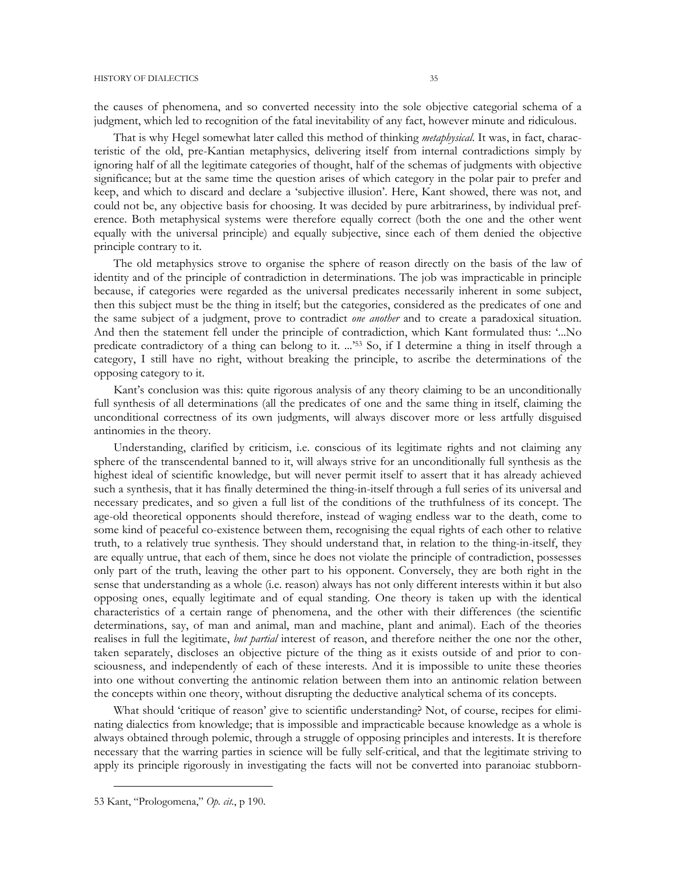the causes of phenomena, and so converted necessity into the sole objective categorial schema of a judgment, which led to recognition of the fatal inevitability of any fact, however minute and ridiculous.

That is why Hegel somewhat later called this method of thinking *metaphysical*. It was, in fact, characteristic of the old, pre-Kantian metaphysics, delivering itself from internal contradictions simply by ignoring half of all the legitimate categories of thought, half of the schemas of judgments with objective significance; but at the same time the question arises of which category in the polar pair to prefer and keep, and which to discard and declare a 'subjective illusion'. Here, Kant showed, there was not, and could not be, any objective basis for choosing. It was decided by pure arbitrariness, by individual preference. Both metaphysical systems were therefore equally correct (both the one and the other went equally with the universal principle) and equally subjective, since each of them denied the objective principle contrary to it.

The old metaphysics strove to organise the sphere of reason directly on the basis of the law of identity and of the principle of contradiction in determinations. The job was impracticable in principle because, if categories were regarded as the universal predicates necessarily inherent in some subject, then this subject must be the thing in itself; but the categories, considered as the predicates of one and the same subject of a judgment, prove to contradict *one another* and to create a paradoxical situation. And then the statement fell under the principle of contradiction, which Kant formulated thus: '...No predicate contradictory of a thing can belong to it. ...'53 So, if I determine a thing in itself through a category, I still have no right, without breaking the principle, to ascribe the determinations of the opposing category to it.

Kant's conclusion was this: quite rigorous analysis of any theory claiming to be an unconditionally full synthesis of all determinations (all the predicates of one and the same thing in itself, claiming the unconditional correctness of its own judgments, will always discover more or less artfully disguised antinomies in the theory.

Understanding, clarified by criticism, i.e. conscious of its legitimate rights and not claiming any sphere of the transcendental banned to it, will always strive for an unconditionally full synthesis as the highest ideal of scientific knowledge, but will never permit itself to assert that it has already achieved such a synthesis, that it has finally determined the thing-in-itself through a full series of its universal and necessary predicates, and so given a full list of the conditions of the truthfulness of its concept. The age-old theoretical opponents should therefore, instead of waging endless war to the death, come to some kind of peaceful co-existence between them, recognising the equal rights of each other to relative truth, to a relatively true synthesis. They should understand that, in relation to the thing-in-itself, they are equally untrue, that each of them, since he does not violate the principle of contradiction, possesses only part of the truth, leaving the other part to his opponent. Conversely, they are both right in the sense that understanding as a whole (i.e. reason) always has not only different interests within it but also opposing ones, equally legitimate and of equal standing. One theory is taken up with the identical characteristics of a certain range of phenomena, and the other with their differences (the scientific determinations, say, of man and animal, man and machine, plant and animal). Each of the theories realises in full the legitimate, *but partial* interest of reason, and therefore neither the one nor the other, taken separately, discloses an objective picture of the thing as it exists outside of and prior to consciousness, and independently of each of these interests. And it is impossible to unite these theories into one without converting the antinomic relation between them into an antinomic relation between the concepts within one theory, without disrupting the deductive analytical schema of its concepts.

What should 'critique of reason' give to scientific understanding? Not, of course, recipes for eliminating dialectics from knowledge; that is impossible and impracticable because knowledge as a whole is always obtained through polemic, through a struggle of opposing principles and interests. It is therefore necessary that the warring parties in science will be fully self-critical, and that the legitimate striving to apply its principle rigorously in investigating the facts will not be converted into paranoiac stubborn-

<sup>53</sup> Kant, "Prologomena," *Op. cit.*, p 190.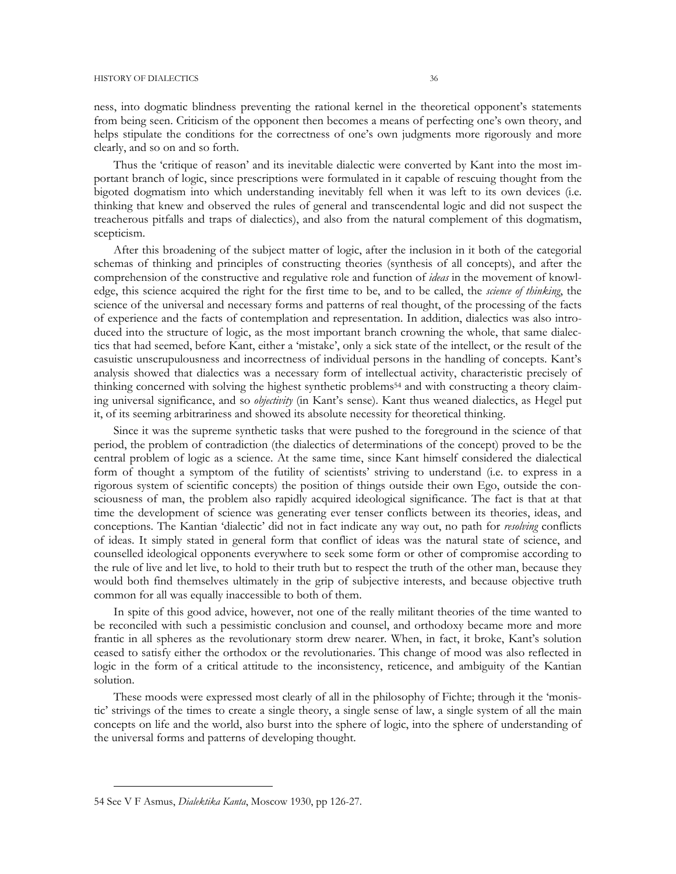ness, into dogmatic blindness preventing the rational kernel in the theoretical opponent's statements from being seen. Criticism of the opponent then becomes a means of perfecting one's own theory, and helps stipulate the conditions for the correctness of one's own judgments more rigorously and more clearly, and so on and so forth.

Thus the 'critique of reason' and its inevitable dialectic were converted by Kant into the most important branch of logic, since prescriptions were formulated in it capable of rescuing thought from the bigoted dogmatism into which understanding inevitably fell when it was left to its own devices (i.e. thinking that knew and observed the rules of general and transcendental logic and did not suspect the treacherous pitfalls and traps of dialectics), and also from the natural complement of this dogmatism, scepticism.

After this broadening of the subject matter of logic, after the inclusion in it both of the categorial schemas of thinking and principles of constructing theories (synthesis of all concepts), and after the comprehension of the constructive and regulative role and function of *ideas* in the movement of knowledge, this science acquired the right for the first time to be, and to be called, the *science of thinking*, the science of the universal and necessary forms and patterns of real thought, of the processing of the facts of experience and the facts of contemplation and representation. In addition, dialectics was also introduced into the structure of logic, as the most important branch crowning the whole, that same dialectics that had seemed, before Kant, either a 'mistake', only a sick state of the intellect, or the result of the casuistic unscrupulousness and incorrectness of individual persons in the handling of concepts. Kant's analysis showed that dialectics was a necessary form of intellectual activity, characteristic precisely of thinking concerned with solving the highest synthetic problems54 and with constructing a theory claiming universal significance, and so *objectivity* (in Kant's sense). Kant thus weaned dialectics, as Hegel put it, of its seeming arbitrariness and showed its absolute necessity for theoretical thinking.

Since it was the supreme synthetic tasks that were pushed to the foreground in the science of that period, the problem of contradiction (the dialectics of determinations of the concept) proved to be the central problem of logic as a science. At the same time, since Kant himself considered the dialectical form of thought a symptom of the futility of scientists' striving to understand (i.e. to express in a rigorous system of scientific concepts) the position of things outside their own Ego, outside the consciousness of man, the problem also rapidly acquired ideological significance. The fact is that at that time the development of science was generating ever tenser conflicts between its theories, ideas, and conceptions. The Kantian 'dialectic' did not in fact indicate any way out, no path for *resolving* conflicts of ideas. It simply stated in general form that conflict of ideas was the natural state of science, and counselled ideological opponents everywhere to seek some form or other of compromise according to the rule of live and let live, to hold to their truth but to respect the truth of the other man, because they would both find themselves ultimately in the grip of subjective interests, and because objective truth common for all was equally inaccessible to both of them.

In spite of this good advice, however, not one of the really militant theories of the time wanted to be reconciled with such a pessimistic conclusion and counsel, and orthodoxy became more and more frantic in all spheres as the revolutionary storm drew nearer. When, in fact, it broke, Kant's solution ceased to satisfy either the orthodox or the revolutionaries. This change of mood was also reflected in logic in the form of a critical attitude to the inconsistency, reticence, and ambiguity of the Kantian solution.

These moods were expressed most clearly of all in the philosophy of Fichte; through it the 'monistic' strivings of the times to create a single theory, a single sense of law, a single system of all the main concepts on life and the world, also burst into the sphere of logic, into the sphere of understanding of the universal forms and patterns of developing thought.

<sup>54</sup> See V F Asmus, *Dialektika Kanta*, Moscow 1930, pp 126-27.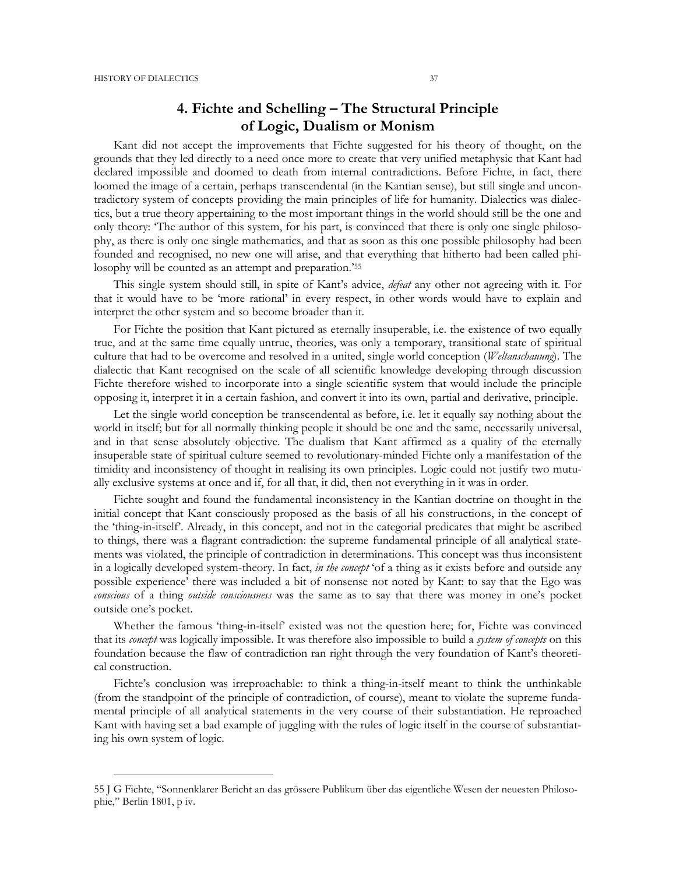**.** 

# **4. Fichte and Schelling – The Structural Principle of Logic, Dualism or Monism**

Kant did not accept the improvements that Fichte suggested for his theory of thought, on the grounds that they led directly to a need once more to create that very unified metaphysic that Kant had declared impossible and doomed to death from internal contradictions. Before Fichte, in fact, there loomed the image of a certain, perhaps transcendental (in the Kantian sense), but still single and uncontradictory system of concepts providing the main principles of life for humanity. Dialectics was dialectics, but a true theory appertaining to the most important things in the world should still be the one and only theory: 'The author of this system, for his part, is convinced that there is only one single philosophy, as there is only one single mathematics, and that as soon as this one possible philosophy had been founded and recognised, no new one will arise, and that everything that hitherto had been called philosophy will be counted as an attempt and preparation.'55

This single system should still, in spite of Kant's advice, *defeat* any other not agreeing with it. For that it would have to be 'more rational' in every respect, in other words would have to explain and interpret the other system and so become broader than it.

For Fichte the position that Kant pictured as eternally insuperable, i.e. the existence of two equally true, and at the same time equally untrue, theories, was only a temporary, transitional state of spiritual culture that had to be overcome and resolved in a united, single world conception (*Weltanschauung*). The dialectic that Kant recognised on the scale of all scientific knowledge developing through discussion Fichte therefore wished to incorporate into a single scientific system that would include the principle opposing it, interpret it in a certain fashion, and convert it into its own, partial and derivative, principle.

Let the single world conception be transcendental as before, i.e. let it equally say nothing about the world in itself; but for all normally thinking people it should be one and the same, necessarily universal, and in that sense absolutely objective. The dualism that Kant affirmed as a quality of the eternally insuperable state of spiritual culture seemed to revolutionary-minded Fichte only a manifestation of the timidity and inconsistency of thought in realising its own principles. Logic could not justify two mutually exclusive systems at once and if, for all that, it did, then not everything in it was in order.

Fichte sought and found the fundamental inconsistency in the Kantian doctrine on thought in the initial concept that Kant consciously proposed as the basis of all his constructions, in the concept of the 'thing-in-itself'. Already, in this concept, and not in the categorial predicates that might be ascribed to things, there was a flagrant contradiction: the supreme fundamental principle of all analytical statements was violated, the principle of contradiction in determinations. This concept was thus inconsistent in a logically developed system-theory. In fact, *in the concept* 'of a thing as it exists before and outside any possible experience' there was included a bit of nonsense not noted by Kant: to say that the Ego was *conscious* of a thing *outside consciousness* was the same as to say that there was money in one's pocket outside one's pocket.

Whether the famous 'thing-in-itself' existed was not the question here; for, Fichte was convinced that its *concept* was logically impossible. It was therefore also impossible to build a *system of concepts* on this foundation because the flaw of contradiction ran right through the very foundation of Kant's theoretical construction.

Fichte's conclusion was irreproachable: to think a thing-in-itself meant to think the unthinkable (from the standpoint of the principle of contradiction, of course), meant to violate the supreme fundamental principle of all analytical statements in the very course of their substantiation. He reproached Kant with having set a bad example of juggling with the rules of logic itself in the course of substantiating his own system of logic.

<sup>55</sup> J G Fichte, "Sonnenklarer Bericht an das grössere Publikum über das eigentliche Wesen der neuesten Philosophie," Berlin 1801, p iv.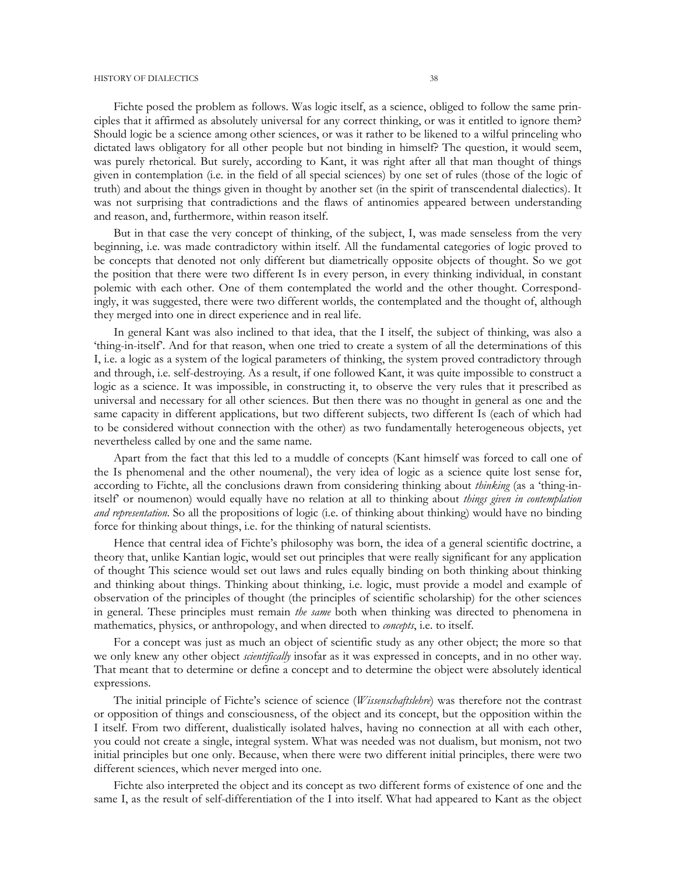Fichte posed the problem as follows. Was logic itself, as a science, obliged to follow the same principles that it affirmed as absolutely universal for any correct thinking, or was it entitled to ignore them? Should logic be a science among other sciences, or was it rather to be likened to a wilful princeling who dictated laws obligatory for all other people but not binding in himself? The question, it would seem, was purely rhetorical. But surely, according to Kant, it was right after all that man thought of things given in contemplation (i.e. in the field of all special sciences) by one set of rules (those of the logic of truth) and about the things given in thought by another set (in the spirit of transcendental dialectics). It was not surprising that contradictions and the flaws of antinomies appeared between understanding and reason, and, furthermore, within reason itself.

But in that case the very concept of thinking, of the subject, I, was made senseless from the very beginning, i.e. was made contradictory within itself. All the fundamental categories of logic proved to be concepts that denoted not only different but diametrically opposite objects of thought. So we got the position that there were two different Is in every person, in every thinking individual, in constant polemic with each other. One of them contemplated the world and the other thought. Correspondingly, it was suggested, there were two different worlds, the contemplated and the thought of, although they merged into one in direct experience and in real life.

In general Kant was also inclined to that idea, that the I itself, the subject of thinking, was also a 'thing-in-itself'. And for that reason, when one tried to create a system of all the determinations of this I, i.e. a logic as a system of the logical parameters of thinking, the system proved contradictory through and through, i.e. self-destroying. As a result, if one followed Kant, it was quite impossible to construct a logic as a science. It was impossible, in constructing it, to observe the very rules that it prescribed as universal and necessary for all other sciences. But then there was no thought in general as one and the same capacity in different applications, but two different subjects, two different Is (each of which had to be considered without connection with the other) as two fundamentally heterogeneous objects, yet nevertheless called by one and the same name.

Apart from the fact that this led to a muddle of concepts (Kant himself was forced to call one of the Is phenomenal and the other noumenal), the very idea of logic as a science quite lost sense for, according to Fichte, all the conclusions drawn from considering thinking about *thinking* (as a 'thing-initself' or noumenon) would equally have no relation at all to thinking about *things given in contemplation and representation*. So all the propositions of logic (i.e. of thinking about thinking) would have no binding force for thinking about things, i.e. for the thinking of natural scientists.

Hence that central idea of Fichte's philosophy was born, the idea of a general scientific doctrine, a theory that, unlike Kantian logic, would set out principles that were really significant for any application of thought This science would set out laws and rules equally binding on both thinking about thinking and thinking about things. Thinking about thinking, i.e. logic, must provide a model and example of observation of the principles of thought (the principles of scientific scholarship) for the other sciences in general. These principles must remain *the same* both when thinking was directed to phenomena in mathematics, physics, or anthropology, and when directed to *concepts*, i.e. to itself.

For a concept was just as much an object of scientific study as any other object; the more so that we only knew any other object *scientifically* insofar as it was expressed in concepts, and in no other way. That meant that to determine or define a concept and to determine the object were absolutely identical expressions.

The initial principle of Fichte's science of science (*Wissenschaftslehre*) was therefore not the contrast or opposition of things and consciousness, of the object and its concept, but the opposition within the I itself. From two different, dualistically isolated halves, having no connection at all with each other, you could not create a single, integral system. What was needed was not dualism, but monism, not two initial principles but one only. Because, when there were two different initial principles, there were two different sciences, which never merged into one.

Fichte also interpreted the object and its concept as two different forms of existence of one and the same I, as the result of self-differentiation of the I into itself. What had appeared to Kant as the object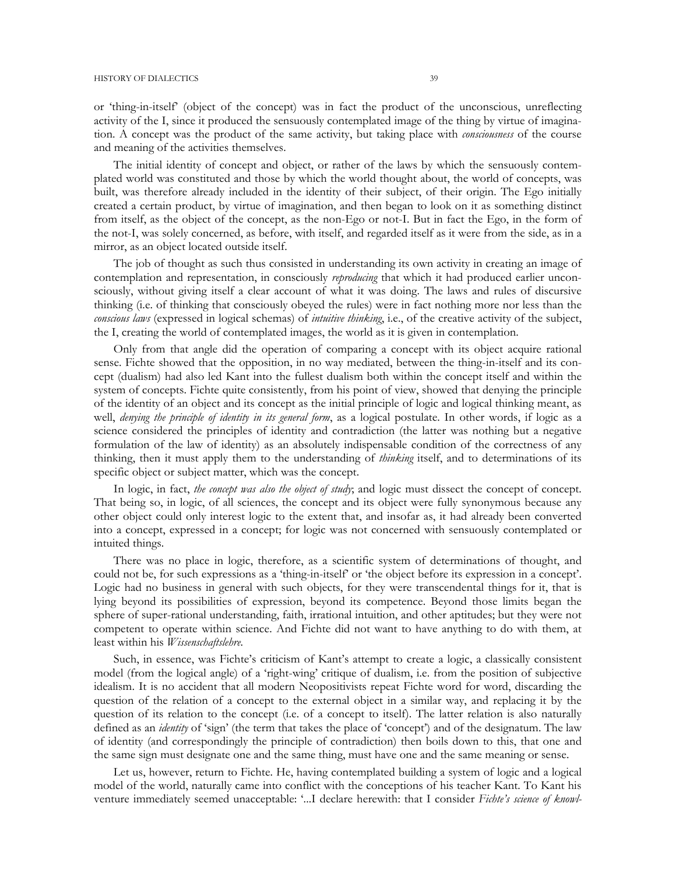or 'thing-in-itself' (object of the concept) was in fact the product of the unconscious, unreflecting activity of the I, since it produced the sensuously contemplated image of the thing by virtue of imagination. A concept was the product of the same activity, but taking place with *consciousness* of the course and meaning of the activities themselves.

The initial identity of concept and object, or rather of the laws by which the sensuously contemplated world was constituted and those by which the world thought about, the world of concepts, was built, was therefore already included in the identity of their subject, of their origin. The Ego initially created a certain product, by virtue of imagination, and then began to look on it as something distinct from itself, as the object of the concept, as the non-Ego or not-I. But in fact the Ego, in the form of the not-I, was solely concerned, as before, with itself, and regarded itself as it were from the side, as in a mirror, as an object located outside itself.

The job of thought as such thus consisted in understanding its own activity in creating an image of contemplation and representation, in consciously *reproducing* that which it had produced earlier unconsciously, without giving itself a clear account of what it was doing. The laws and rules of discursive thinking (i.e. of thinking that consciously obeyed the rules) were in fact nothing more nor less than the *conscious laws* (expressed in logical schemas) of *intuitive thinking*, i.e., of the creative activity of the subject, the I, creating the world of contemplated images, the world as it is given in contemplation.

Only from that angle did the operation of comparing a concept with its object acquire rational sense. Fichte showed that the opposition, in no way mediated, between the thing-in-itself and its concept (dualism) had also led Kant into the fullest dualism both within the concept itself and within the system of concepts. Fichte quite consistently, from his point of view, showed that denying the principle of the identity of an object and its concept as the initial principle of logic and logical thinking meant, as well, *denying the principle of identity in its general form*, as a logical postulate. In other words, if logic as a science considered the principles of identity and contradiction (the latter was nothing but a negative formulation of the law of identity) as an absolutely indispensable condition of the correctness of any thinking, then it must apply them to the understanding of *thinking* itself, and to determinations of its specific object or subject matter, which was the concept.

In logic, in fact, *the concept was also the object of study*; and logic must dissect the concept of concept. That being so, in logic, of all sciences, the concept and its object were fully synonymous because any other object could only interest logic to the extent that, and insofar as, it had already been converted into a concept, expressed in a concept; for logic was not concerned with sensuously contemplated or intuited things.

There was no place in logic, therefore, as a scientific system of determinations of thought, and could not be, for such expressions as a 'thing-in-itself' or 'the object before its expression in a concept'. Logic had no business in general with such objects, for they were transcendental things for it, that is lying beyond its possibilities of expression, beyond its competence. Beyond those limits began the sphere of super-rational understanding, faith, irrational intuition, and other aptitudes; but they were not competent to operate within science. And Fichte did not want to have anything to do with them, at least within his *Wissenschaftslehre*.

Such, in essence, was Fichte's criticism of Kant's attempt to create a logic, a classically consistent model (from the logical angle) of a 'right-wing' critique of dualism, i.e. from the position of subjective idealism. It is no accident that all modern Neopositivists repeat Fichte word for word, discarding the question of the relation of a concept to the external object in a similar way, and replacing it by the question of its relation to the concept (i.e. of a concept to itself). The latter relation is also naturally defined as an *identity* of 'sign' (the term that takes the place of 'concept') and of the designatum. The law of identity (and correspondingly the principle of contradiction) then boils down to this, that one and the same sign must designate one and the same thing, must have one and the same meaning or sense.

Let us, however, return to Fichte. He, having contemplated building a system of logic and a logical model of the world, naturally came into conflict with the conceptions of his teacher Kant. To Kant his venture immediately seemed unacceptable: '...I declare herewith: that I consider *Fichte's science of knowl-*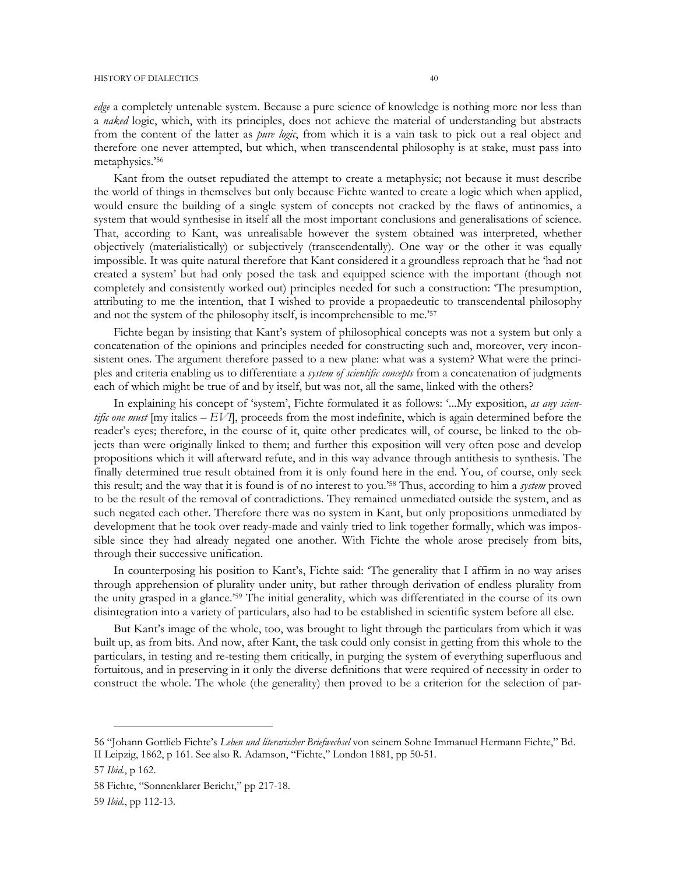*edge* a completely untenable system. Because a pure science of knowledge is nothing more nor less than a *naked* logic, which, with its principles, does not achieve the material of understanding but abstracts from the content of the latter as *pure logic*, from which it is a vain task to pick out a real object and therefore one never attempted, but which, when transcendental philosophy is at stake, must pass into metaphysics.'56

Kant from the outset repudiated the attempt to create a metaphysic; not because it must describe the world of things in themselves but only because Fichte wanted to create a logic which when applied, would ensure the building of a single system of concepts not cracked by the flaws of antinomies, a system that would synthesise in itself all the most important conclusions and generalisations of science. That, according to Kant, was unrealisable however the system obtained was interpreted, whether objectively (materialistically) or subjectively (transcendentally). One way or the other it was equally impossible. It was quite natural therefore that Kant considered it a groundless reproach that he 'had not created a system' but had only posed the task and equipped science with the important (though not completely and consistently worked out) principles needed for such a construction: 'The presumption, attributing to me the intention, that I wished to provide a propaedeutic to transcendental philosophy and not the system of the philosophy itself, is incomprehensible to me.'57

Fichte began by insisting that Kant's system of philosophical concepts was not a system but only a concatenation of the opinions and principles needed for constructing such and, moreover, very inconsistent ones. The argument therefore passed to a new plane: what was a system? What were the principles and criteria enabling us to differentiate a *system of scientific concepts* from a concatenation of judgments each of which might be true of and by itself, but was not, all the same, linked with the others?

In explaining his concept of 'system', Fichte formulated it as follows: '...My exposition, *as any scientific one must* [my italics – *EVI*], proceeds from the most indefinite, which is again determined before the reader's eyes; therefore, in the course of it, quite other predicates will, of course, be linked to the objects than were originally linked to them; and further this exposition will very often pose and develop propositions which it will afterward refute, and in this way advance through antithesis to synthesis. The finally determined true result obtained from it is only found here in the end. You, of course, only seek this result; and the way that it is found is of no interest to you.'58 Thus, according to him a *system* proved to be the result of the removal of contradictions. They remained unmediated outside the system, and as such negated each other. Therefore there was no system in Kant, but only propositions unmediated by development that he took over ready-made and vainly tried to link together formally, which was impossible since they had already negated one another. With Fichte the whole arose precisely from bits, through their successive unification.

In counterposing his position to Kant's, Fichte said: 'The generality that I affirm in no way arises through apprehension of plurality under unity, but rather through derivation of endless plurality from the unity grasped in a glance.'59 The initial generality, which was differentiated in the course of its own disintegration into a variety of particulars, also had to be established in scientific system before all else.

But Kant's image of the whole, too, was brought to light through the particulars from which it was built up, as from bits. And now, after Kant, the task could only consist in getting from this whole to the particulars, in testing and re-testing them critically, in purging the system of everything superfluous and fortuitous, and in preserving in it only the diverse definitions that were required of necessity in order to construct the whole. The whole (the generality) then proved to be a criterion for the selection of par-

<sup>56 &</sup>quot;Johann Gottlieb Fichte's *Leben und literarischer Briefwechsel* von seinem Sohne Immanuel Hermann Fichte," Bd. II Leipzig, 1862, p 161. See also R. Adamson, "Fichte," London 1881, pp 50-51.

<sup>57</sup> *Ibid.*, p 162.

<sup>58</sup> Fichte, "Sonnenklarer Bericht," pp 217-18.

<sup>59</sup> *Ibid.*, pp 112-13.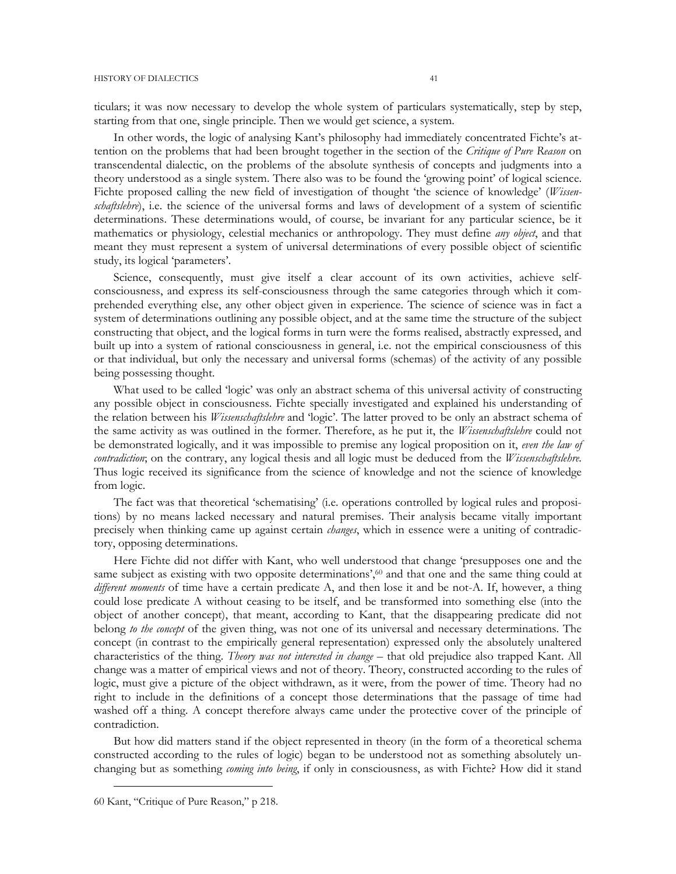ticulars; it was now necessary to develop the whole system of particulars systematically, step by step, starting from that one, single principle. Then we would get science, a system.

In other words, the logic of analysing Kant's philosophy had immediately concentrated Fichte's attention on the problems that had been brought together in the section of the *Critique of Pure Reason* on transcendental dialectic, on the problems of the absolute synthesis of concepts and judgments into a theory understood as a single system. There also was to be found the 'growing point' of logical science. Fichte proposed calling the new field of investigation of thought 'the science of knowledge' (*Wissenschaftslehre*), i.e. the science of the universal forms and laws of development of a system of scientific determinations. These determinations would, of course, be invariant for any particular science, be it mathematics or physiology, celestial mechanics or anthropology. They must define *any object*, and that meant they must represent a system of universal determinations of every possible object of scientific study, its logical 'parameters'.

Science, consequently, must give itself a clear account of its own activities, achieve selfconsciousness, and express its self-consciousness through the same categories through which it comprehended everything else, any other object given in experience. The science of science was in fact a system of determinations outlining any possible object, and at the same time the structure of the subject constructing that object, and the logical forms in turn were the forms realised, abstractly expressed, and built up into a system of rational consciousness in general, i.e. not the empirical consciousness of this or that individual, but only the necessary and universal forms (schemas) of the activity of any possible being possessing thought.

What used to be called 'logic' was only an abstract schema of this universal activity of constructing any possible object in consciousness. Fichte specially investigated and explained his understanding of the relation between his *Wissenschaftslehre* and 'logic'. The latter proved to be only an abstract schema of the same activity as was outlined in the former. Therefore, as he put it, the *Wissenschaftslehre* could not be demonstrated logically, and it was impossible to premise any logical proposition on it, *even the law of contradiction*; on the contrary, any logical thesis and all logic must be deduced from the *Wissenschaftslehre*. Thus logic received its significance from the science of knowledge and not the science of knowledge from logic.

The fact was that theoretical 'schematising' (i.e. operations controlled by logical rules and propositions) by no means lacked necessary and natural premises. Their analysis became vitally important precisely when thinking came up against certain *changes*, which in essence were a uniting of contradictory, opposing determinations.

Here Fichte did not differ with Kant, who well understood that change 'presupposes one and the same subject as existing with two opposite determinations',<sup>60</sup> and that one and the same thing could at *different moments* of time have a certain predicate A, and then lose it and be not-A. If, however, a thing could lose predicate A without ceasing to be itself, and be transformed into something else (into the object of another concept), that meant, according to Kant, that the disappearing predicate did not belong *to the concept* of the given thing, was not one of its universal and necessary determinations. The concept (in contrast to the empirically general representation) expressed only the absolutely unaltered characteristics of the thing. *Theory was not interested in change* – that old prejudice also trapped Kant. All change was a matter of empirical views and not of theory. Theory, constructed according to the rules of logic, must give a picture of the object withdrawn, as it were, from the power of time. Theory had no right to include in the definitions of a concept those determinations that the passage of time had washed off a thing. A concept therefore always came under the protective cover of the principle of contradiction.

But how did matters stand if the object represented in theory (in the form of a theoretical schema constructed according to the rules of logic) began to be understood not as something absolutely unchanging but as something *coming into being*, if only in consciousness, as with Fichte? How did it stand

<sup>60</sup> Kant, "Critique of Pure Reason," p 218.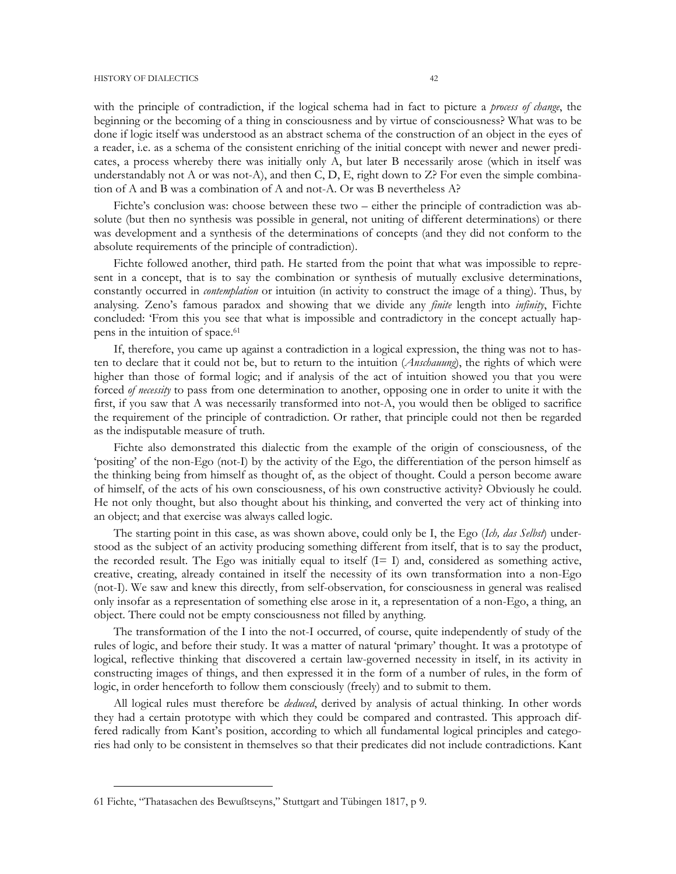with the principle of contradiction, if the logical schema had in fact to picture a *process of change*, the beginning or the becoming of a thing in consciousness and by virtue of consciousness? What was to be done if logic itself was understood as an abstract schema of the construction of an object in the eyes of a reader, i.e. as a schema of the consistent enriching of the initial concept with newer and newer predicates, a process whereby there was initially only A, but later B necessarily arose (which in itself was understandably not A or was not-A), and then C, D, E, right down to Z? For even the simple combination of A and B was a combination of A and not-A. Or was B nevertheless A?

Fichte's conclusion was: choose between these two – either the principle of contradiction was absolute (but then no synthesis was possible in general, not uniting of different determinations) or there was development and a synthesis of the determinations of concepts (and they did not conform to the absolute requirements of the principle of contradiction).

Fichte followed another, third path. He started from the point that what was impossible to represent in a concept, that is to say the combination or synthesis of mutually exclusive determinations, constantly occurred in *contemplation* or intuition (in activity to construct the image of a thing). Thus, by analysing. Zeno's famous paradox and showing that we divide any *finite* length into *infinity*, Fichte concluded: 'From this you see that what is impossible and contradictory in the concept actually happens in the intuition of space.61

If, therefore, you came up against a contradiction in a logical expression, the thing was not to hasten to declare that it could not be, but to return to the intuition (*Anschauung*), the rights of which were higher than those of formal logic; and if analysis of the act of intuition showed you that you were forced *of necessity* to pass from one determination to another, opposing one in order to unite it with the first, if you saw that A was necessarily transformed into not-A, you would then be obliged to sacrifice the requirement of the principle of contradiction. Or rather, that principle could not then be regarded as the indisputable measure of truth.

Fichte also demonstrated this dialectic from the example of the origin of consciousness, of the 'positing' of the non-Ego (not-I) by the activity of the Ego, the differentiation of the person himself as the thinking being from himself as thought of, as the object of thought. Could a person become aware of himself, of the acts of his own consciousness, of his own constructive activity? Obviously he could. He not only thought, but also thought about his thinking, and converted the very act of thinking into an object; and that exercise was always called logic.

The starting point in this case, as was shown above, could only be I, the Ego (*Ich, das Selbst*) understood as the subject of an activity producing something different from itself, that is to say the product, the recorded result. The Ego was initially equal to itself  $(I= I)$  and, considered as something active, creative, creating, already contained in itself the necessity of its own transformation into a non-Ego (not-I). We saw and knew this directly, from self-observation, for consciousness in general was realised only insofar as a representation of something else arose in it, a representation of a non-Ego, a thing, an object. There could not be empty consciousness not filled by anything.

The transformation of the I into the not-I occurred, of course, quite independently of study of the rules of logic, and before their study. It was a matter of natural 'primary' thought. It was a prototype of logical, reflective thinking that discovered a certain law-governed necessity in itself, in its activity in constructing images of things, and then expressed it in the form of a number of rules, in the form of logic, in order henceforth to follow them consciously (freely) and to submit to them.

All logical rules must therefore be *deduced*, derived by analysis of actual thinking. In other words they had a certain prototype with which they could be compared and contrasted. This approach differed radically from Kant's position, according to which all fundamental logical principles and categories had only to be consistent in themselves so that their predicates did not include contradictions. Kant

<sup>61</sup> Fichte, "Thatasachen des Bewußtseyns," Stuttgart and Tübingen 1817, p 9.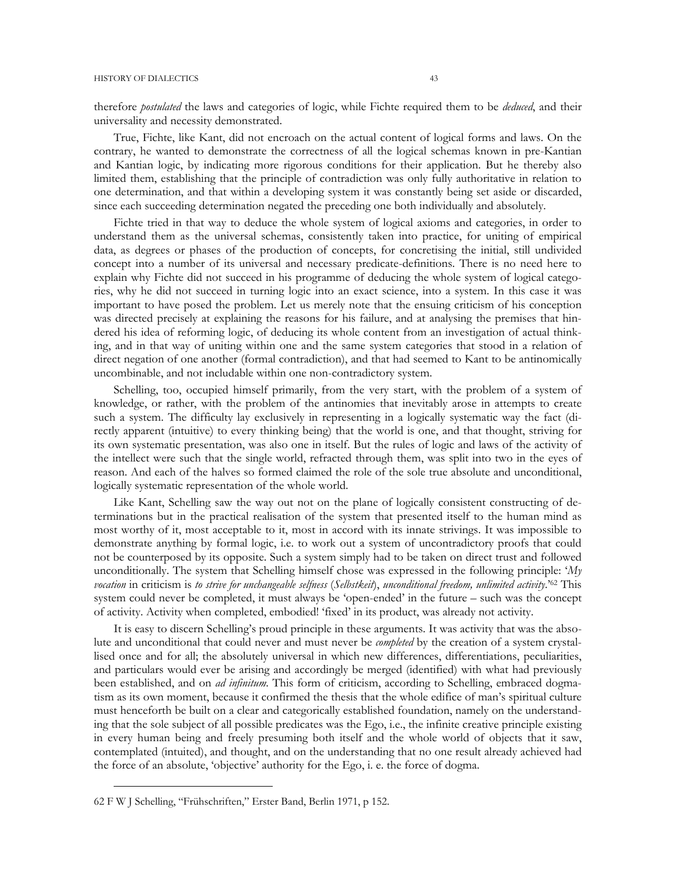therefore *postulated* the laws and categories of logic, while Fichte required them to be *deduced*, and their universality and necessity demonstrated.

True, Fichte, like Kant, did not encroach on the actual content of logical forms and laws. On the contrary, he wanted to demonstrate the correctness of all the logical schemas known in pre-Kantian and Kantian logic, by indicating more rigorous conditions for their application. But he thereby also limited them, establishing that the principle of contradiction was only fully authoritative in relation to one determination, and that within a developing system it was constantly being set aside or discarded, since each succeeding determination negated the preceding one both individually and absolutely.

Fichte tried in that way to deduce the whole system of logical axioms and categories, in order to understand them as the universal schemas, consistently taken into practice, for uniting of empirical data, as degrees or phases of the production of concepts, for concretising the initial, still undivided concept into a number of its universal and necessary predicate-definitions. There is no need here to explain why Fichte did not succeed in his programme of deducing the whole system of logical categories, why he did not succeed in turning logic into an exact science, into a system. In this case it was important to have posed the problem. Let us merely note that the ensuing criticism of his conception was directed precisely at explaining the reasons for his failure, and at analysing the premises that hindered his idea of reforming logic, of deducing its whole content from an investigation of actual thinking, and in that way of uniting within one and the same system categories that stood in a relation of direct negation of one another (formal contradiction), and that had seemed to Kant to be antinomically uncombinable, and not includable within one non-contradictory system.

Schelling, too, occupied himself primarily, from the very start, with the problem of a system of knowledge, or rather, with the problem of the antinomies that inevitably arose in attempts to create such a system. The difficulty lay exclusively in representing in a logically systematic way the fact (directly apparent (intuitive) to every thinking being) that the world is one, and that thought, striving for its own systematic presentation, was also one in itself. But the rules of logic and laws of the activity of the intellect were such that the single world, refracted through them, was split into two in the eyes of reason. And each of the halves so formed claimed the role of the sole true absolute and unconditional, logically systematic representation of the whole world.

Like Kant, Schelling saw the way out not on the plane of logically consistent constructing of determinations but in the practical realisation of the system that presented itself to the human mind as most worthy of it, most acceptable to it, most in accord with its innate strivings. It was impossible to demonstrate anything by formal logic, i.e. to work out a system of uncontradictory proofs that could not be counterposed by its opposite. Such a system simply had to be taken on direct trust and followed unconditionally. The system that Schelling himself chose was expressed in the following principle: '*My vocation* in criticism is *to strive for unchangeable selfness* (*Selbstkeit*), *unconditional freedom, unlimited activity*.'62 This system could never be completed, it must always be 'open-ended' in the future – such was the concept of activity. Activity when completed, embodied! 'fixed' in its product, was already not activity.

It is easy to discern Schelling's proud principle in these arguments. It was activity that was the absolute and unconditional that could never and must never be *completed* by the creation of a system crystallised once and for all; the absolutely universal in which new differences, differentiations, peculiarities, and particulars would ever be arising and accordingly be merged (identified) with what had previously been established, and on *ad infinitum*. This form of criticism, according to Schelling, embraced dogmatism as its own moment, because it confirmed the thesis that the whole edifice of man's spiritual culture must henceforth be built on a clear and categorically established foundation, namely on the understanding that the sole subject of all possible predicates was the Ego, i.e., the infinite creative principle existing in every human being and freely presuming both itself and the whole world of objects that it saw, contemplated (intuited), and thought, and on the understanding that no one result already achieved had the force of an absolute, 'objective' authority for the Ego, i. e. the force of dogma.

<sup>62</sup> F W J Schelling, "Frühschriften," Erster Band, Berlin 1971, p 152.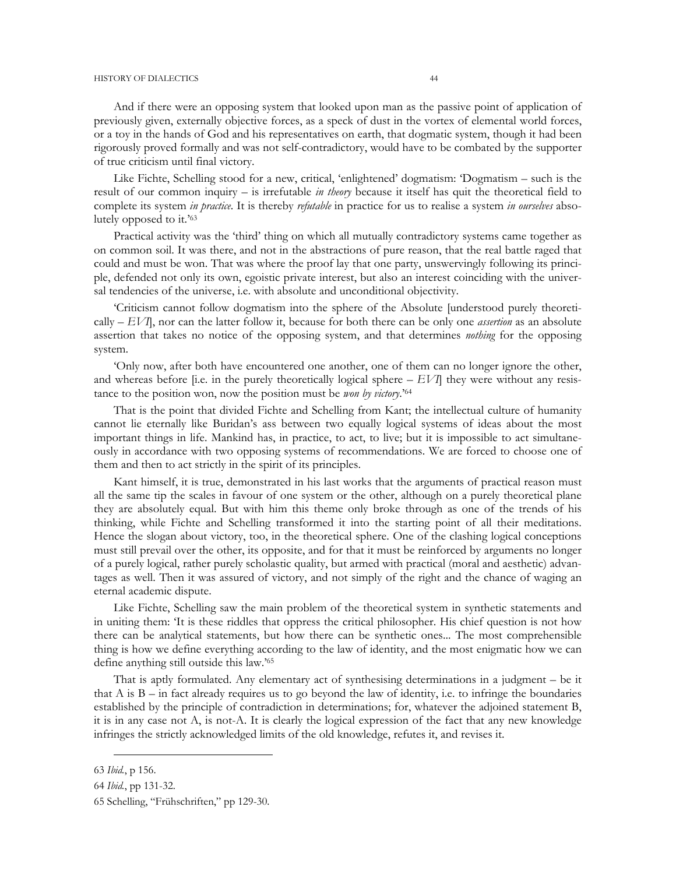### HISTORY OF DIALECTICS 44

And if there were an opposing system that looked upon man as the passive point of application of previously given, externally objective forces, as a speck of dust in the vortex of elemental world forces, or a toy in the hands of God and his representatives on earth, that dogmatic system, though it had been rigorously proved formally and was not self-contradictory, would have to be combated by the supporter of true criticism until final victory.

Like Fichte, Schelling stood for a new, critical, 'enlightened' dogmatism: 'Dogmatism – such is the result of our common inquiry – is irrefutable *in theory* because it itself has quit the theoretical field to complete its system *in practice*. It is thereby *refutable* in practice for us to realise a system *in ourselves* absolutely opposed to it.'63

Practical activity was the 'third' thing on which all mutually contradictory systems came together as on common soil. It was there, and not in the abstractions of pure reason, that the real battle raged that could and must be won. That was where the proof lay that one party, unswervingly following its principle, defended not only its own, egoistic private interest, but also an interest coinciding with the universal tendencies of the universe, i.e. with absolute and unconditional objectivity.

'Criticism cannot follow dogmatism into the sphere of the Absolute [understood purely theoretically – *EVI*], nor can the latter follow it, because for both there can be only one *assertion* as an absolute assertion that takes no notice of the opposing system, and that determines *nothing* for the opposing system.

'Only now, after both have encountered one another, one of them can no longer ignore the other, and whereas before [i.e. in the purely theoretically logical sphere – *EVI*] they were without any resistance to the position won, now the position must be *won by victory*.'64

That is the point that divided Fichte and Schelling from Kant; the intellectual culture of humanity cannot lie eternally like Buridan's ass between two equally logical systems of ideas about the most important things in life. Mankind has, in practice, to act, to live; but it is impossible to act simultaneously in accordance with two opposing systems of recommendations. We are forced to choose one of them and then to act strictly in the spirit of its principles.

Kant himself, it is true, demonstrated in his last works that the arguments of practical reason must all the same tip the scales in favour of one system or the other, although on a purely theoretical plane they are absolutely equal. But with him this theme only broke through as one of the trends of his thinking, while Fichte and Schelling transformed it into the starting point of all their meditations. Hence the slogan about victory, too, in the theoretical sphere. One of the clashing logical conceptions must still prevail over the other, its opposite, and for that it must be reinforced by arguments no longer of a purely logical, rather purely scholastic quality, but armed with practical (moral and aesthetic) advantages as well. Then it was assured of victory, and not simply of the right and the chance of waging an eternal academic dispute.

Like Fichte, Schelling saw the main problem of the theoretical system in synthetic statements and in uniting them: 'It is these riddles that oppress the critical philosopher. His chief question is not how there can be analytical statements, but how there can be synthetic ones... The most comprehensible thing is how we define everything according to the law of identity, and the most enigmatic how we can define anything still outside this law.'65

That is aptly formulated. Any elementary act of synthesising determinations in a judgment – be it that A is  $B$  – in fact already requires us to go beyond the law of identity, i.e. to infringe the boundaries established by the principle of contradiction in determinations; for, whatever the adjoined statement B, it is in any case not A, is not-A. It is clearly the logical expression of the fact that any new knowledge infringes the strictly acknowledged limits of the old knowledge, refutes it, and revises it.

<sup>63</sup> *Ibid.*, p 156.

<sup>64</sup> *Ibid.*, pp 131-32.

<sup>65</sup> Schelling, "Frühschriften," pp 129-30.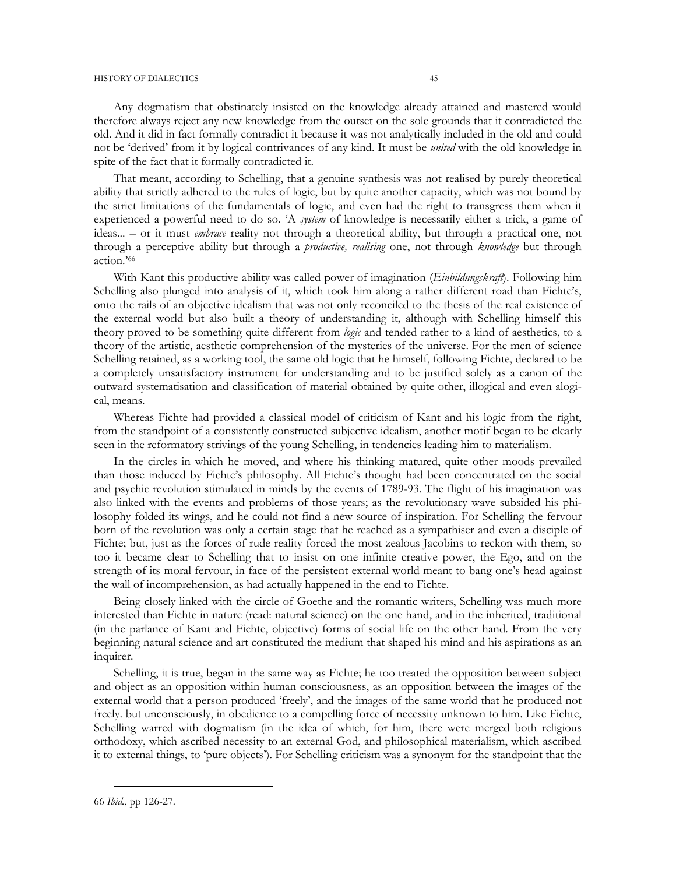### HISTORY OF DIALECTICS 45

Any dogmatism that obstinately insisted on the knowledge already attained and mastered would therefore always reject any new knowledge from the outset on the sole grounds that it contradicted the old. And it did in fact formally contradict it because it was not analytically included in the old and could not be 'derived' from it by logical contrivances of any kind. It must be *united* with the old knowledge in spite of the fact that it formally contradicted it.

That meant, according to Schelling, that a genuine synthesis was not realised by purely theoretical ability that strictly adhered to the rules of logic, but by quite another capacity, which was not bound by the strict limitations of the fundamentals of logic, and even had the right to transgress them when it experienced a powerful need to do so. 'A *system* of knowledge is necessarily either a trick, a game of ideas... – or it must *embrace* reality not through a theoretical ability, but through a practical one, not through a perceptive ability but through a *productive, realising* one, not through *knowledge* but through action.'66

With Kant this productive ability was called power of imagination (*Einbildungskraft*). Following him Schelling also plunged into analysis of it, which took him along a rather different road than Fichte's, onto the rails of an objective idealism that was not only reconciled to the thesis of the real existence of the external world but also built a theory of understanding it, although with Schelling himself this theory proved to be something quite different from *logic* and tended rather to a kind of aesthetics, to a theory of the artistic, aesthetic comprehension of the mysteries of the universe. For the men of science Schelling retained, as a working tool, the same old logic that he himself, following Fichte, declared to be a completely unsatisfactory instrument for understanding and to be justified solely as a canon of the outward systematisation and classification of material obtained by quite other, illogical and even alogical, means.

Whereas Fichte had provided a classical model of criticism of Kant and his logic from the right, from the standpoint of a consistently constructed subjective idealism, another motif began to be clearly seen in the reformatory strivings of the young Schelling, in tendencies leading him to materialism.

In the circles in which he moved, and where his thinking matured, quite other moods prevailed than those induced by Fichte's philosophy. All Fichte's thought had been concentrated on the social and psychic revolution stimulated in minds by the events of 1789-93. The flight of his imagination was also linked with the events and problems of those years; as the revolutionary wave subsided his philosophy folded its wings, and he could not find a new source of inspiration. For Schelling the fervour born of the revolution was only a certain stage that he reached as a sympathiser and even a disciple of Fichte; but, just as the forces of rude reality forced the most zealous Jacobins to reckon with them, so too it became clear to Schelling that to insist on one infinite creative power, the Ego, and on the strength of its moral fervour, in face of the persistent external world meant to bang one's head against the wall of incomprehension, as had actually happened in the end to Fichte.

Being closely linked with the circle of Goethe and the romantic writers, Schelling was much more interested than Fichte in nature (read: natural science) on the one hand, and in the inherited, traditional (in the parlance of Kant and Fichte, objective) forms of social life on the other hand. From the very beginning natural science and art constituted the medium that shaped his mind and his aspirations as an inquirer.

Schelling, it is true, began in the same way as Fichte; he too treated the opposition between subject and object as an opposition within human consciousness, as an opposition between the images of the external world that a person produced 'freely', and the images of the same world that he produced not freely. but unconsciously, in obedience to a compelling force of necessity unknown to him. Like Fichte, Schelling warred with dogmatism (in the idea of which, for him, there were merged both religious orthodoxy, which ascribed necessity to an external God, and philosophical materialism, which ascribed it to external things, to 'pure objects'). For Schelling criticism was a synonym for the standpoint that the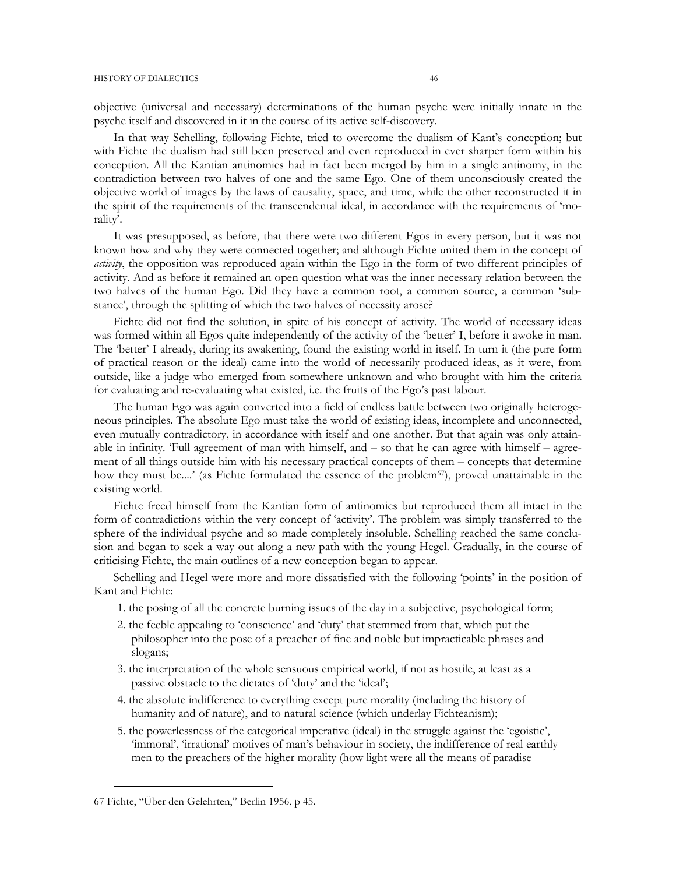objective (universal and necessary) determinations of the human psyche were initially innate in the psyche itself and discovered in it in the course of its active self-discovery.

In that way Schelling, following Fichte, tried to overcome the dualism of Kant's conception; but with Fichte the dualism had still been preserved and even reproduced in ever sharper form within his conception. All the Kantian antinomies had in fact been merged by him in a single antinomy, in the contradiction between two halves of one and the same Ego. One of them unconsciously created the objective world of images by the laws of causality, space, and time, while the other reconstructed it in the spirit of the requirements of the transcendental ideal, in accordance with the requirements of 'morality'.

It was presupposed, as before, that there were two different Egos in every person, but it was not known how and why they were connected together; and although Fichte united them in the concept of *activity*, the opposition was reproduced again within the Ego in the form of two different principles of activity. And as before it remained an open question what was the inner necessary relation between the two halves of the human Ego. Did they have a common root, a common source, a common 'substance', through the splitting of which the two halves of necessity arose?

Fichte did not find the solution, in spite of his concept of activity. The world of necessary ideas was formed within all Egos quite independently of the activity of the 'better' I, before it awoke in man. The 'better' I already, during its awakening, found the existing world in itself. In turn it (the pure form of practical reason or the ideal) came into the world of necessarily produced ideas, as it were, from outside, like a judge who emerged from somewhere unknown and who brought with him the criteria for evaluating and re-evaluating what existed, i.e. the fruits of the Ego's past labour.

The human Ego was again converted into a field of endless battle between two originally heterogeneous principles. The absolute Ego must take the world of existing ideas, incomplete and unconnected, even mutually contradictory, in accordance with itself and one another. But that again was only attainable in infinity. 'Full agreement of man with himself, and – so that he can agree with himself – agreement of all things outside him with his necessary practical concepts of them – concepts that determine how they must be....' (as Fichte formulated the essence of the problem<sup>67</sup>), proved unattainable in the existing world.

Fichte freed himself from the Kantian form of antinomies but reproduced them all intact in the form of contradictions within the very concept of 'activity'. The problem was simply transferred to the sphere of the individual psyche and so made completely insoluble. Schelling reached the same conclusion and began to seek a way out along a new path with the young Hegel. Gradually, in the course of criticising Fichte, the main outlines of a new conception began to appear.

Schelling and Hegel were more and more dissatisfied with the following 'points' in the position of Kant and Fichte:

- 1. the posing of all the concrete burning issues of the day in a subjective, psychological form;
- 2. the feeble appealing to 'conscience' and 'duty' that stemmed from that, which put the philosopher into the pose of a preacher of fine and noble but impracticable phrases and slogans;
- 3. the interpretation of the whole sensuous empirical world, if not as hostile, at least as a passive obstacle to the dictates of 'duty' and the 'ideal';
- 4. the absolute indifference to everything except pure morality (including the history of humanity and of nature), and to natural science (which underlay Fichteanism);
- 5. the powerlessness of the categorical imperative (ideal) in the struggle against the 'egoistic', 'immoral', 'irrational' motives of man's behaviour in society, the indifference of real earthly men to the preachers of the higher morality (how light were all the means of paradise

<sup>67</sup> Fichte, "Über den Gelehrten," Berlin 1956, p 45.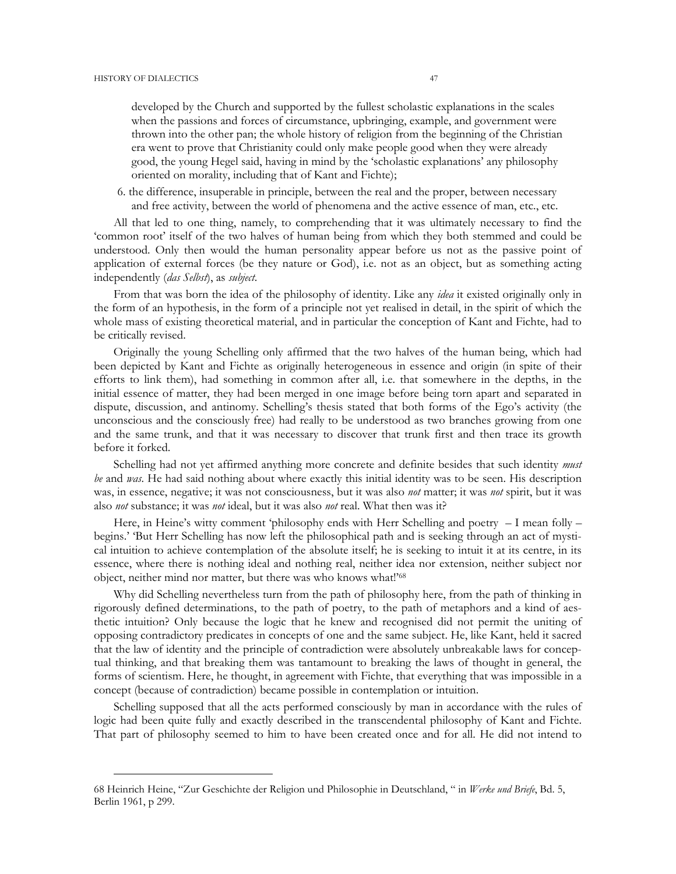**.** 

developed by the Church and supported by the fullest scholastic explanations in the scales when the passions and forces of circumstance, upbringing, example, and government were thrown into the other pan; the whole history of religion from the beginning of the Christian era went to prove that Christianity could only make people good when they were already good, the young Hegel said, having in mind by the 'scholastic explanations' any philosophy oriented on morality, including that of Kant and Fichte);

6. the difference, insuperable in principle, between the real and the proper, between necessary and free activity, between the world of phenomena and the active essence of man, etc., etc.

All that led to one thing, namely, to comprehending that it was ultimately necessary to find the 'common root' itself of the two halves of human being from which they both stemmed and could be understood. Only then would the human personality appear before us not as the passive point of application of external forces (be they nature or God), i.e. not as an object, but as something acting independently (*das Selbst*), as *subject*.

From that was born the idea of the philosophy of identity. Like any *idea* it existed originally only in the form of an hypothesis, in the form of a principle not yet realised in detail, in the spirit of which the whole mass of existing theoretical material, and in particular the conception of Kant and Fichte, had to be critically revised.

Originally the young Schelling only affirmed that the two halves of the human being, which had been depicted by Kant and Fichte as originally heterogeneous in essence and origin (in spite of their efforts to link them), had something in common after all, i.e. that somewhere in the depths, in the initial essence of matter, they had been merged in one image before being torn apart and separated in dispute, discussion, and antinomy. Schelling's thesis stated that both forms of the Ego's activity (the unconscious and the consciously free) had really to be understood as two branches growing from one and the same trunk, and that it was necessary to discover that trunk first and then trace its growth before it forked.

Schelling had not yet affirmed anything more concrete and definite besides that such identity *must be* and *was*. He had said nothing about where exactly this initial identity was to be seen. His description was, in essence, negative; it was not consciousness, but it was also *not* matter; it was *not* spirit, but it was also *not* substance; it was *not* ideal, but it was also *not* real. What then was it?

Here, in Heine's witty comment 'philosophy ends with Herr Schelling and poetry – I mean folly – begins.' 'But Herr Schelling has now left the philosophical path and is seeking through an act of mystical intuition to achieve contemplation of the absolute itself; he is seeking to intuit it at its centre, in its essence, where there is nothing ideal and nothing real, neither idea nor extension, neither subject nor object, neither mind nor matter, but there was who knows what!'68

Why did Schelling nevertheless turn from the path of philosophy here, from the path of thinking in rigorously defined determinations, to the path of poetry, to the path of metaphors and a kind of aesthetic intuition? Only because the logic that he knew and recognised did not permit the uniting of opposing contradictory predicates in concepts of one and the same subject. He, like Kant, held it sacred that the law of identity and the principle of contradiction were absolutely unbreakable laws for conceptual thinking, and that breaking them was tantamount to breaking the laws of thought in general, the forms of scientism. Here, he thought, in agreement with Fichte, that everything that was impossible in a concept (because of contradiction) became possible in contemplation or intuition.

Schelling supposed that all the acts performed consciously by man in accordance with the rules of logic had been quite fully and exactly described in the transcendental philosophy of Kant and Fichte. That part of philosophy seemed to him to have been created once and for all. He did not intend to

<sup>68</sup> Heinrich Heine, "Zur Geschichte der Religion und Philosophie in Deutschland, " in *Werke und Briefe*, Bd. 5, Berlin 1961, p 299.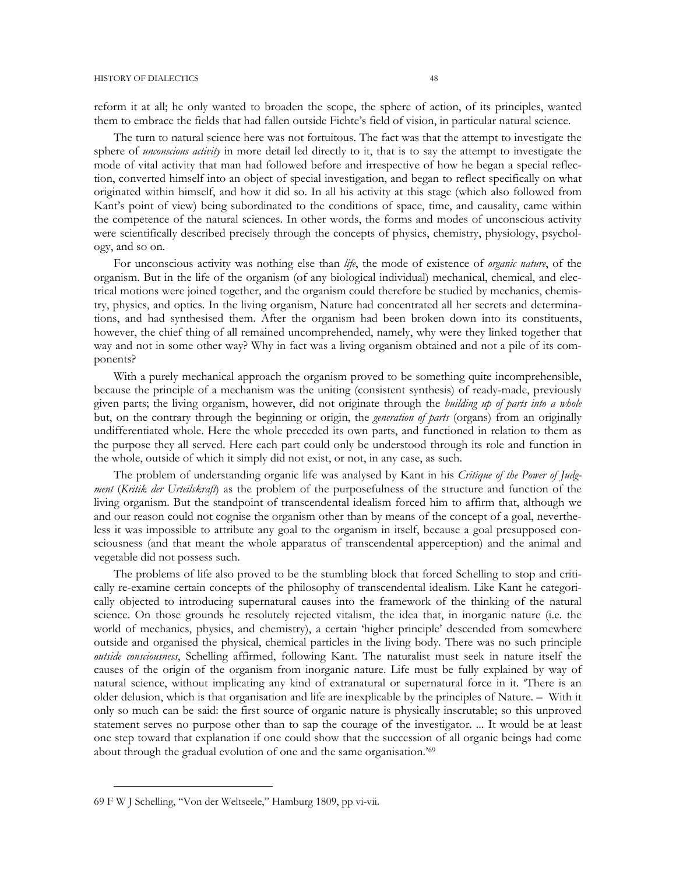The turn to natural science here was not fortuitous. The fact was that the attempt to investigate the sphere of *unconscious activity* in more detail led directly to it, that is to say the attempt to investigate the mode of vital activity that man had followed before and irrespective of how he began a special reflection, converted himself into an object of special investigation, and began to reflect specifically on what originated within himself, and how it did so. In all his activity at this stage (which also followed from Kant's point of view) being subordinated to the conditions of space, time, and causality, came within the competence of the natural sciences. In other words, the forms and modes of unconscious activity were scientifically described precisely through the concepts of physics, chemistry, physiology, psychology, and so on.

For unconscious activity was nothing else than *life*, the mode of existence of *organic nature*, of the organism. But in the life of the organism (of any biological individual) mechanical, chemical, and electrical motions were joined together, and the organism could therefore be studied by mechanics, chemistry, physics, and optics. In the living organism, Nature had concentrated all her secrets and determinations, and had synthesised them. After the organism had been broken down into its constituents, however, the chief thing of all remained uncomprehended, namely, why were they linked together that way and not in some other way? Why in fact was a living organism obtained and not a pile of its components?

With a purely mechanical approach the organism proved to be something quite incomprehensible, because the principle of a mechanism was the uniting (consistent synthesis) of ready-made, previously given parts; the living organism, however, did not originate through the *building up of parts into a whole* but, on the contrary through the beginning or origin, the *generation of parts* (organs) from an originally undifferentiated whole. Here the whole preceded its own parts, and functioned in relation to them as the purpose they all served. Here each part could only be understood through its role and function in the whole, outside of which it simply did not exist, or not, in any case, as such.

The problem of understanding organic life was analysed by Kant in his *Critique of the Power of Judgment* (*Kritik der Urteilskraft*) as the problem of the purposefulness of the structure and function of the living organism. But the standpoint of transcendental idealism forced him to affirm that, although we and our reason could not cognise the organism other than by means of the concept of a goal, nevertheless it was impossible to attribute any goal to the organism in itself, because a goal presupposed consciousness (and that meant the whole apparatus of transcendental apperception) and the animal and vegetable did not possess such.

The problems of life also proved to be the stumbling block that forced Schelling to stop and critically re-examine certain concepts of the philosophy of transcendental idealism. Like Kant he categorically objected to introducing supernatural causes into the framework of the thinking of the natural science. On those grounds he resolutely rejected vitalism, the idea that, in inorganic nature (i.e. the world of mechanics, physics, and chemistry), a certain 'higher principle' descended from somewhere outside and organised the physical, chemical particles in the living body. There was no such principle *outside consciousness*, Schelling affirmed, following Kant. The naturalist must seek in nature itself the causes of the origin of the organism from inorganic nature. Life must be fully explained by way of natural science, without implicating any kind of extranatural or supernatural force in it. 'There is an older delusion, which is that organisation and life are inexplicable by the principles of Nature. – With it only so much can be said: the first source of organic nature is physically inscrutable; so this unproved statement serves no purpose other than to sap the courage of the investigator. ... It would be at least one step toward that explanation if one could show that the succession of all organic beings had come about through the gradual evolution of one and the same organisation.'69

<sup>69</sup> F W J Schelling, "Von der Weltseele," Hamburg 1809, pp vi-vii.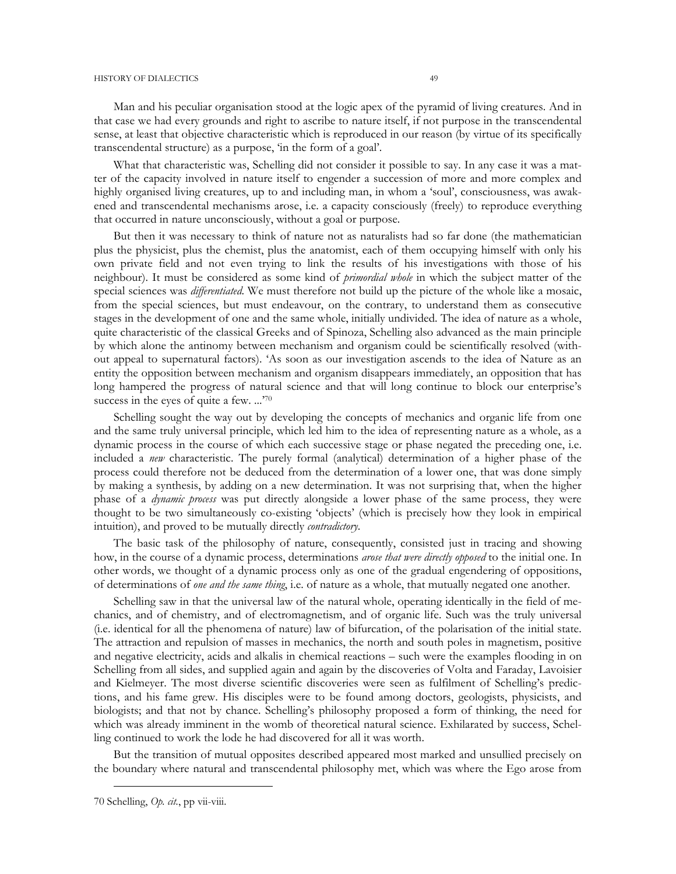### HISTORY OF DIALECTICS 49

Man and his peculiar organisation stood at the logic apex of the pyramid of living creatures. And in that case we had every grounds and right to ascribe to nature itself, if not purpose in the transcendental sense, at least that objective characteristic which is reproduced in our reason (by virtue of its specifically transcendental structure) as a purpose, 'in the form of a goal'.

What that characteristic was, Schelling did not consider it possible to say. In any case it was a matter of the capacity involved in nature itself to engender a succession of more and more complex and highly organised living creatures, up to and including man, in whom a 'soul', consciousness, was awakened and transcendental mechanisms arose, i.e. a capacity consciously (freely) to reproduce everything that occurred in nature unconsciously, without a goal or purpose.

But then it was necessary to think of nature not as naturalists had so far done (the mathematician plus the physicist, plus the chemist, plus the anatomist, each of them occupying himself with only his own private field and not even trying to link the results of his investigations with those of his neighbour). It must be considered as some kind of *primordial whole* in which the subject matter of the special sciences was *differentiated*. We must therefore not build up the picture of the whole like a mosaic, from the special sciences, but must endeavour, on the contrary, to understand them as consecutive stages in the development of one and the same whole, initially undivided. The idea of nature as a whole, quite characteristic of the classical Greeks and of Spinoza, Schelling also advanced as the main principle by which alone the antinomy between mechanism and organism could be scientifically resolved (without appeal to supernatural factors). 'As soon as our investigation ascends to the idea of Nature as an entity the opposition between mechanism and organism disappears immediately, an opposition that has long hampered the progress of natural science and that will long continue to block our enterprise's success in the eyes of quite a few. ...'70

Schelling sought the way out by developing the concepts of mechanics and organic life from one and the same truly universal principle, which led him to the idea of representing nature as a whole, as a dynamic process in the course of which each successive stage or phase negated the preceding one, i.e. included a *new* characteristic. The purely formal (analytical) determination of a higher phase of the process could therefore not be deduced from the determination of a lower one, that was done simply by making a synthesis, by adding on a new determination. It was not surprising that, when the higher phase of a *dynamic process* was put directly alongside a lower phase of the same process, they were thought to be two simultaneously co-existing 'objects' (which is precisely how they look in empirical intuition), and proved to be mutually directly *contradictory*.

The basic task of the philosophy of nature, consequently, consisted just in tracing and showing how, in the course of a dynamic process, determinations *arose that were directly opposed* to the initial one. In other words, we thought of a dynamic process only as one of the gradual engendering of oppositions, of determinations of *one and the same thing*, i.e. of nature as a whole, that mutually negated one another.

Schelling saw in that the universal law of the natural whole, operating identically in the field of mechanics, and of chemistry, and of electromagnetism, and of organic life. Such was the truly universal (i.e. identical for all the phenomena of nature) law of bifurcation, of the polarisation of the initial state. The attraction and repulsion of masses in mechanics, the north and south poles in magnetism, positive and negative electricity, acids and alkalis in chemical reactions – such were the examples flooding in on Schelling from all sides, and supplied again and again by the discoveries of Volta and Faraday, Lavoisier and Kielmeyer. The most diverse scientific discoveries were seen as fulfilment of Schelling's predictions, and his fame grew. His disciples were to be found among doctors, geologists, physicists, and biologists; and that not by chance. Schelling's philosophy proposed a form of thinking, the need for which was already imminent in the womb of theoretical natural science. Exhilarated by success, Schelling continued to work the lode he had discovered for all it was worth.

But the transition of mutual opposites described appeared most marked and unsullied precisely on the boundary where natural and transcendental philosophy met, which was where the Ego arose from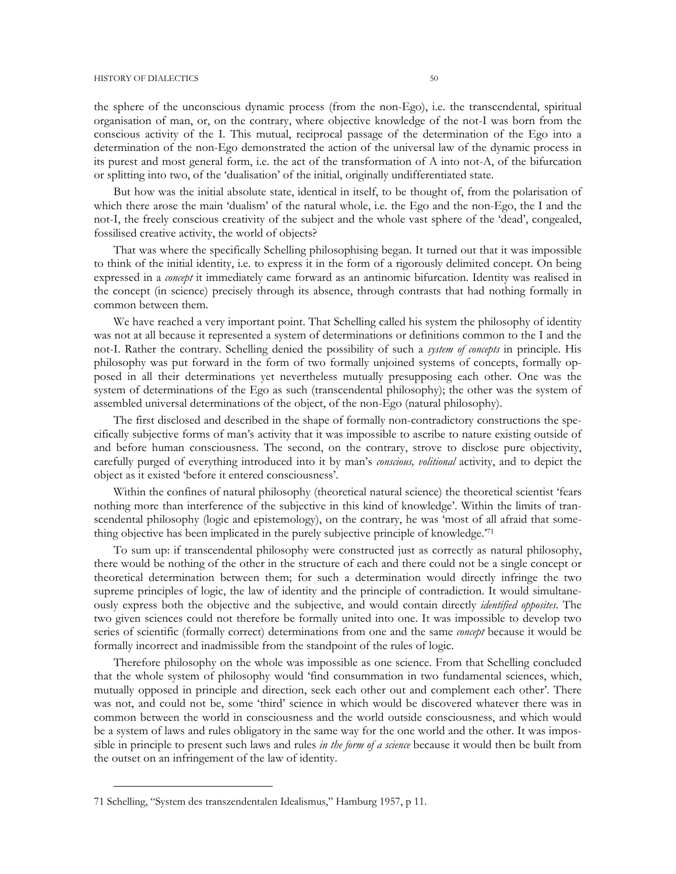the sphere of the unconscious dynamic process (from the non-Ego), i.e. the transcendental, spiritual organisation of man, or, on the contrary, where objective knowledge of the not-I was born from the conscious activity of the I. This mutual, reciprocal passage of the determination of the Ego into a determination of the non-Ego demonstrated the action of the universal law of the dynamic process in its purest and most general form, i.e. the act of the transformation of A into not-A, of the bifurcation or splitting into two, of the 'dualisation' of the initial, originally undifferentiated state.

But how was the initial absolute state, identical in itself, to be thought of, from the polarisation of which there arose the main 'dualism' of the natural whole, i.e. the Ego and the non-Ego, the I and the not-I, the freely conscious creativity of the subject and the whole vast sphere of the 'dead', congealed, fossilised creative activity, the world of objects?

That was where the specifically Schelling philosophising began. It turned out that it was impossible to think of the initial identity, i.e. to express it in the form of a rigorously delimited concept. On being expressed in a *concept* it immediately came forward as an antinomic bifurcation. Identity was realised in the concept (in science) precisely through its absence, through contrasts that had nothing formally in common between them.

We have reached a very important point. That Schelling called his system the philosophy of identity was not at all because it represented a system of determinations or definitions common to the I and the not-I. Rather the contrary. Schelling denied the possibility of such a *system of concepts* in principle. His philosophy was put forward in the form of two formally unjoined systems of concepts, formally opposed in all their determinations yet nevertheless mutually presupposing each other. One was the system of determinations of the Ego as such (transcendental philosophy); the other was the system of assembled universal determinations of the object, of the non-Ego (natural philosophy).

The first disclosed and described in the shape of formally non-contradictory constructions the specifically subjective forms of man's activity that it was impossible to ascribe to nature existing outside of and before human consciousness. The second, on the contrary, strove to disclose pure objectivity, carefully purged of everything introduced into it by man's *conscious, volitional* activity, and to depict the object as it existed 'before it entered consciousness'.

Within the confines of natural philosophy (theoretical natural science) the theoretical scientist 'fears nothing more than interference of the subjective in this kind of knowledge'. Within the limits of transcendental philosophy (logic and epistemology), on the contrary, he was 'most of all afraid that something objective has been implicated in the purely subjective principle of knowledge.'71

To sum up: if transcendental philosophy were constructed just as correctly as natural philosophy, there would be nothing of the other in the structure of each and there could not be a single concept or theoretical determination between them; for such a determination would directly infringe the two supreme principles of logic, the law of identity and the principle of contradiction. It would simultaneously express both the objective and the subjective, and would contain directly *identified opposites*. The two given sciences could not therefore be formally united into one. It was impossible to develop two series of scientific (formally correct) determinations from one and the same *concept* because it would be formally incorrect and inadmissible from the standpoint of the rules of logic.

Therefore philosophy on the whole was impossible as one science. From that Schelling concluded that the whole system of philosophy would 'find consummation in two fundamental sciences, which, mutually opposed in principle and direction, seek each other out and complement each other'. There was not, and could not be, some 'third' science in which would be discovered whatever there was in common between the world in consciousness and the world outside consciousness, and which would be a system of laws and rules obligatory in the same way for the one world and the other. It was impossible in principle to present such laws and rules *in the form of a science* because it would then be built from the outset on an infringement of the law of identity.

<sup>71</sup> Schelling, "System des transzendentalen Idealismus," Hamburg 1957, p 11.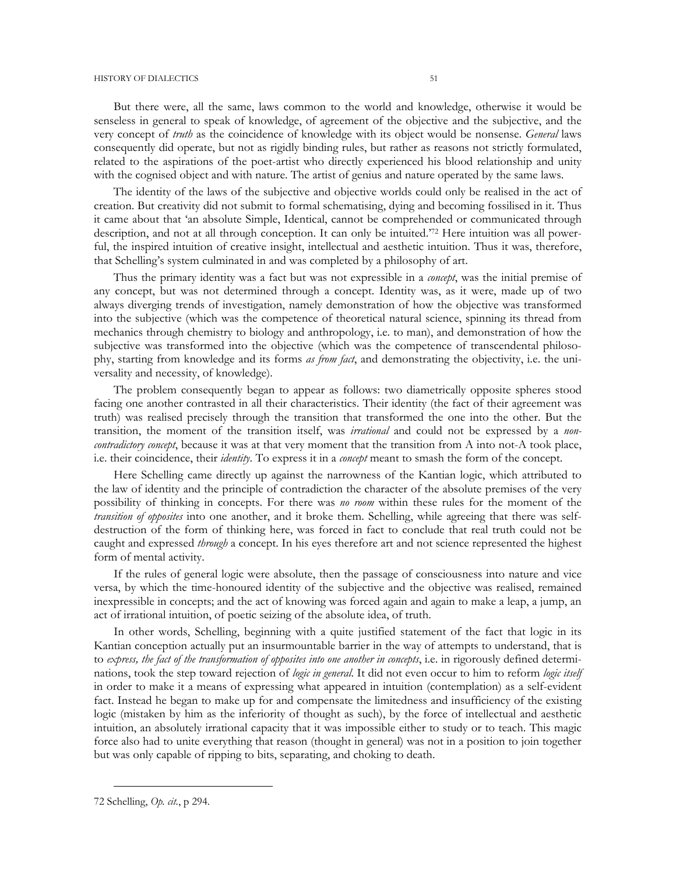But there were, all the same, laws common to the world and knowledge, otherwise it would be senseless in general to speak of knowledge, of agreement of the objective and the subjective, and the very concept of *truth* as the coincidence of knowledge with its object would be nonsense. *General* laws consequently did operate, but not as rigidly binding rules, but rather as reasons not strictly formulated, related to the aspirations of the poet-artist who directly experienced his blood relationship and unity with the cognised object and with nature. The artist of genius and nature operated by the same laws.

The identity of the laws of the subjective and objective worlds could only be realised in the act of creation. But creativity did not submit to formal schematising, dying and becoming fossilised in it. Thus it came about that 'an absolute Simple, Identical, cannot be comprehended or communicated through description, and not at all through conception. It can only be intuited.'72 Here intuition was all powerful, the inspired intuition of creative insight, intellectual and aesthetic intuition. Thus it was, therefore, that Schelling's system culminated in and was completed by a philosophy of art.

Thus the primary identity was a fact but was not expressible in a *concept*, was the initial premise of any concept, but was not determined through a concept. Identity was, as it were, made up of two always diverging trends of investigation, namely demonstration of how the objective was transformed into the subjective (which was the competence of theoretical natural science, spinning its thread from mechanics through chemistry to biology and anthropology, i.e. to man), and demonstration of how the subjective was transformed into the objective (which was the competence of transcendental philosophy, starting from knowledge and its forms *as from fact*, and demonstrating the objectivity, i.e. the universality and necessity, of knowledge).

The problem consequently began to appear as follows: two diametrically opposite spheres stood facing one another contrasted in all their characteristics. Their identity (the fact of their agreement was truth) was realised precisely through the transition that transformed the one into the other. But the transition, the moment of the transition itself, was *irrational* and could not be expressed by a *noncontradictory concept*, because it was at that very moment that the transition from A into not-A took place, i.e. their coincidence, their *identity*. To express it in a *concept* meant to smash the form of the concept.

Here Schelling came directly up against the narrowness of the Kantian logic, which attributed to the law of identity and the principle of contradiction the character of the absolute premises of the very possibility of thinking in concepts. For there was *no room* within these rules for the moment of the *transition of opposites* into one another, and it broke them. Schelling, while agreeing that there was selfdestruction of the form of thinking here, was forced in fact to conclude that real truth could not be caught and expressed *through* a concept. In his eyes therefore art and not science represented the highest form of mental activity.

If the rules of general logic were absolute, then the passage of consciousness into nature and vice versa, by which the time-honoured identity of the subjective and the objective was realised, remained inexpressible in concepts; and the act of knowing was forced again and again to make a leap, a jump, an act of irrational intuition, of poetic seizing of the absolute idea, of truth.

In other words, Schelling, beginning with a quite justified statement of the fact that logic in its Kantian conception actually put an insurmountable barrier in the way of attempts to understand, that is to *express, the fact of the transformation of opposites into one another in concepts*, i.e. in rigorously defined determinations, took the step toward rejection of *logic in general*. It did not even occur to him to reform *logic itself* in order to make it a means of expressing what appeared in intuition (contemplation) as a self-evident fact. Instead he began to make up for and compensate the limitedness and insufficiency of the existing logic (mistaken by him as the inferiority of thought as such), by the force of intellectual and aesthetic intuition, an absolutely irrational capacity that it was impossible either to study or to teach. This magic force also had to unite everything that reason (thought in general) was not in a position to join together but was only capable of ripping to bits, separating, and choking to death.

<sup>72</sup> Schelling, *Op. cit.*, p 294.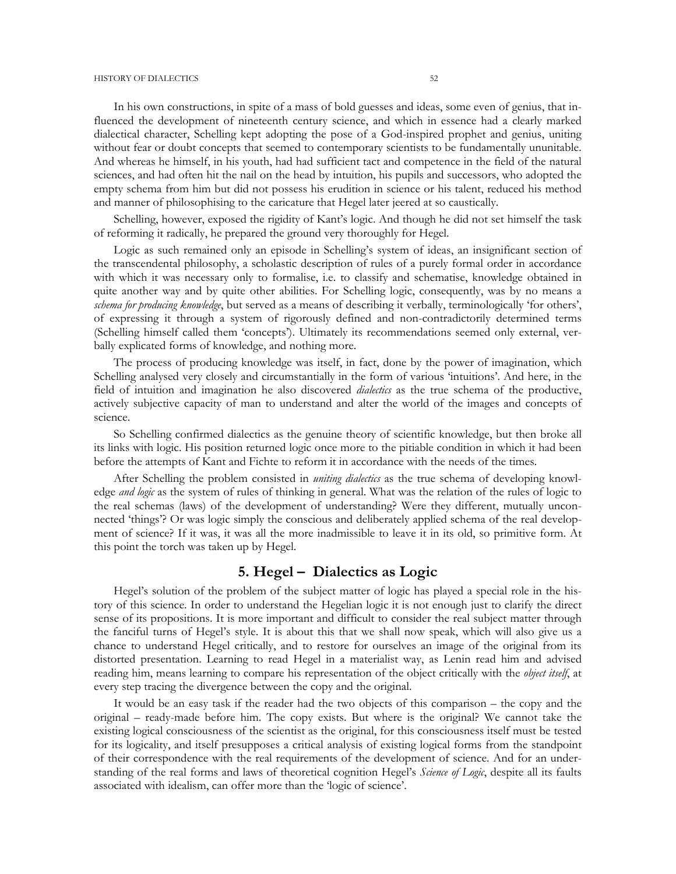In his own constructions, in spite of a mass of bold guesses and ideas, some even of genius, that influenced the development of nineteenth century science, and which in essence had a clearly marked dialectical character, Schelling kept adopting the pose of a God-inspired prophet and genius, uniting without fear or doubt concepts that seemed to contemporary scientists to be fundamentally ununitable. And whereas he himself, in his youth, had had sufficient tact and competence in the field of the natural sciences, and had often hit the nail on the head by intuition, his pupils and successors, who adopted the empty schema from him but did not possess his erudition in science or his talent, reduced his method and manner of philosophising to the caricature that Hegel later jeered at so caustically.

Schelling, however, exposed the rigidity of Kant's logic. And though he did not set himself the task of reforming it radically, he prepared the ground very thoroughly for Hegel.

Logic as such remained only an episode in Schelling's system of ideas, an insignificant section of the transcendental philosophy, a scholastic description of rules of a purely formal order in accordance with which it was necessary only to formalise, i.e. to classify and schematise, knowledge obtained in quite another way and by quite other abilities. For Schelling logic, consequently, was by no means a *schema for producing knowledge*, but served as a means of describing it verbally, terminologically 'for others', of expressing it through a system of rigorously defined and non-contradictorily determined terms (Schelling himself called them 'concepts'). Ultimately its recommendations seemed only external, verbally explicated forms of knowledge, and nothing more.

The process of producing knowledge was itself, in fact, done by the power of imagination, which Schelling analysed very closely and circumstantially in the form of various 'intuitions'. And here, in the field of intuition and imagination he also discovered *dialectics* as the true schema of the productive, actively subjective capacity of man to understand and alter the world of the images and concepts of science.

So Schelling confirmed dialectics as the genuine theory of scientific knowledge, but then broke all its links with logic. His position returned logic once more to the pitiable condition in which it had been before the attempts of Kant and Fichte to reform it in accordance with the needs of the times.

After Schelling the problem consisted in *uniting dialectics* as the true schema of developing knowledge *and logic* as the system of rules of thinking in general. What was the relation of the rules of logic to the real schemas (laws) of the development of understanding? Were they different, mutually unconnected 'things'? Or was logic simply the conscious and deliberately applied schema of the real development of science? If it was, it was all the more inadmissible to leave it in its old, so primitive form. At this point the torch was taken up by Hegel.

### **5. Hegel – Dialectics as Logic**

Hegel's solution of the problem of the subject matter of logic has played a special role in the history of this science. In order to understand the Hegelian logic it is not enough just to clarify the direct sense of its propositions. It is more important and difficult to consider the real subject matter through the fanciful turns of Hegel's style. It is about this that we shall now speak, which will also give us a chance to understand Hegel critically, and to restore for ourselves an image of the original from its distorted presentation. Learning to read Hegel in a materialist way, as Lenin read him and advised reading him, means learning to compare his representation of the object critically with the *object itself*, at every step tracing the divergence between the copy and the original.

It would be an easy task if the reader had the two objects of this comparison – the copy and the original – ready-made before him. The copy exists. But where is the original? We cannot take the existing logical consciousness of the scientist as the original, for this consciousness itself must be tested for its logicality, and itself presupposes a critical analysis of existing logical forms from the standpoint of their correspondence with the real requirements of the development of science. And for an understanding of the real forms and laws of theoretical cognition Hegel's *Science of Logic*, despite all its faults associated with idealism, can offer more than the 'logic of science'.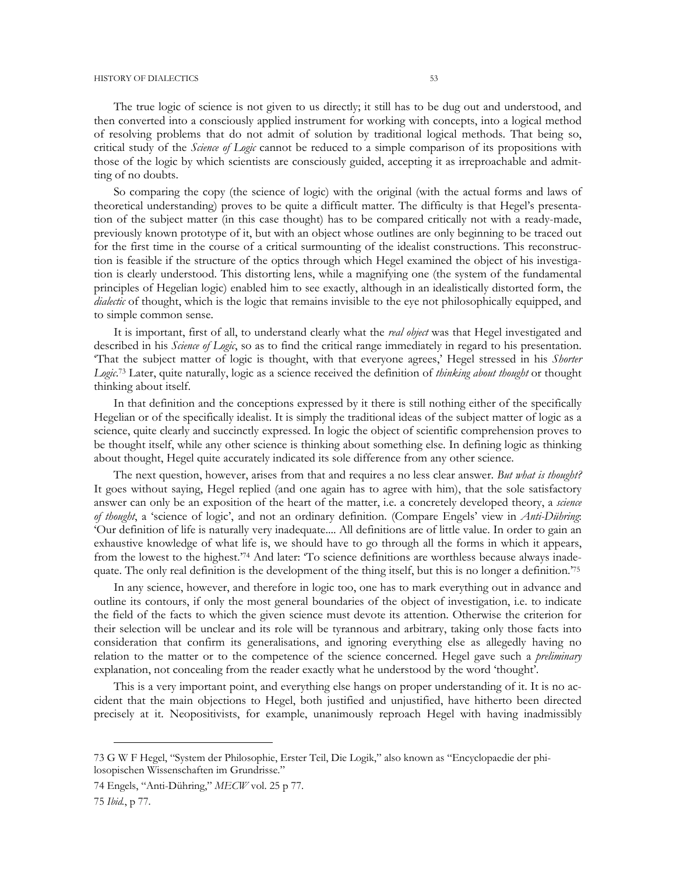### HISTORY OF DIALECTICS 53

The true logic of science is not given to us directly; it still has to be dug out and understood, and then converted into a consciously applied instrument for working with concepts, into a logical method of resolving problems that do not admit of solution by traditional logical methods. That being so, critical study of the *Science of Logic* cannot be reduced to a simple comparison of its propositions with those of the logic by which scientists are consciously guided, accepting it as irreproachable and admitting of no doubts.

So comparing the copy (the science of logic) with the original (with the actual forms and laws of theoretical understanding) proves to be quite a difficult matter. The difficulty is that Hegel's presentation of the subject matter (in this case thought) has to be compared critically not with a ready-made, previously known prototype of it, but with an object whose outlines are only beginning to be traced out for the first time in the course of a critical surmounting of the idealist constructions. This reconstruction is feasible if the structure of the optics through which Hegel examined the object of his investigation is clearly understood. This distorting lens, while a magnifying one (the system of the fundamental principles of Hegelian logic) enabled him to see exactly, although in an idealistically distorted form, the *dialectic* of thought, which is the logic that remains invisible to the eye not philosophically equipped, and to simple common sense.

It is important, first of all, to understand clearly what the *real object* was that Hegel investigated and described in his *Science of Logic*, so as to find the critical range immediately in regard to his presentation. 'That the subject matter of logic is thought, with that everyone agrees,' Hegel stressed in his *Shorter Logic*. 73 Later, quite naturally, logic as a science received the definition of *thinking about thought* or thought thinking about itself.

In that definition and the conceptions expressed by it there is still nothing either of the specifically Hegelian or of the specifically idealist. It is simply the traditional ideas of the subject matter of logic as a science, quite clearly and succinctly expressed. In logic the object of scientific comprehension proves to be thought itself, while any other science is thinking about something else. In defining logic as thinking about thought, Hegel quite accurately indicated its sole difference from any other science.

The next question, however, arises from that and requires a no less clear answer. *But what is thought?* It goes without saying, Hegel replied (and one again has to agree with him), that the sole satisfactory answer can only be an exposition of the heart of the matter, i.e. a concretely developed theory, a *science of thought*, a 'science of logic', and not an ordinary definition. (Compare Engels' view in *Anti-Dühring*: 'Our definition of life is naturally very inadequate.... All definitions are of little value. In order to gain an exhaustive knowledge of what life is, we should have to go through all the forms in which it appears, from the lowest to the highest.'74 And later: 'To science definitions are worthless because always inadequate. The only real definition is the development of the thing itself, but this is no longer a definition.<sup>'75</sup>

In any science, however, and therefore in logic too, one has to mark everything out in advance and outline its contours, if only the most general boundaries of the object of investigation, i.e. to indicate the field of the facts to which the given science must devote its attention. Otherwise the criterion for their selection will be unclear and its role will be tyrannous and arbitrary, taking only those facts into consideration that confirm its generalisations, and ignoring everything else as allegedly having no relation to the matter or to the competence of the science concerned. Hegel gave such a *preliminary* explanation, not concealing from the reader exactly what he understood by the word 'thought'.

This is a very important point, and everything else hangs on proper understanding of it. It is no accident that the main objections to Hegel, both justified and unjustified, have hitherto been directed precisely at it. Neopositivists, for example, unanimously reproach Hegel with having inadmissibly

<sup>73</sup> G W F Hegel, "System der Philosophie, Erster Teil, Die Logik," also known as "Encyclopaedie der philosopischen Wissenschaften im Grundrisse."

<sup>74</sup> Engels, "Anti-Dühring," *MECW* vol. 25 p 77. 75 *Ibid.*, p 77.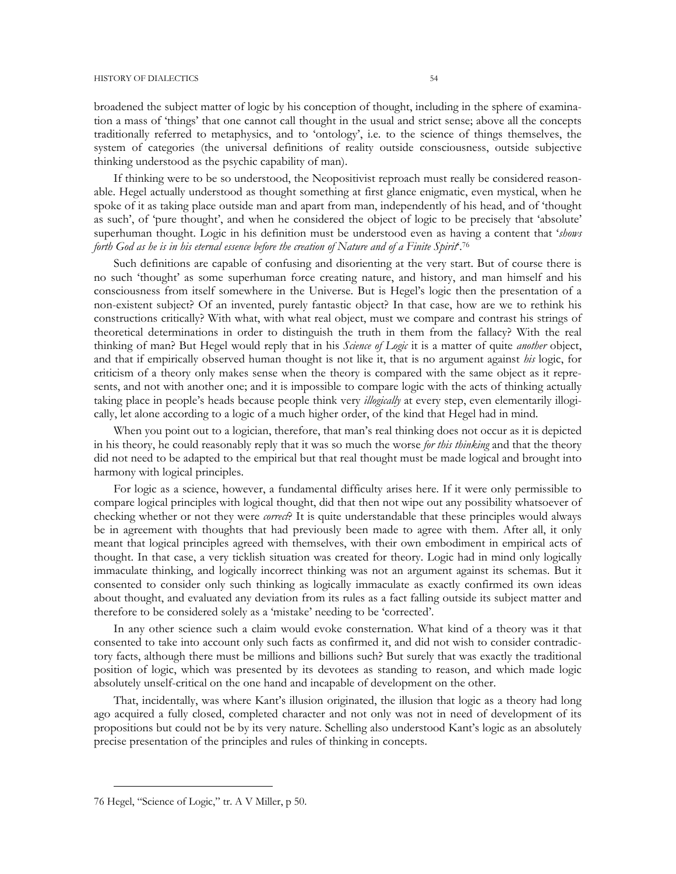broadened the subject matter of logic by his conception of thought, including in the sphere of examination a mass of 'things' that one cannot call thought in the usual and strict sense; above all the concepts traditionally referred to metaphysics, and to 'ontology', i.e. to the science of things themselves, the system of categories (the universal definitions of reality outside consciousness, outside subjective thinking understood as the psychic capability of man).

If thinking were to be so understood, the Neopositivist reproach must really be considered reasonable. Hegel actually understood as thought something at first glance enigmatic, even mystical, when he spoke of it as taking place outside man and apart from man, independently of his head, and of 'thought as such', of 'pure thought', and when he considered the object of logic to be precisely that 'absolute' superhuman thought. Logic in his definition must be understood even as having a content that '*shows forth God as he is in his eternal essence before the creation of Nature and of a Finite Spirit*'.76

Such definitions are capable of confusing and disorienting at the very start. But of course there is no such 'thought' as some superhuman force creating nature, and history, and man himself and his consciousness from itself somewhere in the Universe. But is Hegel's logic then the presentation of a non-existent subject? Of an invented, purely fantastic object? In that case, how are we to rethink his constructions critically? With what, with what real object, must we compare and contrast his strings of theoretical determinations in order to distinguish the truth in them from the fallacy? With the real thinking of man? But Hegel would reply that in his *Science of Logic* it is a matter of quite *another* object, and that if empirically observed human thought is not like it, that is no argument against *his* logic, for criticism of a theory only makes sense when the theory is compared with the same object as it represents, and not with another one; and it is impossible to compare logic with the acts of thinking actually taking place in people's heads because people think very *illogically* at every step, even elementarily illogically, let alone according to a logic of a much higher order, of the kind that Hegel had in mind.

When you point out to a logician, therefore, that man's real thinking does not occur as it is depicted in his theory, he could reasonably reply that it was so much the worse *for this thinking* and that the theory did not need to be adapted to the empirical but that real thought must be made logical and brought into harmony with logical principles.

For logic as a science, however, a fundamental difficulty arises here. If it were only permissible to compare logical principles with logical thought, did that then not wipe out any possibility whatsoever of checking whether or not they were *correct*? It is quite understandable that these principles would always be in agreement with thoughts that had previously been made to agree with them. After all, it only meant that logical principles agreed with themselves, with their own embodiment in empirical acts of thought. In that case, a very ticklish situation was created for theory. Logic had in mind only logically immaculate thinking, and logically incorrect thinking was not an argument against its schemas. But it consented to consider only such thinking as logically immaculate as exactly confirmed its own ideas about thought, and evaluated any deviation from its rules as a fact falling outside its subject matter and therefore to be considered solely as a 'mistake' needing to be 'corrected'.

In any other science such a claim would evoke consternation. What kind of a theory was it that consented to take into account only such facts as confirmed it, and did not wish to consider contradictory facts, although there must be millions and billions such? But surely that was exactly the traditional position of logic, which was presented by its devotees as standing to reason, and which made logic absolutely unself-critical on the one hand and incapable of development on the other.

That, incidentally, was where Kant's illusion originated, the illusion that logic as a theory had long ago acquired a fully closed, completed character and not only was not in need of development of its propositions but could not be by its very nature. Schelling also understood Kant's logic as an absolutely precise presentation of the principles and rules of thinking in concepts.

<sup>76</sup> Hegel, "Science of Logic," tr. A V Miller, p 50.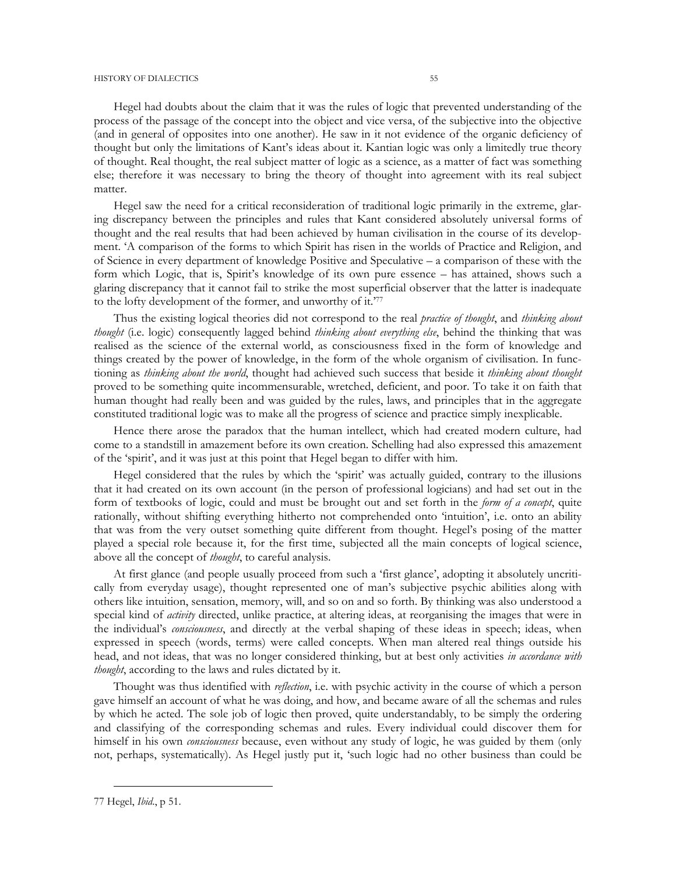Hegel had doubts about the claim that it was the rules of logic that prevented understanding of the process of the passage of the concept into the object and vice versa, of the subjective into the objective (and in general of opposites into one another). He saw in it not evidence of the organic deficiency of thought but only the limitations of Kant's ideas about it. Kantian logic was only a limitedly true theory of thought. Real thought, the real subject matter of logic as a science, as a matter of fact was something else; therefore it was necessary to bring the theory of thought into agreement with its real subject matter.

Hegel saw the need for a critical reconsideration of traditional logic primarily in the extreme, glaring discrepancy between the principles and rules that Kant considered absolutely universal forms of thought and the real results that had been achieved by human civilisation in the course of its development. 'A comparison of the forms to which Spirit has risen in the worlds of Practice and Religion, and of Science in every department of knowledge Positive and Speculative – a comparison of these with the form which Logic, that is, Spirit's knowledge of its own pure essence – has attained, shows such a glaring discrepancy that it cannot fail to strike the most superficial observer that the latter is inadequate to the lofty development of the former, and unworthy of it.'77

Thus the existing logical theories did not correspond to the real *practice of thought*, and *thinking about thought* (i.e. logic) consequently lagged behind *thinking about everything else*, behind the thinking that was realised as the science of the external world, as consciousness fixed in the form of knowledge and things created by the power of knowledge, in the form of the whole organism of civilisation. In functioning as *thinking about the world*, thought had achieved such success that beside it *thinking about thought* proved to be something quite incommensurable, wretched, deficient, and poor. To take it on faith that human thought had really been and was guided by the rules, laws, and principles that in the aggregate constituted traditional logic was to make all the progress of science and practice simply inexplicable.

Hence there arose the paradox that the human intellect, which had created modern culture, had come to a standstill in amazement before its own creation. Schelling had also expressed this amazement of the 'spirit', and it was just at this point that Hegel began to differ with him.

Hegel considered that the rules by which the 'spirit' was actually guided, contrary to the illusions that it had created on its own account (in the person of professional logicians) and had set out in the form of textbooks of logic, could and must be brought out and set forth in the *form of a concept*, quite rationally, without shifting everything hitherto not comprehended onto 'intuition', i.e. onto an ability that was from the very outset something quite different from thought. Hegel's posing of the matter played a special role because it, for the first time, subjected all the main concepts of logical science, above all the concept of *thought*, to careful analysis.

At first glance (and people usually proceed from such a 'first glance', adopting it absolutely uncritically from everyday usage), thought represented one of man's subjective psychic abilities along with others like intuition, sensation, memory, will, and so on and so forth. By thinking was also understood a special kind of *activity* directed, unlike practice, at altering ideas, at reorganising the images that were in the individual's *consciousness*, and directly at the verbal shaping of these ideas in speech; ideas, when expressed in speech (words, terms) were called concepts. When man altered real things outside his head, and not ideas, that was no longer considered thinking, but at best only activities *in accordance with thought*, according to the laws and rules dictated by it.

Thought was thus identified with *reflection*, i.e. with psychic activity in the course of which a person gave himself an account of what he was doing, and how, and became aware of all the schemas and rules by which he acted. The sole job of logic then proved, quite understandably, to be simply the ordering and classifying of the corresponding schemas and rules. Every individual could discover them for himself in his own *consciousness* because, even without any study of logic, he was guided by them (only not, perhaps, systematically). As Hegel justly put it, 'such logic had no other business than could be

<sup>77</sup> Hegel, *Ibid*., p 51.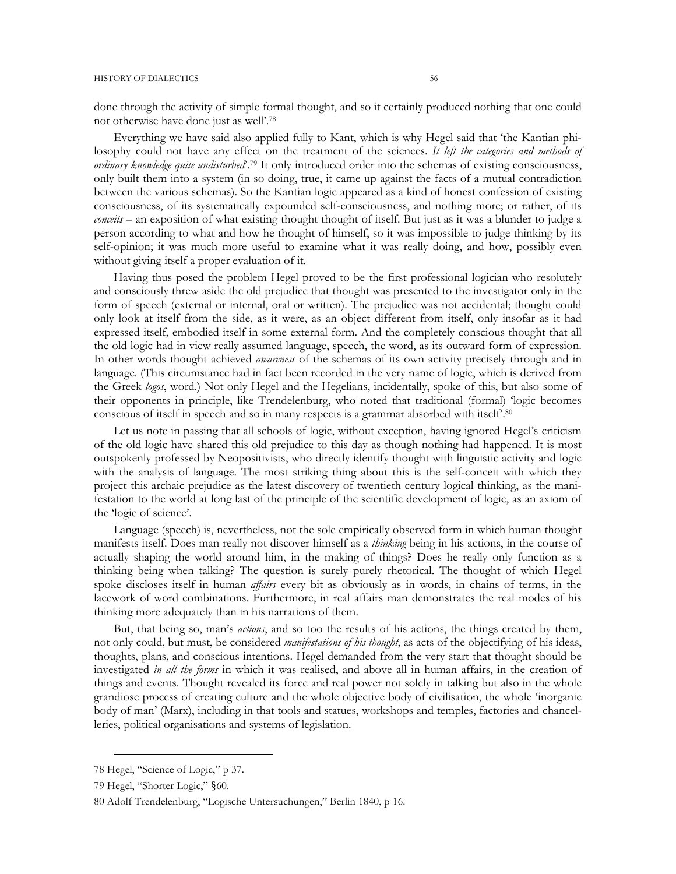done through the activity of simple formal thought, and so it certainly produced nothing that one could not otherwise have done just as well'.78

Everything we have said also applied fully to Kant, which is why Hegel said that 'the Kantian philosophy could not have any effect on the treatment of the sciences. *It left the categories and methods of ordinary knowledge quite undisturbed*'.79 It only introduced order into the schemas of existing consciousness, only built them into a system (in so doing, true, it came up against the facts of a mutual contradiction between the various schemas). So the Kantian logic appeared as a kind of honest confession of existing consciousness, of its systematically expounded self-consciousness, and nothing more; or rather, of its *conceits* – an exposition of what existing thought thought of itself. But just as it was a blunder to judge a person according to what and how he thought of himself, so it was impossible to judge thinking by its self-opinion; it was much more useful to examine what it was really doing, and how, possibly even without giving itself a proper evaluation of it.

Having thus posed the problem Hegel proved to be the first professional logician who resolutely and consciously threw aside the old prejudice that thought was presented to the investigator only in the form of speech (external or internal, oral or written). The prejudice was not accidental; thought could only look at itself from the side, as it were, as an object different from itself, only insofar as it had expressed itself, embodied itself in some external form. And the completely conscious thought that all the old logic had in view really assumed language, speech, the word, as its outward form of expression. In other words thought achieved *awareness* of the schemas of its own activity precisely through and in language. (This circumstance had in fact been recorded in the very name of logic, which is derived from the Greek *logos*, word.) Not only Hegel and the Hegelians, incidentally, spoke of this, but also some of their opponents in principle, like Trendelenburg, who noted that traditional (formal) 'logic becomes conscious of itself in speech and so in many respects is a grammar absorbed with itself.<sup>80</sup>

Let us note in passing that all schools of logic, without exception, having ignored Hegel's criticism of the old logic have shared this old prejudice to this day as though nothing had happened. It is most outspokenly professed by Neopositivists, who directly identify thought with linguistic activity and logic with the analysis of language. The most striking thing about this is the self-conceit with which they project this archaic prejudice as the latest discovery of twentieth century logical thinking, as the manifestation to the world at long last of the principle of the scientific development of logic, as an axiom of the 'logic of science'.

Language (speech) is, nevertheless, not the sole empirically observed form in which human thought manifests itself. Does man really not discover himself as a *thinking* being in his actions, in the course of actually shaping the world around him, in the making of things? Does he really only function as a thinking being when talking? The question is surely purely rhetorical. The thought of which Hegel spoke discloses itself in human *affairs* every bit as obviously as in words, in chains of terms, in the lacework of word combinations. Furthermore, in real affairs man demonstrates the real modes of his thinking more adequately than in his narrations of them.

But, that being so, man's *actions*, and so too the results of his actions, the things created by them, not only could, but must, be considered *manifestations of his thought*, as acts of the objectifying of his ideas, thoughts, plans, and conscious intentions. Hegel demanded from the very start that thought should be investigated *in all the forms* in which it was realised, and above all in human affairs, in the creation of things and events. Thought revealed its force and real power not solely in talking but also in the whole grandiose process of creating culture and the whole objective body of civilisation, the whole 'inorganic body of man' (Marx), including in that tools and statues, workshops and temples, factories and chancelleries, political organisations and systems of legislation.

<sup>78</sup> Hegel, "Science of Logic," p 37.

<sup>79</sup> Hegel, "Shorter Logic," §60.

<sup>80</sup> Adolf Trendelenburg, "Logische Untersuchungen," Berlin 1840, p 16.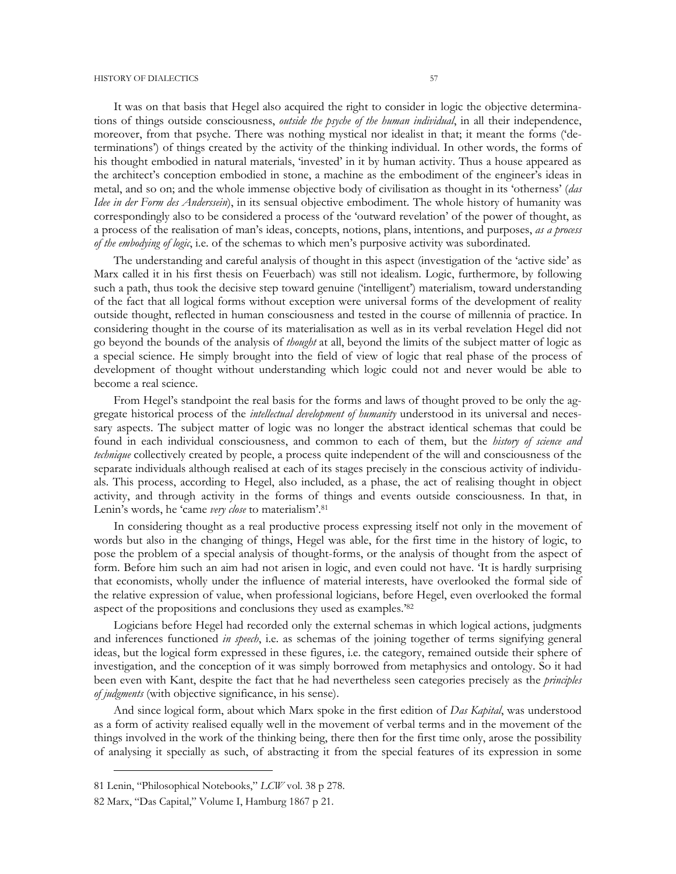It was on that basis that Hegel also acquired the right to consider in logic the objective determinations of things outside consciousness, *outside the psyche of the human individual*, in all their independence, moreover, from that psyche. There was nothing mystical nor idealist in that; it meant the forms ('determinations') of things created by the activity of the thinking individual. In other words, the forms of his thought embodied in natural materials, 'invested' in it by human activity. Thus a house appeared as the architect's conception embodied in stone, a machine as the embodiment of the engineer's ideas in metal, and so on; and the whole immense objective body of civilisation as thought in its 'otherness' (*das Idee in der Form des Anderssein*), in its sensual objective embodiment. The whole history of humanity was correspondingly also to be considered a process of the 'outward revelation' of the power of thought, as a process of the realisation of man's ideas, concepts, notions, plans, intentions, and purposes, *as a process of the embodying of logic*, i.e. of the schemas to which men's purposive activity was subordinated.

The understanding and careful analysis of thought in this aspect (investigation of the 'active side' as Marx called it in his first thesis on Feuerbach) was still not idealism. Logic, furthermore, by following such a path, thus took the decisive step toward genuine ('intelligent') materialism, toward understanding of the fact that all logical forms without exception were universal forms of the development of reality outside thought, reflected in human consciousness and tested in the course of millennia of practice. In considering thought in the course of its materialisation as well as in its verbal revelation Hegel did not go beyond the bounds of the analysis of *thought* at all, beyond the limits of the subject matter of logic as a special science. He simply brought into the field of view of logic that real phase of the process of development of thought without understanding which logic could not and never would be able to become a real science.

From Hegel's standpoint the real basis for the forms and laws of thought proved to be only the aggregate historical process of the *intellectual development of humanity* understood in its universal and necessary aspects. The subject matter of logic was no longer the abstract identical schemas that could be found in each individual consciousness, and common to each of them, but the *history of science and technique* collectively created by people, a process quite independent of the will and consciousness of the separate individuals although realised at each of its stages precisely in the conscious activity of individuals. This process, according to Hegel, also included, as a phase, the act of realising thought in object activity, and through activity in the forms of things and events outside consciousness. In that, in Lenin's words, he 'came *very close* to materialism'.81

In considering thought as a real productive process expressing itself not only in the movement of words but also in the changing of things, Hegel was able, for the first time in the history of logic, to pose the problem of a special analysis of thought-forms, or the analysis of thought from the aspect of form. Before him such an aim had not arisen in logic, and even could not have. 'It is hardly surprising that economists, wholly under the influence of material interests, have overlooked the formal side of the relative expression of value, when professional logicians, before Hegel, even overlooked the formal aspect of the propositions and conclusions they used as examples.'82

Logicians before Hegel had recorded only the external schemas in which logical actions, judgments and inferences functioned *in speech*, i.e. as schemas of the joining together of terms signifying general ideas, but the logical form expressed in these figures, i.e. the category, remained outside their sphere of investigation, and the conception of it was simply borrowed from metaphysics and ontology. So it had been even with Kant, despite the fact that he had nevertheless seen categories precisely as the *principles of judgments* (with objective significance, in his sense).

And since logical form, about which Marx spoke in the first edition of *Das Kapital*, was understood as a form of activity realised equally well in the movement of verbal terms and in the movement of the things involved in the work of the thinking being, there then for the first time only, arose the possibility of analysing it specially as such, of abstracting it from the special features of its expression in some

<sup>81</sup> Lenin, "Philosophical Notebooks," *LCW* vol. 38 p 278.

<sup>82</sup> Marx, "Das Capital," Volume I, Hamburg 1867 p 21.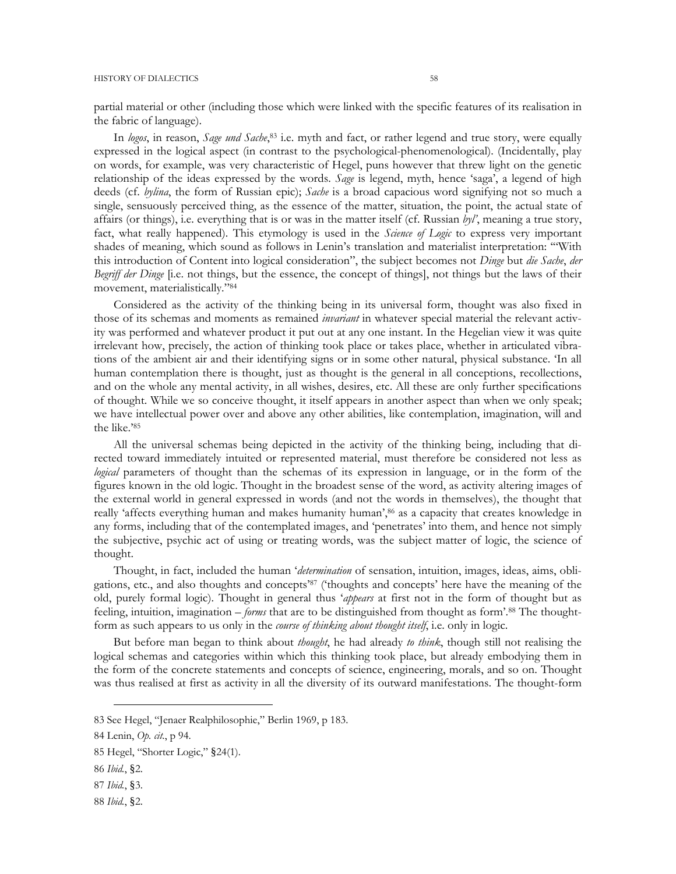partial material or other (including those which were linked with the specific features of its realisation in the fabric of language).

In *logos*, in reason, *Sage und Sache*,<sup>83</sup> i.e. myth and fact, or rather legend and true story, were equally expressed in the logical aspect (in contrast to the psychological-phenomenological). (Incidentally, play on words, for example, was very characteristic of Hegel, puns however that threw light on the genetic relationship of the ideas expressed by the words. *Sage* is legend, myth, hence 'saga', a legend of high deeds (cf. *bylina*, the form of Russian epic); *Sache* is a broad capacious word signifying not so much a single, sensuously perceived thing, as the essence of the matter, situation, the point, the actual state of affairs (or things), i.e. everything that is or was in the matter itself (cf. Russian *byl'*, meaning a true story, fact, what really happened). This etymology is used in the *Science of Logic* to express very important shades of meaning, which sound as follows in Lenin's translation and materialist interpretation: '"With this introduction of Content into logical consideration", the subject becomes not *Dinge* but *die Sache*, *der Begriff der Dinge* [i.e. not things, but the essence, the concept of things], not things but the laws of their movement, materialistically."84

Considered as the activity of the thinking being in its universal form, thought was also fixed in those of its schemas and moments as remained *invariant* in whatever special material the relevant activity was performed and whatever product it put out at any one instant. In the Hegelian view it was quite irrelevant how, precisely, the action of thinking took place or takes place, whether in articulated vibrations of the ambient air and their identifying signs or in some other natural, physical substance. 'In all human contemplation there is thought, just as thought is the general in all conceptions, recollections, and on the whole any mental activity, in all wishes, desires, etc. All these are only further specifications of thought. While we so conceive thought, it itself appears in another aspect than when we only speak; we have intellectual power over and above any other abilities, like contemplation, imagination, will and the like.'85

All the universal schemas being depicted in the activity of the thinking being, including that directed toward immediately intuited or represented material, must therefore be considered not less as *logical* parameters of thought than the schemas of its expression in language, or in the form of the figures known in the old logic. Thought in the broadest sense of the word, as activity altering images of the external world in general expressed in words (and not the words in themselves), the thought that really 'affects everything human and makes humanity human',<sup>86</sup> as a capacity that creates knowledge in any forms, including that of the contemplated images, and 'penetrates' into them, and hence not simply the subjective, psychic act of using or treating words, was the subject matter of logic, the science of thought.

Thought, in fact, included the human '*determination* of sensation, intuition, images, ideas, aims, obligations, etc., and also thoughts and concepts'87 ('thoughts and concepts' here have the meaning of the old, purely formal logic). Thought in general thus '*appears* at first not in the form of thought but as feeling, intuition, imagination – *forms* that are to be distinguished from thought as form'.88 The thoughtform as such appears to us only in the *course of thinking about thought itself*, i.e. only in logic.

But before man began to think about *thought*, he had already *to think*, though still not realising the logical schemas and categories within which this thinking took place, but already embodying them in the form of the concrete statements and concepts of science, engineering, morals, and so on. Thought was thus realised at first as activity in all the diversity of its outward manifestations. The thought-form

<sup>83</sup> See Hegel, "Jenaer Realphilosophie," Berlin 1969, p 183.

<sup>84</sup> Lenin, *Op. cit.*, p 94.

<sup>85</sup> Hegel, "Shorter Logic," §24(1).

<sup>86</sup> *Ibid.*, §2.

<sup>87</sup> *Ibid.*, §3.

<sup>88</sup> *Ibid.*, §2.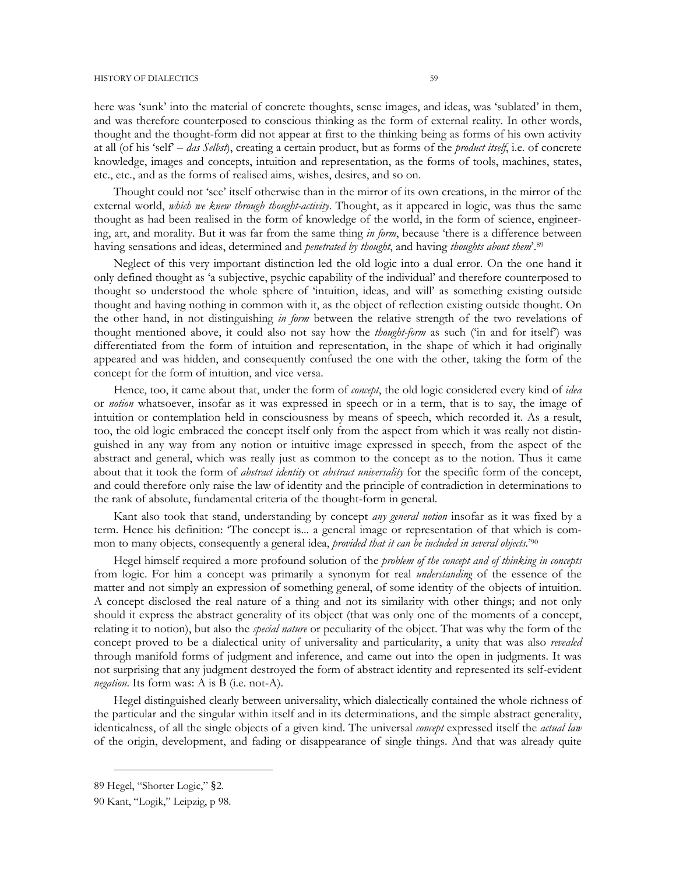here was 'sunk' into the material of concrete thoughts, sense images, and ideas, was 'sublated' in them, and was therefore counterposed to conscious thinking as the form of external reality. In other words, thought and the thought-form did not appear at first to the thinking being as forms of his own activity at all (of his 'self' – *das Selbst*), creating a certain product, but as forms of the *product itself*, i.e. of concrete knowledge, images and concepts, intuition and representation, as the forms of tools, machines, states, etc., etc., and as the forms of realised aims, wishes, desires, and so on.

Thought could not 'see' itself otherwise than in the mirror of its own creations, in the mirror of the external world, *which we knew through thought-activity*. Thought, as it appeared in logic, was thus the same thought as had been realised in the form of knowledge of the world, in the form of science, engineering, art, and morality. But it was far from the same thing *in form*, because 'there is a difference between having sensations and ideas, determined and *penetrated by thought*, and having *thoughts about them*'.89

Neglect of this very important distinction led the old logic into a dual error. On the one hand it only defined thought as 'a subjective, psychic capability of the individual' and therefore counterposed to thought so understood the whole sphere of 'intuition, ideas, and will' as something existing outside thought and having nothing in common with it, as the object of reflection existing outside thought. On the other hand, in not distinguishing *in form* between the relative strength of the two revelations of thought mentioned above, it could also not say how the *thought-form* as such ('in and for itself') was differentiated from the form of intuition and representation, in the shape of which it had originally appeared and was hidden, and consequently confused the one with the other, taking the form of the concept for the form of intuition, and vice versa.

Hence, too, it came about that, under the form of *concept*, the old logic considered every kind of *idea* or *notion* whatsoever, insofar as it was expressed in speech or in a term, that is to say, the image of intuition or contemplation held in consciousness by means of speech, which recorded it. As a result, too, the old logic embraced the concept itself only from the aspect from which it was really not distinguished in any way from any notion or intuitive image expressed in speech, from the aspect of the abstract and general, which was really just as common to the concept as to the notion. Thus it came about that it took the form of *abstract identity* or *abstract universality* for the specific form of the concept, and could therefore only raise the law of identity and the principle of contradiction in determinations to the rank of absolute, fundamental criteria of the thought-form in general.

Kant also took that stand, understanding by concept *any general notion* insofar as it was fixed by a term. Hence his definition: 'The concept is... a general image or representation of that which is common to many objects, consequently a general idea, *provided that it can be included in several objects*.'90

Hegel himself required a more profound solution of the *problem of the concept and of thinking in concepts* from logic. For him a concept was primarily a synonym for real *understanding* of the essence of the matter and not simply an expression of something general, of some identity of the objects of intuition. A concept disclosed the real nature of a thing and not its similarity with other things; and not only should it express the abstract generality of its object (that was only one of the moments of a concept, relating it to notion), but also the *special nature* or peculiarity of the object. That was why the form of the concept proved to be a dialectical unity of universality and particularity, a unity that was also *revealed* through manifold forms of judgment and inference, and came out into the open in judgments. It was not surprising that any judgment destroyed the form of abstract identity and represented its self-evident *negation*. Its form was: A is B (i.e. not-A).

Hegel distinguished clearly between universality, which dialectically contained the whole richness of the particular and the singular within itself and in its determinations, and the simple abstract generality, identicalness, of all the single objects of a given kind. The universal *concept* expressed itself the *actual law* of the origin, development, and fading or disappearance of single things. And that was already quite

<sup>89</sup> Hegel, "Shorter Logic," §2.

<sup>90</sup> Kant, "Logik," Leipzig, p 98.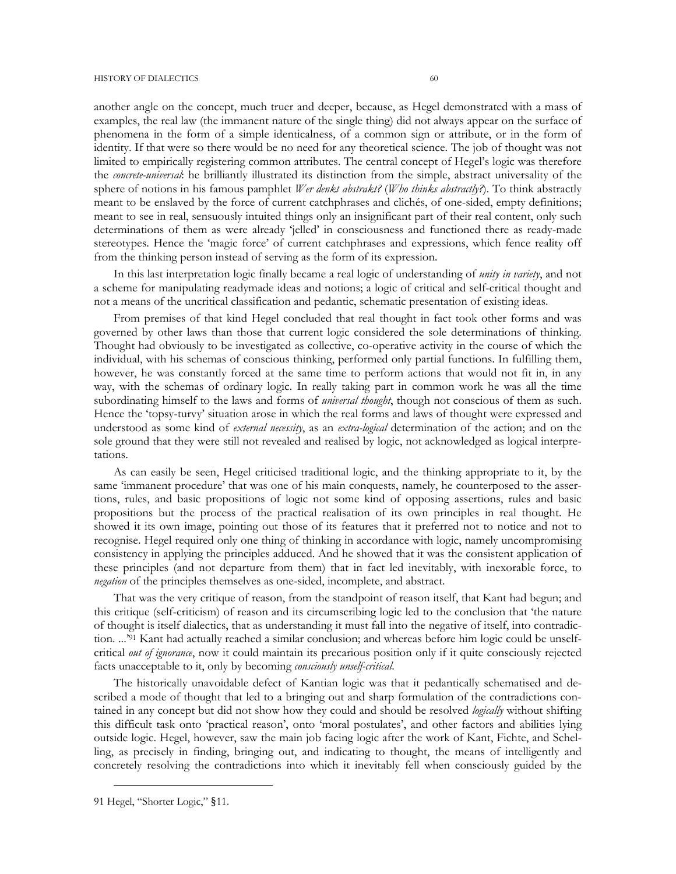another angle on the concept, much truer and deeper, because, as Hegel demonstrated with a mass of examples, the real law (the immanent nature of the single thing) did not always appear on the surface of phenomena in the form of a simple identicalness, of a common sign or attribute, or in the form of identity. If that were so there would be no need for any theoretical science. The job of thought was not limited to empirically registering common attributes. The central concept of Hegel's logic was therefore the *concrete-universal*: he brilliantly illustrated its distinction from the simple, abstract universality of the sphere of notions in his famous pamphlet *Wer denkt abstrakt?* (*Who thinks abstractly?*). To think abstractly meant to be enslaved by the force of current catchphrases and clichés, of one-sided, empty definitions; meant to see in real, sensuously intuited things only an insignificant part of their real content, only such determinations of them as were already 'jelled' in consciousness and functioned there as ready-made stereotypes. Hence the 'magic force' of current catchphrases and expressions, which fence reality off from the thinking person instead of serving as the form of its expression.

In this last interpretation logic finally became a real logic of understanding of *unity in variety*, and not a scheme for manipulating readymade ideas and notions; a logic of critical and self-critical thought and not a means of the uncritical classification and pedantic, schematic presentation of existing ideas.

From premises of that kind Hegel concluded that real thought in fact took other forms and was governed by other laws than those that current logic considered the sole determinations of thinking. Thought had obviously to be investigated as collective, co-operative activity in the course of which the individual, with his schemas of conscious thinking, performed only partial functions. In fulfilling them, however, he was constantly forced at the same time to perform actions that would not fit in, in any way, with the schemas of ordinary logic. In really taking part in common work he was all the time subordinating himself to the laws and forms of *universal thought*, though not conscious of them as such. Hence the 'topsy-turvy' situation arose in which the real forms and laws of thought were expressed and understood as some kind of *external necessity*, as an *extra-logical* determination of the action; and on the sole ground that they were still not revealed and realised by logic, not acknowledged as logical interpretations.

As can easily be seen, Hegel criticised traditional logic, and the thinking appropriate to it, by the same 'immanent procedure' that was one of his main conquests, namely, he counterposed to the assertions, rules, and basic propositions of logic not some kind of opposing assertions, rules and basic propositions but the process of the practical realisation of its own principles in real thought. He showed it its own image, pointing out those of its features that it preferred not to notice and not to recognise. Hegel required only one thing of thinking in accordance with logic, namely uncompromising consistency in applying the principles adduced. And he showed that it was the consistent application of these principles (and not departure from them) that in fact led inevitably, with inexorable force, to *negation* of the principles themselves as one-sided, incomplete, and abstract.

That was the very critique of reason, from the standpoint of reason itself, that Kant had begun; and this critique (self-criticism) of reason and its circumscribing logic led to the conclusion that 'the nature of thought is itself dialectics, that as understanding it must fall into the negative of itself, into contradiction. ...'91 Kant had actually reached a similar conclusion; and whereas before him logic could be unselfcritical *out of ignorance*, now it could maintain its precarious position only if it quite consciously rejected facts unacceptable to it, only by becoming *consciously unself-critical*.

The historically unavoidable defect of Kantian logic was that it pedantically schematised and described a mode of thought that led to a bringing out and sharp formulation of the contradictions contained in any concept but did not show how they could and should be resolved *logically* without shifting this difficult task onto 'practical reason', onto 'moral postulates', and other factors and abilities lying outside logic. Hegel, however, saw the main job facing logic after the work of Kant, Fichte, and Schelling, as precisely in finding, bringing out, and indicating to thought, the means of intelligently and concretely resolving the contradictions into which it inevitably fell when consciously guided by the

<sup>91</sup> Hegel, "Shorter Logic," §11.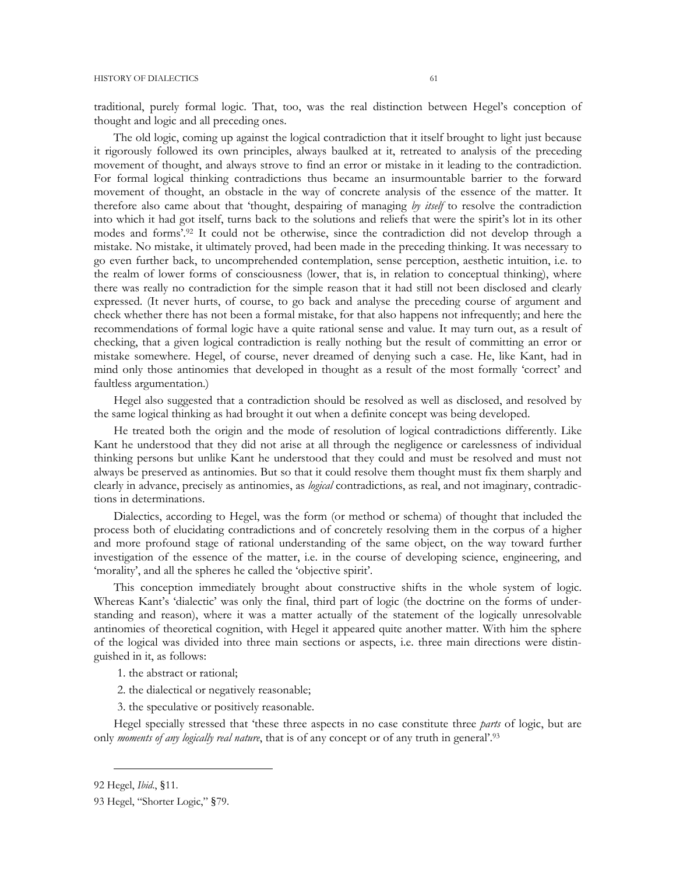traditional, purely formal logic. That, too, was the real distinction between Hegel's conception of thought and logic and all preceding ones.

The old logic, coming up against the logical contradiction that it itself brought to light just because it rigorously followed its own principles, always baulked at it, retreated to analysis of the preceding movement of thought, and always strove to find an error or mistake in it leading to the contradiction. For formal logical thinking contradictions thus became an insurmountable barrier to the forward movement of thought, an obstacle in the way of concrete analysis of the essence of the matter. It therefore also came about that 'thought, despairing of managing *by itself* to resolve the contradiction into which it had got itself, turns back to the solutions and reliefs that were the spirit's lot in its other modes and forms'.92 It could not be otherwise, since the contradiction did not develop through a mistake. No mistake, it ultimately proved, had been made in the preceding thinking. It was necessary to go even further back, to uncomprehended contemplation, sense perception, aesthetic intuition, i.e. to the realm of lower forms of consciousness (lower, that is, in relation to conceptual thinking), where there was really no contradiction for the simple reason that it had still not been disclosed and clearly expressed. (It never hurts, of course, to go back and analyse the preceding course of argument and check whether there has not been a formal mistake, for that also happens not infrequently; and here the recommendations of formal logic have a quite rational sense and value. It may turn out, as a result of checking, that a given logical contradiction is really nothing but the result of committing an error or mistake somewhere. Hegel, of course, never dreamed of denying such a case. He, like Kant, had in mind only those antinomies that developed in thought as a result of the most formally 'correct' and faultless argumentation.)

Hegel also suggested that a contradiction should be resolved as well as disclosed, and resolved by the same logical thinking as had brought it out when a definite concept was being developed.

He treated both the origin and the mode of resolution of logical contradictions differently. Like Kant he understood that they did not arise at all through the negligence or carelessness of individual thinking persons but unlike Kant he understood that they could and must be resolved and must not always be preserved as antinomies. But so that it could resolve them thought must fix them sharply and clearly in advance, precisely as antinomies, as *logical* contradictions, as real, and not imaginary, contradictions in determinations.

Dialectics, according to Hegel, was the form (or method or schema) of thought that included the process both of elucidating contradictions and of concretely resolving them in the corpus of a higher and more profound stage of rational understanding of the same object, on the way toward further investigation of the essence of the matter, i.e. in the course of developing science, engineering, and 'morality', and all the spheres he called the 'objective spirit'.

This conception immediately brought about constructive shifts in the whole system of logic. Whereas Kant's 'dialectic' was only the final, third part of logic (the doctrine on the forms of understanding and reason), where it was a matter actually of the statement of the logically unresolvable antinomies of theoretical cognition, with Hegel it appeared quite another matter. With him the sphere of the logical was divided into three main sections or aspects, i.e. three main directions were distinguished in it, as follows:

- 1. the abstract or rational;
- 2. the dialectical or negatively reasonable;
- 3. the speculative or positively reasonable.

Hegel specially stressed that 'these three aspects in no case constitute three *parts* of logic, but are only *moments of any logically real nature*, that is of any concept or of any truth in general'.93

<sup>92</sup> Hegel, *Ibid*., §11.

<sup>93</sup> Hegel, "Shorter Logic," §79.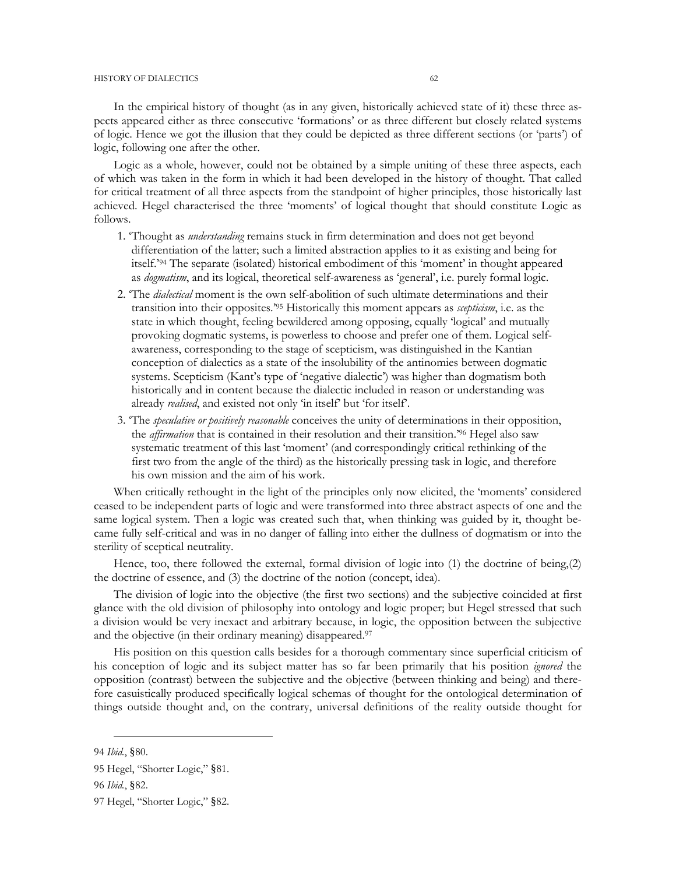In the empirical history of thought (as in any given, historically achieved state of it) these three aspects appeared either as three consecutive 'formations' or as three different but closely related systems of logic. Hence we got the illusion that they could be depicted as three different sections (or 'parts') of logic, following one after the other.

Logic as a whole, however, could not be obtained by a simple uniting of these three aspects, each of which was taken in the form in which it had been developed in the history of thought. That called for critical treatment of all three aspects from the standpoint of higher principles, those historically last achieved. Hegel characterised the three 'moments' of logical thought that should constitute Logic as follows.

- 1. 'Thought as *understanding* remains stuck in firm determination and does not get beyond differentiation of the latter; such a limited abstraction applies to it as existing and being for itself.'94 The separate (isolated) historical embodiment of this 'moment' in thought appeared as *dogmatism*, and its logical, theoretical self-awareness as 'general', i.e. purely formal logic.
- 2. 'The *dialectical* moment is the own self-abolition of such ultimate determinations and their transition into their opposites.'95 Historically this moment appears as *scepticism*, i.e. as the state in which thought, feeling bewildered among opposing, equally 'logical' and mutually provoking dogmatic systems, is powerless to choose and prefer one of them. Logical selfawareness, corresponding to the stage of scepticism, was distinguished in the Kantian conception of dialectics as a state of the insolubility of the antinomies between dogmatic systems. Scepticism (Kant's type of 'negative dialectic') was higher than dogmatism both historically and in content because the dialectic included in reason or understanding was already *realised*, and existed not only 'in itself' but 'for itself'.
- 3. 'The *speculative or positively reasonable* conceives the unity of determinations in their opposition, the *affirmation* that is contained in their resolution and their transition.'96 Hegel also saw systematic treatment of this last 'moment' (and correspondingly critical rethinking of the first two from the angle of the third) as the historically pressing task in logic, and therefore his own mission and the aim of his work.

When critically rethought in the light of the principles only now elicited, the 'moments' considered ceased to be independent parts of logic and were transformed into three abstract aspects of one and the same logical system. Then a logic was created such that, when thinking was guided by it, thought became fully self-critical and was in no danger of falling into either the dullness of dogmatism or into the sterility of sceptical neutrality.

Hence, too, there followed the external, formal division of logic into (1) the doctrine of being,(2) the doctrine of essence, and (3) the doctrine of the notion (concept, idea).

The division of logic into the objective (the first two sections) and the subjective coincided at first glance with the old division of philosophy into ontology and logic proper; but Hegel stressed that such a division would be very inexact and arbitrary because, in logic, the opposition between the subjective and the objective (in their ordinary meaning) disappeared.<sup>97</sup>

His position on this question calls besides for a thorough commentary since superficial criticism of his conception of logic and its subject matter has so far been primarily that his position *ignored* the opposition (contrast) between the subjective and the objective (between thinking and being) and therefore casuistically produced specifically logical schemas of thought for the ontological determination of things outside thought and, on the contrary, universal definitions of the reality outside thought for

**<sup>.</sup>** 94 *Ibid.*, §80.

<sup>95</sup> Hegel, "Shorter Logic," §81.

<sup>96</sup> *Ibid.*, §82.

<sup>97</sup> Hegel, "Shorter Logic," §82.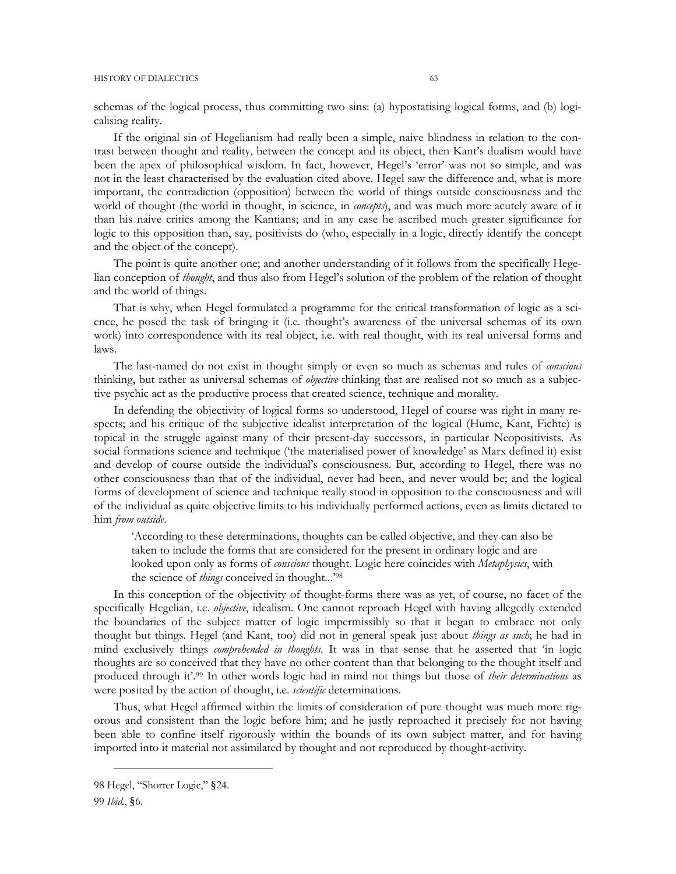schemas of the logical process, thus committing two sins: (a) hypostatising logical forms, and (b) logicalising reality.

If the original sin of Hegelianism had really been a simple, naive blindness in relation to the contrast between thought and reality, between the concept and its object, then Kant's dualism would have been the apex of philosophical wisdom. In fact, however, Hegel's 'error' was not so simple, and was not in the least characterised by the evaluation cited above. Hegel saw the difference and, what is more important, the contradiction (opposition) between the world of things outside consciousness and the world of thought (the world in thought, in science, in *concepts*), and was much more acutely aware of it than his naive critics among the Kantians; and in any case he ascribed much greater significance for logic to this opposition than, say, positivists do (who, especially in a logic, directly identify the concept and the object of the concept).

The point is quite another one; and another understanding of it follows from the specifically Hegelian conception of *thought*, and thus also from Hegel's solution of the problem of the relation of thought and the world of things.

That is why, when Hegel formulated a programme for the critical transformation of logic as a science, he posed the task of bringing it (i.e. thought's awareness of the universal schemas of its own work) into correspondence with its real object, i.e. with real thought, with its real universal forms and laws.

The last-named do not exist in thought simply or even so much as schemas and rules of *conscious* thinking, but rather as universal schemas of *objective* thinking that are realised not so much as a subjective psychic act as the productive process that created science, technique and morality.

In defending the objectivity of logical forms so understood, Hegel of course was right in many respects; and his critique of the subjective idealist interpretation of the logical (Hume, Kant, Fichte) is topical in the struggle against many of their present-day successors, in particular Neopositivists. As social formations science and technique ('the materialised power of knowledge' as Marx defined it) exist and develop of course outside the individual's consciousness. But, according to Hegel, there was no other consciousness than that of the individual, never had been, and never would be; and the logical forms of development of science and technique really stood in opposition to the consciousness and will of the individual as quite objective limits to his individually performed actions, even as limits dictated to him *from outside*.

'According to these determinations, thoughts can be called objective, and they can also be taken to include the forms that are considered for the present in ordinary logic and are looked upon only as forms of *conscious* thought. Logic here coincides with *Metaphysics*, with the science of *things* conceived in thought...'98

In this conception of the objectivity of thought-forms there was as yet, of course, no facet of the specifically Hegelian, i.e. *objective*, idealism. One cannot reproach Hegel with having allegedly extended the boundaries of the subject matter of logic impermissibly so that it began to embrace not only thought but things. Hegel (and Kant, too) did not in general speak just about *things as such*; he had in mind exclusively things *comprehended in thoughts*. It was in that sense that he asserted that 'in logic thoughts are so conceived that they have no other content than that belonging to the thought itself and produced through it'.99 In other words logic had in mind not things but those of *their determinations* as were posited by the action of thought, i.e. *scientific* determinations.

Thus, what Hegel affirmed within the limits of consideration of pure thought was much more rigorous and consistent than the logic before him; and he justly reproached it precisely for not having been able to confine itself rigorously within the bounds of its own subject matter, and for having imported into it material not assimilated by thought and not reproduced by thought-activity.

<sup>98</sup> Hegel, "Shorter Logic," §24.

<sup>99</sup> *Ibid.*, §6.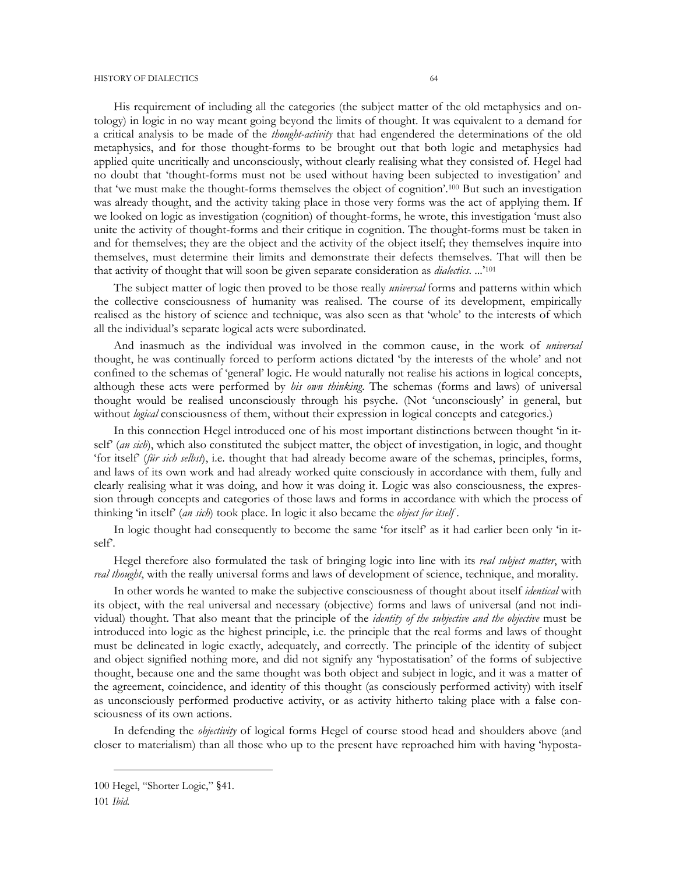His requirement of including all the categories (the subject matter of the old metaphysics and ontology) in logic in no way meant going beyond the limits of thought. It was equivalent to a demand for a critical analysis to be made of the *thought-activity* that had engendered the determinations of the old metaphysics, and for those thought-forms to be brought out that both logic and metaphysics had applied quite uncritically and unconsciously, without clearly realising what they consisted of. Hegel had no doubt that 'thought-forms must not be used without having been subjected to investigation' and that 'we must make the thought-forms themselves the object of cognition'.100 But such an investigation was already thought, and the activity taking place in those very forms was the act of applying them. If we looked on logic as investigation (cognition) of thought-forms, he wrote, this investigation 'must also unite the activity of thought-forms and their critique in cognition. The thought-forms must be taken in and for themselves; they are the object and the activity of the object itself; they themselves inquire into themselves, must determine their limits and demonstrate their defects themselves. That will then be that activity of thought that will soon be given separate consideration as *dialectics*. ...'101

The subject matter of logic then proved to be those really *universal* forms and patterns within which the collective consciousness of humanity was realised. The course of its development, empirically realised as the history of science and technique, was also seen as that 'whole' to the interests of which all the individual's separate logical acts were subordinated.

And inasmuch as the individual was involved in the common cause, in the work of *universal* thought, he was continually forced to perform actions dictated 'by the interests of the whole' and not confined to the schemas of 'general' logic. He would naturally not realise his actions in logical concepts, although these acts were performed by *his own thinking*. The schemas (forms and laws) of universal thought would be realised unconsciously through his psyche. (Not 'unconsciously' in general, but without *logical* consciousness of them, without their expression in logical concepts and categories.)

In this connection Hegel introduced one of his most important distinctions between thought 'in itself' (*an sich*), which also constituted the subject matter, the object of investigation, in logic, and thought 'for itself' (*für sich selbst*), i.e. thought that had already become aware of the schemas, principles, forms, and laws of its own work and had already worked quite consciously in accordance with them, fully and clearly realising what it was doing, and how it was doing it. Logic was also consciousness, the expression through concepts and categories of those laws and forms in accordance with which the process of thinking 'in itself' (*an sich*) took place. In logic it also became the *object for itself* .

In logic thought had consequently to become the same 'for itself' as it had earlier been only 'in itself'.

Hegel therefore also formulated the task of bringing logic into line with its *real subject matter*, with *real thought*, with the really universal forms and laws of development of science, technique, and morality.

In other words he wanted to make the subjective consciousness of thought about itself *identical* with its object, with the real universal and necessary (objective) forms and laws of universal (and not individual) thought. That also meant that the principle of the *identity of the subjective and the objective* must be introduced into logic as the highest principle, i.e. the principle that the real forms and laws of thought must be delineated in logic exactly, adequately, and correctly. The principle of the identity of subject and object signified nothing more, and did not signify any 'hypostatisation' of the forms of subjective thought, because one and the same thought was both object and subject in logic, and it was a matter of the agreement, coincidence, and identity of this thought (as consciously performed activity) with itself as unconsciously performed productive activity, or as activity hitherto taking place with a false consciousness of its own actions.

In defending the *objectivity* of logical forms Hegel of course stood head and shoulders above (and closer to materialism) than all those who up to the present have reproached him with having 'hyposta-

<sup>100</sup> Hegel, "Shorter Logic," §41.

<sup>101</sup> *Ibid.*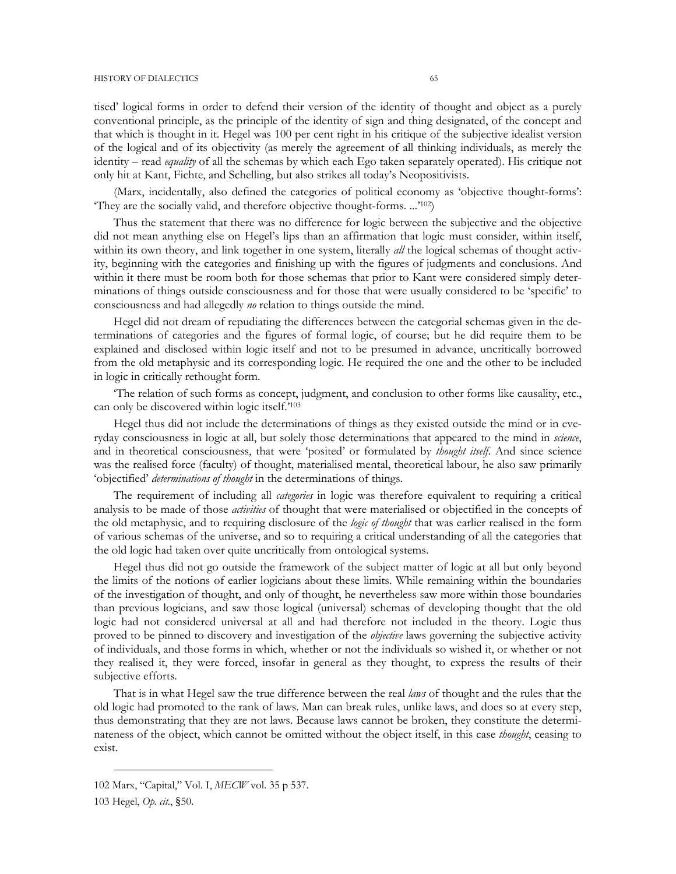tised' logical forms in order to defend their version of the identity of thought and object as a purely conventional principle, as the principle of the identity of sign and thing designated, of the concept and that which is thought in it. Hegel was 100 per cent right in his critique of the subjective idealist version of the logical and of its objectivity (as merely the agreement of all thinking individuals, as merely the identity – read *equality* of all the schemas by which each Ego taken separately operated). His critique not only hit at Kant, Fichte, and Schelling, but also strikes all today's Neopositivists.

(Marx, incidentally, also defined the categories of political economy as 'objective thought-forms': 'They are the socially valid, and therefore objective thought-forms. ...'102)

Thus the statement that there was no difference for logic between the subjective and the objective did not mean anything else on Hegel's lips than an affirmation that logic must consider, within itself, within its own theory, and link together in one system, literally *all* the logical schemas of thought activity, beginning with the categories and finishing up with the figures of judgments and conclusions. And within it there must be room both for those schemas that prior to Kant were considered simply determinations of things outside consciousness and for those that were usually considered to be 'specific' to consciousness and had allegedly *no* relation to things outside the mind.

Hegel did not dream of repudiating the differences between the categorial schemas given in the determinations of categories and the figures of formal logic, of course; but he did require them to be explained and disclosed within logic itself and not to be presumed in advance, uncritically borrowed from the old metaphysic and its corresponding logic. He required the one and the other to be included in logic in critically rethought form.

'The relation of such forms as concept, judgment, and conclusion to other forms like causality, etc., can only be discovered within logic itself.'103

Hegel thus did not include the determinations of things as they existed outside the mind or in everyday consciousness in logic at all, but solely those determinations that appeared to the mind in *science*, and in theoretical consciousness, that were 'posited' or formulated by *thought itself*. And since science was the realised force (faculty) of thought, materialised mental, theoretical labour, he also saw primarily 'objectified' *determinations of thought* in the determinations of things.

The requirement of including all *categories* in logic was therefore equivalent to requiring a critical analysis to be made of those *activities* of thought that were materialised or objectified in the concepts of the old metaphysic, and to requiring disclosure of the *logic of thought* that was earlier realised in the form of various schemas of the universe, and so to requiring a critical understanding of all the categories that the old logic had taken over quite uncritically from ontological systems.

Hegel thus did not go outside the framework of the subject matter of logic at all but only beyond the limits of the notions of earlier logicians about these limits. While remaining within the boundaries of the investigation of thought, and only of thought, he nevertheless saw more within those boundaries than previous logicians, and saw those logical (universal) schemas of developing thought that the old logic had not considered universal at all and had therefore not included in the theory. Logic thus proved to be pinned to discovery and investigation of the *objective* laws governing the subjective activity of individuals, and those forms in which, whether or not the individuals so wished it, or whether or not they realised it, they were forced, insofar in general as they thought, to express the results of their subjective efforts.

That is in what Hegel saw the true difference between the real *laws* of thought and the rules that the old logic had promoted to the rank of laws. Man can break rules, unlike laws, and does so at every step, thus demonstrating that they are not laws. Because laws cannot be broken, they constitute the determinateness of the object, which cannot be omitted without the object itself, in this case *thought*, ceasing to exist.

<sup>102</sup> Marx, "Capital," Vol. I, *MECW* vol. 35 p 537.

<sup>103</sup> Hegel, *Op. cit.*, §50.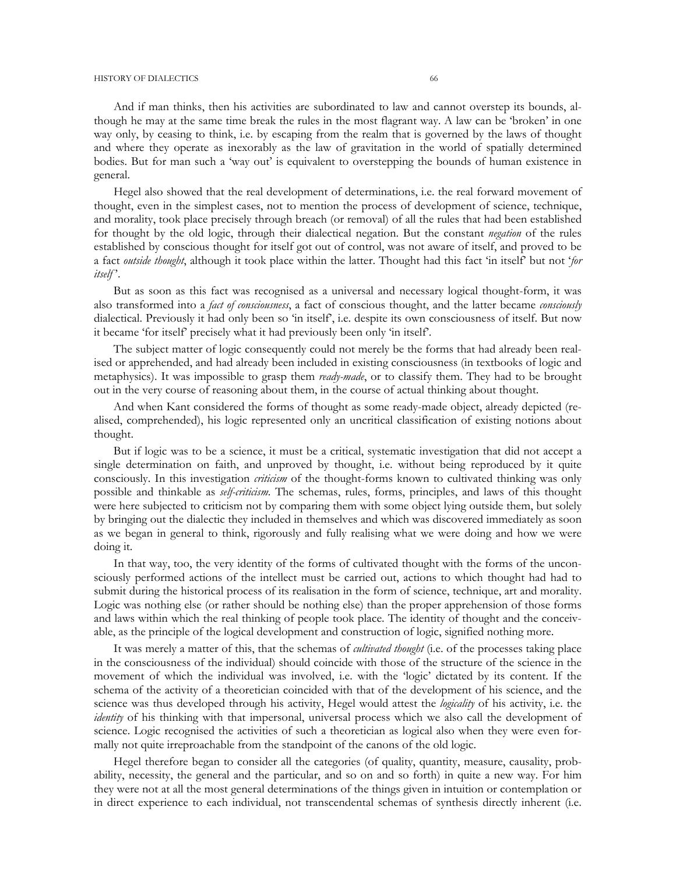### HISTORY OF DIALECTICS 66

And if man thinks, then his activities are subordinated to law and cannot overstep its bounds, although he may at the same time break the rules in the most flagrant way. A law can be 'broken' in one way only, by ceasing to think, i.e. by escaping from the realm that is governed by the laws of thought and where they operate as inexorably as the law of gravitation in the world of spatially determined bodies. But for man such a 'way out' is equivalent to overstepping the bounds of human existence in general.

Hegel also showed that the real development of determinations, i.e. the real forward movement of thought, even in the simplest cases, not to mention the process of development of science, technique, and morality, took place precisely through breach (or removal) of all the rules that had been established for thought by the old logic, through their dialectical negation. But the constant *negation* of the rules established by conscious thought for itself got out of control, was not aware of itself, and proved to be a fact *outside thought*, although it took place within the latter. Thought had this fact 'in itself' but not '*for itself* '.

But as soon as this fact was recognised as a universal and necessary logical thought-form, it was also transformed into a *fact of consciousness*, a fact of conscious thought, and the latter became *consciously* dialectical. Previously it had only been so 'in itself', i.e. despite its own consciousness of itself. But now it became 'for itself' precisely what it had previously been only 'in itself'.

The subject matter of logic consequently could not merely be the forms that had already been realised or apprehended, and had already been included in existing consciousness (in textbooks of logic and metaphysics). It was impossible to grasp them *ready-made*, or to classify them. They had to be brought out in the very course of reasoning about them, in the course of actual thinking about thought.

And when Kant considered the forms of thought as some ready-made object, already depicted (realised, comprehended), his logic represented only an uncritical classification of existing notions about thought.

But if logic was to be a science, it must be a critical, systematic investigation that did not accept a single determination on faith, and unproved by thought, i.e. without being reproduced by it quite consciously. In this investigation *criticism* of the thought-forms known to cultivated thinking was only possible and thinkable as *self-criticism*. The schemas, rules, forms, principles, and laws of this thought were here subjected to criticism not by comparing them with some object lying outside them, but solely by bringing out the dialectic they included in themselves and which was discovered immediately as soon as we began in general to think, rigorously and fully realising what we were doing and how we were doing it.

In that way, too, the very identity of the forms of cultivated thought with the forms of the unconsciously performed actions of the intellect must be carried out, actions to which thought had had to submit during the historical process of its realisation in the form of science, technique, art and morality. Logic was nothing else (or rather should be nothing else) than the proper apprehension of those forms and laws within which the real thinking of people took place. The identity of thought and the conceivable, as the principle of the logical development and construction of logic, signified nothing more.

It was merely a matter of this, that the schemas of *cultivated thought* (i.e. of the processes taking place in the consciousness of the individual) should coincide with those of the structure of the science in the movement of which the individual was involved, i.e. with the 'logic' dictated by its content. If the schema of the activity of a theoretician coincided with that of the development of his science, and the science was thus developed through his activity, Hegel would attest the *logicality* of his activity, i.e. the *identity* of his thinking with that impersonal, universal process which we also call the development of science. Logic recognised the activities of such a theoretician as logical also when they were even formally not quite irreproachable from the standpoint of the canons of the old logic.

Hegel therefore began to consider all the categories (of quality, quantity, measure, causality, probability, necessity, the general and the particular, and so on and so forth) in quite a new way. For him they were not at all the most general determinations of the things given in intuition or contemplation or in direct experience to each individual, not transcendental schemas of synthesis directly inherent (i.e.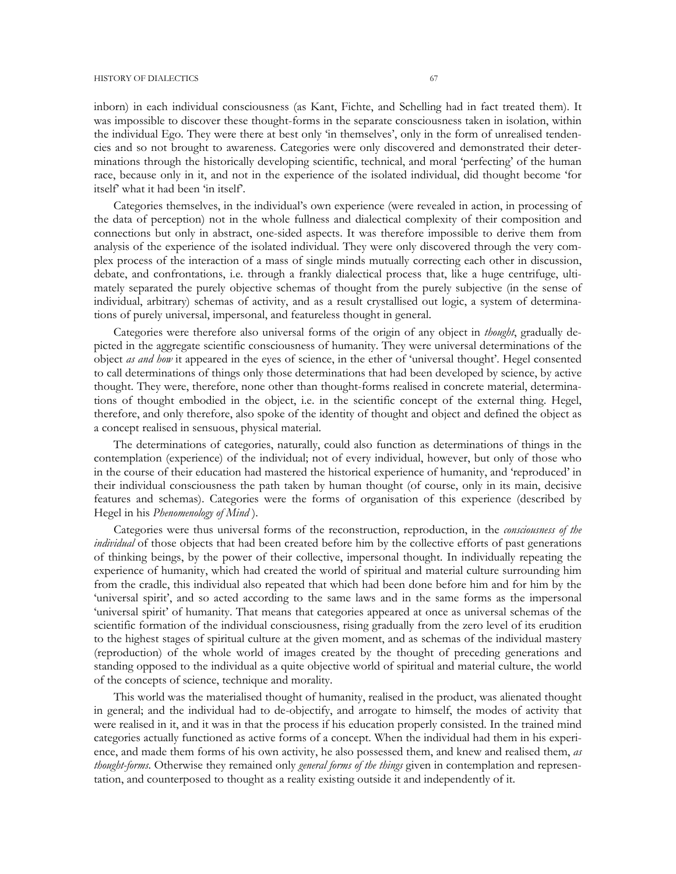inborn) in each individual consciousness (as Kant, Fichte, and Schelling had in fact treated them). It was impossible to discover these thought-forms in the separate consciousness taken in isolation, within the individual Ego. They were there at best only 'in themselves', only in the form of unrealised tendencies and so not brought to awareness. Categories were only discovered and demonstrated their determinations through the historically developing scientific, technical, and moral 'perfecting' of the human race, because only in it, and not in the experience of the isolated individual, did thought become 'for itself' what it had been 'in itself'.

Categories themselves, in the individual's own experience (were revealed in action, in processing of the data of perception) not in the whole fullness and dialectical complexity of their composition and connections but only in abstract, one-sided aspects. It was therefore impossible to derive them from analysis of the experience of the isolated individual. They were only discovered through the very complex process of the interaction of a mass of single minds mutually correcting each other in discussion, debate, and confrontations, i.e. through a frankly dialectical process that, like a huge centrifuge, ultimately separated the purely objective schemas of thought from the purely subjective (in the sense of individual, arbitrary) schemas of activity, and as a result crystallised out logic, a system of determinations of purely universal, impersonal, and featureless thought in general.

Categories were therefore also universal forms of the origin of any object in *thought*, gradually depicted in the aggregate scientific consciousness of humanity. They were universal determinations of the object *as and how* it appeared in the eyes of science, in the ether of 'universal thought'. Hegel consented to call determinations of things only those determinations that had been developed by science, by active thought. They were, therefore, none other than thought-forms realised in concrete material, determinations of thought embodied in the object, i.e. in the scientific concept of the external thing. Hegel, therefore, and only therefore, also spoke of the identity of thought and object and defined the object as a concept realised in sensuous, physical material.

The determinations of categories, naturally, could also function as determinations of things in the contemplation (experience) of the individual; not of every individual, however, but only of those who in the course of their education had mastered the historical experience of humanity, and 'reproduced' in their individual consciousness the path taken by human thought (of course, only in its main, decisive features and schemas). Categories were the forms of organisation of this experience (described by Hegel in his *Phenomenology of Mind* ).

Categories were thus universal forms of the reconstruction, reproduction, in the *consciousness of the individual* of those objects that had been created before him by the collective efforts of past generations of thinking beings, by the power of their collective, impersonal thought. In individually repeating the experience of humanity, which had created the world of spiritual and material culture surrounding him from the cradle, this individual also repeated that which had been done before him and for him by the 'universal spirit', and so acted according to the same laws and in the same forms as the impersonal 'universal spirit' of humanity. That means that categories appeared at once as universal schemas of the scientific formation of the individual consciousness, rising gradually from the zero level of its erudition to the highest stages of spiritual culture at the given moment, and as schemas of the individual mastery (reproduction) of the whole world of images created by the thought of preceding generations and standing opposed to the individual as a quite objective world of spiritual and material culture, the world of the concepts of science, technique and morality.

This world was the materialised thought of humanity, realised in the product, was alienated thought in general; and the individual had to de-objectify, and arrogate to himself, the modes of activity that were realised in it, and it was in that the process if his education properly consisted. In the trained mind categories actually functioned as active forms of a concept. When the individual had them in his experience, and made them forms of his own activity, he also possessed them, and knew and realised them, *as thought-forms*. Otherwise they remained only *general forms of the things* given in contemplation and representation, and counterposed to thought as a reality existing outside it and independently of it.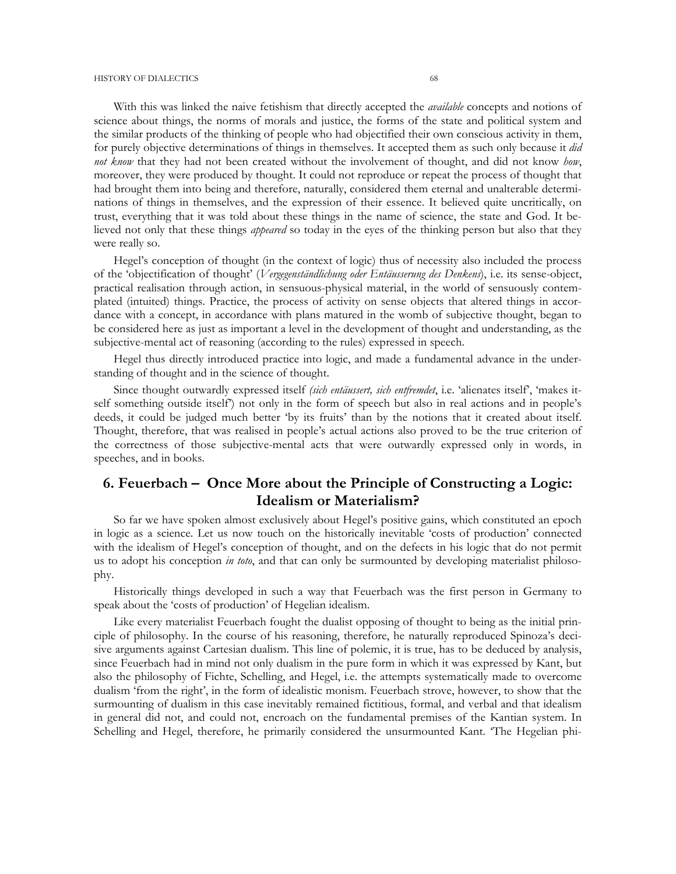With this was linked the naive fetishism that directly accepted the *available* concepts and notions of science about things, the norms of morals and justice, the forms of the state and political system and the similar products of the thinking of people who had objectified their own conscious activity in them, for purely objective determinations of things in themselves. It accepted them as such only because it *did not know* that they had not been created without the involvement of thought, and did not know *how*, moreover, they were produced by thought. It could not reproduce or repeat the process of thought that had brought them into being and therefore, naturally, considered them eternal and unalterable determinations of things in themselves, and the expression of their essence. It believed quite uncritically, on trust, everything that it was told about these things in the name of science, the state and God. It believed not only that these things *appeared* so today in the eyes of the thinking person but also that they were really so.

Hegel's conception of thought (in the context of logic) thus of necessity also included the process of the 'objectification of thought' (*Vergegenständlichung oder Entäusserung des Denkens*), i.e. its sense-object, practical realisation through action, in sensuous-physical material, in the world of sensuously contemplated (intuited) things. Practice, the process of activity on sense objects that altered things in accordance with a concept, in accordance with plans matured in the womb of subjective thought, began to be considered here as just as important a level in the development of thought and understanding, as the subjective-mental act of reasoning (according to the rules) expressed in speech.

Hegel thus directly introduced practice into logic, and made a fundamental advance in the understanding of thought and in the science of thought.

Since thought outwardly expressed itself *(sich entäussert, sich entfremdet*, i.e. 'alienates itself', 'makes itself something outside itself') not only in the form of speech but also in real actions and in people's deeds, it could be judged much better 'by its fruits' than by the notions that it created about itself. Thought, therefore, that was realised in people's actual actions also proved to be the true criterion of the correctness of those subjective-mental acts that were outwardly expressed only in words, in speeches, and in books.

## **6. Feuerbach – Once More about the Principle of Constructing a Logic: Idealism or Materialism?**

So far we have spoken almost exclusively about Hegel's positive gains, which constituted an epoch in logic as a science. Let us now touch on the historically inevitable 'costs of production' connected with the idealism of Hegel's conception of thought, and on the defects in his logic that do not permit us to adopt his conception *in toto*, and that can only be surmounted by developing materialist philosophy.

Historically things developed in such a way that Feuerbach was the first person in Germany to speak about the 'costs of production' of Hegelian idealism.

Like every materialist Feuerbach fought the dualist opposing of thought to being as the initial principle of philosophy. In the course of his reasoning, therefore, he naturally reproduced Spinoza's decisive arguments against Cartesian dualism. This line of polemic, it is true, has to be deduced by analysis, since Feuerbach had in mind not only dualism in the pure form in which it was expressed by Kant, but also the philosophy of Fichte, Schelling, and Hegel, i.e. the attempts systematically made to overcome dualism 'from the right', in the form of idealistic monism. Feuerbach strove, however, to show that the surmounting of dualism in this case inevitably remained fictitious, formal, and verbal and that idealism in general did not, and could not, encroach on the fundamental premises of the Kantian system. In Schelling and Hegel, therefore, he primarily considered the unsurmounted Kant. 'The Hegelian phi-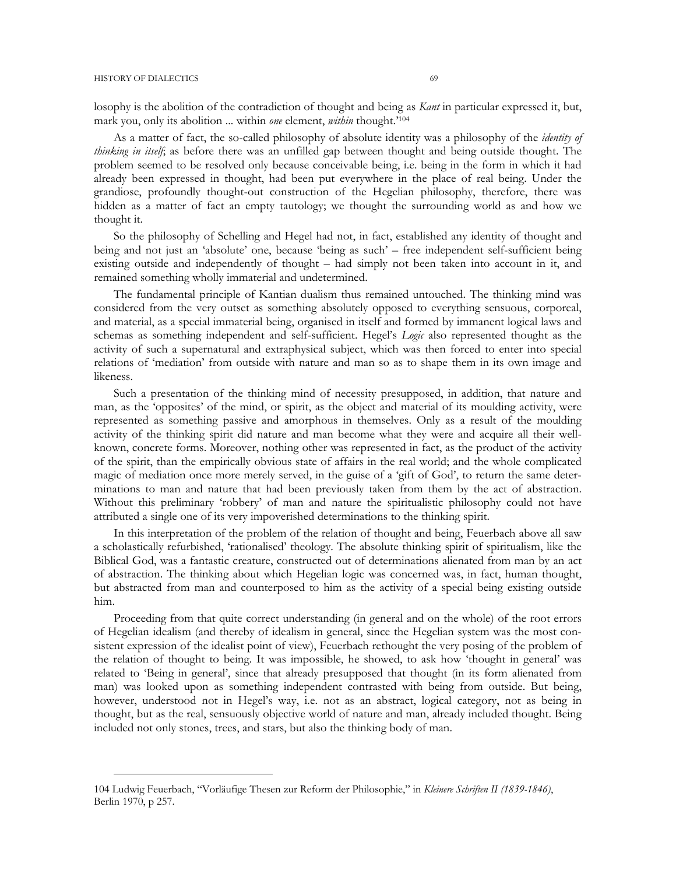**.** 

losophy is the abolition of the contradiction of thought and being as *Kant* in particular expressed it, but, mark you, only its abolition ... within *one* element, *within* thought.'104

As a matter of fact, the so-called philosophy of absolute identity was a philosophy of the *identity of thinking in itself*; as before there was an unfilled gap between thought and being outside thought. The problem seemed to be resolved only because conceivable being, i.e. being in the form in which it had already been expressed in thought, had been put everywhere in the place of real being. Under the grandiose, profoundly thought-out construction of the Hegelian philosophy, therefore, there was hidden as a matter of fact an empty tautology; we thought the surrounding world as and how we thought it.

So the philosophy of Schelling and Hegel had not, in fact, established any identity of thought and being and not just an 'absolute' one, because 'being as such' – free independent self-sufficient being existing outside and independently of thought – had simply not been taken into account in it, and remained something wholly immaterial and undetermined.

The fundamental principle of Kantian dualism thus remained untouched. The thinking mind was considered from the very outset as something absolutely opposed to everything sensuous, corporeal, and material, as a special immaterial being, organised in itself and formed by immanent logical laws and schemas as something independent and self-sufficient. Hegel's *Logic* also represented thought as the activity of such a supernatural and extraphysical subject, which was then forced to enter into special relations of 'mediation' from outside with nature and man so as to shape them in its own image and likeness.

Such a presentation of the thinking mind of necessity presupposed, in addition, that nature and man, as the 'opposites' of the mind, or spirit, as the object and material of its moulding activity, were represented as something passive and amorphous in themselves. Only as a result of the moulding activity of the thinking spirit did nature and man become what they were and acquire all their wellknown, concrete forms. Moreover, nothing other was represented in fact, as the product of the activity of the spirit, than the empirically obvious state of affairs in the real world; and the whole complicated magic of mediation once more merely served, in the guise of a 'gift of God', to return the same determinations to man and nature that had been previously taken from them by the act of abstraction. Without this preliminary 'robbery' of man and nature the spiritualistic philosophy could not have attributed a single one of its very impoverished determinations to the thinking spirit.

In this interpretation of the problem of the relation of thought and being, Feuerbach above all saw a scholastically refurbished, 'rationalised' theology. The absolute thinking spirit of spiritualism, like the Biblical God, was a fantastic creature, constructed out of determinations alienated from man by an act of abstraction. The thinking about which Hegelian logic was concerned was, in fact, human thought, but abstracted from man and counterposed to him as the activity of a special being existing outside him.

Proceeding from that quite correct understanding (in general and on the whole) of the root errors of Hegelian idealism (and thereby of idealism in general, since the Hegelian system was the most consistent expression of the idealist point of view), Feuerbach rethought the very posing of the problem of the relation of thought to being. It was impossible, he showed, to ask how 'thought in general' was related to 'Being in general', since that already presupposed that thought (in its form alienated from man) was looked upon as something independent contrasted with being from outside. But being, however, understood not in Hegel's way, i.e. not as an abstract, logical category, not as being in thought, but as the real, sensuously objective world of nature and man, already included thought. Being included not only stones, trees, and stars, but also the thinking body of man.

<sup>104</sup> Ludwig Feuerbach, "Vorläufige Thesen zur Reform der Philosophie," in *Kleinere Schriften II (1839-1846)*, Berlin 1970, p 257.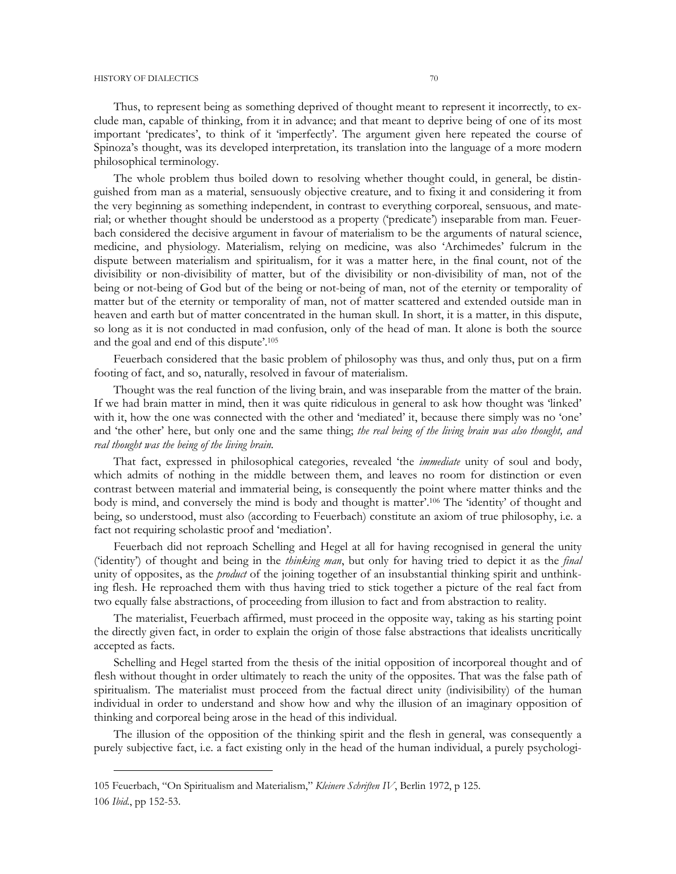Thus, to represent being as something deprived of thought meant to represent it incorrectly, to exclude man, capable of thinking, from it in advance; and that meant to deprive being of one of its most important 'predicates', to think of it 'imperfectly'. The argument given here repeated the course of Spinoza's thought, was its developed interpretation, its translation into the language of a more modern philosophical terminology.

The whole problem thus boiled down to resolving whether thought could, in general, be distinguished from man as a material, sensuously objective creature, and to fixing it and considering it from the very beginning as something independent, in contrast to everything corporeal, sensuous, and material; or whether thought should be understood as a property ('predicate') inseparable from man. Feuerbach considered the decisive argument in favour of materialism to be the arguments of natural science, medicine, and physiology. Materialism, relying on medicine, was also 'Archimedes' fulcrum in the dispute between materialism and spiritualism, for it was a matter here, in the final count, not of the divisibility or non-divisibility of matter, but of the divisibility or non-divisibility of man, not of the being or not-being of God but of the being or not-being of man, not of the eternity or temporality of matter but of the eternity or temporality of man, not of matter scattered and extended outside man in heaven and earth but of matter concentrated in the human skull. In short, it is a matter, in this dispute, so long as it is not conducted in mad confusion, only of the head of man. It alone is both the source and the goal and end of this dispute'.105

Feuerbach considered that the basic problem of philosophy was thus, and only thus, put on a firm footing of fact, and so, naturally, resolved in favour of materialism.

Thought was the real function of the living brain, and was inseparable from the matter of the brain. If we had brain matter in mind, then it was quite ridiculous in general to ask how thought was 'linked' with it, how the one was connected with the other and 'mediated' it, because there simply was no 'one' and 'the other' here, but only one and the same thing; *the real being of the living brain was also thought, and real thought was the being of the living brain*.

That fact, expressed in philosophical categories, revealed 'the *immediate* unity of soul and body, which admits of nothing in the middle between them, and leaves no room for distinction or even contrast between material and immaterial being, is consequently the point where matter thinks and the body is mind, and conversely the mind is body and thought is matter'.106 The 'identity' of thought and being, so understood, must also (according to Feuerbach) constitute an axiom of true philosophy, i.e. a fact not requiring scholastic proof and 'mediation'.

Feuerbach did not reproach Schelling and Hegel at all for having recognised in general the unity ('identity') of thought and being in the *thinking man*, but only for having tried to depict it as the *final* unity of opposites, as the *product* of the joining together of an insubstantial thinking spirit and unthinking flesh. He reproached them with thus having tried to stick together a picture of the real fact from two equally false abstractions, of proceeding from illusion to fact and from abstraction to reality.

The materialist, Feuerbach affirmed, must proceed in the opposite way, taking as his starting point the directly given fact, in order to explain the origin of those false abstractions that idealists uncritically accepted as facts.

Schelling and Hegel started from the thesis of the initial opposition of incorporeal thought and of flesh without thought in order ultimately to reach the unity of the opposites. That was the false path of spiritualism. The materialist must proceed from the factual direct unity (indivisibility) of the human individual in order to understand and show how and why the illusion of an imaginary opposition of thinking and corporeal being arose in the head of this individual.

The illusion of the opposition of the thinking spirit and the flesh in general, was consequently a purely subjective fact, i.e. a fact existing only in the head of the human individual, a purely psychologi-

<sup>105</sup> Feuerbach, "On Spiritualism and Materialism," *Kleinere Schriften IV*, Berlin 1972, p 125. 106 *Ibid.*, pp 152-53.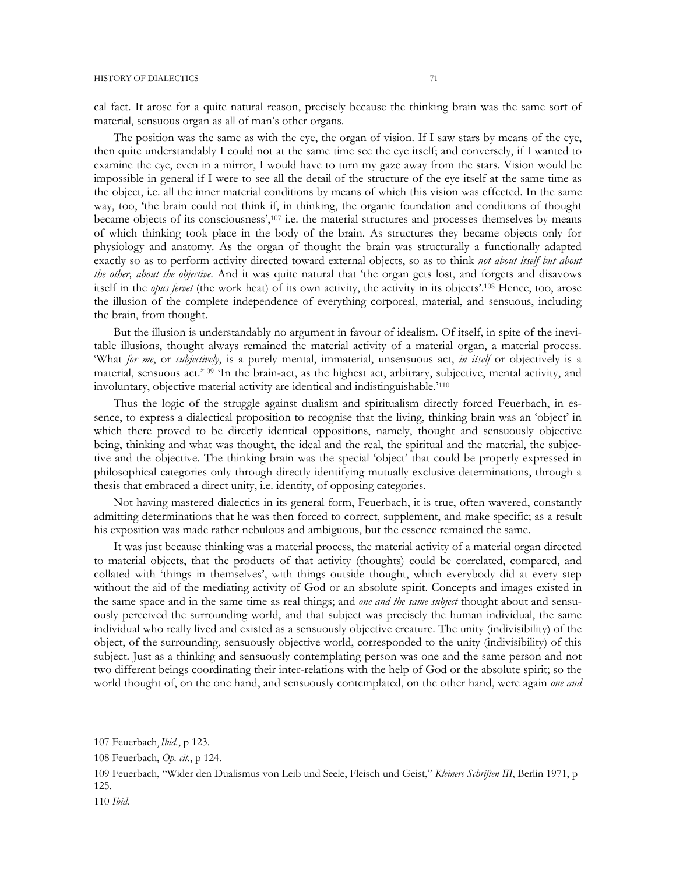cal fact. It arose for a quite natural reason, precisely because the thinking brain was the same sort of material, sensuous organ as all of man's other organs.

The position was the same as with the eye, the organ of vision. If I saw stars by means of the eye, then quite understandably I could not at the same time see the eye itself; and conversely, if I wanted to examine the eye, even in a mirror, I would have to turn my gaze away from the stars. Vision would be impossible in general if I were to see all the detail of the structure of the eye itself at the same time as the object, i.e. all the inner material conditions by means of which this vision was effected. In the same way, too, 'the brain could not think if, in thinking, the organic foundation and conditions of thought became objects of its consciousness',107 i.e. the material structures and processes themselves by means of which thinking took place in the body of the brain. As structures they became objects only for physiology and anatomy. As the organ of thought the brain was structurally a functionally adapted exactly so as to perform activity directed toward external objects, so as to think *not about itself but about the other, about the objective*. And it was quite natural that 'the organ gets lost, and forgets and disavows itself in the *opus fervet* (the work heat) of its own activity, the activity in its objects'.108 Hence, too, arose the illusion of the complete independence of everything corporeal, material, and sensuous, including the brain, from thought.

But the illusion is understandably no argument in favour of idealism. Of itself, in spite of the inevitable illusions, thought always remained the material activity of a material organ, a material process. 'What *for me*, or *subjectively*, is a purely mental, immaterial, unsensuous act, *in itself* or objectively is a material, sensuous act.'109 'In the brain-act, as the highest act, arbitrary, subjective, mental activity, and involuntary, objective material activity are identical and indistinguishable.'110

Thus the logic of the struggle against dualism and spiritualism directly forced Feuerbach, in essence, to express a dialectical proposition to recognise that the living, thinking brain was an 'object' in which there proved to be directly identical oppositions, namely, thought and sensuously objective being, thinking and what was thought, the ideal and the real, the spiritual and the material, the subjective and the objective. The thinking brain was the special 'object' that could be properly expressed in philosophical categories only through directly identifying mutually exclusive determinations, through a thesis that embraced a direct unity, i.e. identity, of opposing categories.

Not having mastered dialectics in its general form, Feuerbach, it is true, often wavered, constantly admitting determinations that he was then forced to correct, supplement, and make specific; as a result his exposition was made rather nebulous and ambiguous, but the essence remained the same.

It was just because thinking was a material process, the material activity of a material organ directed to material objects, that the products of that activity (thoughts) could be correlated, compared, and collated with 'things in themselves', with things outside thought, which everybody did at every step without the aid of the mediating activity of God or an absolute spirit. Concepts and images existed in the same space and in the same time as real things; and *one and the same subject* thought about and sensuously perceived the surrounding world, and that subject was precisely the human individual, the same individual who really lived and existed as a sensuously objective creature. The unity (indivisibility) of the object, of the surrounding, sensuously objective world, corresponded to the unity (indivisibility) of this subject. Just as a thinking and sensuously contemplating person was one and the same person and not two different beings coordinating their inter-relations with the help of God or the absolute spirit; so the world thought of, on the one hand, and sensuously contemplated, on the other hand, were again *one and* 

<sup>107</sup> Feuerbach¸*Ibid.*, p 123.

<sup>108</sup> Feuerbach, *Op. cit.*, p 124.

<sup>109</sup> Feuerbach, "Wider den Dualismus von Leib und Seele, Fleisch und Geist," *Kleinere Schriften III*, Berlin 1971, p 125.

<sup>110</sup> *Ibid.*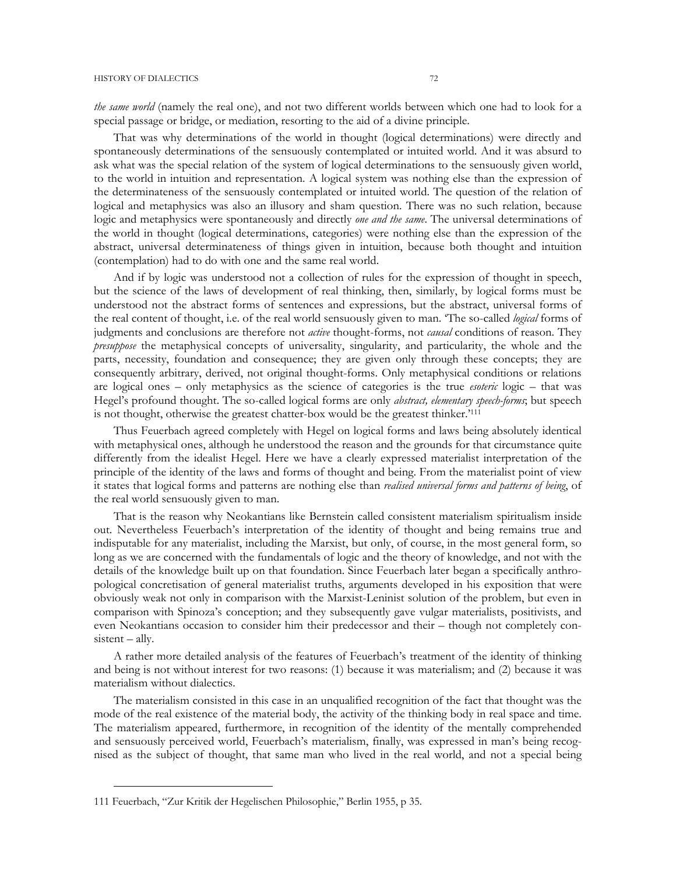*the same world* (namely the real one), and not two different worlds between which one had to look for a special passage or bridge, or mediation, resorting to the aid of a divine principle.

That was why determinations of the world in thought (logical determinations) were directly and spontaneously determinations of the sensuously contemplated or intuited world. And it was absurd to ask what was the special relation of the system of logical determinations to the sensuously given world, to the world in intuition and representation. A logical system was nothing else than the expression of the determinateness of the sensuously contemplated or intuited world. The question of the relation of logical and metaphysics was also an illusory and sham question. There was no such relation, because logic and metaphysics were spontaneously and directly *one and the same*. The universal determinations of the world in thought (logical determinations, categories) were nothing else than the expression of the abstract, universal determinateness of things given in intuition, because both thought and intuition (contemplation) had to do with one and the same real world.

And if by logic was understood not a collection of rules for the expression of thought in speech, but the science of the laws of development of real thinking, then, similarly, by logical forms must be understood not the abstract forms of sentences and expressions, but the abstract, universal forms of the real content of thought, i.e. of the real world sensuously given to man. 'The so-called *logical* forms of judgments and conclusions are therefore not *active* thought-forms, not *causal* conditions of reason. They *presuppose* the metaphysical concepts of universality, singularity, and particularity, the whole and the parts, necessity, foundation and consequence; they are given only through these concepts; they are consequently arbitrary, derived, not original thought-forms. Only metaphysical conditions or relations are logical ones – only metaphysics as the science of categories is the true *esoteric* logic – that was Hegel's profound thought. The so-called logical forms are only *abstract, elementary speech-forms*; but speech is not thought, otherwise the greatest chatter-box would be the greatest thinker.'111

Thus Feuerbach agreed completely with Hegel on logical forms and laws being absolutely identical with metaphysical ones, although he understood the reason and the grounds for that circumstance quite differently from the idealist Hegel. Here we have a clearly expressed materialist interpretation of the principle of the identity of the laws and forms of thought and being. From the materialist point of view it states that logical forms and patterns are nothing else than *realised universal forms and patterns of being*, of the real world sensuously given to man.

That is the reason why Neokantians like Bernstein called consistent materialism spiritualism inside out. Nevertheless Feuerbach's interpretation of the identity of thought and being remains true and indisputable for any materialist, including the Marxist, but only, of course, in the most general form, so long as we are concerned with the fundamentals of logic and the theory of knowledge, and not with the details of the knowledge built up on that foundation. Since Feuerbach later began a specifically anthropological concretisation of general materialist truths, arguments developed in his exposition that were obviously weak not only in comparison with the Marxist-Leninist solution of the problem, but even in comparison with Spinoza's conception; and they subsequently gave vulgar materialists, positivists, and even Neokantians occasion to consider him their predecessor and their – though not completely consistent – ally.

A rather more detailed analysis of the features of Feuerbach's treatment of the identity of thinking and being is not without interest for two reasons: (1) because it was materialism; and (2) because it was materialism without dialectics.

The materialism consisted in this case in an unqualified recognition of the fact that thought was the mode of the real existence of the material body, the activity of the thinking body in real space and time. The materialism appeared, furthermore, in recognition of the identity of the mentally comprehended and sensuously perceived world, Feuerbach's materialism, finally, was expressed in man's being recognised as the subject of thought, that same man who lived in the real world, and not a special being

<sup>111</sup> Feuerbach, "Zur Kritik der Hegelischen Philosophie," Berlin 1955, p 35.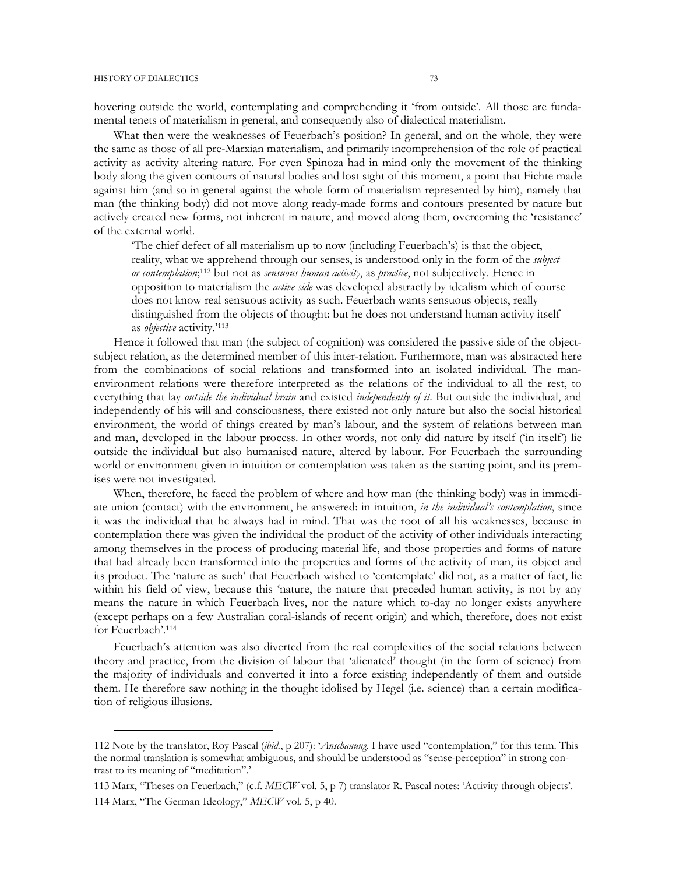**.** 

hovering outside the world, contemplating and comprehending it 'from outside'. All those are fundamental tenets of materialism in general, and consequently also of dialectical materialism.

What then were the weaknesses of Feuerbach's position? In general, and on the whole, they were the same as those of all pre-Marxian materialism, and primarily incomprehension of the role of practical activity as activity altering nature. For even Spinoza had in mind only the movement of the thinking body along the given contours of natural bodies and lost sight of this moment, a point that Fichte made against him (and so in general against the whole form of materialism represented by him), namely that man (the thinking body) did not move along ready-made forms and contours presented by nature but actively created new forms, not inherent in nature, and moved along them, overcoming the 'resistance' of the external world.

'The chief defect of all materialism up to now (including Feuerbach's) is that the object, reality, what we apprehend through our senses, is understood only in the form of the *subject or contemplation*; 112 but not as *sensuous human activity*, as *practice*, not subjectively. Hence in opposition to materialism the *active side* was developed abstractly by idealism which of course does not know real sensuous activity as such. Feuerbach wants sensuous objects, really distinguished from the objects of thought: but he does not understand human activity itself as *objective* activity.'113

Hence it followed that man (the subject of cognition) was considered the passive side of the objectsubject relation, as the determined member of this inter-relation. Furthermore, man was abstracted here from the combinations of social relations and transformed into an isolated individual. The manenvironment relations were therefore interpreted as the relations of the individual to all the rest, to everything that lay *outside the individual brain* and existed *independently of it*. But outside the individual, and independently of his will and consciousness, there existed not only nature but also the social historical environment, the world of things created by man's labour, and the system of relations between man and man, developed in the labour process. In other words, not only did nature by itself ('in itself') lie outside the individual but also humanised nature, altered by labour. For Feuerbach the surrounding world or environment given in intuition or contemplation was taken as the starting point, and its premises were not investigated.

When, therefore, he faced the problem of where and how man (the thinking body) was in immediate union (contact) with the environment, he answered: in intuition, *in the individual's contemplation*, since it was the individual that he always had in mind. That was the root of all his weaknesses, because in contemplation there was given the individual the product of the activity of other individuals interacting among themselves in the process of producing material life, and those properties and forms of nature that had already been transformed into the properties and forms of the activity of man, its object and its product. The 'nature as such' that Feuerbach wished to 'contemplate' did not, as a matter of fact, lie within his field of view, because this 'nature, the nature that preceded human activity, is not by any means the nature in which Feuerbach lives, nor the nature which to-day no longer exists anywhere (except perhaps on a few Australian coral-islands of recent origin) and which, therefore, does not exist for Feuerbach'.114

Feuerbach's attention was also diverted from the real complexities of the social relations between theory and practice, from the division of labour that 'alienated' thought (in the form of science) from the majority of individuals and converted it into a force existing independently of them and outside them. He therefore saw nothing in the thought idolised by Hegel (i.e. science) than a certain modification of religious illusions.

<sup>112</sup> Note by the translator, Roy Pascal (*ibid.*, p 207): '*Anschauung*. I have used "contemplation," for this term. This the normal translation is somewhat ambiguous, and should be understood as "sense-perception" in strong contrast to its meaning of "meditation".'

<sup>113</sup> Marx, "Theses on Feuerbach," (c.f. *MECW* vol. 5, p 7) translator R. Pascal notes: 'Activity through objects'. 114 Marx, "The German Ideology," *MECW* vol. 5, p 40.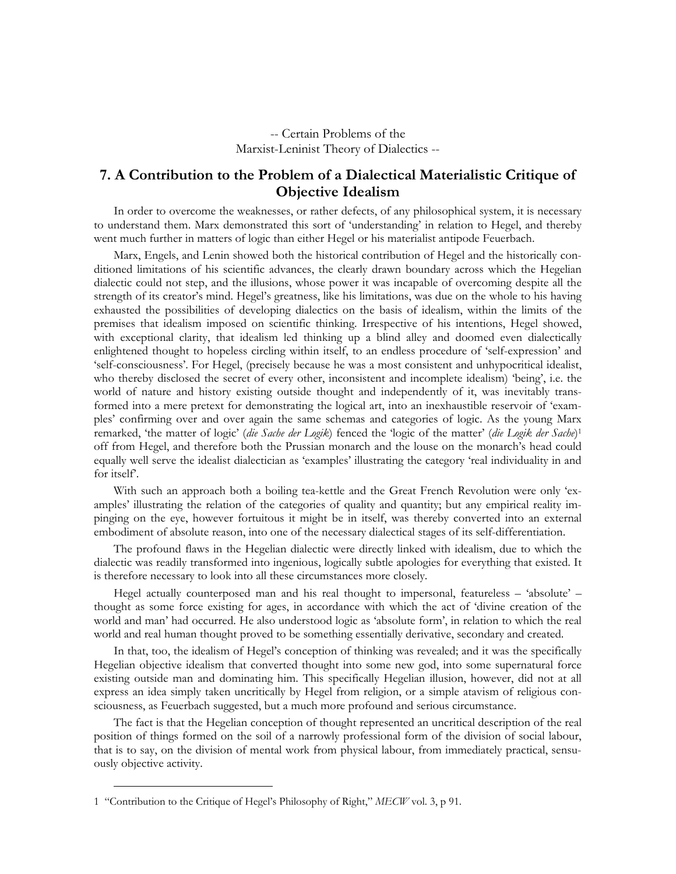## -- Certain Problems of the Marxist-Leninist Theory of Dialectics --

## **7. A Contribution to the Problem of a Dialectical Materialistic Critique of Objective Idealism**

In order to overcome the weaknesses, or rather defects, of any philosophical system, it is necessary to understand them. Marx demonstrated this sort of 'understanding' in relation to Hegel, and thereby went much further in matters of logic than either Hegel or his materialist antipode Feuerbach.

Marx, Engels, and Lenin showed both the historical contribution of Hegel and the historically conditioned limitations of his scientific advances, the clearly drawn boundary across which the Hegelian dialectic could not step, and the illusions, whose power it was incapable of overcoming despite all the strength of its creator's mind. Hegel's greatness, like his limitations, was due on the whole to his having exhausted the possibilities of developing dialectics on the basis of idealism, within the limits of the premises that idealism imposed on scientific thinking. Irrespective of his intentions, Hegel showed, with exceptional clarity, that idealism led thinking up a blind alley and doomed even dialectically enlightened thought to hopeless circling within itself, to an endless procedure of 'self-expression' and 'self-consciousness'. For Hegel, (precisely because he was a most consistent and unhypocritical idealist, who thereby disclosed the secret of every other, inconsistent and incomplete idealism) 'being', i.e. the world of nature and history existing outside thought and independently of it, was inevitably transformed into a mere pretext for demonstrating the logical art, into an inexhaustible reservoir of 'examples' confirming over and over again the same schemas and categories of logic. As the young Marx remarked, 'the matter of logic' (*die Sache der Logik*) fenced the 'logic of the matter' (*die Logik der Sache*)1 off from Hegel, and therefore both the Prussian monarch and the louse on the monarch's head could equally well serve the idealist dialectician as 'examples' illustrating the category 'real individuality in and for itself'.

With such an approach both a boiling tea-kettle and the Great French Revolution were only 'examples' illustrating the relation of the categories of quality and quantity; but any empirical reality impinging on the eye, however fortuitous it might be in itself, was thereby converted into an external embodiment of absolute reason, into one of the necessary dialectical stages of its self-differentiation.

The profound flaws in the Hegelian dialectic were directly linked with idealism, due to which the dialectic was readily transformed into ingenious, logically subtle apologies for everything that existed. It is therefore necessary to look into all these circumstances more closely.

Hegel actually counterposed man and his real thought to impersonal, featureless – 'absolute' – thought as some force existing for ages, in accordance with which the act of 'divine creation of the world and man' had occurred. He also understood logic as 'absolute form', in relation to which the real world and real human thought proved to be something essentially derivative, secondary and created.

In that, too, the idealism of Hegel's conception of thinking was revealed; and it was the specifically Hegelian objective idealism that converted thought into some new god, into some supernatural force existing outside man and dominating him. This specifically Hegelian illusion, however, did not at all express an idea simply taken uncritically by Hegel from religion, or a simple atavism of religious consciousness, as Feuerbach suggested, but a much more profound and serious circumstance.

The fact is that the Hegelian conception of thought represented an uncritical description of the real position of things formed on the soil of a narrowly professional form of the division of social labour, that is to say, on the division of mental work from physical labour, from immediately practical, sensuously objective activity.

<sup>1 &</sup>quot;Contribution to the Critique of Hegel's Philosophy of Right," *MECW* vol. 3, p 91.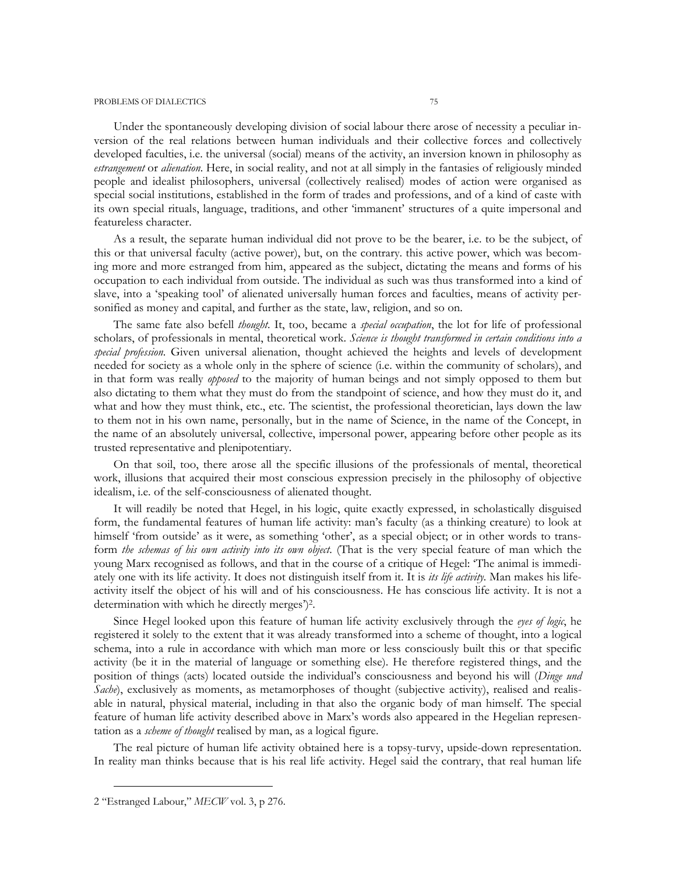Under the spontaneously developing division of social labour there arose of necessity a peculiar inversion of the real relations between human individuals and their collective forces and collectively developed faculties, i.e. the universal (social) means of the activity, an inversion known in philosophy as *estrangement* or *alienation*. Here, in social reality, and not at all simply in the fantasies of religiously minded people and idealist philosophers, universal (collectively realised) modes of action were organised as special social institutions, established in the form of trades and professions, and of a kind of caste with its own special rituals, language, traditions, and other 'immanent' structures of a quite impersonal and featureless character.

As a result, the separate human individual did not prove to be the bearer, i.e. to be the subject, of this or that universal faculty (active power), but, on the contrary. this active power, which was becoming more and more estranged from him, appeared as the subject, dictating the means and forms of his occupation to each individual from outside. The individual as such was thus transformed into a kind of slave, into a 'speaking tool' of alienated universally human forces and faculties, means of activity personified as money and capital, and further as the state, law, religion, and so on.

The same fate also befell *thought*. It, too, became a *special occupation*, the lot for life of professional scholars, of professionals in mental, theoretical work. *Science is thought transformed in certain conditions into a special profession*. Given universal alienation, thought achieved the heights and levels of development needed for society as a whole only in the sphere of science (i.e. within the community of scholars), and in that form was really *opposed* to the majority of human beings and not simply opposed to them but also dictating to them what they must do from the standpoint of science, and how they must do it, and what and how they must think, etc., etc. The scientist, the professional theoretician, lays down the law to them not in his own name, personally, but in the name of Science, in the name of the Concept, in the name of an absolutely universal, collective, impersonal power, appearing before other people as its trusted representative and plenipotentiary.

On that soil, too, there arose all the specific illusions of the professionals of mental, theoretical work, illusions that acquired their most conscious expression precisely in the philosophy of objective idealism, i.e. of the self-consciousness of alienated thought.

It will readily be noted that Hegel, in his logic, quite exactly expressed, in scholastically disguised form, the fundamental features of human life activity: man's faculty (as a thinking creature) to look at himself 'from outside' as it were, as something 'other', as a special object; or in other words to transform *the schemas of his own activity into its own object*. (That is the very special feature of man which the young Marx recognised as follows, and that in the course of a critique of Hegel: 'The animal is immediately one with its life activity. It does not distinguish itself from it. It is *its life activity.* Man makes his lifeactivity itself the object of his will and of his consciousness. He has conscious life activity. It is not a determination with which he directly merges')2.

Since Hegel looked upon this feature of human life activity exclusively through the *eyes of logic*, he registered it solely to the extent that it was already transformed into a scheme of thought, into a logical schema, into a rule in accordance with which man more or less consciously built this or that specific activity (be it in the material of language or something else). He therefore registered things, and the position of things (acts) located outside the individual's consciousness and beyond his will (*Dinge und Sache*), exclusively as moments, as metamorphoses of thought (subjective activity), realised and realisable in natural, physical material, including in that also the organic body of man himself. The special feature of human life activity described above in Marx's words also appeared in the Hegelian representation as a *scheme of thought* realised by man, as a logical figure.

The real picture of human life activity obtained here is a topsy-turvy, upside-down representation. In reality man thinks because that is his real life activity. Hegel said the contrary, that real human life

<sup>2 &</sup>quot;Estranged Labour," *MECW* vol. 3, p 276.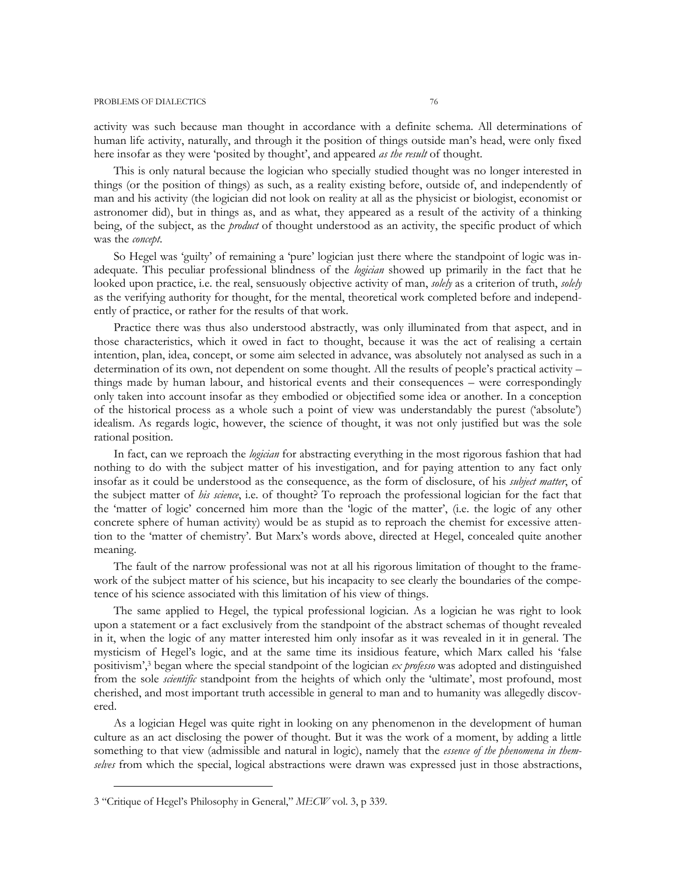activity was such because man thought in accordance with a definite schema. All determinations of human life activity, naturally, and through it the position of things outside man's head, were only fixed here insofar as they were 'posited by thought', and appeared *as the result* of thought.

This is only natural because the logician who specially studied thought was no longer interested in things (or the position of things) as such, as a reality existing before, outside of, and independently of man and his activity (the logician did not look on reality at all as the physicist or biologist, economist or astronomer did), but in things as, and as what, they appeared as a result of the activity of a thinking being, of the subject, as the *product* of thought understood as an activity, the specific product of which was the *concept*.

So Hegel was 'guilty' of remaining a 'pure' logician just there where the standpoint of logic was inadequate. This peculiar professional blindness of the *logician* showed up primarily in the fact that he looked upon practice, i.e. the real, sensuously objective activity of man, *solely* as a criterion of truth, *solely* as the verifying authority for thought, for the mental, theoretical work completed before and independently of practice, or rather for the results of that work.

Practice there was thus also understood abstractly, was only illuminated from that aspect, and in those characteristics, which it owed in fact to thought, because it was the act of realising a certain intention, plan, idea, concept, or some aim selected in advance, was absolutely not analysed as such in a determination of its own, not dependent on some thought. All the results of people's practical activity – things made by human labour, and historical events and their consequences – were correspondingly only taken into account insofar as they embodied or objectified some idea or another. In a conception of the historical process as a whole such a point of view was understandably the purest ('absolute') idealism. As regards logic, however, the science of thought, it was not only justified but was the sole rational position.

In fact, can we reproach the *logician* for abstracting everything in the most rigorous fashion that had nothing to do with the subject matter of his investigation, and for paying attention to any fact only insofar as it could be understood as the consequence, as the form of disclosure, of his *subject matter*, of the subject matter of *his science*, i.e. of thought? To reproach the professional logician for the fact that the 'matter of logic' concerned him more than the 'logic of the matter', (i.e. the logic of any other concrete sphere of human activity) would be as stupid as to reproach the chemist for excessive attention to the 'matter of chemistry'. But Marx's words above, directed at Hegel, concealed quite another meaning.

The fault of the narrow professional was not at all his rigorous limitation of thought to the framework of the subject matter of his science, but his incapacity to see clearly the boundaries of the competence of his science associated with this limitation of his view of things.

The same applied to Hegel, the typical professional logician. As a logician he was right to look upon a statement or a fact exclusively from the standpoint of the abstract schemas of thought revealed in it, when the logic of any matter interested him only insofar as it was revealed in it in general. The mysticism of Hegel's logic, and at the same time its insidious feature, which Marx called his 'false positivism',3 began where the special standpoint of the logician *ex professo* was adopted and distinguished from the sole *scientific* standpoint from the heights of which only the 'ultimate', most profound, most cherished, and most important truth accessible in general to man and to humanity was allegedly discovered.

As a logician Hegel was quite right in looking on any phenomenon in the development of human culture as an act disclosing the power of thought. But it was the work of a moment, by adding a little something to that view (admissible and natural in logic), namely that the *essence of the phenomena in themselves* from which the special, logical abstractions were drawn was expressed just in those abstractions,

<sup>3 &</sup>quot;Critique of Hegel's Philosophy in General," *MECW* vol. 3, p 339.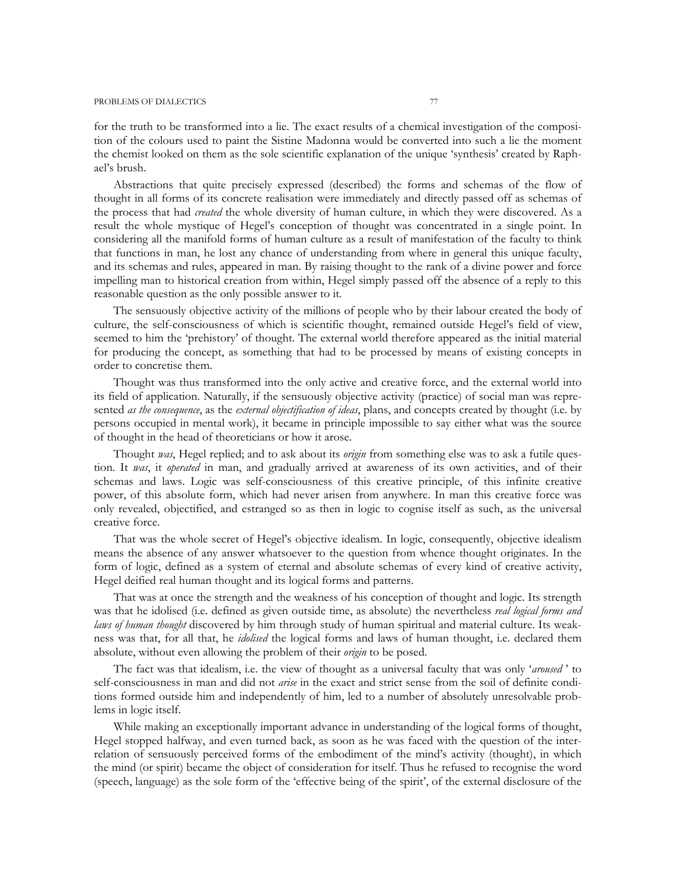for the truth to be transformed into a lie. The exact results of a chemical investigation of the composition of the colours used to paint the Sistine Madonna would be converted into such a lie the moment the chemist looked on them as the sole scientific explanation of the unique 'synthesis' created by Raphael's brush.

Abstractions that quite precisely expressed (described) the forms and schemas of the flow of thought in all forms of its concrete realisation were immediately and directly passed off as schemas of the process that had *created* the whole diversity of human culture, in which they were discovered. As a result the whole mystique of Hegel's conception of thought was concentrated in a single point. In considering all the manifold forms of human culture as a result of manifestation of the faculty to think that functions in man, he lost any chance of understanding from where in general this unique faculty, and its schemas and rules, appeared in man. By raising thought to the rank of a divine power and force impelling man to historical creation from within, Hegel simply passed off the absence of a reply to this reasonable question as the only possible answer to it.

The sensuously objective activity of the millions of people who by their labour created the body of culture, the self-consciousness of which is scientific thought, remained outside Hegel's field of view, seemed to him the 'prehistory' of thought. The external world therefore appeared as the initial material for producing the concept, as something that had to be processed by means of existing concepts in order to concretise them.

Thought was thus transformed into the only active and creative force, and the external world into its field of application. Naturally, if the sensuously objective activity (practice) of social man was represented *as the consequence*, as the *external objectification of ideas*, plans, and concepts created by thought (i.e. by persons occupied in mental work), it became in principle impossible to say either what was the source of thought in the head of theoreticians or how it arose.

Thought *was*, Hegel replied; and to ask about its *origin* from something else was to ask a futile question. It *was*, it *operated* in man, and gradually arrived at awareness of its own activities, and of their schemas and laws. Logic was self-consciousness of this creative principle, of this infinite creative power, of this absolute form, which had never arisen from anywhere. In man this creative force was only revealed, objectified, and estranged so as then in logic to cognise itself as such, as the universal creative force.

That was the whole secret of Hegel's objective idealism. In logic, consequently, objective idealism means the absence of any answer whatsoever to the question from whence thought originates. In the form of logic, defined as a system of eternal and absolute schemas of every kind of creative activity, Hegel deified real human thought and its logical forms and patterns.

That was at once the strength and the weakness of his conception of thought and logic. Its strength was that he idolised (i.e. defined as given outside time, as absolute) the nevertheless *real logical forms and laws of human thought* discovered by him through study of human spiritual and material culture. Its weakness was that, for all that, he *idolised* the logical forms and laws of human thought, i.e. declared them absolute, without even allowing the problem of their *origin* to be posed.

The fact was that idealism, i.e. the view of thought as a universal faculty that was only '*aroused* ' to self-consciousness in man and did not *arise* in the exact and strict sense from the soil of definite conditions formed outside him and independently of him, led to a number of absolutely unresolvable problems in logic itself.

While making an exceptionally important advance in understanding of the logical forms of thought, Hegel stopped halfway, and even turned back, as soon as he was faced with the question of the interrelation of sensuously perceived forms of the embodiment of the mind's activity (thought), in which the mind (or spirit) became the object of consideration for itself. Thus he refused to recognise the word (speech, language) as the sole form of the 'effective being of the spirit', of the external disclosure of the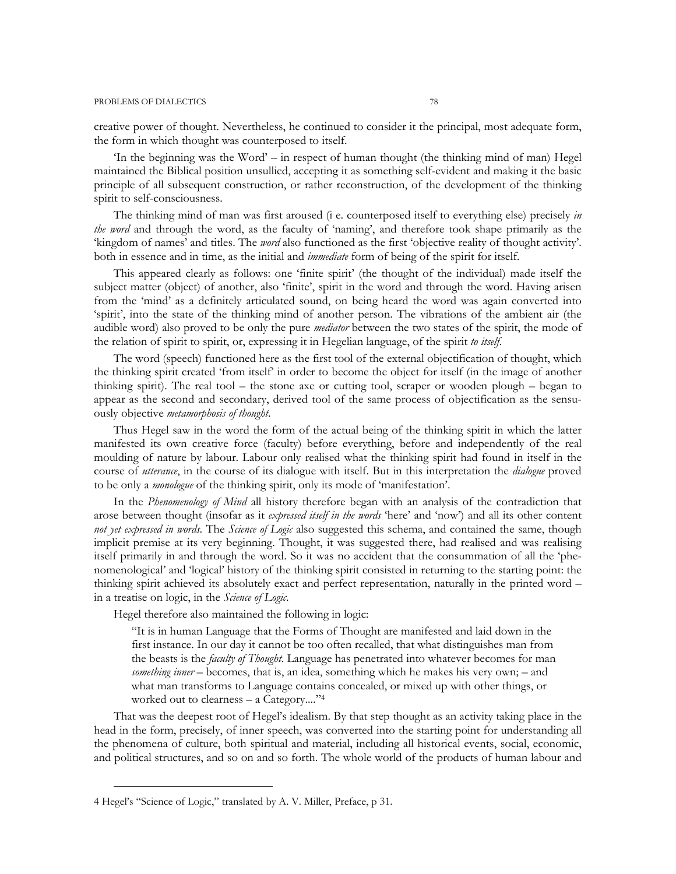creative power of thought. Nevertheless, he continued to consider it the principal, most adequate form, the form in which thought was counterposed to itself.

'In the beginning was the Word' – in respect of human thought (the thinking mind of man) Hegel maintained the Biblical position unsullied, accepting it as something self-evident and making it the basic principle of all subsequent construction, or rather reconstruction, of the development of the thinking spirit to self-consciousness.

The thinking mind of man was first aroused (i e. counterposed itself to everything else) precisely *in the word* and through the word, as the faculty of 'naming', and therefore took shape primarily as the 'kingdom of names' and titles. The *word* also functioned as the first 'objective reality of thought activity'. both in essence and in time, as the initial and *immediate* form of being of the spirit for itself.

This appeared clearly as follows: one 'finite spirit' (the thought of the individual) made itself the subject matter (object) of another, also 'finite', spirit in the word and through the word. Having arisen from the 'mind' as a definitely articulated sound, on being heard the word was again converted into 'spirit', into the state of the thinking mind of another person. The vibrations of the ambient air (the audible word) also proved to be only the pure *mediator* between the two states of the spirit, the mode of the relation of spirit to spirit, or, expressing it in Hegelian language, of the spirit *to itself*.

The word (speech) functioned here as the first tool of the external objectification of thought, which the thinking spirit created 'from itself' in order to become the object for itself (in the image of another thinking spirit). The real tool – the stone axe or cutting tool, scraper or wooden plough – began to appear as the second and secondary, derived tool of the same process of objectification as the sensuously objective *metamorphosis of thought*.

Thus Hegel saw in the word the form of the actual being of the thinking spirit in which the latter manifested its own creative force (faculty) before everything, before and independently of the real moulding of nature by labour. Labour only realised what the thinking spirit had found in itself in the course of *utterance*, in the course of its dialogue with itself. But in this interpretation the *dialogue* proved to be only a *monologue* of the thinking spirit, only its mode of 'manifestation'.

In the *Phenomenology of Mind* all history therefore began with an analysis of the contradiction that arose between thought (insofar as it *expressed itself in the words* 'here' and 'now') and all its other content *not yet expressed in words*. The *Science of Logic* also suggested this schema, and contained the same, though implicit premise at its very beginning. Thought, it was suggested there, had realised and was realising itself primarily in and through the word. So it was no accident that the consummation of all the 'phenomenological' and 'logical' history of the thinking spirit consisted in returning to the starting point: the thinking spirit achieved its absolutely exact and perfect representation, naturally in the printed word – in a treatise on logic, in the *Science of Logic*.

Hegel therefore also maintained the following in logic:

"It is in human Language that the Forms of Thought are manifested and laid down in the first instance. In our day it cannot be too often recalled, that what distinguishes man from the beasts is the *faculty of Thought*. Language has penetrated into whatever becomes for man *something inner* – becomes, that is, an idea, something which he makes his very own; – and what man transforms to Language contains concealed, or mixed up with other things, or worked out to clearness – a Category...."4

That was the deepest root of Hegel's idealism. By that step thought as an activity taking place in the head in the form, precisely, of inner speech, was converted into the starting point for understanding all the phenomena of culture, both spiritual and material, including all historical events, social, economic, and political structures, and so on and so forth. The whole world of the products of human labour and

<sup>4</sup> Hegel's "Science of Logic," translated by A. V. Miller, Preface, p 31.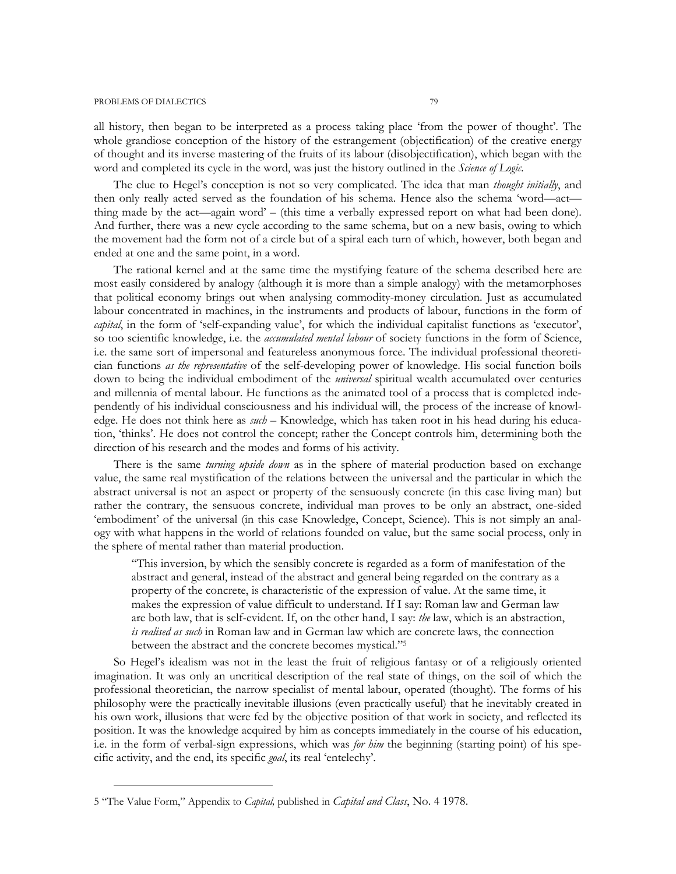all history, then began to be interpreted as a process taking place 'from the power of thought'. The whole grandiose conception of the history of the estrangement (objectification) of the creative energy of thought and its inverse mastering of the fruits of its labour (disobjectification), which began with the word and completed its cycle in the word, was just the history outlined in the *Science of Logic*.

The clue to Hegel's conception is not so very complicated. The idea that man *thought initially*, and then only really acted served as the foundation of his schema. Hence also the schema 'word—act thing made by the act—again word' – (this time a verbally expressed report on what had been done). And further, there was a new cycle according to the same schema, but on a new basis, owing to which the movement had the form not of a circle but of a spiral each turn of which, however, both began and ended at one and the same point, in a word.

The rational kernel and at the same time the mystifying feature of the schema described here are most easily considered by analogy (although it is more than a simple analogy) with the metamorphoses that political economy brings out when analysing commodity-money circulation. Just as accumulated labour concentrated in machines, in the instruments and products of labour, functions in the form of *capital*, in the form of 'self-expanding value', for which the individual capitalist functions as 'executor', so too scientific knowledge, i.e. the *accumulated mental labour* of society functions in the form of Science, i.e. the same sort of impersonal and featureless anonymous force. The individual professional theoretician functions *as the representative* of the self-developing power of knowledge. His social function boils down to being the individual embodiment of the *universal* spiritual wealth accumulated over centuries and millennia of mental labour. He functions as the animated tool of a process that is completed independently of his individual consciousness and his individual will, the process of the increase of knowledge. He does not think here as *such* – Knowledge, which has taken root in his head during his education, 'thinks'. He does not control the concept; rather the Concept controls him, determining both the direction of his research and the modes and forms of his activity.

There is the same *turning upside down* as in the sphere of material production based on exchange value, the same real mystification of the relations between the universal and the particular in which the abstract universal is not an aspect or property of the sensuously concrete (in this case living man) but rather the contrary, the sensuous concrete, individual man proves to be only an abstract, one-sided 'embodiment' of the universal (in this case Knowledge, Concept, Science). This is not simply an analogy with what happens in the world of relations founded on value, but the same social process, only in the sphere of mental rather than material production.

"This inversion, by which the sensibly concrete is regarded as a form of manifestation of the abstract and general, instead of the abstract and general being regarded on the contrary as a property of the concrete, is characteristic of the expression of value. At the same time, it makes the expression of value difficult to understand. If I say: Roman law and German law are both law, that is self-evident. If, on the other hand, I say: *the* law, which is an abstraction, *is realised as such* in Roman law and in German law which are concrete laws, the connection between the abstract and the concrete becomes mystical."5

So Hegel's idealism was not in the least the fruit of religious fantasy or of a religiously oriented imagination. It was only an uncritical description of the real state of things, on the soil of which the professional theoretician, the narrow specialist of mental labour, operated (thought). The forms of his philosophy were the practically inevitable illusions (even practically useful) that he inevitably created in his own work, illusions that were fed by the objective position of that work in society, and reflected its position. It was the knowledge acquired by him as concepts immediately in the course of his education, i.e. in the form of verbal-sign expressions, which was *for him* the beginning (starting point) of his specific activity, and the end, its specific *goal*, its real 'entelechy'.

1

<sup>5 &</sup>quot;The Value Form," Appendix to *Capital,* published in *Capital and Class*, No. 4 1978.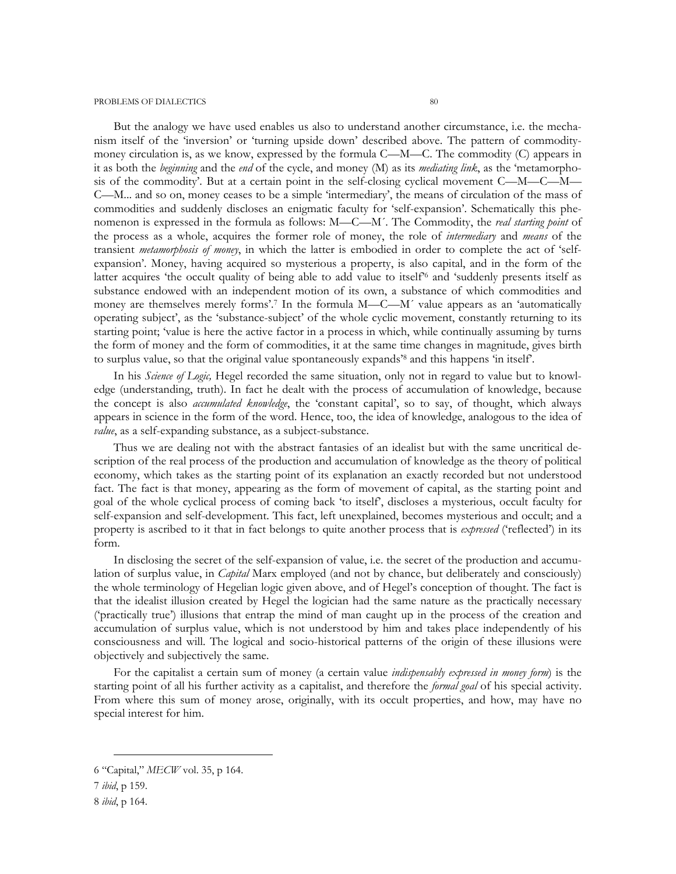But the analogy we have used enables us also to understand another circumstance, i.e. the mechanism itself of the 'inversion' or 'turning upside down' described above. The pattern of commoditymoney circulation is, as we know, expressed by the formula C—M—C. The commodity (C) appears in it as both the *beginning* and the *end* of the cycle, and money (M) as its *mediating link*, as the 'metamorphosis of the commodity'. But at a certain point in the self-closing cyclical movement C—M—C—M— C—M... and so on, money ceases to be a simple 'intermediary', the means of circulation of the mass of commodities and suddenly discloses an enigmatic faculty for 'self-expansion'. Schematically this phenomenon is expressed in the formula as follows: M—C—M´. The Commodity, the *real starting point* of the process as a whole, acquires the former role of money, the role of *intermediary* and *means* of the transient *metamorphosis of money*, in which the latter is embodied in order to complete the act of 'selfexpansion'. Money, having acquired so mysterious a property, is also capital, and in the form of the latter acquires 'the occult quality of being able to add value to itself<sup>6</sup> and 'suddenly presents itself as substance endowed with an independent motion of its own, a substance of which commodities and money are themselves merely forms'.<sup>7</sup> In the formula M—C—M<sup> $\prime$ </sup> value appears as an 'automatically operating subject', as the 'substance-subject' of the whole cyclic movement, constantly returning to its starting point; 'value is here the active factor in a process in which, while continually assuming by turns the form of money and the form of commodities, it at the same time changes in magnitude, gives birth to surplus value, so that the original value spontaneously expands'8 and this happens 'in itself'.

In his *Science of Logic,* Hegel recorded the same situation, only not in regard to value but to knowledge (understanding, truth). In fact he dealt with the process of accumulation of knowledge, because the concept is also *accumulated knowledge*, the 'constant capital', so to say, of thought, which always appears in science in the form of the word. Hence, too, the idea of knowledge, analogous to the idea of *value*, as a self-expanding substance, as a subject-substance.

Thus we are dealing not with the abstract fantasies of an idealist but with the same uncritical description of the real process of the production and accumulation of knowledge as the theory of political economy, which takes as the starting point of its explanation an exactly recorded but not understood fact. The fact is that money, appearing as the form of movement of capital, as the starting point and goal of the whole cyclical process of coming back 'to itself', discloses a mysterious, occult faculty for self-expansion and self-development. This fact, left unexplained, becomes mysterious and occult; and a property is ascribed to it that in fact belongs to quite another process that is *expressed* ('reflected') in its form.

In disclosing the secret of the self-expansion of value, i.e. the secret of the production and accumulation of surplus value, in *Capital* Marx employed (and not by chance, but deliberately and consciously) the whole terminology of Hegelian logic given above, and of Hegel's conception of thought. The fact is that the idealist illusion created by Hegel the logician had the same nature as the practically necessary ('practically true') illusions that entrap the mind of man caught up in the process of the creation and accumulation of surplus value, which is not understood by him and takes place independently of his consciousness and will. The logical and socio-historical patterns of the origin of these illusions were objectively and subjectively the same.

For the capitalist a certain sum of money (a certain value *indispensably expressed in money form*) is the starting point of all his further activity as a capitalist, and therefore the *formal goal* of his special activity. From where this sum of money arose, originally, with its occult properties, and how, may have no special interest for him.

<sup>6 &</sup>quot;Capital," *MECW* vol. 35, p 164.

<sup>7</sup> *ibid*, p 159.

<sup>8</sup> *ibid*, p 164.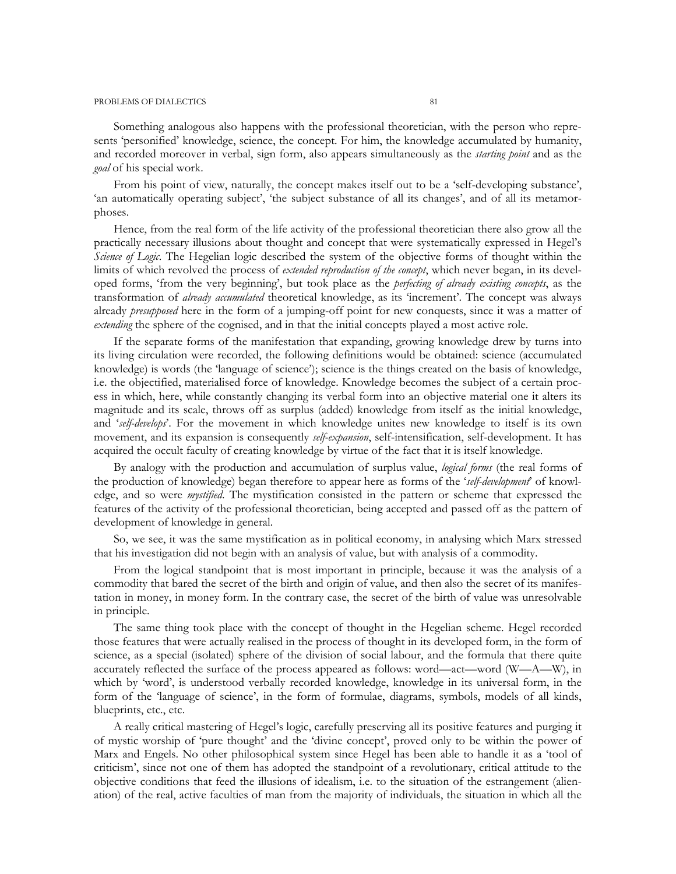Something analogous also happens with the professional theoretician, with the person who represents 'personified' knowledge, science, the concept. For him, the knowledge accumulated by humanity, and recorded moreover in verbal, sign form, also appears simultaneously as the *starting point* and as the *goal* of his special work.

From his point of view, naturally, the concept makes itself out to be a 'self-developing substance', 'an automatically operating subject', 'the subject substance of all its changes', and of all its metamorphoses.

Hence, from the real form of the life activity of the professional theoretician there also grow all the practically necessary illusions about thought and concept that were systematically expressed in Hegel's *Science of Logic*. The Hegelian logic described the system of the objective forms of thought within the limits of which revolved the process of *extended reproduction of the concept*, which never began, in its developed forms, 'from the very beginning', but took place as the *perfecting of already existing concepts*, as the transformation of *already accumulated* theoretical knowledge, as its 'increment'. The concept was always already *presupposed* here in the form of a jumping-off point for new conquests, since it was a matter of *extending* the sphere of the cognised, and in that the initial concepts played a most active role.

If the separate forms of the manifestation that expanding, growing knowledge drew by turns into its living circulation were recorded, the following definitions would be obtained: science (accumulated knowledge) is words (the 'language of science'); science is the things created on the basis of knowledge, i.e. the objectified, materialised force of knowledge. Knowledge becomes the subject of a certain process in which, here, while constantly changing its verbal form into an objective material one it alters its magnitude and its scale, throws off as surplus (added) knowledge from itself as the initial knowledge, and '*self-develops*'. For the movement in which knowledge unites new knowledge to itself is its own movement, and its expansion is consequently *self-expansion*, self-intensification, self-development. It has acquired the occult faculty of creating knowledge by virtue of the fact that it is itself knowledge.

By analogy with the production and accumulation of surplus value, *logical forms* (the real forms of the production of knowledge) began therefore to appear here as forms of the '*self-development*' of knowledge, and so were *mystified*. The mystification consisted in the pattern or scheme that expressed the features of the activity of the professional theoretician, being accepted and passed off as the pattern of development of knowledge in general.

So, we see, it was the same mystification as in political economy, in analysing which Marx stressed that his investigation did not begin with an analysis of value, but with analysis of a commodity.

From the logical standpoint that is most important in principle, because it was the analysis of a commodity that bared the secret of the birth and origin of value, and then also the secret of its manifestation in money, in money form. In the contrary case, the secret of the birth of value was unresolvable in principle.

The same thing took place with the concept of thought in the Hegelian scheme. Hegel recorded those features that were actually realised in the process of thought in its developed form, in the form of science, as a special (isolated) sphere of the division of social labour, and the formula that there quite accurately reflected the surface of the process appeared as follows: word—act—word (W—A—W), in which by 'word', is understood verbally recorded knowledge, knowledge in its universal form, in the form of the 'language of science', in the form of formulae, diagrams, symbols, models of all kinds, blueprints, etc., etc.

A really critical mastering of Hegel's logic, carefully preserving all its positive features and purging it of mystic worship of 'pure thought' and the 'divine concept', proved only to be within the power of Marx and Engels. No other philosophical system since Hegel has been able to handle it as a 'tool of criticism', since not one of them has adopted the standpoint of a revolutionary, critical attitude to the objective conditions that feed the illusions of idealism, i.e. to the situation of the estrangement (alienation) of the real, active faculties of man from the majority of individuals, the situation in which all the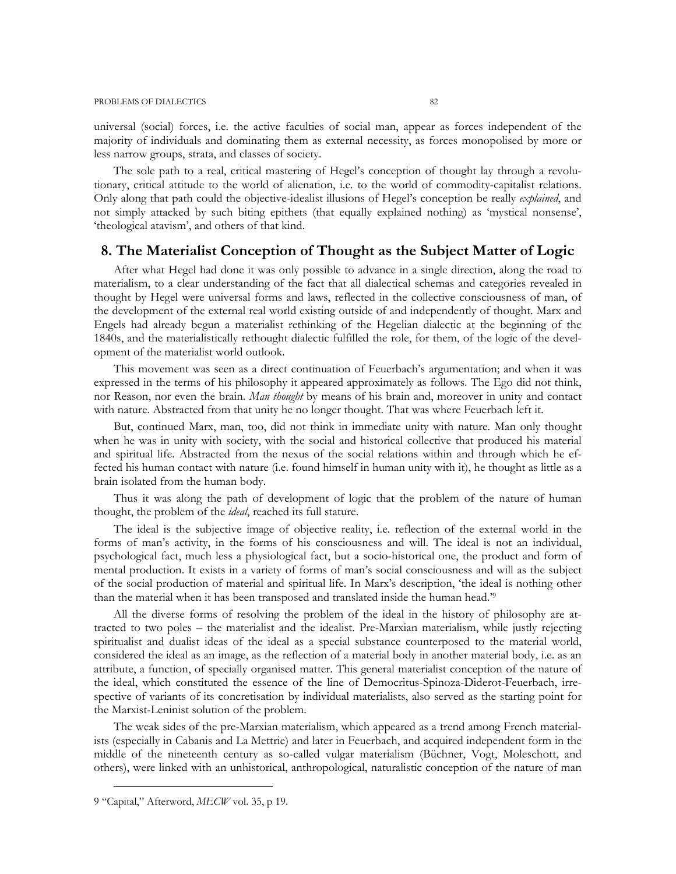universal (social) forces, i.e. the active faculties of social man, appear as forces independent of the majority of individuals and dominating them as external necessity, as forces monopolised by more or less narrow groups, strata, and classes of society.

The sole path to a real, critical mastering of Hegel's conception of thought lay through a revolutionary, critical attitude to the world of alienation, i.e. to the world of commodity-capitalist relations. Only along that path could the objective-idealist illusions of Hegel's conception be really *explained*, and not simply attacked by such biting epithets (that equally explained nothing) as 'mystical nonsense', 'theological atavism', and others of that kind.

## **8. The Materialist Conception of Thought as the Subject Matter of Logic**

After what Hegel had done it was only possible to advance in a single direction, along the road to materialism, to a clear understanding of the fact that all dialectical schemas and categories revealed in thought by Hegel were universal forms and laws, reflected in the collective consciousness of man, of the development of the external real world existing outside of and independently of thought. Marx and Engels had already begun a materialist rethinking of the Hegelian dialectic at the beginning of the 1840s, and the materialistically rethought dialectic fulfilled the role, for them, of the logic of the development of the materialist world outlook.

This movement was seen as a direct continuation of Feuerbach's argumentation; and when it was expressed in the terms of his philosophy it appeared approximately as follows. The Ego did not think, nor Reason, nor even the brain. *Man thought* by means of his brain and, moreover in unity and contact with nature. Abstracted from that unity he no longer thought. That was where Feuerbach left it.

But, continued Marx, man, too, did not think in immediate unity with nature. Man only thought when he was in unity with society, with the social and historical collective that produced his material and spiritual life. Abstracted from the nexus of the social relations within and through which he effected his human contact with nature (i.e. found himself in human unity with it), he thought as little as a brain isolated from the human body.

Thus it was along the path of development of logic that the problem of the nature of human thought, the problem of the *ideal*, reached its full stature.

The ideal is the subjective image of objective reality, i.e. reflection of the external world in the forms of man's activity, in the forms of his consciousness and will. The ideal is not an individual, psychological fact, much less a physiological fact, but a socio-historical one, the product and form of mental production. It exists in a variety of forms of man's social consciousness and will as the subject of the social production of material and spiritual life. In Marx's description, 'the ideal is nothing other than the material when it has been transposed and translated inside the human head.'9

All the diverse forms of resolving the problem of the ideal in the history of philosophy are attracted to two poles – the materialist and the idealist. Pre-Marxian materialism, while justly rejecting spiritualist and dualist ideas of the ideal as a special substance counterposed to the material world, considered the ideal as an image, as the reflection of a material body in another material body, i.e. as an attribute, a function, of specially organised matter. This general materialist conception of the nature of the ideal, which constituted the essence of the line of Democritus-Spinoza-Diderot-Feuerbach, irrespective of variants of its concretisation by individual materialists, also served as the starting point for the Marxist-Leninist solution of the problem.

The weak sides of the pre-Marxian materialism, which appeared as a trend among French materialists (especially in Cabanis and La Mettrie) and later in Feuerbach, and acquired independent form in the middle of the nineteenth century as so-called vulgar materialism (Büchner, Vogt, Moleschott, and others), were linked with an unhistorical, anthropological, naturalistic conception of the nature of man

<sup>9 &</sup>quot;Capital," Afterword, *MECW* vol. 35, p 19.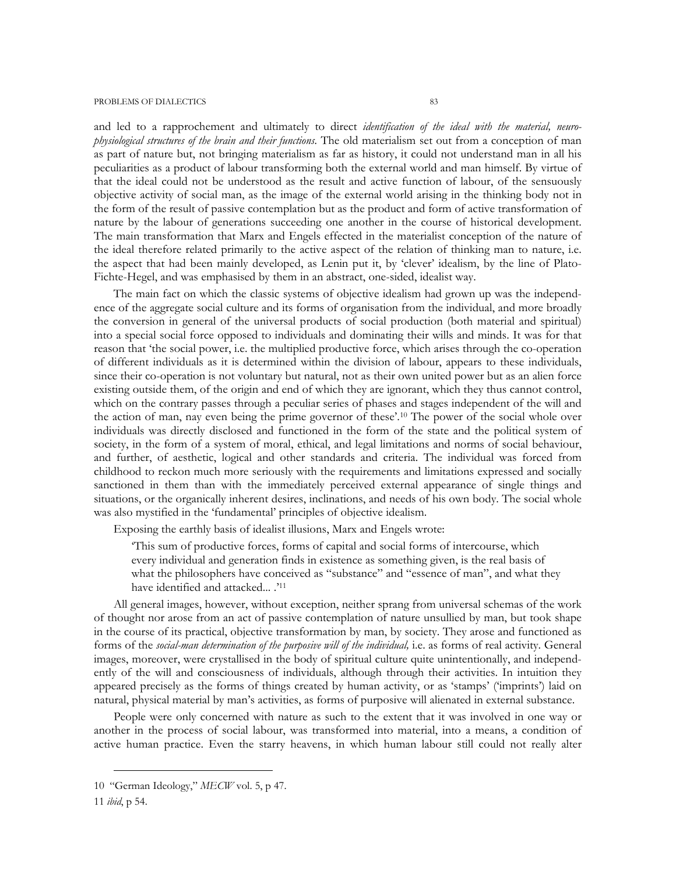and led to a rapprochement and ultimately to direct *identification of the ideal with the material, neurophysiological structures of the brain and their functions.* The old materialism set out from a conception of man as part of nature but, not bringing materialism as far as history, it could not understand man in all his peculiarities as a product of labour transforming both the external world and man himself. By virtue of that the ideal could not be understood as the result and active function of labour, of the sensuously objective activity of social man, as the image of the external world arising in the thinking body not in the form of the result of passive contemplation but as the product and form of active transformation of nature by the labour of generations succeeding one another in the course of historical development. The main transformation that Marx and Engels effected in the materialist conception of the nature of the ideal therefore related primarily to the active aspect of the relation of thinking man to nature, i.e. the aspect that had been mainly developed, as Lenin put it, by 'clever' idealism, by the line of Plato-Fichte-Hegel, and was emphasised by them in an abstract, one-sided, idealist way.

The main fact on which the classic systems of objective idealism had grown up was the independence of the aggregate social culture and its forms of organisation from the individual, and more broadly the conversion in general of the universal products of social production (both material and spiritual) into a special social force opposed to individuals and dominating their wills and minds. It was for that reason that 'the social power, i.e. the multiplied productive force, which arises through the co-operation of different individuals as it is determined within the division of labour, appears to these individuals, since their co-operation is not voluntary but natural, not as their own united power but as an alien force existing outside them, of the origin and end of which they are ignorant, which they thus cannot control, which on the contrary passes through a peculiar series of phases and stages independent of the will and the action of man, nay even being the prime governor of these'.10 The power of the social whole over individuals was directly disclosed and functioned in the form of the state and the political system of society, in the form of a system of moral, ethical, and legal limitations and norms of social behaviour, and further, of aesthetic, logical and other standards and criteria. The individual was forced from childhood to reckon much more seriously with the requirements and limitations expressed and socially sanctioned in them than with the immediately perceived external appearance of single things and situations, or the organically inherent desires, inclinations, and needs of his own body. The social whole was also mystified in the 'fundamental' principles of objective idealism.

Exposing the earthly basis of idealist illusions, Marx and Engels wrote:

'This sum of productive forces, forms of capital and social forms of intercourse, which every individual and generation finds in existence as something given, is the real basis of what the philosophers have conceived as "substance" and "essence of man", and what they have identified and attacked... .'11

All general images, however, without exception, neither sprang from universal schemas of the work of thought nor arose from an act of passive contemplation of nature unsullied by man, but took shape in the course of its practical, objective transformation by man, by society. They arose and functioned as forms of the *social-man determination of the purposive will of the individual,* i.e. as forms of real activity. General images, moreover, were crystallised in the body of spiritual culture quite unintentionally, and independently of the will and consciousness of individuals, although through their activities. In intuition they appeared precisely as the forms of things created by human activity, or as 'stamps' ('imprints') laid on natural, physical material by man's activities, as forms of purposive will alienated in external substance.

People were only concerned with nature as such to the extent that it was involved in one way or another in the process of social labour, was transformed into material, into a means, a condition of active human practice. Even the starry heavens, in which human labour still could not really alter

<sup>10 &</sup>quot;German Ideology," *MECW* vol. 5, p 47.

<sup>11</sup> *ibid*, p 54.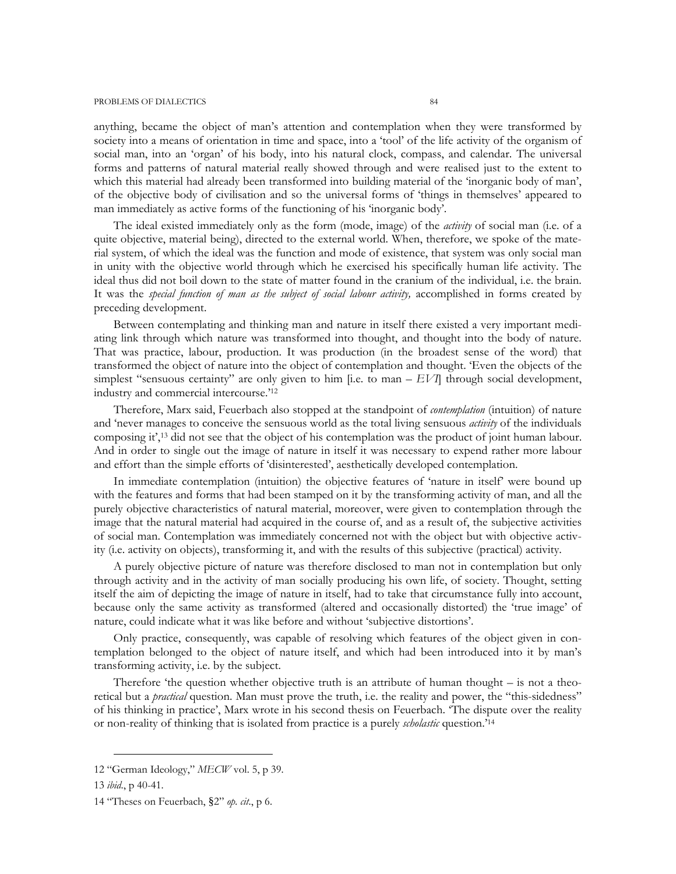anything, became the object of man's attention and contemplation when they were transformed by society into a means of orientation in time and space, into a 'tool' of the life activity of the organism of social man, into an 'organ' of his body, into his natural clock, compass, and calendar. The universal forms and patterns of natural material really showed through and were realised just to the extent to which this material had already been transformed into building material of the 'inorganic body of man', of the objective body of civilisation and so the universal forms of 'things in themselves' appeared to man immediately as active forms of the functioning of his 'inorganic body'.

The ideal existed immediately only as the form (mode, image) of the *activity* of social man (i.e. of a quite objective, material being), directed to the external world. When, therefore, we spoke of the material system, of which the ideal was the function and mode of existence, that system was only social man in unity with the objective world through which he exercised his specifically human life activity. The ideal thus did not boil down to the state of matter found in the cranium of the individual, i.e. the brain. It was the *special function of man as the subject of social labour activity,* accomplished in forms created by preceding development.

Between contemplating and thinking man and nature in itself there existed a very important mediating link through which nature was transformed into thought, and thought into the body of nature. That was practice, labour, production. It was production (in the broadest sense of the word) that transformed the object of nature into the object of contemplation and thought. 'Even the objects of the simplest "sensuous certainty" are only given to him [i.e. to man – *EVI*] through social development, industry and commercial intercourse.'12

Therefore, Marx said, Feuerbach also stopped at the standpoint of *contemplation* (intuition) of nature and 'never manages to conceive the sensuous world as the total living sensuous *activity* of the individuals composing it',13 did not see that the object of his contemplation was the product of joint human labour. And in order to single out the image of nature in itself it was necessary to expend rather more labour and effort than the simple efforts of 'disinterested', aesthetically developed contemplation.

In immediate contemplation (intuition) the objective features of 'nature in itself' were bound up with the features and forms that had been stamped on it by the transforming activity of man, and all the purely objective characteristics of natural material, moreover, were given to contemplation through the image that the natural material had acquired in the course of, and as a result of, the subjective activities of social man. Contemplation was immediately concerned not with the object but with objective activity (i.e. activity on objects), transforming it, and with the results of this subjective (practical) activity.

A purely objective picture of nature was therefore disclosed to man not in contemplation but only through activity and in the activity of man socially producing his own life, of society. Thought, setting itself the aim of depicting the image of nature in itself, had to take that circumstance fully into account, because only the same activity as transformed (altered and occasionally distorted) the 'true image' of nature, could indicate what it was like before and without 'subjective distortions'.

Only practice, consequently, was capable of resolving which features of the object given in contemplation belonged to the object of nature itself, and which had been introduced into it by man's transforming activity, i.e. by the subject.

Therefore 'the question whether objective truth is an attribute of human thought – is not a theoretical but a *practical* question. Man must prove the truth, i.e. the reality and power, the "this-sidedness" of his thinking in practice', Marx wrote in his second thesis on Feuerbach. 'The dispute over the reality or non-reality of thinking that is isolated from practice is a purely *scholastic* question.'14

<sup>12 &</sup>quot;German Ideology," *MECW* vol. 5, p 39.

<sup>13</sup> *ibid*., p 40-41.

<sup>14 &</sup>quot;Theses on Feuerbach, §2" *op. cit*., p 6.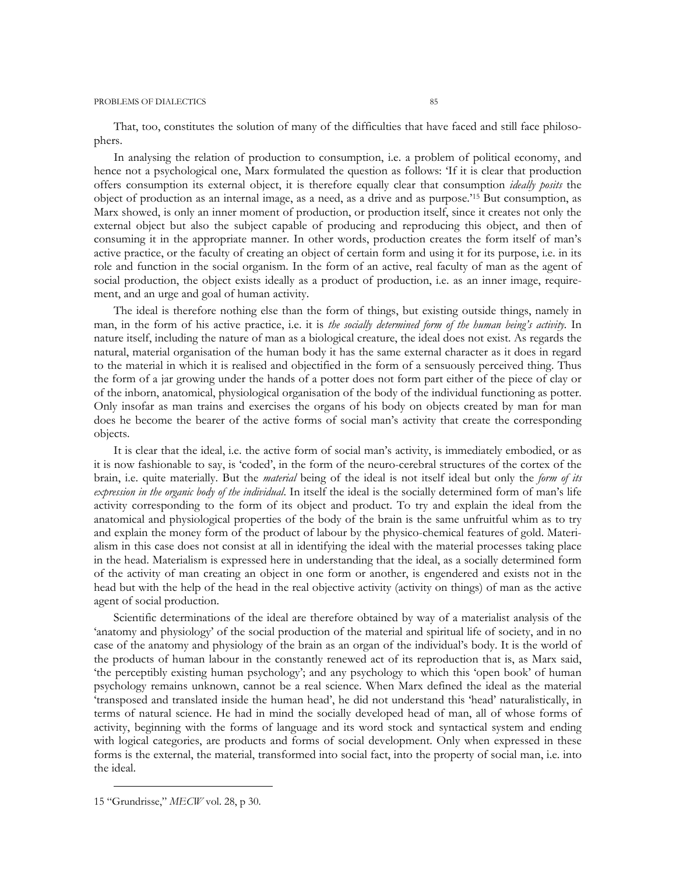That, too, constitutes the solution of many of the difficulties that have faced and still face philosophers.

In analysing the relation of production to consumption, i.e. a problem of political economy, and hence not a psychological one, Marx formulated the question as follows: 'If it is clear that production offers consumption its external object, it is therefore equally clear that consumption *ideally posits* the object of production as an internal image, as a need, as a drive and as purpose.'15 But consumption, as Marx showed, is only an inner moment of production, or production itself, since it creates not only the external object but also the subject capable of producing and reproducing this object, and then of consuming it in the appropriate manner. In other words, production creates the form itself of man's active practice, or the faculty of creating an object of certain form and using it for its purpose, i.e. in its role and function in the social organism. In the form of an active, real faculty of man as the agent of social production, the object exists ideally as a product of production, i.e. as an inner image, requirement, and an urge and goal of human activity.

The ideal is therefore nothing else than the form of things, but existing outside things, namely in man, in the form of his active practice, i.e. it is *the socially determined form of the human being's activity.* In nature itself, including the nature of man as a biological creature, the ideal does not exist. As regards the natural, material organisation of the human body it has the same external character as it does in regard to the material in which it is realised and objectified in the form of a sensuously perceived thing. Thus the form of a jar growing under the hands of a potter does not form part either of the piece of clay or of the inborn, anatomical, physiological organisation of the body of the individual functioning as potter. Only insofar as man trains and exercises the organs of his body on objects created by man for man does he become the bearer of the active forms of social man's activity that create the corresponding objects.

It is clear that the ideal, i.e. the active form of social man's activity, is immediately embodied, or as it is now fashionable to say, is 'coded', in the form of the neuro-cerebral structures of the cortex of the brain, i.e. quite materially. But the *material* being of the ideal is not itself ideal but only the *form of its expression in the organic body of the individual*. In itself the ideal is the socially determined form of man's life activity corresponding to the form of its object and product. To try and explain the ideal from the anatomical and physiological properties of the body of the brain is the same unfruitful whim as to try and explain the money form of the product of labour by the physico-chemical features of gold. Materialism in this case does not consist at all in identifying the ideal with the material processes taking place in the head. Materialism is expressed here in understanding that the ideal, as a socially determined form of the activity of man creating an object in one form or another, is engendered and exists not in the head but with the help of the head in the real objective activity (activity on things) of man as the active agent of social production.

Scientific determinations of the ideal are therefore obtained by way of a materialist analysis of the 'anatomy and physiology' of the social production of the material and spiritual life of society, and in no case of the anatomy and physiology of the brain as an organ of the individual's body. It is the world of the products of human labour in the constantly renewed act of its reproduction that is, as Marx said, 'the perceptibly existing human psychology'; and any psychology to which this 'open book' of human psychology remains unknown, cannot be a real science. When Marx defined the ideal as the material 'transposed and translated inside the human head', he did not understand this 'head' naturalistically, in terms of natural science. He had in mind the socially developed head of man, all of whose forms of activity, beginning with the forms of language and its word stock and syntactical system and ending with logical categories, are products and forms of social development. Only when expressed in these forms is the external, the material, transformed into social fact, into the property of social man, i.e. into the ideal.

<sup>15 &</sup>quot;Grundrisse," *MECW* vol. 28, p 30.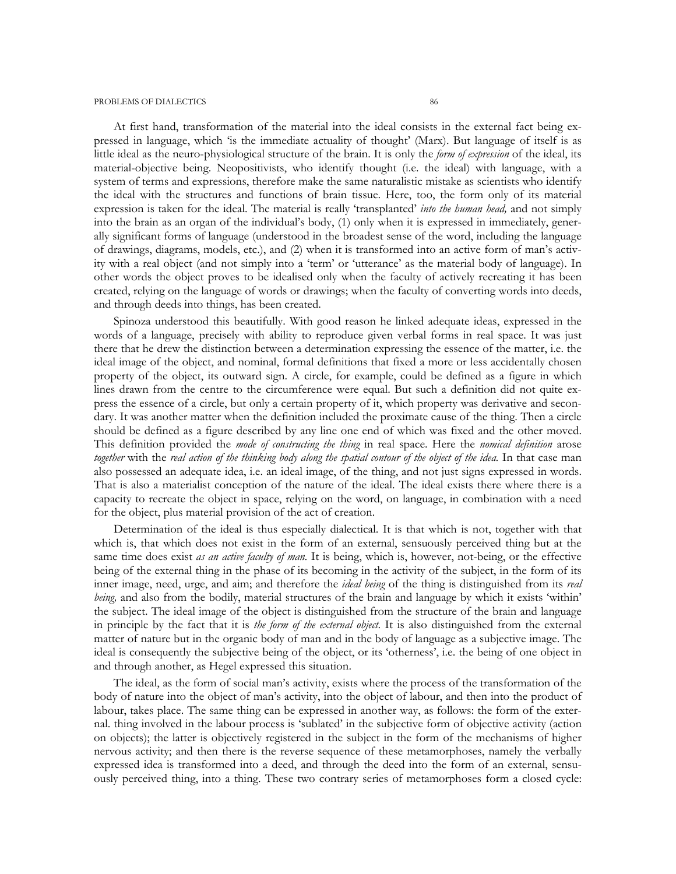At first hand, transformation of the material into the ideal consists in the external fact being expressed in language, which 'is the immediate actuality of thought' (Marx). But language of itself is as little ideal as the neuro-physiological structure of the brain. It is only the *form of expression* of the ideal, its material-objective being. Neopositivists, who identify thought (i.e. the ideal) with language, with a system of terms and expressions, therefore make the same naturalistic mistake as scientists who identify the ideal with the structures and functions of brain tissue. Here, too, the form only of its material expression is taken for the ideal. The material is really 'transplanted' *into the human head,* and not simply into the brain as an organ of the individual's body, (1) only when it is expressed in immediately, generally significant forms of language (understood in the broadest sense of the word, including the language of drawings, diagrams, models, etc.), and (2) when it is transformed into an active form of man's activity with a real object (and not simply into a 'term' or 'utterance' as the material body of language). In other words the object proves to be idealised only when the faculty of actively recreating it has been created, relying on the language of words or drawings; when the faculty of converting words into deeds, and through deeds into things, has been created.

Spinoza understood this beautifully. With good reason he linked adequate ideas, expressed in the words of a language, precisely with ability to reproduce given verbal forms in real space. It was just there that he drew the distinction between a determination expressing the essence of the matter, i.e. the ideal image of the object, and nominal, formal definitions that fixed a more or less accidentally chosen property of the object, its outward sign. A circle, for example, could be defined as a figure in which lines drawn from the centre to the circumference were equal. But such a definition did not quite express the essence of a circle, but only a certain property of it, which property was derivative and secondary. It was another matter when the definition included the proximate cause of the thing. Then a circle should be defined as a figure described by any line one end of which was fixed and the other moved. This definition provided the *mode of constructing the thing* in real space. Here the *nomical definition* arose *together* with the *real action of the thinking body along the spatial contour of the object of the idea.* In that case man also possessed an adequate idea, i.e. an ideal image, of the thing, and not just signs expressed in words. That is also a materialist conception of the nature of the ideal. The ideal exists there where there is a capacity to recreate the object in space, relying on the word, on language, in combination with a need for the object, plus material provision of the act of creation.

Determination of the ideal is thus especially dialectical. It is that which is not, together with that which is, that which does not exist in the form of an external, sensuously perceived thing but at the same time does exist *as an active faculty of man.* It is being, which is, however, not-being, or the effective being of the external thing in the phase of its becoming in the activity of the subject, in the form of its inner image, need, urge, and aim; and therefore the *ideal being* of the thing is distinguished from its *real being,* and also from the bodily, material structures of the brain and language by which it exists 'within' the subject. The ideal image of the object is distinguished from the structure of the brain and language in principle by the fact that it is *the form of the external object*. It is also distinguished from the external matter of nature but in the organic body of man and in the body of language as a subjective image. The ideal is consequently the subjective being of the object, or its 'otherness', i.e. the being of one object in and through another, as Hegel expressed this situation.

The ideal, as the form of social man's activity, exists where the process of the transformation of the body of nature into the object of man's activity, into the object of labour, and then into the product of labour, takes place. The same thing can be expressed in another way, as follows: the form of the external. thing involved in the labour process is 'sublated' in the subjective form of objective activity (action on objects); the latter is objectively registered in the subject in the form of the mechanisms of higher nervous activity; and then there is the reverse sequence of these metamorphoses, namely the verbally expressed idea is transformed into a deed, and through the deed into the form of an external, sensuously perceived thing, into a thing. These two contrary series of metamorphoses form a closed cycle: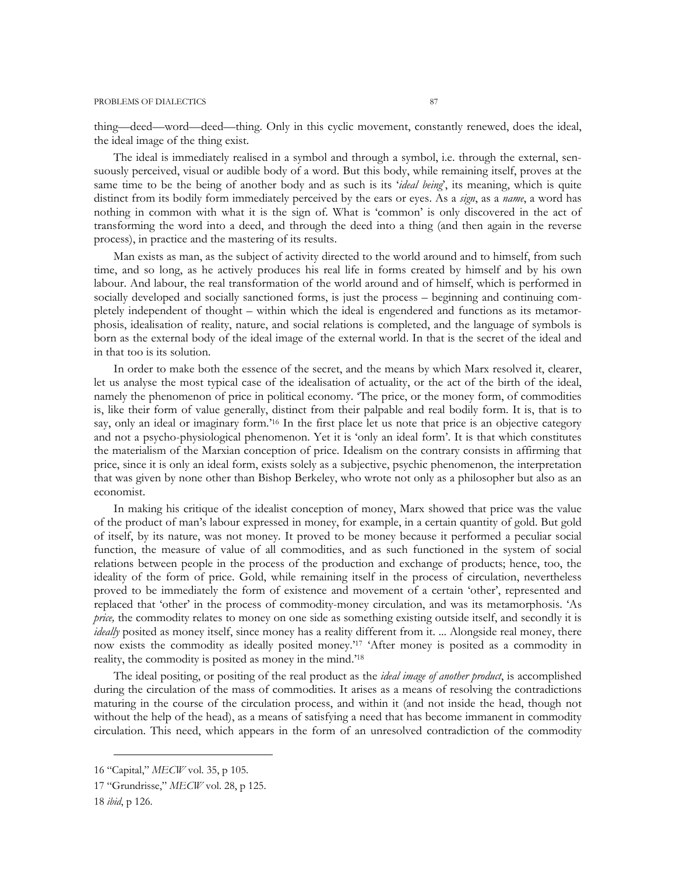thing—deed—word—deed—thing. Only in this cyclic movement, constantly renewed, does the ideal, the ideal image of the thing exist.

The ideal is immediately realised in a symbol and through a symbol, i.e. through the external, sensuously perceived, visual or audible body of a word. But this body, while remaining itself, proves at the same time to be the being of another body and as such is its '*ideal being*', its meaning, which is quite distinct from its bodily form immediately perceived by the ears or eyes. As a *sign*, as a *name*, a word has nothing in common with what it is the sign of. What is 'common' is only discovered in the act of transforming the word into a deed, and through the deed into a thing (and then again in the reverse process), in practice and the mastering of its results.

Man exists as man, as the subject of activity directed to the world around and to himself, from such time, and so long, as he actively produces his real life in forms created by himself and by his own labour. And labour, the real transformation of the world around and of himself, which is performed in socially developed and socially sanctioned forms, is just the process – beginning and continuing completely independent of thought – within which the ideal is engendered and functions as its metamorphosis, idealisation of reality, nature, and social relations is completed, and the language of symbols is born as the external body of the ideal image of the external world. In that is the secret of the ideal and in that too is its solution.

In order to make both the essence of the secret, and the means by which Marx resolved it, clearer, let us analyse the most typical case of the idealisation of actuality, or the act of the birth of the ideal, namely the phenomenon of price in political economy. 'The price, or the money form, of commodities is, like their form of value generally, distinct from their palpable and real bodily form. It is, that is to say, only an ideal or imaginary form.<sup>'16</sup> In the first place let us note that price is an objective category and not a psycho-physiological phenomenon. Yet it is 'only an ideal form'. It is that which constitutes the materialism of the Marxian conception of price. Idealism on the contrary consists in affirming that price, since it is only an ideal form, exists solely as a subjective, psychic phenomenon, the interpretation that was given by none other than Bishop Berkeley, who wrote not only as a philosopher but also as an economist.

In making his critique of the idealist conception of money, Marx showed that price was the value of the product of man's labour expressed in money, for example, in a certain quantity of gold. But gold of itself, by its nature, was not money. It proved to be money because it performed a peculiar social function, the measure of value of all commodities, and as such functioned in the system of social relations between people in the process of the production and exchange of products; hence, too, the ideality of the form of price. Gold, while remaining itself in the process of circulation, nevertheless proved to be immediately the form of existence and movement of a certain 'other', represented and replaced that 'other' in the process of commodity-money circulation, and was its metamorphosis. 'As *price,* the commodity relates to money on one side as something existing outside itself, and secondly it is *ideally* posited as money itself, since money has a reality different from it. ... Alongside real money, there now exists the commodity as ideally posited money.'17 'After money is posited as a commodity in reality, the commodity is posited as money in the mind.'18

The ideal positing, or positing of the real product as the *ideal image of another product*, is accomplished during the circulation of the mass of commodities. It arises as a means of resolving the contradictions maturing in the course of the circulation process, and within it (and not inside the head, though not without the help of the head), as a means of satisfying a need that has become immanent in commodity circulation. This need, which appears in the form of an unresolved contradiction of the commodity

<sup>16 &</sup>quot;Capital," *MECW* vol. 35, p 105.

<sup>17 &</sup>quot;Grundrisse," *MECW* vol. 28, p 125.

<sup>18</sup> *ibid*, p 126.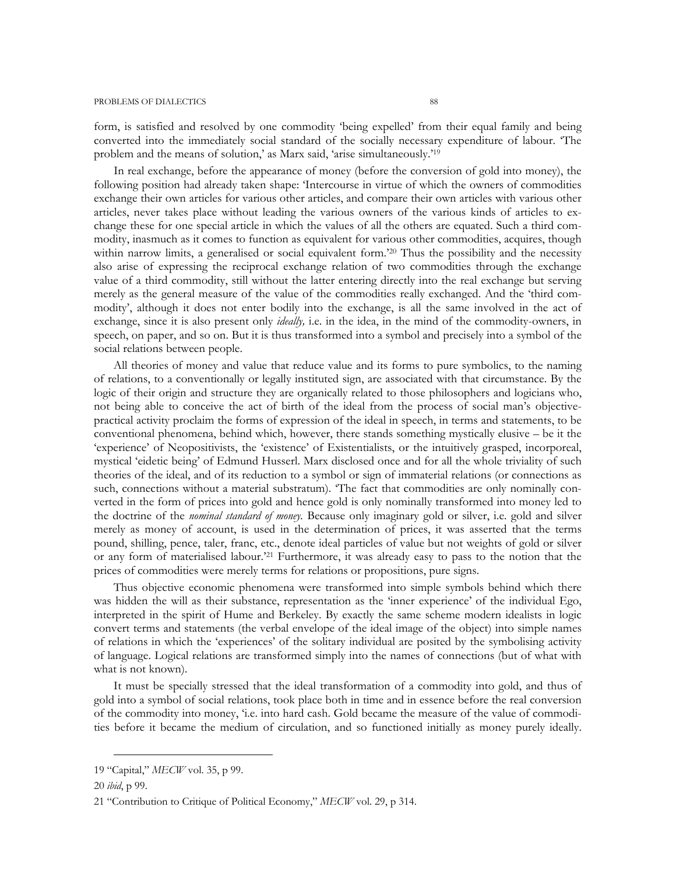form, is satisfied and resolved by one commodity 'being expelled' from their equal family and being converted into the immediately social standard of the socially necessary expenditure of labour. 'The problem and the means of solution,' as Marx said, 'arise simultaneously.'19

In real exchange, before the appearance of money (before the conversion of gold into money), the following position had already taken shape: 'Intercourse in virtue of which the owners of commodities exchange their own articles for various other articles, and compare their own articles with various other articles, never takes place without leading the various owners of the various kinds of articles to exchange these for one special article in which the values of all the others are equated. Such a third commodity, inasmuch as it comes to function as equivalent for various other commodities, acquires, though within narrow limits, a generalised or social equivalent form.'<sup>20</sup> Thus the possibility and the necessity also arise of expressing the reciprocal exchange relation of two commodities through the exchange value of a third commodity, still without the latter entering directly into the real exchange but serving merely as the general measure of the value of the commodities really exchanged. And the 'third commodity', although it does not enter bodily into the exchange, is all the same involved in the act of exchange, since it is also present only *ideally,* i.e. in the idea, in the mind of the commodity-owners, in speech, on paper, and so on. But it is thus transformed into a symbol and precisely into a symbol of the social relations between people.

All theories of money and value that reduce value and its forms to pure symbolics, to the naming of relations, to a conventionally or legally instituted sign, are associated with that circumstance. By the logic of their origin and structure they are organically related to those philosophers and logicians who, not being able to conceive the act of birth of the ideal from the process of social man's objectivepractical activity proclaim the forms of expression of the ideal in speech, in terms and statements, to be conventional phenomena, behind which, however, there stands something mystically elusive – be it the 'experience' of Neopositivists, the 'existence' of Existentialists, or the intuitively grasped, incorporeal, mystical 'eidetic being' of Edmund Husserl. Marx disclosed once and for all the whole triviality of such theories of the ideal, and of its reduction to a symbol or sign of immaterial relations (or connections as such, connections without a material substratum). The fact that commodities are only nominally converted in the form of prices into gold and hence gold is only nominally transformed into money led to the doctrine of the *nominal standard of money.* Because only imaginary gold or silver, i.e. gold and silver merely as money of account, is used in the determination of prices, it was asserted that the terms pound, shilling, pence, taler, franc, etc., denote ideal particles of value but not weights of gold or silver or any form of materialised labour.'21 Furthermore, it was already easy to pass to the notion that the prices of commodities were merely terms for relations or propositions, pure signs.

Thus objective economic phenomena were transformed into simple symbols behind which there was hidden the will as their substance, representation as the 'inner experience' of the individual Ego, interpreted in the spirit of Hume and Berkeley. By exactly the same scheme modern idealists in logic convert terms and statements (the verbal envelope of the ideal image of the object) into simple names of relations in which the 'experiences' of the solitary individual are posited by the symbolising activity of language. Logical relations are transformed simply into the names of connections (but of what with what is not known).

It must be specially stressed that the ideal transformation of a commodity into gold, and thus of gold into a symbol of social relations, took place both in time and in essence before the real conversion of the commodity into money, 'i.e. into hard cash. Gold became the measure of the value of commodities before it became the medium of circulation, and so functioned initially as money purely ideally.

<sup>19 &</sup>quot;Capital," *MECW* vol. 35, p 99.

<sup>20</sup> *ibid*, p 99.

<sup>21 &</sup>quot;Contribution to Critique of Political Economy," *MECW* vol. 29, p 314.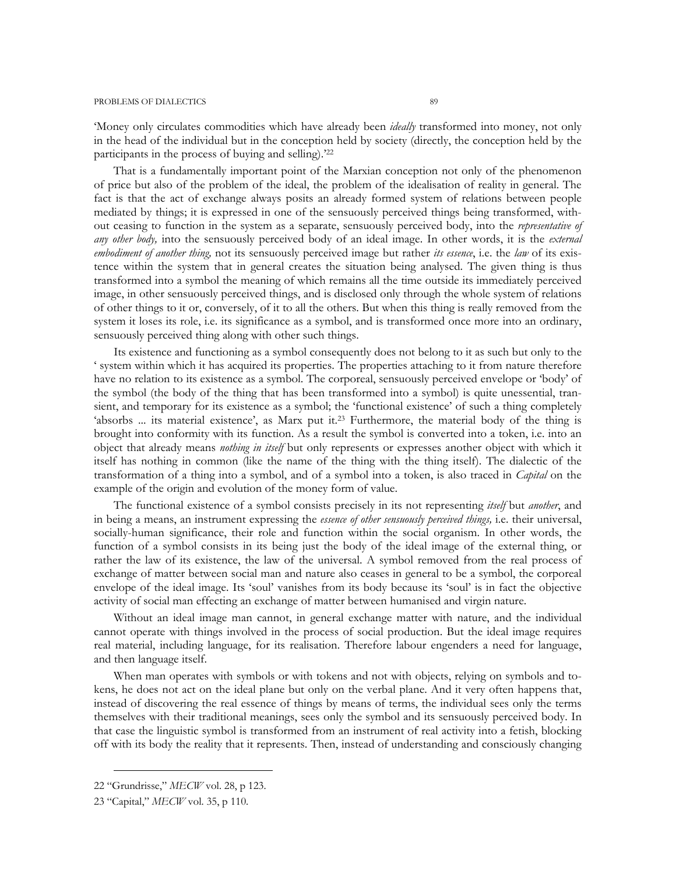'Money only circulates commodities which have already been *ideally* transformed into money, not only in the head of the individual but in the conception held by society (directly, the conception held by the participants in the process of buying and selling).'22

That is a fundamentally important point of the Marxian conception not only of the phenomenon of price but also of the problem of the ideal, the problem of the idealisation of reality in general. The fact is that the act of exchange always posits an already formed system of relations between people mediated by things; it is expressed in one of the sensuously perceived things being transformed, without ceasing to function in the system as a separate, sensuously perceived body, into the *representative of any other body,* into the sensuously perceived body of an ideal image. In other words, it is the *external embodiment of another thing,* not its sensuously perceived image but rather *its essence*, i.e. the *law* of its existence within the system that in general creates the situation being analysed. The given thing is thus transformed into a symbol the meaning of which remains all the time outside its immediately perceived image, in other sensuously perceived things, and is disclosed only through the whole system of relations of other things to it or, conversely, of it to all the others. But when this thing is really removed from the system it loses its role, i.e. its significance as a symbol, and is transformed once more into an ordinary, sensuously perceived thing along with other such things.

Its existence and functioning as a symbol consequently does not belong to it as such but only to the ' system within which it has acquired its properties. The properties attaching to it from nature therefore have no relation to its existence as a symbol. The corporeal, sensuously perceived envelope or 'body' of the symbol (the body of the thing that has been transformed into a symbol) is quite unessential, transient, and temporary for its existence as a symbol; the 'functional existence' of such a thing completely 'absorbs ... its material existence', as Marx put it.23 Furthermore, the material body of the thing is brought into conformity with its function. As a result the symbol is converted into a token, i.e. into an object that already means *nothing in itself* but only represents or expresses another object with which it itself has nothing in common (like the name of the thing with the thing itself). The dialectic of the transformation of a thing into a symbol, and of a symbol into a token, is also traced in *Capital* on the example of the origin and evolution of the money form of value.

The functional existence of a symbol consists precisely in its not representing *itself* but *another*, and in being a means, an instrument expressing the *essence of other sensuously perceived things,* i.e. their universal, socially-human significance, their role and function within the social organism. In other words, the function of a symbol consists in its being just the body of the ideal image of the external thing, or rather the law of its existence, the law of the universal. A symbol removed from the real process of exchange of matter between social man and nature also ceases in general to be a symbol, the corporeal envelope of the ideal image. Its 'soul' vanishes from its body because its 'soul' is in fact the objective activity of social man effecting an exchange of matter between humanised and virgin nature.

Without an ideal image man cannot, in general exchange matter with nature, and the individual cannot operate with things involved in the process of social production. But the ideal image requires real material, including language, for its realisation. Therefore labour engenders a need for language, and then language itself.

When man operates with symbols or with tokens and not with objects, relying on symbols and tokens, he does not act on the ideal plane but only on the verbal plane. And it very often happens that, instead of discovering the real essence of things by means of terms, the individual sees only the terms themselves with their traditional meanings, sees only the symbol and its sensuously perceived body. In that case the linguistic symbol is transformed from an instrument of real activity into a fetish, blocking off with its body the reality that it represents. Then, instead of understanding and consciously changing

<sup>22 &</sup>quot;Grundrisse," *MECW* vol. 28, p 123.

<sup>23 &</sup>quot;Capital," *MECW* vol. 35, p 110.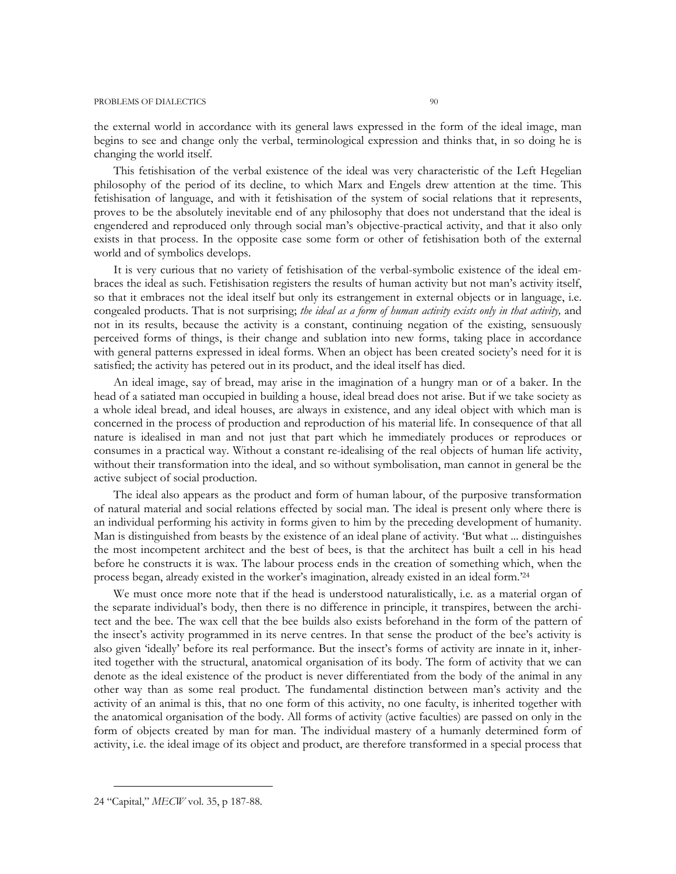the external world in accordance with its general laws expressed in the form of the ideal image, man begins to see and change only the verbal, terminological expression and thinks that, in so doing he is changing the world itself.

This fetishisation of the verbal existence of the ideal was very characteristic of the Left Hegelian philosophy of the period of its decline, to which Marx and Engels drew attention at the time. This fetishisation of language, and with it fetishisation of the system of social relations that it represents, proves to be the absolutely inevitable end of any philosophy that does not understand that the ideal is engendered and reproduced only through social man's objective-practical activity, and that it also only exists in that process. In the opposite case some form or other of fetishisation both of the external world and of symbolics develops.

It is very curious that no variety of fetishisation of the verbal-symbolic existence of the ideal embraces the ideal as such. Fetishisation registers the results of human activity but not man's activity itself, so that it embraces not the ideal itself but only its estrangement in external objects or in language, i.e. congealed products. That is not surprising; *the ideal as a form of human activity exists only in that activity,* and not in its results, because the activity is a constant, continuing negation of the existing, sensuously perceived forms of things, is their change and sublation into new forms, taking place in accordance with general patterns expressed in ideal forms. When an object has been created society's need for it is satisfied; the activity has petered out in its product, and the ideal itself has died.

An ideal image, say of bread, may arise in the imagination of a hungry man or of a baker. In the head of a satiated man occupied in building a house, ideal bread does not arise. But if we take society as a whole ideal bread, and ideal houses, are always in existence, and any ideal object with which man is concerned in the process of production and reproduction of his material life. In consequence of that all nature is idealised in man and not just that part which he immediately produces or reproduces or consumes in a practical way. Without a constant re-idealising of the real objects of human life activity, without their transformation into the ideal, and so without symbolisation, man cannot in general be the active subject of social production.

The ideal also appears as the product and form of human labour, of the purposive transformation of natural material and social relations effected by social man. The ideal is present only where there is an individual performing his activity in forms given to him by the preceding development of humanity. Man is distinguished from beasts by the existence of an ideal plane of activity. 'But what ... distinguishes the most incompetent architect and the best of bees, is that the architect has built a cell in his head before he constructs it is wax. The labour process ends in the creation of something which, when the process began, already existed in the worker's imagination, already existed in an ideal form.'24

We must once more note that if the head is understood naturalistically, i.e. as a material organ of the separate individual's body, then there is no difference in principle, it transpires, between the architect and the bee. The wax cell that the bee builds also exists beforehand in the form of the pattern of the insect's activity programmed in its nerve centres. In that sense the product of the bee's activity is also given 'ideally' before its real performance. But the insect's forms of activity are innate in it, inherited together with the structural, anatomical organisation of its body. The form of activity that we can denote as the ideal existence of the product is never differentiated from the body of the animal in any other way than as some real product. The fundamental distinction between man's activity and the activity of an animal is this, that no one form of this activity, no one faculty, is inherited together with the anatomical organisation of the body. All forms of activity (active faculties) are passed on only in the form of objects created by man for man. The individual mastery of a humanly determined form of activity, i.e. the ideal image of its object and product, are therefore transformed in a special process that

<sup>24 &</sup>quot;Capital," *MECW* vol. 35, p 187-88.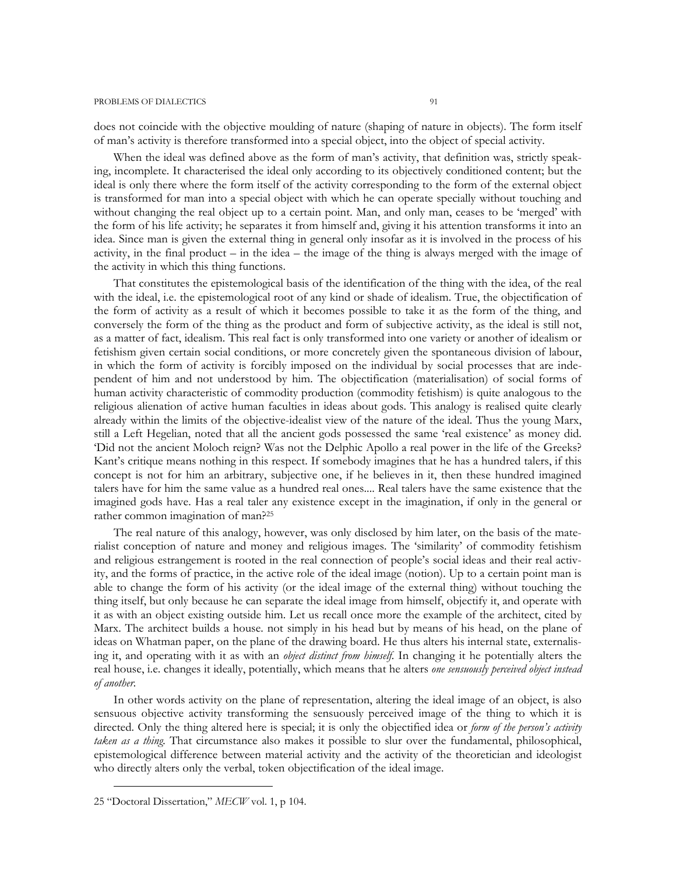does not coincide with the objective moulding of nature (shaping of nature in objects). The form itself of man's activity is therefore transformed into a special object, into the object of special activity.

When the ideal was defined above as the form of man's activity, that definition was, strictly speaking, incomplete. It characterised the ideal only according to its objectively conditioned content; but the ideal is only there where the form itself of the activity corresponding to the form of the external object is transformed for man into a special object with which he can operate specially without touching and without changing the real object up to a certain point. Man, and only man, ceases to be 'merged' with the form of his life activity; he separates it from himself and, giving it his attention transforms it into an idea. Since man is given the external thing in general only insofar as it is involved in the process of his activity, in the final product – in the idea – the image of the thing is always merged with the image of the activity in which this thing functions.

That constitutes the epistemological basis of the identification of the thing with the idea, of the real with the ideal, i.e. the epistemological root of any kind or shade of idealism. True, the objectification of the form of activity as a result of which it becomes possible to take it as the form of the thing, and conversely the form of the thing as the product and form of subjective activity, as the ideal is still not, as a matter of fact, idealism. This real fact is only transformed into one variety or another of idealism or fetishism given certain social conditions, or more concretely given the spontaneous division of labour, in which the form of activity is forcibly imposed on the individual by social processes that are independent of him and not understood by him. The objectification (materialisation) of social forms of human activity characteristic of commodity production (commodity fetishism) is quite analogous to the religious alienation of active human faculties in ideas about gods. This analogy is realised quite clearly already within the limits of the objective-idealist view of the nature of the ideal. Thus the young Marx, still a Left Hegelian, noted that all the ancient gods possessed the same 'real existence' as money did. 'Did not the ancient Moloch reign? Was not the Delphic Apollo a real power in the life of the Greeks? Kant's critique means nothing in this respect. If somebody imagines that he has a hundred talers, if this concept is not for him an arbitrary, subjective one, if he believes in it, then these hundred imagined talers have for him the same value as a hundred real ones.... Real talers have the same existence that the imagined gods have. Has a real taler any existence except in the imagination, if only in the general or rather common imagination of man?25

The real nature of this analogy, however, was only disclosed by him later, on the basis of the materialist conception of nature and money and religious images. The 'similarity' of commodity fetishism and religious estrangement is rooted in the real connection of people's social ideas and their real activity, and the forms of practice, in the active role of the ideal image (notion). Up to a certain point man is able to change the form of his activity (or the ideal image of the external thing) without touching the thing itself, but only because he can separate the ideal image from himself, objectify it, and operate with it as with an object existing outside him. Let us recall once more the example of the architect, cited by Marx. The architect builds a house. not simply in his head but by means of his head, on the plane of ideas on Whatman paper, on the plane of the drawing board. He thus alters his internal state, externalising it, and operating with it as with an *object distinct from himself*. In changing it he potentially alters the real house, i.e. changes it ideally, potentially, which means that he alters *one sensuously perceived object instead of another.*

In other words activity on the plane of representation, altering the ideal image of an object, is also sensuous objective activity transforming the sensuously perceived image of the thing to which it is directed. Only the thing altered here is special; it is only the objectified idea or *form of the person's activity taken as a thing.* That circumstance also makes it possible to slur over the fundamental, philosophical, epistemological difference between material activity and the activity of the theoretician and ideologist who directly alters only the verbal, token objectification of the ideal image.

<sup>25 &</sup>quot;Doctoral Dissertation," *MECW* vol. 1, p 104.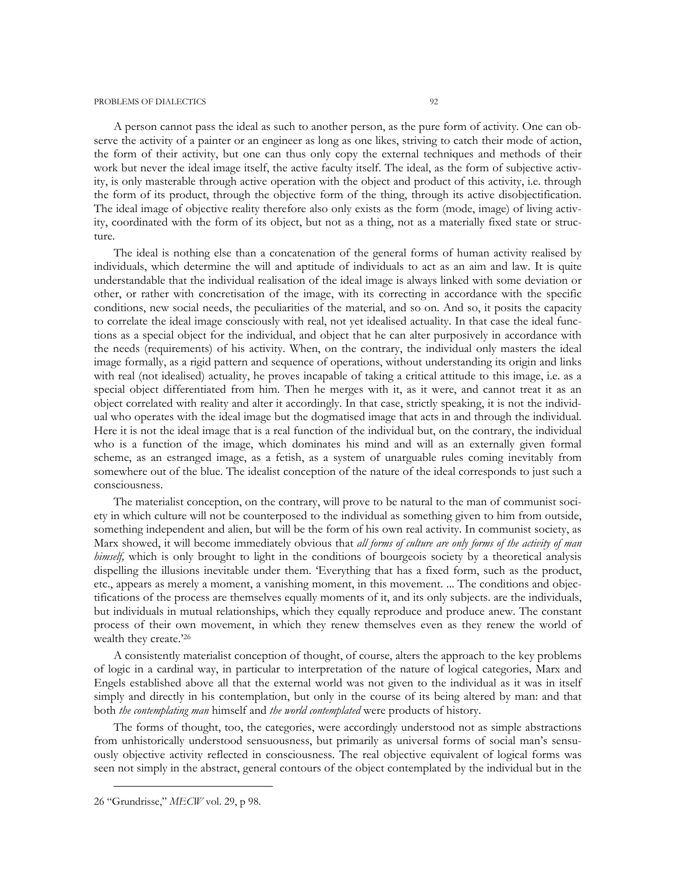A person cannot pass the ideal as such to another person, as the pure form of activity. One can observe the activity of a painter or an engineer as long as one likes, striving to catch their mode of action, the form of their activity, but one can thus only copy the external techniques and methods of their work but never the ideal image itself, the active faculty itself. The ideal, as the form of subjective activity, is only masterable through active operation with the object and product of this activity, i.e. through the form of its product, through the objective form of the thing, through its active disobjectification. The ideal image of objective reality therefore also only exists as the form (mode, image) of living activity, coordinated with the form of its object, but not as a thing, not as a materially fixed state or structure.

The ideal is nothing else than a concatenation of the general forms of human activity realised by individuals, which determine the will and aptitude of individuals to act as an aim and law. It is quite understandable that the individual realisation of the ideal image is always linked with some deviation or other, or rather with concretisation of the image, with its correcting in accordance with the specific conditions, new social needs, the peculiarities of the material, and so on. And so, it posits the capacity to correlate the ideal image consciously with real, not yet idealised actuality. In that case the ideal functions as a special object for the individual, and object that he can alter purposively in accordance with the needs (requirements) of his activity. When, on the contrary, the individual only masters the ideal image formally, as a rigid pattern and sequence of operations, without understanding its origin and links with real (not idealised) actuality, he proves incapable of taking a critical attitude to this image, i.e. as a special object differentiated from him. Then he merges with it, as it were, and cannot treat it as an object correlated with reality and alter it accordingly. In that case, strictly speaking, it is not the individual who operates with the ideal image but the dogmatised image that acts in and through the individual. Here it is not the ideal image that is a real function of the individual but, on the contrary, the individual who is a function of the image, which dominates his mind and will as an externally given formal scheme, as an estranged image, as a fetish, as a system of unarguable rules coming inevitably from somewhere out of the blue. The idealist conception of the nature of the ideal corresponds to just such a consciousness.

The materialist conception, on the contrary, will prove to be natural to the man of communist society in which culture will not be counterposed to the individual as something given to him from outside, something independent and alien, but will be the form of his own real activity. In communist society, as Marx showed, it will become immediately obvious that *all forms of culture are only forms of the activity of man himself*, which is only brought to light in the conditions of bourgeois society by a theoretical analysis dispelling the illusions inevitable under them. 'Everything that has a fixed form, such as the product, etc., appears as merely a moment, a vanishing moment, in this movement. ... The conditions and objectifications of the process are themselves equally moments of it, and its only subjects. are the individuals, but individuals in mutual relationships, which they equally reproduce and produce anew. The constant process of their own movement, in which they renew themselves even as they renew the world of wealth they create.'26

A consistently materialist conception of thought, of course, alters the approach to the key problems of logic in a cardinal way, in particular to interpretation of the nature of logical categories, Marx and Engels established above all that the external world was not given to the individual as it was in itself simply and directly in his contemplation, but only in the course of its being altered by man: and that both *the contemplating man* himself and *the world contemplated* were products of history.

The forms of thought, too, the categories, were accordingly understood not as simple abstractions from unhistorically understood sensuousness, but primarily as universal forms of social man's sensuously objective activity reflected in consciousness. The real objective equivalent of logical forms was seen not simply in the abstract, general contours of the object contemplated by the individual but in the

<sup>26 &</sup>quot;Grundrisse," *MECW* vol. 29, p 98.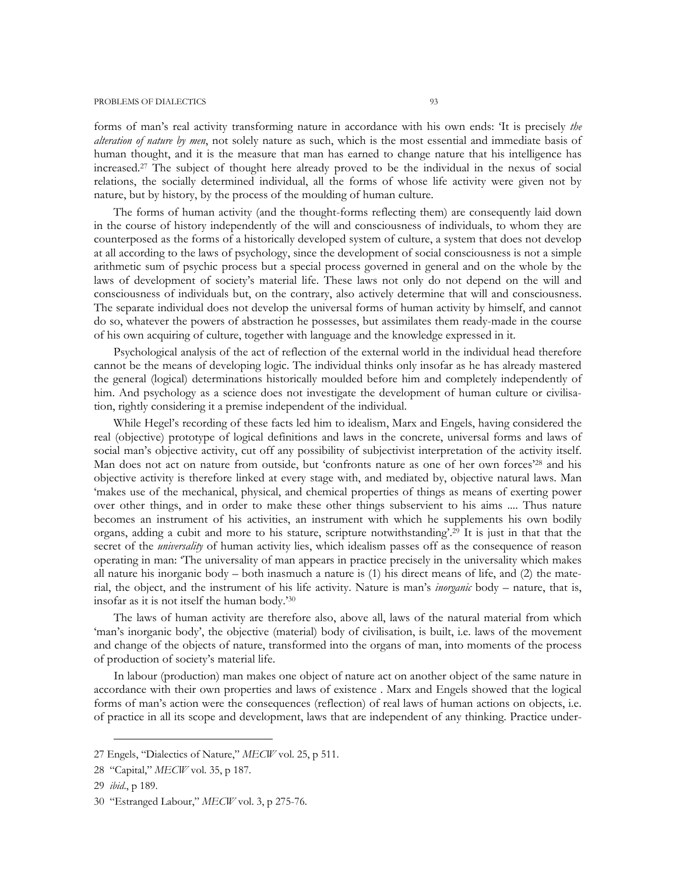forms of man's real activity transforming nature in accordance with his own ends: 'It is precisely *the alteration of nature by men*, not solely nature as such, which is the most essential and immediate basis of human thought, and it is the measure that man has earned to change nature that his intelligence has increased.27 The subject of thought here already proved to be the individual in the nexus of social relations, the socially determined individual, all the forms of whose life activity were given not by nature, but by history, by the process of the moulding of human culture.

The forms of human activity (and the thought-forms reflecting them) are consequently laid down in the course of history independently of the will and consciousness of individuals, to whom they are counterposed as the forms of a historically developed system of culture, a system that does not develop at all according to the laws of psychology, since the development of social consciousness is not a simple arithmetic sum of psychic process but a special process governed in general and on the whole by the laws of development of society's material life. These laws not only do not depend on the will and consciousness of individuals but, on the contrary, also actively determine that will and consciousness. The separate individual does not develop the universal forms of human activity by himself, and cannot do so, whatever the powers of abstraction he possesses, but assimilates them ready-made in the course of his own acquiring of culture, together with language and the knowledge expressed in it.

Psychological analysis of the act of reflection of the external world in the individual head therefore cannot be the means of developing logic. The individual thinks only insofar as he has already mastered the general (logical) determinations historically moulded before him and completely independently of him. And psychology as a science does not investigate the development of human culture or civilisation, rightly considering it a premise independent of the individual.

While Hegel's recording of these facts led him to idealism, Marx and Engels, having considered the real (objective) prototype of logical definitions and laws in the concrete, universal forms and laws of social man's objective activity, cut off any possibility of subjectivist interpretation of the activity itself. Man does not act on nature from outside, but 'confronts nature as one of her own forces'28 and his objective activity is therefore linked at every stage with, and mediated by, objective natural laws. Man 'makes use of the mechanical, physical, and chemical properties of things as means of exerting power over other things, and in order to make these other things subservient to his aims .... Thus nature becomes an instrument of his activities, an instrument with which he supplements his own bodily organs, adding a cubit and more to his stature, scripture notwithstanding'.29 It is just in that that the secret of the *universality* of human activity lies, which idealism passes off as the consequence of reason operating in man: 'The universality of man appears in practice precisely in the universality which makes all nature his inorganic body – both inasmuch a nature is  $(1)$  his direct means of life, and  $(2)$  the material, the object, and the instrument of his life activity. Nature is man's *inorganic* body – nature, that is, insofar as it is not itself the human body.'30

The laws of human activity are therefore also, above all, laws of the natural material from which 'man's inorganic body', the objective (material) body of civilisation, is built, i.e. laws of the movement and change of the objects of nature, transformed into the organs of man, into moments of the process of production of society's material life.

In labour (production) man makes one object of nature act on another object of the same nature in accordance with their own properties and laws of existence . Marx and Engels showed that the logical forms of man's action were the consequences (reflection) of real laws of human actions on objects, i.e. of practice in all its scope and development, laws that are independent of any thinking. Practice under-

<sup>27</sup> Engels, "Dialectics of Nature," *MECW* vol. 25, p 511.

<sup>28 &</sup>quot;Capital," *MECW* vol. 35, p 187.

<sup>29</sup> *ibid*., p 189.

<sup>30 &</sup>quot;Estranged Labour," *MECW* vol. 3, p 275-76.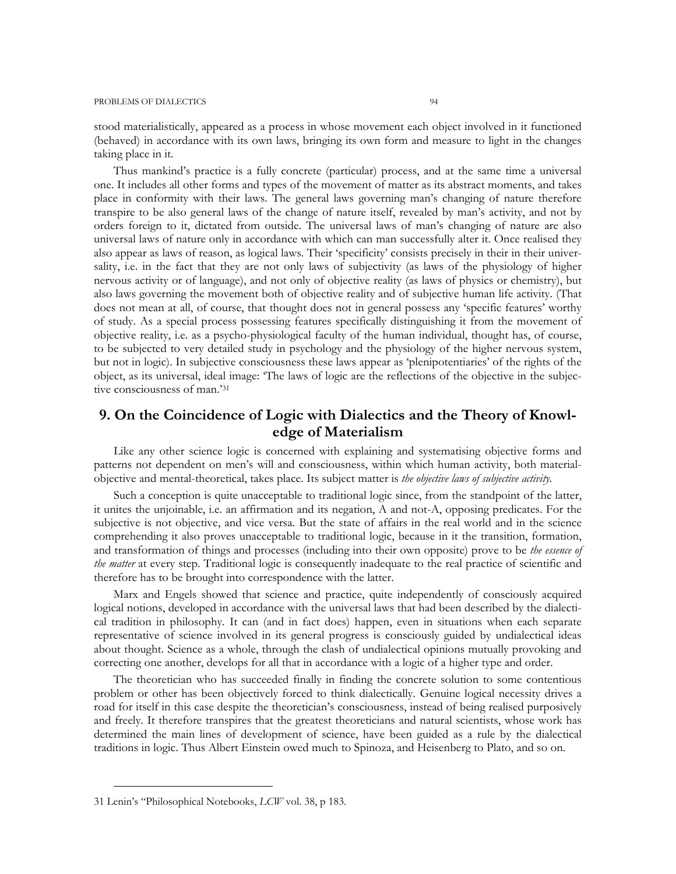stood materialistically, appeared as a process in whose movement each object involved in it functioned (behaved) in accordance with its own laws, bringing its own form and measure to light in the changes taking place in it.

Thus mankind's practice is a fully concrete (particular) process, and at the same time a universal one. It includes all other forms and types of the movement of matter as its abstract moments, and takes place in conformity with their laws. The general laws governing man's changing of nature therefore transpire to be also general laws of the change of nature itself, revealed by man's activity, and not by orders foreign to it, dictated from outside. The universal laws of man's changing of nature are also universal laws of nature only in accordance with which can man successfully alter it. Once realised they also appear as laws of reason, as logical laws. Their 'specificity' consists precisely in their in their universality, i.e. in the fact that they are not only laws of subjectivity (as laws of the physiology of higher nervous activity or of language), and not only of objective reality (as laws of physics or chemistry), but also laws governing the movement both of objective reality and of subjective human life activity. (That does not mean at all, of course, that thought does not in general possess any 'specific features' worthy of study. As a special process possessing features specifically distinguishing it from the movement of objective reality, i.e. as a psycho-physiological faculty of the human individual, thought has, of course, to be subjected to very detailed study in psychology and the physiology of the higher nervous system, but not in logic). In subjective consciousness these laws appear as 'plenipotentiaries' of the rights of the object, as its universal, ideal image: 'The laws of logic are the reflections of the objective in the subjective consciousness of man.'31

# **9. On the Coincidence of Logic with Dialectics and the Theory of Knowledge of Materialism**

Like any other science logic is concerned with explaining and systematising objective forms and patterns not dependent on men's will and consciousness, within which human activity, both materialobjective and mental-theoretical, takes place. Its subject matter is *the objective laws of subjective activity.*

Such a conception is quite unacceptable to traditional logic since, from the standpoint of the latter, it unites the unjoinable, i.e. an affirmation and its negation, A and not-A, opposing predicates. For the subjective is not objective, and vice versa. But the state of affairs in the real world and in the science comprehending it also proves unacceptable to traditional logic, because in it the transition, formation, and transformation of things and processes (including into their own opposite) prove to be *the essence of the matter* at every step. Traditional logic is consequently inadequate to the real practice of scientific and therefore has to be brought into correspondence with the latter.

Marx and Engels showed that science and practice, quite independently of consciously acquired logical notions, developed in accordance with the universal laws that had been described by the dialectical tradition in philosophy. It can (and in fact does) happen, even in situations when each separate representative of science involved in its general progress is consciously guided by undialectical ideas about thought. Science as a whole, through the clash of undialectical opinions mutually provoking and correcting one another, develops for all that in accordance with a logic of a higher type and order.

The theoretician who has succeeded finally in finding the concrete solution to some contentious problem or other has been objectively forced to think dialectically. Genuine logical necessity drives a road for itself in this case despite the theoretician's consciousness, instead of being realised purposively and freely. It therefore transpires that the greatest theoreticians and natural scientists, whose work has determined the main lines of development of science, have been guided as a rule by the dialectical traditions in logic. Thus Albert Einstein owed much to Spinoza, and Heisenberg to Plato, and so on.

<sup>31</sup> Lenin's "Philosophical Notebooks, *LCW* vol. 38, p 183.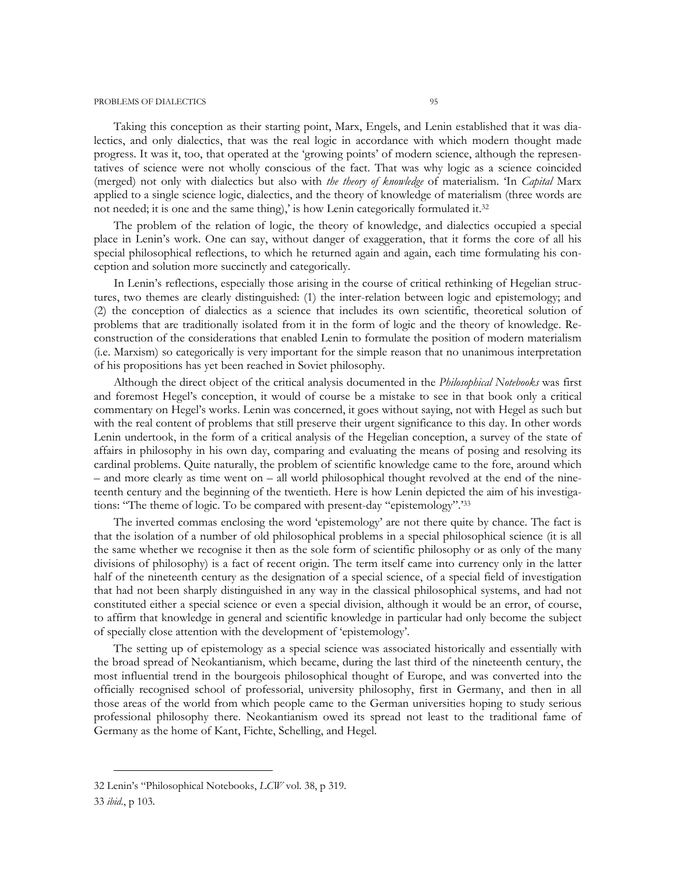Taking this conception as their starting point, Marx, Engels, and Lenin established that it was dialectics, and only dialectics, that was the real logic in accordance with which modern thought made progress. It was it, too, that operated at the 'growing points' of modern science, although the representatives of science were not wholly conscious of the fact. That was why logic as a science coincided (merged) not only with dialectics but also with *the theory of knowledge* of materialism. 'In *Capital* Marx applied to a single science logic, dialectics, and the theory of knowledge of materialism (three words are not needed; it is one and the same thing),' is how Lenin categorically formulated it.<sup>32</sup>

The problem of the relation of logic, the theory of knowledge, and dialectics occupied a special place in Lenin's work. One can say, without danger of exaggeration, that it forms the core of all his special philosophical reflections, to which he returned again and again, each time formulating his conception and solution more succinctly and categorically.

In Lenin's reflections, especially those arising in the course of critical rethinking of Hegelian structures, two themes are clearly distinguished: (1) the inter-relation between logic and epistemology; and (2) the conception of dialectics as a science that includes its own scientific, theoretical solution of problems that are traditionally isolated from it in the form of logic and the theory of knowledge. Reconstruction of the considerations that enabled Lenin to formulate the position of modern materialism (i.e. Marxism) so categorically is very important for the simple reason that no unanimous interpretation of his propositions has yet been reached in Soviet philosophy.

Although the direct object of the critical analysis documented in the *Philosophical Notebooks* was first and foremost Hegel's conception, it would of course be a mistake to see in that book only a critical commentary on Hegel's works. Lenin was concerned, it goes without saying, not with Hegel as such but with the real content of problems that still preserve their urgent significance to this day. In other words Lenin undertook, in the form of a critical analysis of the Hegelian conception, a survey of the state of affairs in philosophy in his own day, comparing and evaluating the means of posing and resolving its cardinal problems. Quite naturally, the problem of scientific knowledge came to the fore, around which – and more clearly as time went on – all world philosophical thought revolved at the end of the nineteenth century and the beginning of the twentieth. Here is how Lenin depicted the aim of his investigations: "The theme of logic. To be compared with present-day "epistemology".'33

The inverted commas enclosing the word 'epistemology' are not there quite by chance. The fact is that the isolation of a number of old philosophical problems in a special philosophical science (it is all the same whether we recognise it then as the sole form of scientific philosophy or as only of the many divisions of philosophy) is a fact of recent origin. The term itself came into currency only in the latter half of the nineteenth century as the designation of a special science, of a special field of investigation that had not been sharply distinguished in any way in the classical philosophical systems, and had not constituted either a special science or even a special division, although it would be an error, of course, to affirm that knowledge in general and scientific knowledge in particular had only become the subject of specially close attention with the development of 'epistemology'.

The setting up of epistemology as a special science was associated historically and essentially with the broad spread of Neokantianism, which became, during the last third of the nineteenth century, the most influential trend in the bourgeois philosophical thought of Europe, and was converted into the officially recognised school of professorial, university philosophy, first in Germany, and then in all those areas of the world from which people came to the German universities hoping to study serious professional philosophy there. Neokantianism owed its spread not least to the traditional fame of Germany as the home of Kant, Fichte, Schelling, and Hegel.

<sup>32</sup> Lenin's "Philosophical Notebooks, *LCW* vol. 38, p 319.

<sup>33</sup> *ibid*., p 103.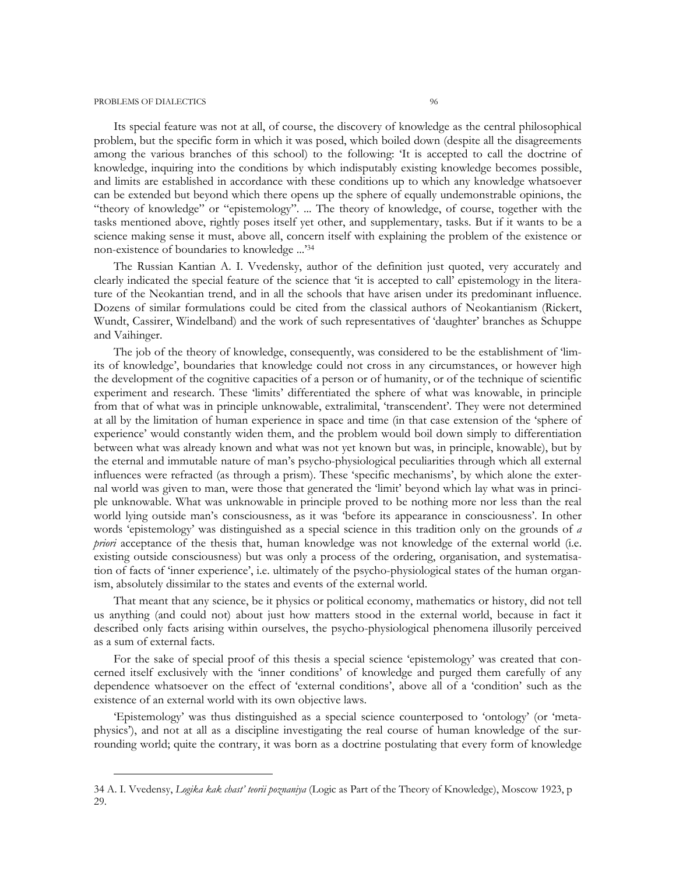**.** 

Its special feature was not at all, of course, the discovery of knowledge as the central philosophical problem, but the specific form in which it was posed, which boiled down (despite all the disagreements among the various branches of this school) to the following: 'It is accepted to call the doctrine of knowledge, inquiring into the conditions by which indisputably existing knowledge becomes possible, and limits are established in accordance with these conditions up to which any knowledge whatsoever can be extended but beyond which there opens up the sphere of equally undemonstrable opinions, the "theory of knowledge" or "epistemology". ... The theory of knowledge, of course, together with the tasks mentioned above, rightly poses itself yet other, and supplementary, tasks. But if it wants to be a science making sense it must, above all, concern itself with explaining the problem of the existence or non-existence of boundaries to knowledge ...'34

The Russian Kantian A. I. Vvedensky, author of the definition just quoted, very accurately and clearly indicated the special feature of the science that 'it is accepted to call' epistemology in the literature of the Neokantian trend, and in all the schools that have arisen under its predominant influence. Dozens of similar formulations could be cited from the classical authors of Neokantianism (Rickert, Wundt, Cassirer, Windelband) and the work of such representatives of 'daughter' branches as Schuppe and Vaihinger.

The job of the theory of knowledge, consequently, was considered to be the establishment of 'limits of knowledge', boundaries that knowledge could not cross in any circumstances, or however high the development of the cognitive capacities of a person or of humanity, or of the technique of scientific experiment and research. These 'limits' differentiated the sphere of what was knowable, in principle from that of what was in principle unknowable, extralimital, 'transcendent'. They were not determined at all by the limitation of human experience in space and time (in that case extension of the 'sphere of experience' would constantly widen them, and the problem would boil down simply to differentiation between what was already known and what was not yet known but was, in principle, knowable), but by the eternal and immutable nature of man's psycho-physiological peculiarities through which all external influences were refracted (as through a prism). These 'specific mechanisms', by which alone the external world was given to man, were those that generated the 'limit' beyond which lay what was in principle unknowable. What was unknowable in principle proved to be nothing more nor less than the real world lying outside man's consciousness, as it was 'before its appearance in consciousness'. In other words 'epistemology' was distinguished as a special science in this tradition only on the grounds of *a priori* acceptance of the thesis that, human knowledge was not knowledge of the external world (i.e. existing outside consciousness) but was only a process of the ordering, organisation, and systematisation of facts of 'inner experience', i.e. ultimately of the psycho-physiological states of the human organism, absolutely dissimilar to the states and events of the external world.

That meant that any science, be it physics or political economy, mathematics or history, did not tell us anything (and could not) about just how matters stood in the external world, because in fact it described only facts arising within ourselves, the psycho-physiological phenomena illusorily perceived as a sum of external facts.

For the sake of special proof of this thesis a special science 'epistemology' was created that concerned itself exclusively with the 'inner conditions' of knowledge and purged them carefully of any dependence whatsoever on the effect of 'external conditions', above all of a 'condition' such as the existence of an external world with its own objective laws.

'Epistemology' was thus distinguished as a special science counterposed to 'ontology' (or 'metaphysics'), and not at all as a discipline investigating the real course of human knowledge of the surrounding world; quite the contrary, it was born as a doctrine postulating that every form of knowledge

<sup>34</sup> A. I. Vvedensy, *Logika kak chast' teorii poznaniya* (Logic as Part of the Theory of Knowledge), Moscow 1923, p 29.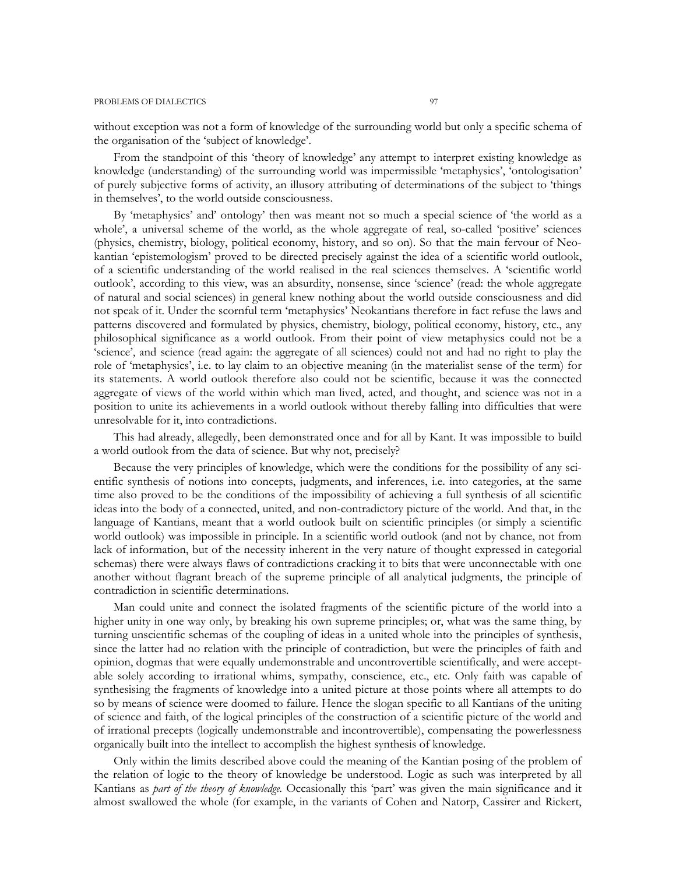without exception was not a form of knowledge of the surrounding world but only a specific schema of the organisation of the 'subject of knowledge'.

From the standpoint of this 'theory of knowledge' any attempt to interpret existing knowledge as knowledge (understanding) of the surrounding world was impermissible 'metaphysics', 'ontologisation' of purely subjective forms of activity, an illusory attributing of determinations of the subject to 'things in themselves', to the world outside consciousness.

By 'metaphysics' and' ontology' then was meant not so much a special science of 'the world as a whole', a universal scheme of the world, as the whole aggregate of real, so-called 'positive' sciences (physics, chemistry, biology, political economy, history, and so on). So that the main fervour of Neokantian 'epistemologism' proved to be directed precisely against the idea of a scientific world outlook, of a scientific understanding of the world realised in the real sciences themselves. A 'scientific world outlook', according to this view, was an absurdity, nonsense, since 'science' (read: the whole aggregate of natural and social sciences) in general knew nothing about the world outside consciousness and did not speak of it. Under the scornful term 'metaphysics' Neokantians therefore in fact refuse the laws and patterns discovered and formulated by physics, chemistry, biology, political economy, history, etc., any philosophical significance as a world outlook. From their point of view metaphysics could not be a 'science', and science (read again: the aggregate of all sciences) could not and had no right to play the role of 'metaphysics', i.e. to lay claim to an objective meaning (in the materialist sense of the term) for its statements. A world outlook therefore also could not be scientific, because it was the connected aggregate of views of the world within which man lived, acted, and thought, and science was not in a position to unite its achievements in a world outlook without thereby falling into difficulties that were unresolvable for it, into contradictions.

This had already, allegedly, been demonstrated once and for all by Kant. It was impossible to build a world outlook from the data of science. But why not, precisely?

Because the very principles of knowledge, which were the conditions for the possibility of any scientific synthesis of notions into concepts, judgments, and inferences, i.e. into categories, at the same time also proved to be the conditions of the impossibility of achieving a full synthesis of all scientific ideas into the body of a connected, united, and non-contradictory picture of the world. And that, in the language of Kantians, meant that a world outlook built on scientific principles (or simply a scientific world outlook) was impossible in principle. In a scientific world outlook (and not by chance, not from lack of information, but of the necessity inherent in the very nature of thought expressed in categorial schemas) there were always flaws of contradictions cracking it to bits that were unconnectable with one another without flagrant breach of the supreme principle of all analytical judgments, the principle of contradiction in scientific determinations.

Man could unite and connect the isolated fragments of the scientific picture of the world into a higher unity in one way only, by breaking his own supreme principles; or, what was the same thing, by turning unscientific schemas of the coupling of ideas in a united whole into the principles of synthesis, since the latter had no relation with the principle of contradiction, but were the principles of faith and opinion, dogmas that were equally undemonstrable and uncontrovertible scientifically, and were acceptable solely according to irrational whims, sympathy, conscience, etc., etc. Only faith was capable of synthesising the fragments of knowledge into a united picture at those points where all attempts to do so by means of science were doomed to failure. Hence the slogan specific to all Kantians of the uniting of science and faith, of the logical principles of the construction of a scientific picture of the world and of irrational precepts (logically undemonstrable and incontrovertible), compensating the powerlessness organically built into the intellect to accomplish the highest synthesis of knowledge.

Only within the limits described above could the meaning of the Kantian posing of the problem of the relation of logic to the theory of knowledge be understood. Logic as such was interpreted by all Kantians as *part of the theory of knowledge.* Occasionally this 'part' was given the main significance and it almost swallowed the whole (for example, in the variants of Cohen and Natorp, Cassirer and Rickert,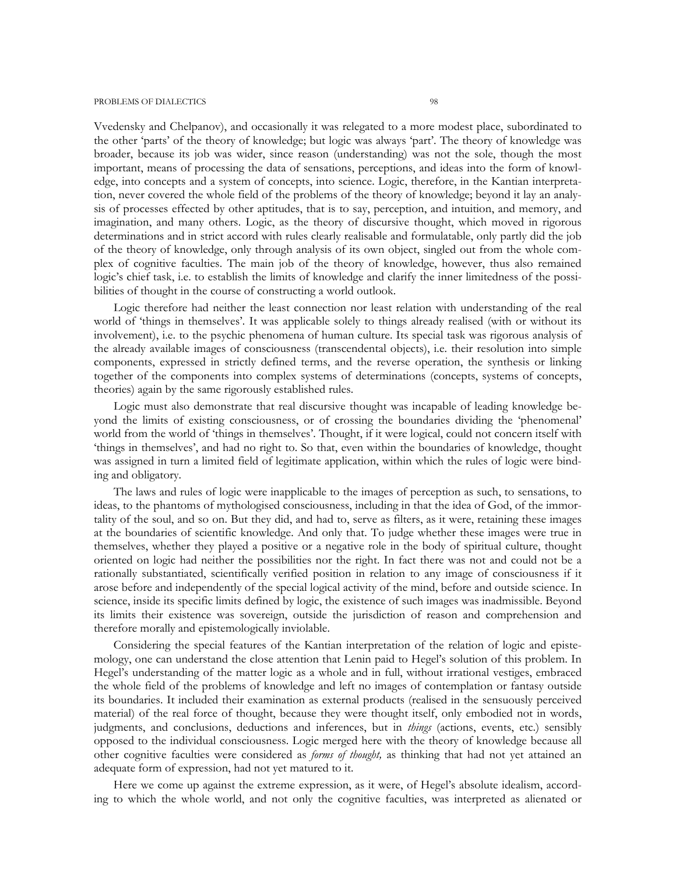Vvedensky and Chelpanov), and occasionally it was relegated to a more modest place, subordinated to the other 'parts' of the theory of knowledge; but logic was always 'part'. The theory of knowledge was broader, because its job was wider, since reason (understanding) was not the sole, though the most important, means of processing the data of sensations, perceptions, and ideas into the form of knowledge, into concepts and a system of concepts, into science. Logic, therefore, in the Kantian interpretation, never covered the whole field of the problems of the theory of knowledge; beyond it lay an analysis of processes effected by other aptitudes, that is to say, perception, and intuition, and memory, and imagination, and many others. Logic, as the theory of discursive thought, which moved in rigorous determinations and in strict accord with rules clearly realisable and formulatable, only partly did the job of the theory of knowledge, only through analysis of its own object, singled out from the whole complex of cognitive faculties. The main job of the theory of knowledge, however, thus also remained logic's chief task, i.e. to establish the limits of knowledge and clarify the inner limitedness of the possibilities of thought in the course of constructing a world outlook.

Logic therefore had neither the least connection nor least relation with understanding of the real world of 'things in themselves'. It was applicable solely to things already realised (with or without its involvement), i.e. to the psychic phenomena of human culture. Its special task was rigorous analysis of the already available images of consciousness (transcendental objects), i.e. their resolution into simple components, expressed in strictly defined terms, and the reverse operation, the synthesis or linking together of the components into complex systems of determinations (concepts, systems of concepts, theories) again by the same rigorously established rules.

Logic must also demonstrate that real discursive thought was incapable of leading knowledge beyond the limits of existing consciousness, or of crossing the boundaries dividing the 'phenomenal' world from the world of 'things in themselves'. Thought, if it were logical, could not concern itself with 'things in themselves', and had no right to. So that, even within the boundaries of knowledge, thought was assigned in turn a limited field of legitimate application, within which the rules of logic were binding and obligatory.

The laws and rules of logic were inapplicable to the images of perception as such, to sensations, to ideas, to the phantoms of mythologised consciousness, including in that the idea of God, of the immortality of the soul, and so on. But they did, and had to, serve as filters, as it were, retaining these images at the boundaries of scientific knowledge. And only that. To judge whether these images were true in themselves, whether they played a positive or a negative role in the body of spiritual culture, thought oriented on logic had neither the possibilities nor the right. In fact there was not and could not be a rationally substantiated, scientifically verified position in relation to any image of consciousness if it arose before and independently of the special logical activity of the mind, before and outside science. In science, inside its specific limits defined by logic, the existence of such images was inadmissible. Beyond its limits their existence was sovereign, outside the jurisdiction of reason and comprehension and therefore morally and epistemologically inviolable.

Considering the special features of the Kantian interpretation of the relation of logic and epistemology, one can understand the close attention that Lenin paid to Hegel's solution of this problem. In Hegel's understanding of the matter logic as a whole and in full, without irrational vestiges, embraced the whole field of the problems of knowledge and left no images of contemplation or fantasy outside its boundaries. It included their examination as external products (realised in the sensuously perceived material) of the real force of thought, because they were thought itself, only embodied not in words, judgments, and conclusions, deductions and inferences, but in *things* (actions, events, etc.) sensibly opposed to the individual consciousness. Logic merged here with the theory of knowledge because all other cognitive faculties were considered as *forms of thought,* as thinking that had not yet attained an adequate form of expression, had not yet matured to it.

Here we come up against the extreme expression, as it were, of Hegel's absolute idealism, according to which the whole world, and not only the cognitive faculties, was interpreted as alienated or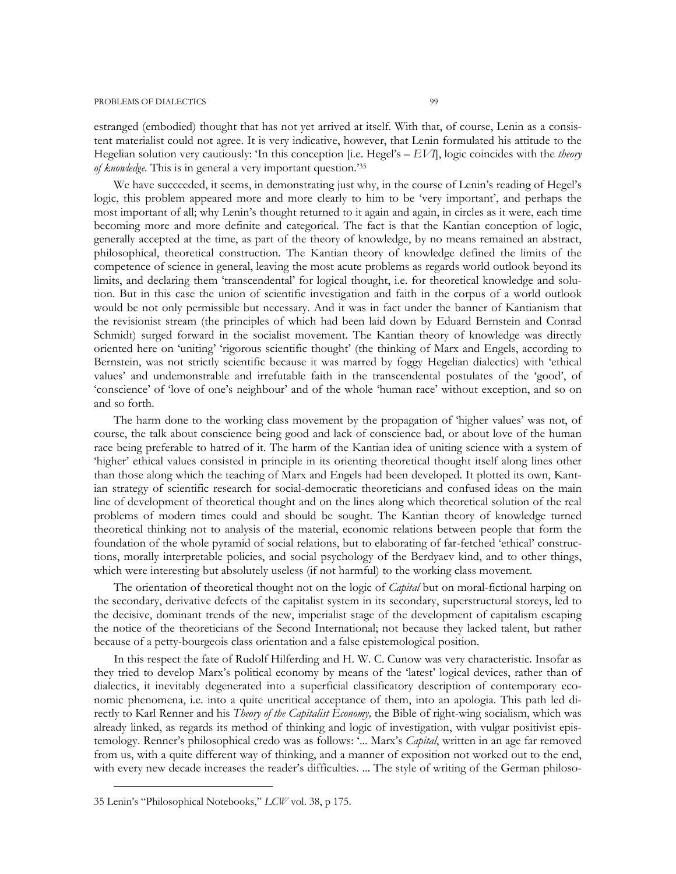estranged (embodied) thought that has not yet arrived at itself. With that, of course, Lenin as a consistent materialist could not agree. It is very indicative, however, that Lenin formulated his attitude to the Hegelian solution very cautiously: 'In this conception [i.e. Hegel's – *EVI*], logic coincides with the *theory of knowledge.* This is in general a very important question.'35

We have succeeded, it seems, in demonstrating just why, in the course of Lenin's reading of Hegel's logic, this problem appeared more and more clearly to him to be 'very important', and perhaps the most important of all; why Lenin's thought returned to it again and again, in circles as it were, each time becoming more and more definite and categorical. The fact is that the Kantian conception of logic, generally accepted at the time, as part of the theory of knowledge, by no means remained an abstract, philosophical, theoretical construction. The Kantian theory of knowledge defined the limits of the competence of science in general, leaving the most acute problems as regards world outlook beyond its limits, and declaring them 'transcendental' for logical thought, i.e. for theoretical knowledge and solution. But in this case the union of scientific investigation and faith in the corpus of a world outlook would be not only permissible but necessary. And it was in fact under the banner of Kantianism that the revisionist stream (the principles of which had been laid down by Eduard Bernstein and Conrad Schmidt) surged forward in the socialist movement. The Kantian theory of knowledge was directly oriented here on 'uniting' 'rigorous scientific thought' (the thinking of Marx and Engels, according to Bernstein, was not strictly scientific because it was marred by foggy Hegelian dialectics) with 'ethical values' and undemonstrable and irrefutable faith in the transcendental postulates of the 'good', of 'conscience' of 'love of one's neighbour' and of the whole 'human race' without exception, and so on and so forth.

The harm done to the working class movement by the propagation of 'higher values' was not, of course, the talk about conscience being good and lack of conscience bad, or about love of the human race being preferable to hatred of it. The harm of the Kantian idea of uniting science with a system of 'higher' ethical values consisted in principle in its orienting theoretical thought itself along lines other than those along which the teaching of Marx and Engels had been developed. It plotted its own, Kantian strategy of scientific research for social-democratic theoreticians and confused ideas on the main line of development of theoretical thought and on the lines along which theoretical solution of the real problems of modern times could and should be sought. The Kantian theory of knowledge turned theoretical thinking not to analysis of the material, economic relations between people that form the foundation of the whole pyramid of social relations, but to elaborating of far-fetched 'ethical' constructions, morally interpretable policies, and social psychology of the Berdyaev kind, and to other things, which were interesting but absolutely useless (if not harmful) to the working class movement.

The orientation of theoretical thought not on the logic of *Capital* but on moral-fictional harping on the secondary, derivative defects of the capitalist system in its secondary, superstructural storeys, led to the decisive, dominant trends of the new, imperialist stage of the development of capitalism escaping the notice of the theoreticians of the Second International; not because they lacked talent, but rather because of a petty-bourgeois class orientation and a false epistemological position.

In this respect the fate of Rudolf Hilferding and H. W. C. Cunow was very characteristic. Insofar as they tried to develop Marx's political economy by means of the 'latest' logical devices, rather than of dialectics, it inevitably degenerated into a superficial classificatory description of contemporary economic phenomena, i.e. into a quite uncritical acceptance of them, into an apologia. This path led directly to Karl Renner and his *Theory of the Capitalist Economy,* the Bible of right-wing socialism, which was already linked, as regards its method of thinking and logic of investigation, with vulgar positivist epistemology. Renner's philosophical credo was as follows: '... Marx's *Capital*, written in an age far removed from us, with a quite different way of thinking, and a manner of exposition not worked out to the end, with every new decade increases the reader's difficulties. ... The style of writing of the German philoso-

<sup>35</sup> Lenin's "Philosophical Notebooks," *LCW* vol. 38, p 175.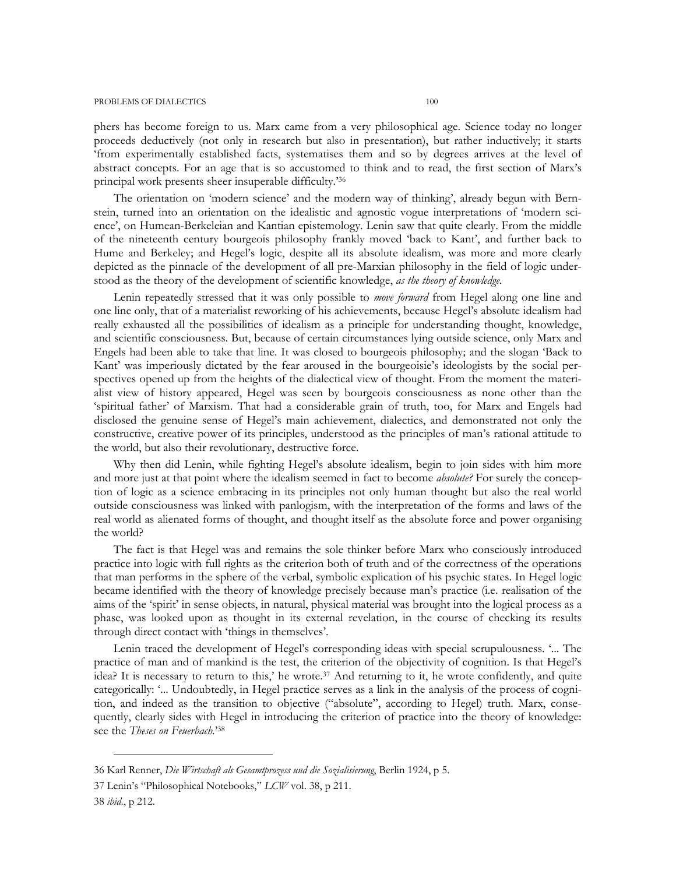phers has become foreign to us. Marx came from a very philosophical age. Science today no longer proceeds deductively (not only in research but also in presentation), but rather inductively; it starts 'from experimentally established facts, systematises them and so by degrees arrives at the level of abstract concepts. For an age that is so accustomed to think and to read, the first section of Marx's principal work presents sheer insuperable difficulty.'36

The orientation on 'modern science' and the modern way of thinking', already begun with Bernstein, turned into an orientation on the idealistic and agnostic vogue interpretations of 'modern science', on Humean-Berkeleian and Kantian epistemology. Lenin saw that quite clearly. From the middle of the nineteenth century bourgeois philosophy frankly moved 'back to Kant', and further back to Hume and Berkeley; and Hegel's logic, despite all its absolute idealism, was more and more clearly depicted as the pinnacle of the development of all pre-Marxian philosophy in the field of logic understood as the theory of the development of scientific knowledge, *as the theory of knowledge.*

Lenin repeatedly stressed that it was only possible to *move forward* from Hegel along one line and one line only, that of a materialist reworking of his achievements, because Hegel's absolute idealism had really exhausted all the possibilities of idealism as a principle for understanding thought, knowledge, and scientific consciousness. But, because of certain circumstances lying outside science, only Marx and Engels had been able to take that line. It was closed to bourgeois philosophy; and the slogan 'Back to Kant' was imperiously dictated by the fear aroused in the bourgeoisie's ideologists by the social perspectives opened up from the heights of the dialectical view of thought. From the moment the materialist view of history appeared, Hegel was seen by bourgeois consciousness as none other than the 'spiritual father' of Marxism. That had a considerable grain of truth, too, for Marx and Engels had disclosed the genuine sense of Hegel's main achievement, dialectics, and demonstrated not only the constructive, creative power of its principles, understood as the principles of man's rational attitude to the world, but also their revolutionary, destructive force.

Why then did Lenin, while fighting Hegel's absolute idealism, begin to join sides with him more and more just at that point where the idealism seemed in fact to become *absolute?* For surely the conception of logic as a science embracing in its principles not only human thought but also the real world outside consciousness was linked with panlogism, with the interpretation of the forms and laws of the real world as alienated forms of thought, and thought itself as the absolute force and power organising the world?

The fact is that Hegel was and remains the sole thinker before Marx who consciously introduced practice into logic with full rights as the criterion both of truth and of the correctness of the operations that man performs in the sphere of the verbal, symbolic explication of his psychic states. In Hegel logic became identified with the theory of knowledge precisely because man's practice (i.e. realisation of the aims of the 'spirit' in sense objects, in natural, physical material was brought into the logical process as a phase, was looked upon as thought in its external revelation, in the course of checking its results through direct contact with 'things in themselves'.

Lenin traced the development of Hegel's corresponding ideas with special scrupulousness. '... The practice of man and of mankind is the test, the criterion of the objectivity of cognition. Is that Hegel's idea? It is necessary to return to this,' he wrote.37 And returning to it, he wrote confidently, and quite categorically: '... Undoubtedly, in Hegel practice serves as a link in the analysis of the process of cognition, and indeed as the transition to objective ("absolute", according to Hegel) truth. Marx, consequently, clearly sides with Hegel in introducing the criterion of practice into the theory of knowledge: see the *Theses on Feuerbach*.'38

<sup>36</sup> Karl Renner, *Die Wirtschaft als Gesamtprozess und die Sozialisierung*, Berlin 1924, p 5.

<sup>37</sup> Lenin's "Philosophical Notebooks," *LCW* vol. 38, p 211.

<sup>38</sup> *ibid*., p 212.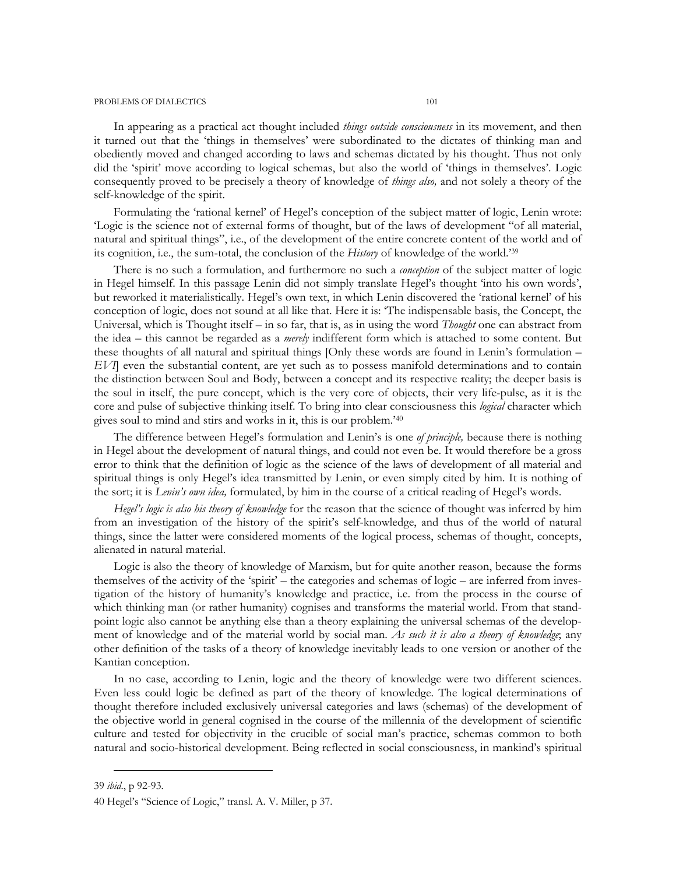In appearing as a practical act thought included *things outside consciousness* in its movement, and then it turned out that the 'things in themselves' were subordinated to the dictates of thinking man and obediently moved and changed according to laws and schemas dictated by his thought. Thus not only did the 'spirit' move according to logical schemas, but also the world of 'things in themselves'. Logic consequently proved to be precisely a theory of knowledge of *things also,* and not solely a theory of the self-knowledge of the spirit.

Formulating the 'rational kernel' of Hegel's conception of the subject matter of logic, Lenin wrote: 'Logic is the science not of external forms of thought, but of the laws of development "of all material, natural and spiritual things", i.e., of the development of the entire concrete content of the world and of its cognition, i.e., the sum-total, the conclusion of the *History* of knowledge of the world.'39

There is no such a formulation, and furthermore no such a *conception* of the subject matter of logic in Hegel himself. In this passage Lenin did not simply translate Hegel's thought 'into his own words', but reworked it materialistically. Hegel's own text, in which Lenin discovered the 'rational kernel' of his conception of logic, does not sound at all like that. Here it is: 'The indispensable basis, the Concept, the Universal, which is Thought itself – in so far, that is, as in using the word *Thought* one can abstract from the idea – this cannot be regarded as a *merely* indifferent form which is attached to some content. But these thoughts of all natural and spiritual things [Only these words are found in Lenin's formulation – *EVI*] even the substantial content, are yet such as to possess manifold determinations and to contain the distinction between Soul and Body, between a concept and its respective reality; the deeper basis is the soul in itself, the pure concept, which is the very core of objects, their very life-pulse, as it is the core and pulse of subjective thinking itself. To bring into clear consciousness this *logical* character which gives soul to mind and stirs and works in it, this is our problem.'40

The difference between Hegel's formulation and Lenin's is one *of principle,* because there is nothing in Hegel about the development of natural things, and could not even be. It would therefore be a gross error to think that the definition of logic as the science of the laws of development of all material and spiritual things is only Hegel's idea transmitted by Lenin, or even simply cited by him. It is nothing of the sort; it is *Lenin's own idea,* formulated, by him in the course of a critical reading of Hegel's words.

*Hegel's logic is also his theory of knowledge* for the reason that the science of thought was inferred by him from an investigation of the history of the spirit's self-knowledge, and thus of the world of natural things, since the latter were considered moments of the logical process, schemas of thought, concepts, alienated in natural material.

Logic is also the theory of knowledge of Marxism, but for quite another reason, because the forms themselves of the activity of the 'spirit' – the categories and schemas of logic – are inferred from investigation of the history of humanity's knowledge and practice, i.e. from the process in the course of which thinking man (or rather humanity) cognises and transforms the material world. From that standpoint logic also cannot be anything else than a theory explaining the universal schemas of the development of knowledge and of the material world by social man. *As such it is also a theory of knowledge*; any other definition of the tasks of a theory of knowledge inevitably leads to one version or another of the Kantian conception.

In no case, according to Lenin, logic and the theory of knowledge were two different sciences. Even less could logic be defined as part of the theory of knowledge. The logical determinations of thought therefore included exclusively universal categories and laws (schemas) of the development of the objective world in general cognised in the course of the millennia of the development of scientific culture and tested for objectivity in the crucible of social man's practice, schemas common to both natural and socio-historical development. Being reflected in social consciousness, in mankind's spiritual

39 *ibid*., p 92-93.

<sup>40</sup> Hegel's "Science of Logic," transl. A. V. Miller, p 37.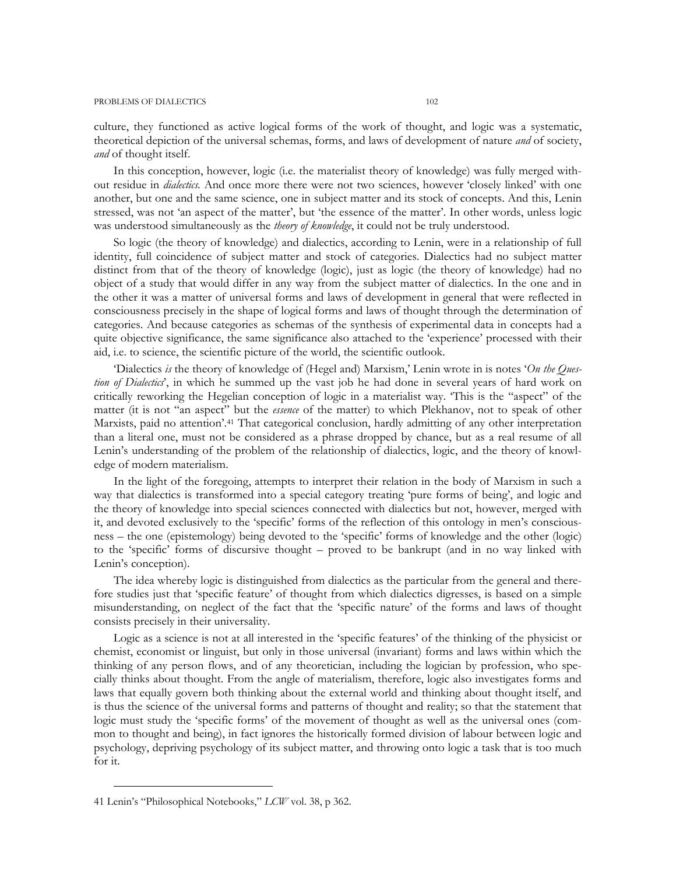culture, they functioned as active logical forms of the work of thought, and logic was a systematic, theoretical depiction of the universal schemas, forms, and laws of development of nature *and* of society, *and* of thought itself.

In this conception, however, logic (i.e. the materialist theory of knowledge) was fully merged without residue in *dialectics.* And once more there were not two sciences, however 'closely linked' with one another, but one and the same science, one in subject matter and its stock of concepts. And this, Lenin stressed, was not 'an aspect of the matter', but 'the essence of the matter'. In other words, unless logic was understood simultaneously as the *theory of knowledge*, it could not be truly understood.

So logic (the theory of knowledge) and dialectics, according to Lenin, were in a relationship of full identity, full coincidence of subject matter and stock of categories. Dialectics had no subject matter distinct from that of the theory of knowledge (logic), just as logic (the theory of knowledge) had no object of a study that would differ in any way from the subject matter of dialectics. In the one and in the other it was a matter of universal forms and laws of development in general that were reflected in consciousness precisely in the shape of logical forms and laws of thought through the determination of categories. And because categories as schemas of the synthesis of experimental data in concepts had a quite objective significance, the same significance also attached to the 'experience' processed with their aid, i.e. to science, the scientific picture of the world, the scientific outlook.

'Dialectics *is* the theory of knowledge of (Hegel and) Marxism,' Lenin wrote in is notes '*On the Question of Dialectics*', in which he summed up the vast job he had done in several years of hard work on critically reworking the Hegelian conception of logic in a materialist way. 'This is the "aspect" of the matter (it is not "an aspect" but the *essence* of the matter) to which Plekhanov, not to speak of other Marxists, paid no attention'.41 That categorical conclusion, hardly admitting of any other interpretation than a literal one, must not be considered as a phrase dropped by chance, but as a real resume of all Lenin's understanding of the problem of the relationship of dialectics, logic, and the theory of knowledge of modern materialism.

In the light of the foregoing, attempts to interpret their relation in the body of Marxism in such a way that dialectics is transformed into a special category treating 'pure forms of being', and logic and the theory of knowledge into special sciences connected with dialectics but not, however, merged with it, and devoted exclusively to the 'specific' forms of the reflection of this ontology in men's consciousness – the one (epistemology) being devoted to the 'specific' forms of knowledge and the other (logic) to the 'specific' forms of discursive thought – proved to be bankrupt (and in no way linked with Lenin's conception).

The idea whereby logic is distinguished from dialectics as the particular from the general and therefore studies just that 'specific feature' of thought from which dialectics digresses, is based on a simple misunderstanding, on neglect of the fact that the 'specific nature' of the forms and laws of thought consists precisely in their universality.

Logic as a science is not at all interested in the 'specific features' of the thinking of the physicist or chemist, economist or linguist, but only in those universal (invariant) forms and laws within which the thinking of any person flows, and of any theoretician, including the logician by profession, who specially thinks about thought. From the angle of materialism, therefore, logic also investigates forms and laws that equally govern both thinking about the external world and thinking about thought itself, and is thus the science of the universal forms and patterns of thought and reality; so that the statement that logic must study the 'specific forms' of the movement of thought as well as the universal ones (common to thought and being), in fact ignores the historically formed division of labour between logic and psychology, depriving psychology of its subject matter, and throwing onto logic a task that is too much for it.

<sup>41</sup> Lenin's "Philosophical Notebooks," *LCW* vol. 38, p 362.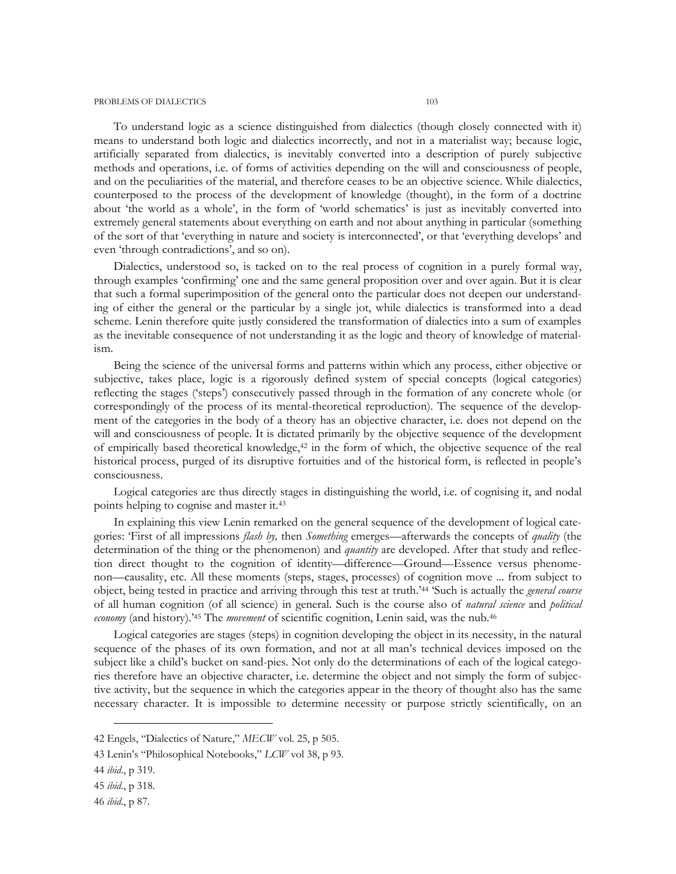To understand logic as a science distinguished from dialectics (though closely connected with it) means to understand both logic and dialectics incorrectly, and not in a materialist way; because logic, artificially separated from dialectics, is inevitably converted into a description of purely subjective methods and operations, i.e. of forms of activities depending on the will and consciousness of people, and on the peculiarities of the material, and therefore ceases to be an objective science. While dialectics, counterposed to the process of the development of knowledge (thought), in the form of a doctrine about 'the world as a whole', in the form of 'world schematics' is just as inevitably converted into extremely general statements about everything on earth and not about anything in particular (something of the sort of that 'everything in nature and society is interconnected', or that 'everything develops' and even 'through contradictions', and so on).

Dialectics, understood so, is tacked on to the real process of cognition in a purely formal way, through examples 'confirming' one and the same general proposition over and over again. But it is clear that such a formal superimposition of the general onto the particular does not deepen our understanding of either the general or the particular by a single jot, while dialectics is transformed into a dead scheme. Lenin therefore quite justly considered the transformation of dialectics into a sum of examples as the inevitable consequence of not understanding it as the logic and theory of knowledge of materialism.

Being the science of the universal forms and patterns within which any process, either objective or subjective, takes place, logic is a rigorously defined system of special concepts (logical categories) reflecting the stages ('steps') consecutively passed through in the formation of any concrete whole (or correspondingly of the process of its mental-theoretical reproduction). The sequence of the development of the categories in the body of a theory has an objective character, i.e. does not depend on the will and consciousness of people. It is dictated primarily by the objective sequence of the development of empirically based theoretical knowledge,42 in the form of which, the objective sequence of the real historical process, purged of its disruptive fortuities and of the historical form, is reflected in people's consciousness.

Logical categories are thus directly stages in distinguishing the world, i.e. of cognising it, and nodal points helping to cognise and master it.43

In explaining this view Lenin remarked on the general sequence of the development of logical categories: 'First of all impressions *flash by,* then *Something* emerges—afterwards the concepts of *quality* (the determination of the thing or the phenomenon) and *quantity* are developed. After that study and reflection direct thought to the cognition of identity—difference—Ground—Essence versus phenomenon—causality, etc. All these moments (steps, stages, processes) of cognition move ... from subject to object, being tested in practice and arriving through this test at truth.'44 'Such is actually the *general course*  of all human cognition (of all science) in general. Such is the course also of *natural science* and *political economy* (and history).'45 The *movement* of scientific cognition, Lenin said, was the nub.46

Logical categories are stages (steps) in cognition developing the object in its necessity, in the natural sequence of the phases of its own formation, and not at all man's technical devices imposed on the subject like a child's bucket on sand-pies. Not only do the determinations of each of the logical categories therefore have an objective character, i.e. determine the object and not simply the form of subjective activity, but the sequence in which the categories appear in the theory of thought also has the same necessary character. It is impossible to determine necessity or purpose strictly scientifically, on an

<sup>42</sup> Engels, "Dialectics of Nature," *MECW* vol. 25, p 505.

<sup>43</sup> Lenin's "Philosophical Notebooks," *LCW* vol 38, p 93.

<sup>44</sup> *ibid*., p 319.

<sup>45</sup> *ibid*., p 318.

<sup>46</sup> *ibid*., p 87.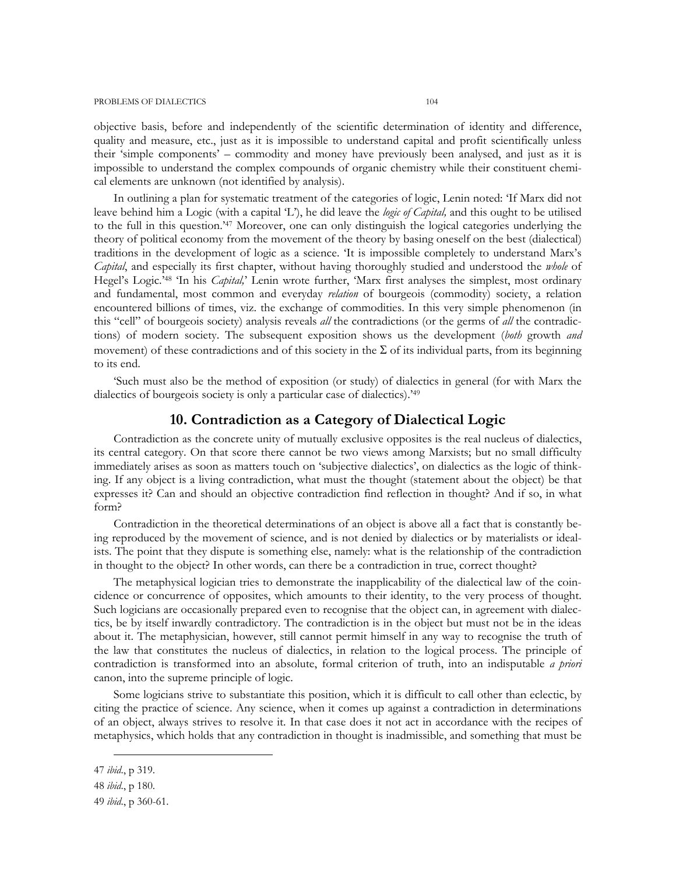objective basis, before and independently of the scientific determination of identity and difference, quality and measure, etc., just as it is impossible to understand capital and profit scientifically unless their 'simple components' – commodity and money have previously been analysed, and just as it is

cal elements are unknown (not identified by analysis). In outlining a plan for systematic treatment of the categories of logic, Lenin noted: 'If Marx did not leave behind him a Logic (with a capital 'L'), he did leave the *logic of Capital,* and this ought to be utilised to the full in this question.'47 Moreover, one can only distinguish the logical categories underlying the theory of political economy from the movement of the theory by basing oneself on the best (dialectical) traditions in the development of logic as a science. 'It is impossible completely to understand Marx's *Capital*, and especially its first chapter, without having thoroughly studied and understood the *whole* of Hegel's Logic.'48 'In his *Capital,*' Lenin wrote further, 'Marx first analyses the simplest, most ordinary and fundamental, most common and everyday *relation* of bourgeois (commodity) society, a relation encountered billions of times, viz. the exchange of commodities. In this very simple phenomenon (in this "cell" of bourgeois society) analysis reveals *all* the contradictions (or the germs of *all* the contradictions) of modern society. The subsequent exposition shows us the development (*both* growth *and* movement) of these contradictions and of this society in the  $\Sigma$  of its individual parts, from its beginning to its end.

impossible to understand the complex compounds of organic chemistry while their constituent chemi-

'Such must also be the method of exposition (or study) of dialectics in general (for with Marx the dialectics of bourgeois society is only a particular case of dialectics).'49

### **10. Contradiction as a Category of Dialectical Logic**

Contradiction as the concrete unity of mutually exclusive opposites is the real nucleus of dialectics, its central category. On that score there cannot be two views among Marxists; but no small difficulty immediately arises as soon as matters touch on 'subjective dialectics', on dialectics as the logic of thinking. If any object is a living contradiction, what must the thought (statement about the object) be that expresses it? Can and should an objective contradiction find reflection in thought? And if so, in what form?

Contradiction in the theoretical determinations of an object is above all a fact that is constantly being reproduced by the movement of science, and is not denied by dialectics or by materialists or idealists. The point that they dispute is something else, namely: what is the relationship of the contradiction in thought to the object? In other words, can there be a contradiction in true, correct thought?

The metaphysical logician tries to demonstrate the inapplicability of the dialectical law of the coincidence or concurrence of opposites, which amounts to their identity, to the very process of thought. Such logicians are occasionally prepared even to recognise that the object can, in agreement with dialectics, be by itself inwardly contradictory. The contradiction is in the object but must not be in the ideas about it. The metaphysician, however, still cannot permit himself in any way to recognise the truth of the law that constitutes the nucleus of dialectics, in relation to the logical process. The principle of contradiction is transformed into an absolute, formal criterion of truth, into an indisputable *a priori* canon, into the supreme principle of logic.

Some logicians strive to substantiate this position, which it is difficult to call other than eclectic, by citing the practice of science. Any science, when it comes up against a contradiction in determinations of an object, always strives to resolve it. In that case does it not act in accordance with the recipes of metaphysics, which holds that any contradiction in thought is inadmissible, and something that must be

<sup>47</sup> *ibid*., p 319.

<sup>48</sup> *ibid*., p 180.

<sup>49</sup> *ibid*., p 360-61.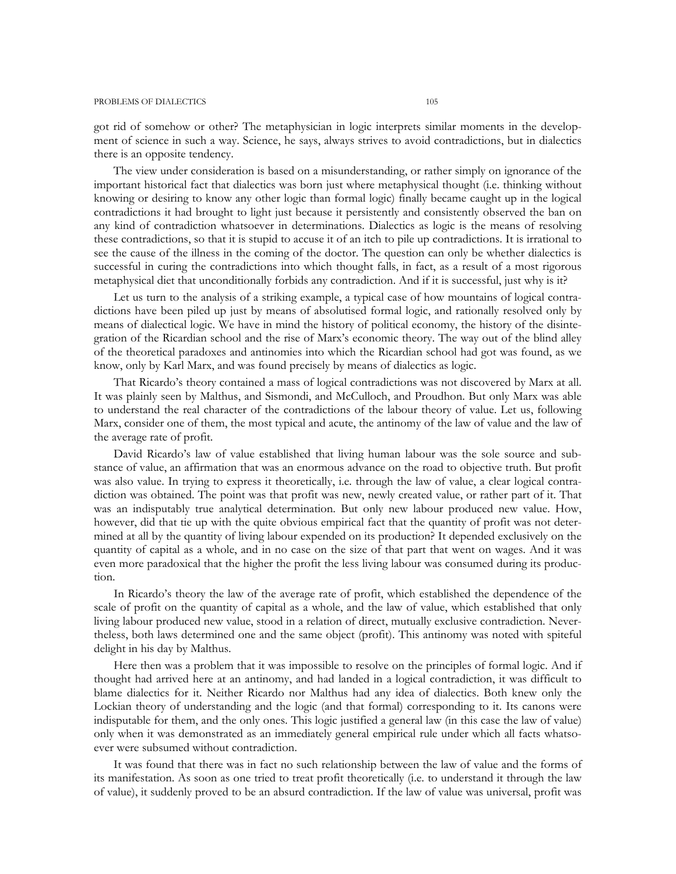got rid of somehow or other? The metaphysician in logic interprets similar moments in the development of science in such a way. Science, he says, always strives to avoid contradictions, but in dialectics there is an opposite tendency.

The view under consideration is based on a misunderstanding, or rather simply on ignorance of the important historical fact that dialectics was born just where metaphysical thought (i.e. thinking without knowing or desiring to know any other logic than formal logic) finally became caught up in the logical contradictions it had brought to light just because it persistently and consistently observed the ban on any kind of contradiction whatsoever in determinations. Dialectics as logic is the means of resolving these contradictions, so that it is stupid to accuse it of an itch to pile up contradictions. It is irrational to see the cause of the illness in the coming of the doctor. The question can only be whether dialectics is successful in curing the contradictions into which thought falls, in fact, as a result of a most rigorous metaphysical diet that unconditionally forbids any contradiction. And if it is successful, just why is it?

Let us turn to the analysis of a striking example, a typical case of how mountains of logical contradictions have been piled up just by means of absolutised formal logic, and rationally resolved only by means of dialectical logic. We have in mind the history of political economy, the history of the disintegration of the Ricardian school and the rise of Marx's economic theory. The way out of the blind alley of the theoretical paradoxes and antinomies into which the Ricardian school had got was found, as we know, only by Karl Marx, and was found precisely by means of dialectics as logic.

That Ricardo's theory contained a mass of logical contradictions was not discovered by Marx at all. It was plainly seen by Malthus, and Sismondi, and McCulloch, and Proudhon. But only Marx was able to understand the real character of the contradictions of the labour theory of value. Let us, following Marx, consider one of them, the most typical and acute, the antinomy of the law of value and the law of the average rate of profit.

David Ricardo's law of value established that living human labour was the sole source and substance of value, an affirmation that was an enormous advance on the road to objective truth. But profit was also value. In trying to express it theoretically, i.e. through the law of value, a clear logical contradiction was obtained. The point was that profit was new, newly created value, or rather part of it. That was an indisputably true analytical determination. But only new labour produced new value. How, however, did that tie up with the quite obvious empirical fact that the quantity of profit was not determined at all by the quantity of living labour expended on its production? It depended exclusively on the quantity of capital as a whole, and in no case on the size of that part that went on wages. And it was even more paradoxical that the higher the profit the less living labour was consumed during its production.

In Ricardo's theory the law of the average rate of profit, which established the dependence of the scale of profit on the quantity of capital as a whole, and the law of value, which established that only living labour produced new value, stood in a relation of direct, mutually exclusive contradiction. Nevertheless, both laws determined one and the same object (profit). This antinomy was noted with spiteful delight in his day by Malthus.

Here then was a problem that it was impossible to resolve on the principles of formal logic. And if thought had arrived here at an antinomy, and had landed in a logical contradiction, it was difficult to blame dialectics for it. Neither Ricardo nor Malthus had any idea of dialectics. Both knew only the Lockian theory of understanding and the logic (and that formal) corresponding to it. Its canons were indisputable for them, and the only ones. This logic justified a general law (in this case the law of value) only when it was demonstrated as an immediately general empirical rule under which all facts whatsoever were subsumed without contradiction.

It was found that there was in fact no such relationship between the law of value and the forms of its manifestation. As soon as one tried to treat profit theoretically (i.e. to understand it through the law of value), it suddenly proved to be an absurd contradiction. If the law of value was universal, profit was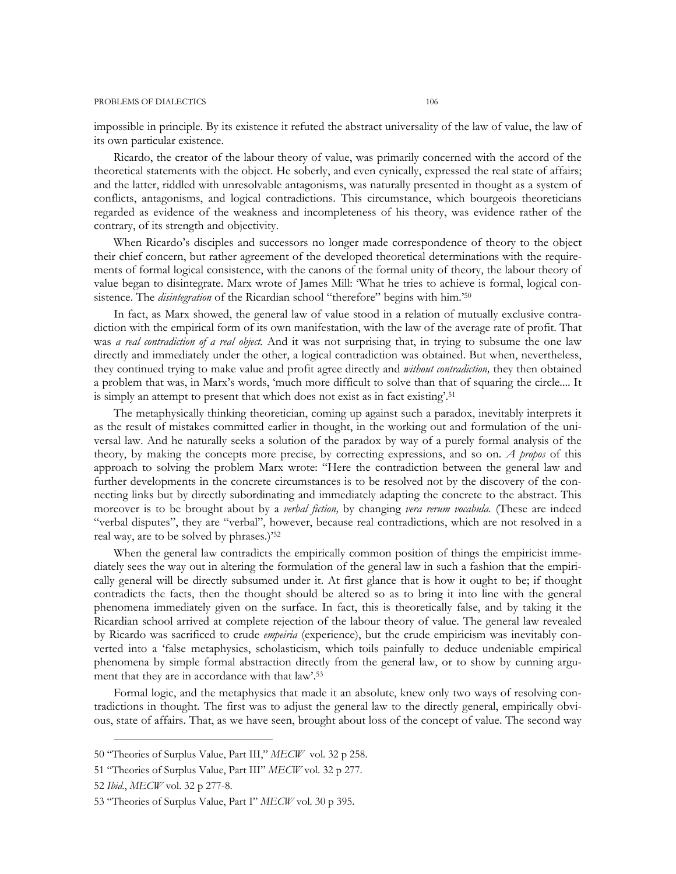impossible in principle. By its existence it refuted the abstract universality of the law of value, the law of its own particular existence.

Ricardo, the creator of the labour theory of value, was primarily concerned with the accord of the theoretical statements with the object. He soberly, and even cynically, expressed the real state of affairs; and the latter, riddled with unresolvable antagonisms, was naturally presented in thought as a system of conflicts, antagonisms, and logical contradictions. This circumstance, which bourgeois theoreticians regarded as evidence of the weakness and incompleteness of his theory, was evidence rather of the contrary, of its strength and objectivity.

When Ricardo's disciples and successors no longer made correspondence of theory to the object their chief concern, but rather agreement of the developed theoretical determinations with the requirements of formal logical consistence, with the canons of the formal unity of theory, the labour theory of value began to disintegrate. Marx wrote of James Mill: 'What he tries to achieve is formal, logical consistence. The *disintegration* of the Ricardian school "therefore" begins with him.'50

In fact, as Marx showed, the general law of value stood in a relation of mutually exclusive contradiction with the empirical form of its own manifestation, with the law of the average rate of profit. That was *a real contradiction of a real object.* And it was not surprising that, in trying to subsume the one law directly and immediately under the other, a logical contradiction was obtained. But when, nevertheless, they continued trying to make value and profit agree directly and *without contradiction,* they then obtained a problem that was, in Marx's words, 'much more difficult to solve than that of squaring the circle.... It is simply an attempt to present that which does not exist as in fact existing'.<sup>51</sup>

The metaphysically thinking theoretician, coming up against such a paradox, inevitably interprets it as the result of mistakes committed earlier in thought, in the working out and formulation of the universal law. And he naturally seeks a solution of the paradox by way of a purely formal analysis of the theory, by making the concepts more precise, by correcting expressions, and so on. *A propos* of this approach to solving the problem Marx wrote: "Here the contradiction between the general law and further developments in the concrete circumstances is to be resolved not by the discovery of the connecting links but by directly subordinating and immediately adapting the concrete to the abstract. This moreover is to be brought about by a *verbal fiction,* by changing *vera rerum vocabula.* (These are indeed "verbal disputes", they are "verbal", however, because real contradictions, which are not resolved in a real way, are to be solved by phrases.)'52

When the general law contradicts the empirically common position of things the empiricist immediately sees the way out in altering the formulation of the general law in such a fashion that the empirically general will be directly subsumed under it. At first glance that is how it ought to be; if thought contradicts the facts, then the thought should be altered so as to bring it into line with the general phenomena immediately given on the surface. In fact, this is theoretically false, and by taking it the Ricardian school arrived at complete rejection of the labour theory of value. The general law revealed by Ricardo was sacrificed to crude *empeiria* (experience), but the crude empiricism was inevitably converted into a 'false metaphysics, scholasticism, which toils painfully to deduce undeniable empirical phenomena by simple formal abstraction directly from the general law, or to show by cunning argument that they are in accordance with that law'.53

Formal logic, and the metaphysics that made it an absolute, knew only two ways of resolving contradictions in thought. The first was to adjust the general law to the directly general, empirically obvious, state of affairs. That, as we have seen, brought about loss of the concept of value. The second way

<sup>50 &</sup>quot;Theories of Surplus Value, Part III," *MECW* vol. 32 p 258.

<sup>51 &</sup>quot;Theories of Surplus Value, Part III" *MECW* vol. 32 p 277.

<sup>52</sup> *Ibid*., *MECW* vol. 32 p 277-8.

<sup>53 &</sup>quot;Theories of Surplus Value, Part I" *MECW* vol. 30 p 395.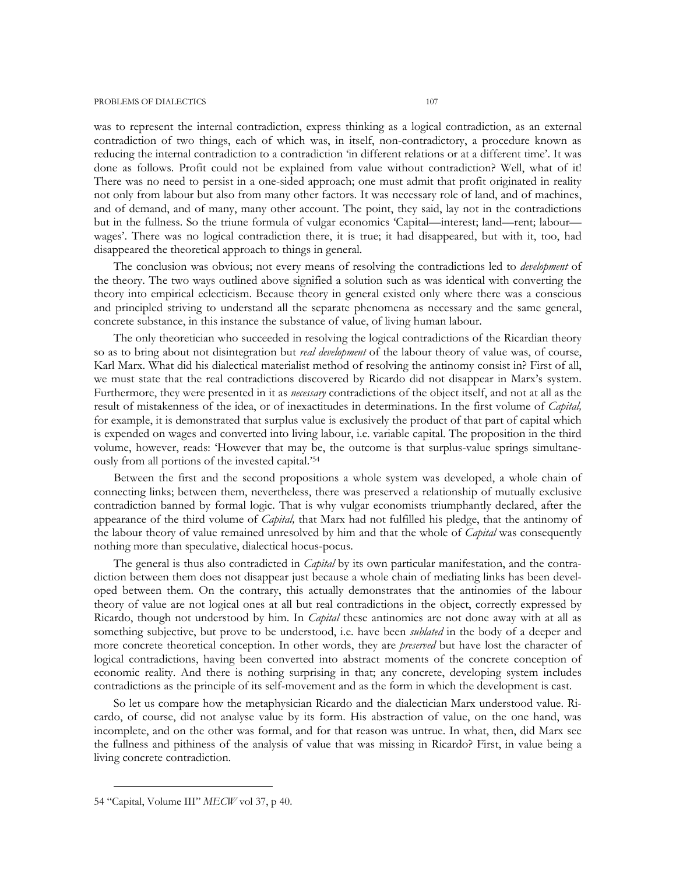was to represent the internal contradiction, express thinking as a logical contradiction, as an external contradiction of two things, each of which was, in itself, non-contradictory, a procedure known as reducing the internal contradiction to a contradiction 'in different relations or at a different time'. It was done as follows. Profit could not be explained from value without contradiction? Well, what of it! There was no need to persist in a one-sided approach; one must admit that profit originated in reality not only from labour but also from many other factors. It was necessary role of land, and of machines, and of demand, and of many, many other account. The point, they said, lay not in the contradictions but in the fullness. So the triune formula of vulgar economics 'Capital—interest; land—rent; labour wages'. There was no logical contradiction there, it is true; it had disappeared, but with it, too, had disappeared the theoretical approach to things in general.

The conclusion was obvious; not every means of resolving the contradictions led to *development* of the theory. The two ways outlined above signified a solution such as was identical with converting the theory into empirical eclecticism. Because theory in general existed only where there was a conscious and principled striving to understand all the separate phenomena as necessary and the same general, concrete substance, in this instance the substance of value, of living human labour.

The only theoretician who succeeded in resolving the logical contradictions of the Ricardian theory so as to bring about not disintegration but *real development* of the labour theory of value was, of course, Karl Marx. What did his dialectical materialist method of resolving the antinomy consist in? First of all, we must state that the real contradictions discovered by Ricardo did not disappear in Marx's system. Furthermore, they were presented in it as *necessary* contradictions of the object itself, and not at all as the result of mistakenness of the idea, or of inexactitudes in determinations. In the first volume of *Capital,* for example, it is demonstrated that surplus value is exclusively the product of that part of capital which is expended on wages and converted into living labour, i.e. variable capital. The proposition in the third volume, however, reads: 'However that may be, the outcome is that surplus-value springs simultaneously from all portions of the invested capital.'54

Between the first and the second propositions a whole system was developed, a whole chain of connecting links; between them, nevertheless, there was preserved a relationship of mutually exclusive contradiction banned by formal logic. That is why vulgar economists triumphantly declared, after the appearance of the third volume of *Capital,* that Marx had not fulfilled his pledge, that the antinomy of the labour theory of value remained unresolved by him and that the whole of *Capital* was consequently nothing more than speculative, dialectical hocus-pocus.

The general is thus also contradicted in *Capital* by its own particular manifestation, and the contradiction between them does not disappear just because a whole chain of mediating links has been developed between them. On the contrary, this actually demonstrates that the antinomies of the labour theory of value are not logical ones at all but real contradictions in the object, correctly expressed by Ricardo, though not understood by him. In *Capital* these antinomies are not done away with at all as something subjective, but prove to be understood, i.e. have been *sublated* in the body of a deeper and more concrete theoretical conception. In other words, they are *preserved* but have lost the character of logical contradictions, having been converted into abstract moments of the concrete conception of economic reality. And there is nothing surprising in that; any concrete, developing system includes contradictions as the principle of its self-movement and as the form in which the development is cast.

So let us compare how the metaphysician Ricardo and the dialectician Marx understood value. Ricardo, of course, did not analyse value by its form. His abstraction of value, on the one hand, was incomplete, and on the other was formal, and for that reason was untrue. In what, then, did Marx see the fullness and pithiness of the analysis of value that was missing in Ricardo? First, in value being a living concrete contradiction.

<sup>54 &</sup>quot;Capital, Volume III" *MECW* vol 37, p 40.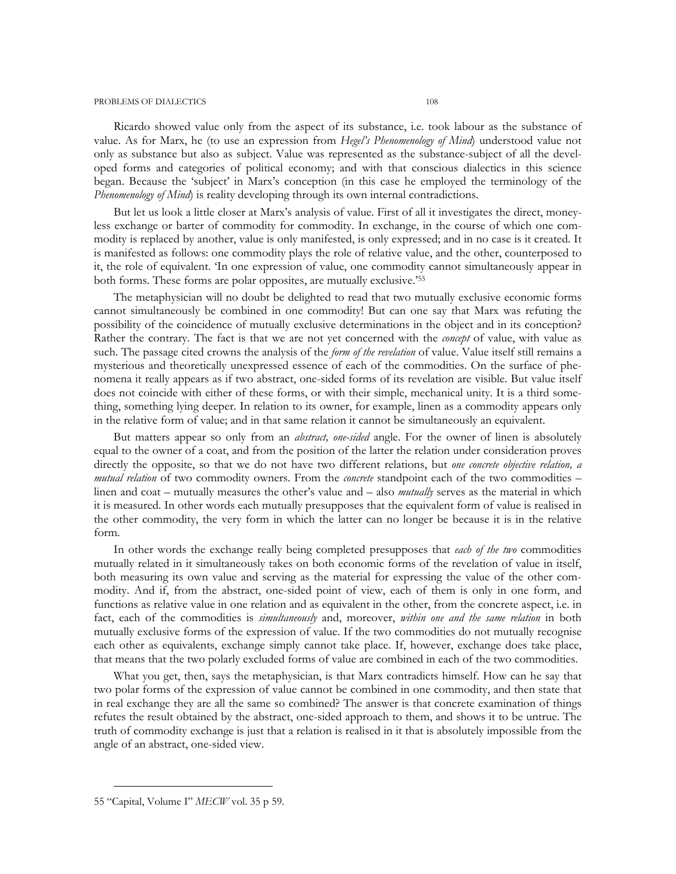Ricardo showed value only from the aspect of its substance, i.e. took labour as the substance of value. As for Marx, he (to use an expression from *Hegel's Phenomenology of Mind*) understood value not only as substance but also as subject. Value was represented as the substance-subject of all the developed forms and categories of political economy; and with that conscious dialectics in this science began. Because the 'subject' in Marx's conception (in this case he employed the terminology of the *Phenomenology of Mind*) is reality developing through its own internal contradictions.

But let us look a little closer at Marx's analysis of value. First of all it investigates the direct, moneyless exchange or barter of commodity for commodity. In exchange, in the course of which one commodity is replaced by another, value is only manifested, is only expressed; and in no case is it created. It is manifested as follows: one commodity plays the role of relative value, and the other, counterposed to it, the role of equivalent. 'In one expression of value, one commodity cannot simultaneously appear in both forms. These forms are polar opposites, are mutually exclusive.'55

The metaphysician will no doubt be delighted to read that two mutually exclusive economic forms cannot simultaneously be combined in one commodity! But can one say that Marx was refuting the possibility of the coincidence of mutually exclusive determinations in the object and in its conception? Rather the contrary. The fact is that we are not yet concerned with the *concept* of value, with value as such. The passage cited crowns the analysis of the *form of the revelation* of value. Value itself still remains a mysterious and theoretically unexpressed essence of each of the commodities. On the surface of phenomena it really appears as if two abstract, one-sided forms of its revelation are visible. But value itself does not coincide with either of these forms, or with their simple, mechanical unity. It is a third something, something lying deeper. In relation to its owner, for example, linen as a commodity appears only in the relative form of value; and in that same relation it cannot be simultaneously an equivalent.

But matters appear so only from an *abstract, one-sided* angle. For the owner of linen is absolutely equal to the owner of a coat, and from the position of the latter the relation under consideration proves directly the opposite, so that we do not have two different relations, but *one concrete objective relation, a mutual relation* of two commodity owners. From the *concrete* standpoint each of the two commodities – linen and coat – mutually measures the other's value and – also *mutually* serves as the material in which it is measured. In other words each mutually presupposes that the equivalent form of value is realised in the other commodity, the very form in which the latter can no longer be because it is in the relative form.

In other words the exchange really being completed presupposes that *each of the two* commodities mutually related in it simultaneously takes on both economic forms of the revelation of value in itself, both measuring its own value and serving as the material for expressing the value of the other commodity. And if, from the abstract, one-sided point of view, each of them is only in one form, and functions as relative value in one relation and as equivalent in the other, from the concrete aspect, i.e. in fact, each of the commodities is *simultaneously* and, moreover, *within one and the same relation* in both mutually exclusive forms of the expression of value. If the two commodities do not mutually recognise each other as equivalents, exchange simply cannot take place. If, however, exchange does take place, that means that the two polarly excluded forms of value are combined in each of the two commodities.

What you get, then, says the metaphysician, is that Marx contradicts himself. How can he say that two polar forms of the expression of value cannot be combined in one commodity, and then state that in real exchange they are all the same so combined? The answer is that concrete examination of things refutes the result obtained by the abstract, one-sided approach to them, and shows it to be untrue. The truth of commodity exchange is just that a relation is realised in it that is absolutely impossible from the angle of an abstract, one-sided view.

<sup>55 &</sup>quot;Capital, Volume I" *MECW* vol. 35 p 59.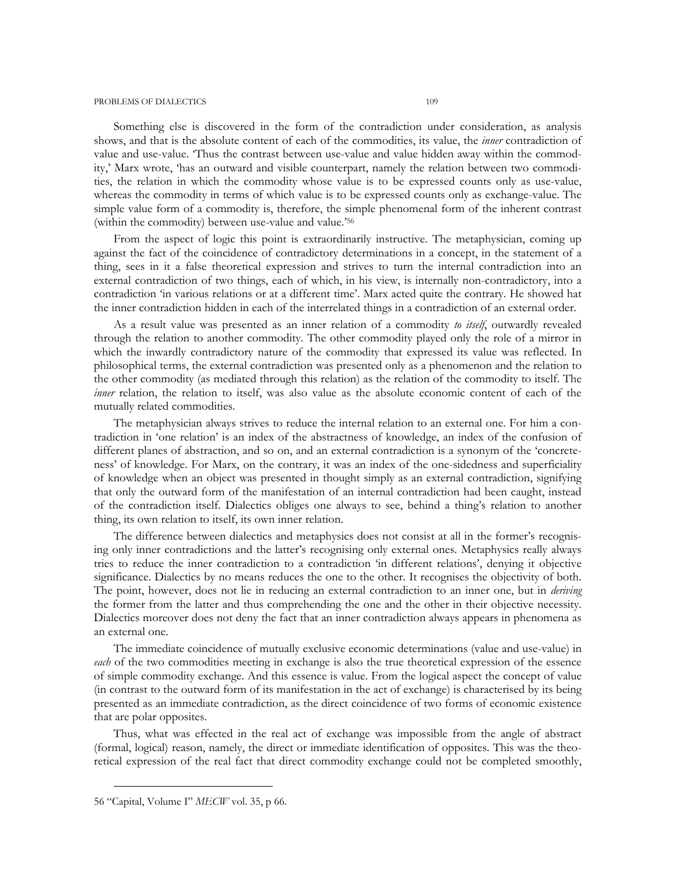Something else is discovered in the form of the contradiction under consideration, as analysis shows, and that is the absolute content of each of the commodities, its value, the *inner* contradiction of value and use-value. 'Thus the contrast between use-value and value hidden away within the commodity,' Marx wrote, 'has an outward and visible counterpart, namely the relation between two commodities, the relation in which the commodity whose value is to be expressed counts only as use-value, whereas the commodity in terms of which value is to be expressed counts only as exchange-value. The simple value form of a commodity is, therefore, the simple phenomenal form of the inherent contrast (within the commodity) between use-value and value.'56

From the aspect of logic this point is extraordinarily instructive. The metaphysician, coming up against the fact of the coincidence of contradictory determinations in a concept, in the statement of a thing, sees in it a false theoretical expression and strives to turn the internal contradiction into an external contradiction of two things, each of which, in his view, is internally non-contradictory, into a contradiction 'in various relations or at a different time'. Marx acted quite the contrary. He showed hat the inner contradiction hidden in each of the interrelated things in a contradiction of an external order.

As a result value was presented as an inner relation of a commodity *to itself*, outwardly revealed through the relation to another commodity. The other commodity played only the role of a mirror in which the inwardly contradictory nature of the commodity that expressed its value was reflected. In philosophical terms, the external contradiction was presented only as a phenomenon and the relation to the other commodity (as mediated through this relation) as the relation of the commodity to itself. The *inner* relation, the relation to itself, was also value as the absolute economic content of each of the mutually related commodities.

The metaphysician always strives to reduce the internal relation to an external one. For him a contradiction in 'one relation' is an index of the abstractness of knowledge, an index of the confusion of different planes of abstraction, and so on, and an external contradiction is a synonym of the 'concreteness' of knowledge. For Marx, on the contrary, it was an index of the one-sidedness and superficiality of knowledge when an object was presented in thought simply as an external contradiction, signifying that only the outward form of the manifestation of an internal contradiction had been caught, instead of the contradiction itself. Dialectics obliges one always to see, behind a thing's relation to another thing, its own relation to itself, its own inner relation.

The difference between dialectics and metaphysics does not consist at all in the former's recognising only inner contradictions and the latter's recognising only external ones. Metaphysics really always tries to reduce the inner contradiction to a contradiction 'in different relations', denying it objective significance. Dialectics by no means reduces the one to the other. It recognises the objectivity of both. The point, however, does not lie in reducing an external contradiction to an inner one, but in *deriving* the former from the latter and thus comprehending the one and the other in their objective necessity. Dialectics moreover does not deny the fact that an inner contradiction always appears in phenomena as an external one.

The immediate coincidence of mutually exclusive economic determinations (value and use-value) in *each* of the two commodities meeting in exchange is also the true theoretical expression of the essence of simple commodity exchange. And this essence is value. From the logical aspect the concept of value (in contrast to the outward form of its manifestation in the act of exchange) is characterised by its being presented as an immediate contradiction, as the direct coincidence of two forms of economic existence that are polar opposites.

Thus, what was effected in the real act of exchange was impossible from the angle of abstract (formal, logical) reason, namely, the direct or immediate identification of opposites. This was the theoretical expression of the real fact that direct commodity exchange could not be completed smoothly,

<sup>56 &</sup>quot;Capital, Volume I" *MECW* vol. 35, p 66.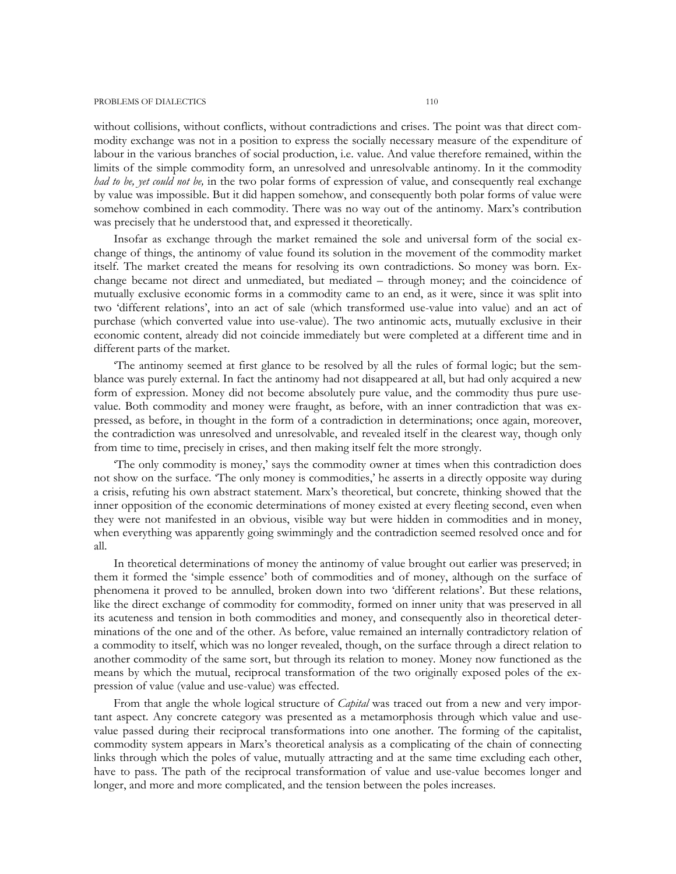without collisions, without conflicts, without contradictions and crises. The point was that direct commodity exchange was not in a position to express the socially necessary measure of the expenditure of labour in the various branches of social production, i.e. value. And value therefore remained, within the limits of the simple commodity form, an unresolved and unresolvable antinomy. In it the commodity *had to be, yet could not be,* in the two polar forms of expression of value, and consequently real exchange by value was impossible. But it did happen somehow, and consequently both polar forms of value were somehow combined in each commodity. There was no way out of the antinomy. Marx's contribution was precisely that he understood that, and expressed it theoretically.

Insofar as exchange through the market remained the sole and universal form of the social exchange of things, the antinomy of value found its solution in the movement of the commodity market itself. The market created the means for resolving its own contradictions. So money was born. Exchange became not direct and unmediated, but mediated – through money; and the coincidence of mutually exclusive economic forms in a commodity came to an end, as it were, since it was split into two 'different relations', into an act of sale (which transformed use-value into value) and an act of purchase (which converted value into use-value). The two antinomic acts, mutually exclusive in their economic content, already did not coincide immediately but were completed at a different time and in different parts of the market.

'The antinomy seemed at first glance to be resolved by all the rules of formal logic; but the semblance was purely external. In fact the antinomy had not disappeared at all, but had only acquired a new form of expression. Money did not become absolutely pure value, and the commodity thus pure usevalue. Both commodity and money were fraught, as before, with an inner contradiction that was expressed, as before, in thought in the form of a contradiction in determinations; once again, moreover, the contradiction was unresolved and unresolvable, and revealed itself in the clearest way, though only from time to time, precisely in crises, and then making itself felt the more strongly.

'The only commodity is money,' says the commodity owner at times when this contradiction does not show on the surface. 'The only money is commodities,' he asserts in a directly opposite way during a crisis, refuting his own abstract statement. Marx's theoretical, but concrete, thinking showed that the inner opposition of the economic determinations of money existed at every fleeting second, even when they were not manifested in an obvious, visible way but were hidden in commodities and in money, when everything was apparently going swimmingly and the contradiction seemed resolved once and for all.

In theoretical determinations of money the antinomy of value brought out earlier was preserved; in them it formed the 'simple essence' both of commodities and of money, although on the surface of phenomena it proved to be annulled, broken down into two 'different relations'. But these relations, like the direct exchange of commodity for commodity, formed on inner unity that was preserved in all its acuteness and tension in both commodities and money, and consequently also in theoretical determinations of the one and of the other. As before, value remained an internally contradictory relation of a commodity to itself, which was no longer revealed, though, on the surface through a direct relation to another commodity of the same sort, but through its relation to money. Money now functioned as the means by which the mutual, reciprocal transformation of the two originally exposed poles of the expression of value (value and use-value) was effected.

From that angle the whole logical structure of *Capital* was traced out from a new and very important aspect. Any concrete category was presented as a metamorphosis through which value and usevalue passed during their reciprocal transformations into one another. The forming of the capitalist, commodity system appears in Marx's theoretical analysis as a complicating of the chain of connecting links through which the poles of value, mutually attracting and at the same time excluding each other, have to pass. The path of the reciprocal transformation of value and use-value becomes longer and longer, and more and more complicated, and the tension between the poles increases.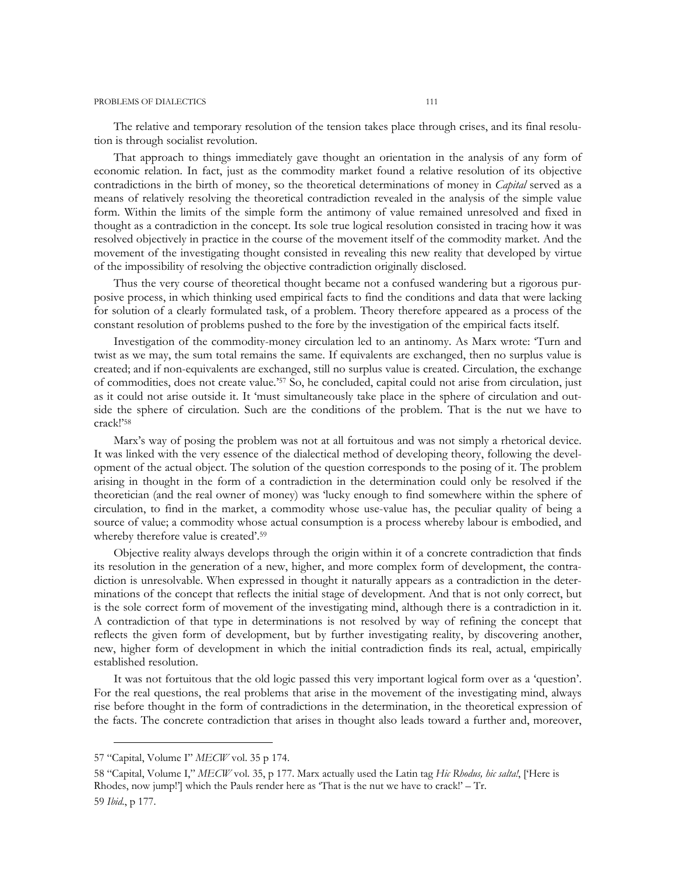The relative and temporary resolution of the tension takes place through crises, and its final resolution is through socialist revolution.

That approach to things immediately gave thought an orientation in the analysis of any form of economic relation. In fact, just as the commodity market found a relative resolution of its objective contradictions in the birth of money, so the theoretical determinations of money in *Capital* served as a means of relatively resolving the theoretical contradiction revealed in the analysis of the simple value form. Within the limits of the simple form the antimony of value remained unresolved and fixed in thought as a contradiction in the concept. Its sole true logical resolution consisted in tracing how it was resolved objectively in practice in the course of the movement itself of the commodity market. And the movement of the investigating thought consisted in revealing this new reality that developed by virtue of the impossibility of resolving the objective contradiction originally disclosed.

Thus the very course of theoretical thought became not a confused wandering but a rigorous purposive process, in which thinking used empirical facts to find the conditions and data that were lacking for solution of a clearly formulated task, of a problem. Theory therefore appeared as a process of the constant resolution of problems pushed to the fore by the investigation of the empirical facts itself.

Investigation of the commodity-money circulation led to an antinomy. As Marx wrote: 'Turn and twist as we may, the sum total remains the same. If equivalents are exchanged, then no surplus value is created; and if non-equivalents are exchanged, still no surplus value is created. Circulation, the exchange of commodities, does not create value.'57 So, he concluded, capital could not arise from circulation, just as it could not arise outside it. It 'must simultaneously take place in the sphere of circulation and outside the sphere of circulation. Such are the conditions of the problem. That is the nut we have to crack!'58

Marx's way of posing the problem was not at all fortuitous and was not simply a rhetorical device. It was linked with the very essence of the dialectical method of developing theory, following the development of the actual object. The solution of the question corresponds to the posing of it. The problem arising in thought in the form of a contradiction in the determination could only be resolved if the theoretician (and the real owner of money) was 'lucky enough to find somewhere within the sphere of circulation, to find in the market, a commodity whose use-value has, the peculiar quality of being a source of value; a commodity whose actual consumption is a process whereby labour is embodied, and whereby therefore value is created'.59

Objective reality always develops through the origin within it of a concrete contradiction that finds its resolution in the generation of a new, higher, and more complex form of development, the contradiction is unresolvable. When expressed in thought it naturally appears as a contradiction in the determinations of the concept that reflects the initial stage of development. And that is not only correct, but is the sole correct form of movement of the investigating mind, although there is a contradiction in it. A contradiction of that type in determinations is not resolved by way of refining the concept that reflects the given form of development, but by further investigating reality, by discovering another, new, higher form of development in which the initial contradiction finds its real, actual, empirically established resolution.

It was not fortuitous that the old logic passed this very important logical form over as a 'question'. For the real questions, the real problems that arise in the movement of the investigating mind, always rise before thought in the form of contradictions in the determination, in the theoretical expression of the facts. The concrete contradiction that arises in thought also leads toward a further and, moreover,

<sup>57 &</sup>quot;Capital, Volume I" *MECW* vol. 35 p 174.

<sup>58 &</sup>quot;Capital, Volume I," *MECW* vol. 35, p 177. Marx actually used the Latin tag *Hic Rhodus, hic salta!*, ['Here is Rhodes, now jump!'] which the Pauls render here as 'That is the nut we have to crack!' – Tr. 59 *Ibid*., p 177.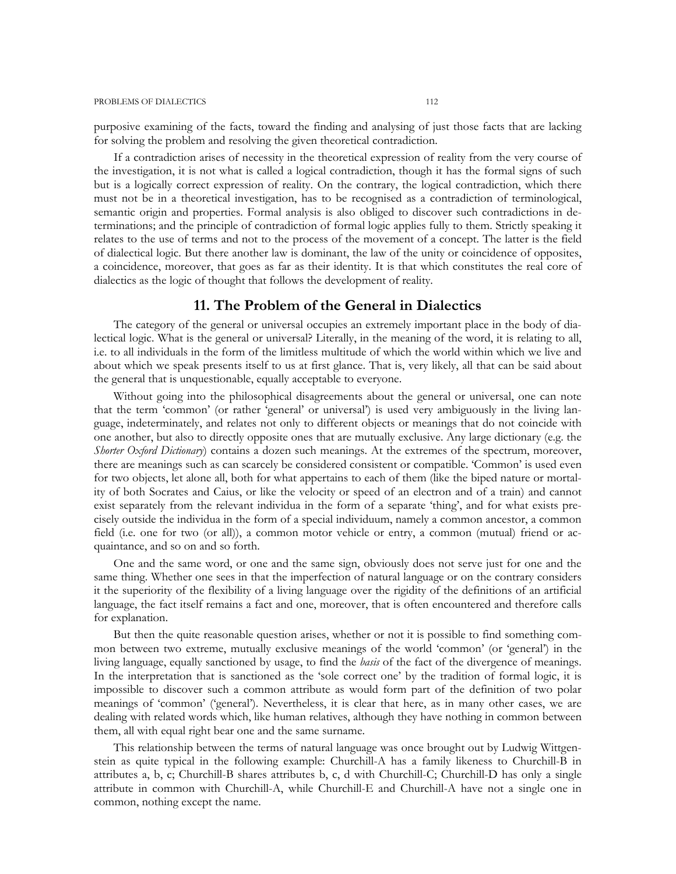purposive examining of the facts, toward the finding and analysing of just those facts that are lacking for solving the problem and resolving the given theoretical contradiction.

If a contradiction arises of necessity in the theoretical expression of reality from the very course of the investigation, it is not what is called a logical contradiction, though it has the formal signs of such but is a logically correct expression of reality. On the contrary, the logical contradiction, which there must not be in a theoretical investigation, has to be recognised as a contradiction of terminological, semantic origin and properties. Formal analysis is also obliged to discover such contradictions in determinations; and the principle of contradiction of formal logic applies fully to them. Strictly speaking it relates to the use of terms and not to the process of the movement of a concept. The latter is the field of dialectical logic. But there another law is dominant, the law of the unity or coincidence of opposites, a coincidence, moreover, that goes as far as their identity. It is that which constitutes the real core of dialectics as the logic of thought that follows the development of reality.

# **11. The Problem of the General in Dialectics**

The category of the general or universal occupies an extremely important place in the body of dialectical logic. What is the general or universal? Literally, in the meaning of the word, it is relating to all, i.e. to all individuals in the form of the limitless multitude of which the world within which we live and about which we speak presents itself to us at first glance. That is, very likely, all that can be said about the general that is unquestionable, equally acceptable to everyone.

Without going into the philosophical disagreements about the general or universal, one can note that the term 'common' (or rather 'general' or universal') is used very ambiguously in the living language, indeterminately, and relates not only to different objects or meanings that do not coincide with one another, but also to directly opposite ones that are mutually exclusive. Any large dictionary (e.g. the *Shorter Oxford Dictionary*) contains a dozen such meanings. At the extremes of the spectrum, moreover, there are meanings such as can scarcely be considered consistent or compatible. 'Common' is used even for two objects, let alone all, both for what appertains to each of them (like the biped nature or mortality of both Socrates and Caius, or like the velocity or speed of an electron and of a train) and cannot exist separately from the relevant individua in the form of a separate 'thing', and for what exists precisely outside the individua in the form of a special individuum, namely a common ancestor, a common field (i.e. one for two (or all)), a common motor vehicle or entry, a common (mutual) friend or acquaintance, and so on and so forth.

One and the same word, or one and the same sign, obviously does not serve just for one and the same thing. Whether one sees in that the imperfection of natural language or on the contrary considers it the superiority of the flexibility of a living language over the rigidity of the definitions of an artificial language, the fact itself remains a fact and one, moreover, that is often encountered and therefore calls for explanation.

But then the quite reasonable question arises, whether or not it is possible to find something common between two extreme, mutually exclusive meanings of the world 'common' (or 'general') in the living language, equally sanctioned by usage, to find the *basis* of the fact of the divergence of meanings. In the interpretation that is sanctioned as the 'sole correct one' by the tradition of formal logic, it is impossible to discover such a common attribute as would form part of the definition of two polar meanings of 'common' ('general'). Nevertheless, it is clear that here, as in many other cases, we are dealing with related words which, like human relatives, although they have nothing in common between them, all with equal right bear one and the same surname.

This relationship between the terms of natural language was once brought out by Ludwig Wittgenstein as quite typical in the following example: Churchill-A has a family likeness to Churchill-B in attributes a, b, c; Churchill-B shares attributes b, c, d with Churchill-C; Churchill-D has only a single attribute in common with Churchill-A, while Churchill-E and Churchill-A have not a single one in common, nothing except the name.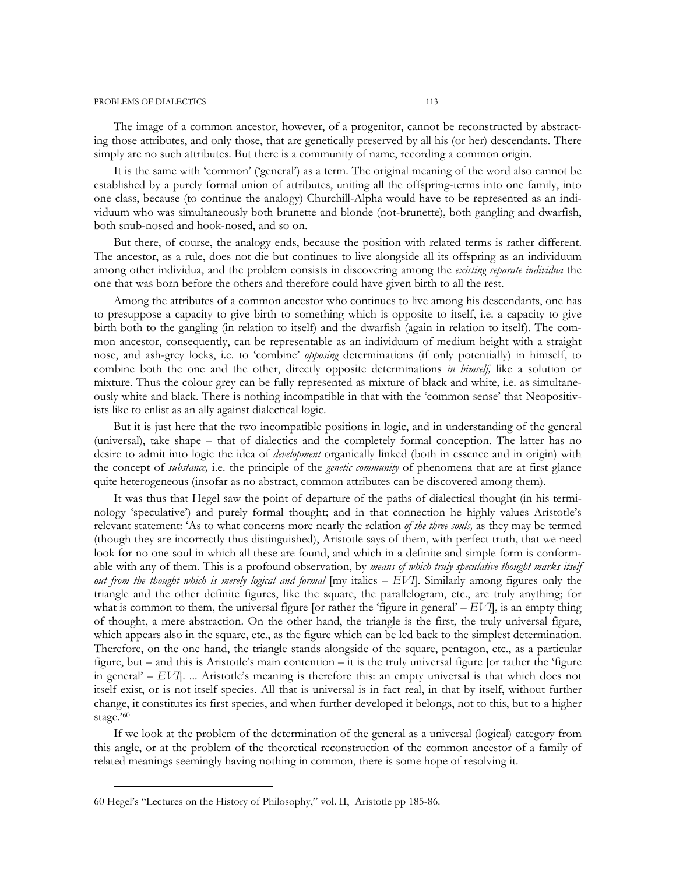The image of a common ancestor, however, of a progenitor, cannot be reconstructed by abstracting those attributes, and only those, that are genetically preserved by all his (or her) descendants. There simply are no such attributes. But there is a community of name, recording a common origin.

It is the same with 'common' ('general') as a term. The original meaning of the word also cannot be established by a purely formal union of attributes, uniting all the offspring-terms into one family, into one class, because (to continue the analogy) Churchill-Alpha would have to be represented as an individuum who was simultaneously both brunette and blonde (not-brunette), both gangling and dwarfish, both snub-nosed and hook-nosed, and so on.

But there, of course, the analogy ends, because the position with related terms is rather different. The ancestor, as a rule, does not die but continues to live alongside all its offspring as an individuum among other individua, and the problem consists in discovering among the *existing separate individua* the one that was born before the others and therefore could have given birth to all the rest.

Among the attributes of a common ancestor who continues to live among his descendants, one has to presuppose a capacity to give birth to something which is opposite to itself, i.e. a capacity to give birth both to the gangling (in relation to itself) and the dwarfish (again in relation to itself). The common ancestor, consequently, can be representable as an individuum of medium height with a straight nose, and ash-grey locks, i.e. to 'combine' *opposing* determinations (if only potentially) in himself, to combine both the one and the other, directly opposite determinations *in himself,* like a solution or mixture. Thus the colour grey can be fully represented as mixture of black and white, i.e. as simultaneously white and black. There is nothing incompatible in that with the 'common sense' that Neopositivists like to enlist as an ally against dialectical logic.

But it is just here that the two incompatible positions in logic, and in understanding of the general (universal), take shape – that of dialectics and the completely formal conception. The latter has no desire to admit into logic the idea of *development* organically linked (both in essence and in origin) with the concept of *substance,* i.e. the principle of the *genetic community* of phenomena that are at first glance quite heterogeneous (insofar as no abstract, common attributes can be discovered among them).

It was thus that Hegel saw the point of departure of the paths of dialectical thought (in his terminology 'speculative') and purely formal thought; and in that connection he highly values Aristotle's relevant statement: 'As to what concerns more nearly the relation *of the three souls,* as they may be termed (though they are incorrectly thus distinguished), Aristotle says of them, with perfect truth, that we need look for no one soul in which all these are found, and which in a definite and simple form is conformable with any of them. This is a profound observation, by *means of which truly speculative thought marks itself out from the thought which is merely logical and formal*  $[my]$  italics  $-EVI$ . Similarly among figures only the triangle and the other definite figures, like the square, the parallelogram, etc., are truly anything; for what is common to them, the universal figure [or rather the 'figure in general'  $-EV$ *I*], is an empty thing of thought, a mere abstraction. On the other hand, the triangle is the first, the truly universal figure, which appears also in the square, etc., as the figure which can be led back to the simplest determination. Therefore, on the one hand, the triangle stands alongside of the square, pentagon, etc., as a particular figure, but – and this is Aristotle's main contention – it is the truly universal figure [or rather the 'figure in general' – *EVI*]. ... Aristotle's meaning is therefore this: an empty universal is that which does not itself exist, or is not itself species. All that is universal is in fact real, in that by itself, without further change, it constitutes its first species, and when further developed it belongs, not to this, but to a higher stage.'60

If we look at the problem of the determination of the general as a universal (logical) category from this angle, or at the problem of the theoretical reconstruction of the common ancestor of a family of related meanings seemingly having nothing in common, there is some hope of resolving it.

<sup>60</sup> Hegel's "Lectures on the History of Philosophy," vol. II, Aristotle pp 185-86.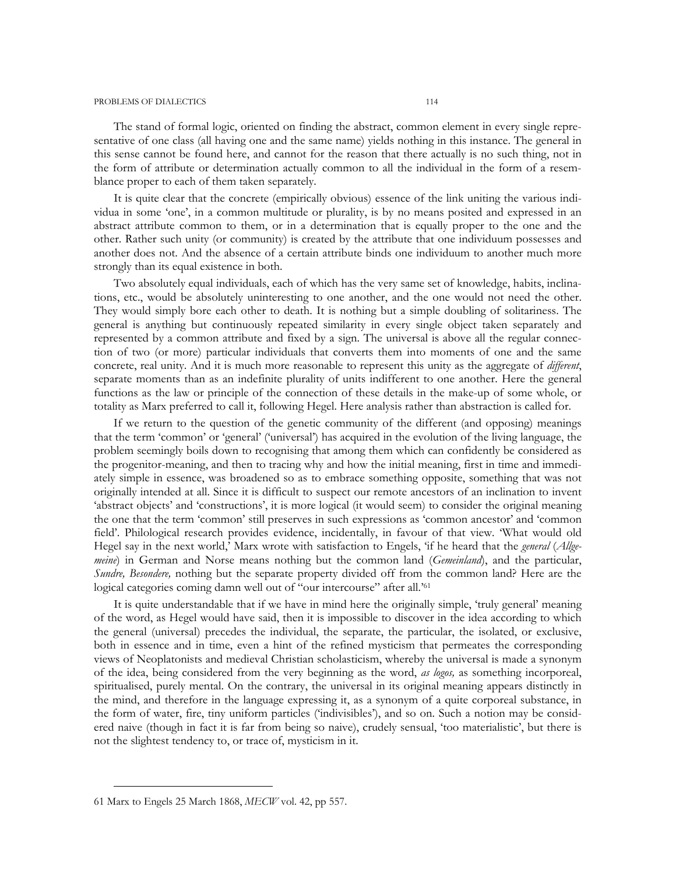The stand of formal logic, oriented on finding the abstract, common element in every single representative of one class (all having one and the same name) yields nothing in this instance. The general in this sense cannot be found here, and cannot for the reason that there actually is no such thing, not in the form of attribute or determination actually common to all the individual in the form of a resemblance proper to each of them taken separately.

It is quite clear that the concrete (empirically obvious) essence of the link uniting the various individua in some 'one', in a common multitude or plurality, is by no means posited and expressed in an abstract attribute common to them, or in a determination that is equally proper to the one and the other. Rather such unity (or community) is created by the attribute that one individuum possesses and another does not. And the absence of a certain attribute binds one individuum to another much more strongly than its equal existence in both.

Two absolutely equal individuals, each of which has the very same set of knowledge, habits, inclinations, etc., would be absolutely uninteresting to one another, and the one would not need the other. They would simply bore each other to death. It is nothing but a simple doubling of solitariness. The general is anything but continuously repeated similarity in every single object taken separately and represented by a common attribute and fixed by a sign. The universal is above all the regular connection of two (or more) particular individuals that converts them into moments of one and the same concrete, real unity. And it is much more reasonable to represent this unity as the aggregate of *different*, separate moments than as an indefinite plurality of units indifferent to one another. Here the general functions as the law or principle of the connection of these details in the make-up of some whole, or totality as Marx preferred to call it, following Hegel. Here analysis rather than abstraction is called for.

If we return to the question of the genetic community of the different (and opposing) meanings that the term 'common' or 'general' ('universal') has acquired in the evolution of the living language, the problem seemingly boils down to recognising that among them which can confidently be considered as the progenitor-meaning, and then to tracing why and how the initial meaning, first in time and immediately simple in essence, was broadened so as to embrace something opposite, something that was not originally intended at all. Since it is difficult to suspect our remote ancestors of an inclination to invent 'abstract objects' and 'constructions', it is more logical (it would seem) to consider the original meaning the one that the term 'common' still preserves in such expressions as 'common ancestor' and 'common field'. Philological research provides evidence, incidentally, in favour of that view. 'What would old Hegel say in the next world,' Marx wrote with satisfaction to Engels, 'if he heard that the *general* (*Allgemeine*) in German and Norse means nothing but the common land (*Gemeinland*), and the particular, *Sundre, Besondere,* nothing but the separate property divided off from the common land? Here are the logical categories coming damn well out of "our intercourse" after all.'61

It is quite understandable that if we have in mind here the originally simple, 'truly general' meaning of the word, as Hegel would have said, then it is impossible to discover in the idea according to which the general (universal) precedes the individual, the separate, the particular, the isolated, or exclusive, both in essence and in time, even a hint of the refined mysticism that permeates the corresponding views of Neoplatonists and medieval Christian scholasticism, whereby the universal is made a synonym of the idea, being considered from the very beginning as the word, *as logos,* as something incorporeal, spiritualised, purely mental. On the contrary, the universal in its original meaning appears distinctly in the mind, and therefore in the language expressing it, as a synonym of a quite corporeal substance, in the form of water, fire, tiny uniform particles ('indivisibles'), and so on. Such a notion may be considered naive (though in fact it is far from being so naive), crudely sensual, 'too materialistic', but there is not the slightest tendency to, or trace of, mysticism in it.

<sup>61</sup> Marx to Engels 25 March 1868, *MECW* vol. 42, pp 557.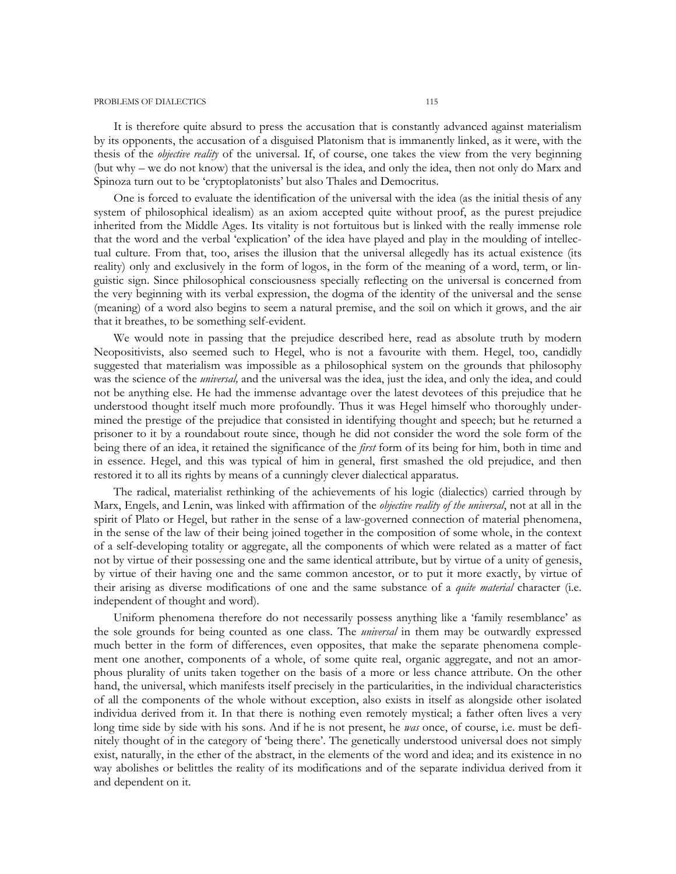It is therefore quite absurd to press the accusation that is constantly advanced against materialism by its opponents, the accusation of a disguised Platonism that is immanently linked, as it were, with the thesis of the *objective reality* of the universal. If, of course, one takes the view from the very beginning (but why – we do not know) that the universal is the idea, and only the idea, then not only do Marx and Spinoza turn out to be 'cryptoplatonists' but also Thales and Democritus.

One is forced to evaluate the identification of the universal with the idea (as the initial thesis of any system of philosophical idealism) as an axiom accepted quite without proof, as the purest prejudice inherited from the Middle Ages. Its vitality is not fortuitous but is linked with the really immense role that the word and the verbal 'explication' of the idea have played and play in the moulding of intellectual culture. From that, too, arises the illusion that the universal allegedly has its actual existence (its reality) only and exclusively in the form of logos, in the form of the meaning of a word, term, or linguistic sign. Since philosophical consciousness specially reflecting on the universal is concerned from the very beginning with its verbal expression, the dogma of the identity of the universal and the sense (meaning) of a word also begins to seem a natural premise, and the soil on which it grows, and the air that it breathes, to be something self-evident.

We would note in passing that the prejudice described here, read as absolute truth by modern Neopositivists, also seemed such to Hegel, who is not a favourite with them. Hegel, too, candidly suggested that materialism was impossible as a philosophical system on the grounds that philosophy was the science of the *universal,* and the universal was the idea, just the idea, and only the idea, and could not be anything else. He had the immense advantage over the latest devotees of this prejudice that he understood thought itself much more profoundly. Thus it was Hegel himself who thoroughly undermined the prestige of the prejudice that consisted in identifying thought and speech; but he returned a prisoner to it by a roundabout route since, though he did not consider the word the sole form of the being there of an idea, it retained the significance of the *first* form of its being for him, both in time and in essence. Hegel, and this was typical of him in general, first smashed the old prejudice, and then restored it to all its rights by means of a cunningly clever dialectical apparatus.

The radical, materialist rethinking of the achievements of his logic (dialectics) carried through by Marx, Engels, and Lenin, was linked with affirmation of the *objective reality of the universal*, not at all in the spirit of Plato or Hegel, but rather in the sense of a law-governed connection of material phenomena, in the sense of the law of their being joined together in the composition of some whole, in the context of a self-developing totality or aggregate, all the components of which were related as a matter of fact not by virtue of their possessing one and the same identical attribute, but by virtue of a unity of genesis, by virtue of their having one and the same common ancestor, or to put it more exactly, by virtue of their arising as diverse modifications of one and the same substance of a *quite material* character (i.e. independent of thought and word).

Uniform phenomena therefore do not necessarily possess anything like a 'family resemblance' as the sole grounds for being counted as one class. The *universal* in them may be outwardly expressed much better in the form of differences, even opposites, that make the separate phenomena complement one another, components of a whole, of some quite real, organic aggregate, and not an amorphous plurality of units taken together on the basis of a more or less chance attribute. On the other hand, the universal, which manifests itself precisely in the particularities, in the individual characteristics of all the components of the whole without exception, also exists in itself as alongside other isolated individua derived from it. In that there is nothing even remotely mystical; a father often lives a very long time side by side with his sons. And if he is not present, he *was* once, of course, i.e. must be definitely thought of in the category of 'being there'. The genetically understood universal does not simply exist, naturally, in the ether of the abstract, in the elements of the word and idea; and its existence in no way abolishes or belittles the reality of its modifications and of the separate individua derived from it and dependent on it.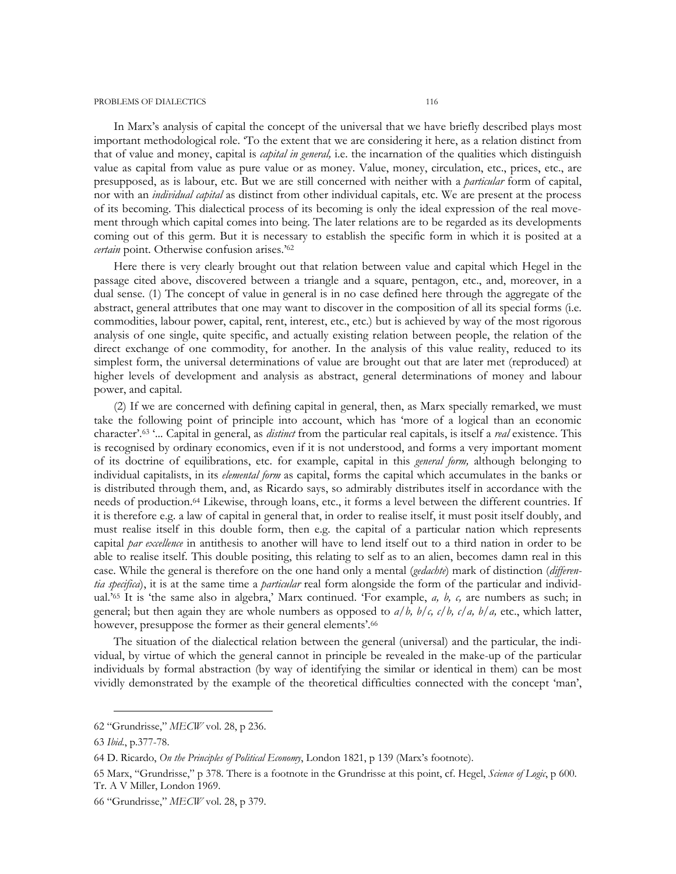In Marx's analysis of capital the concept of the universal that we have briefly described plays most important methodological role. 'To the extent that we are considering it here, as a relation distinct from that of value and money, capital is *capital in general,* i.e. the incarnation of the qualities which distinguish value as capital from value as pure value or as money. Value, money, circulation, etc., prices, etc., are presupposed, as is labour, etc. But we are still concerned with neither with a *particular* form of capital, nor with an *individual capital* as distinct from other individual capitals, etc. We are present at the process of its becoming. This dialectical process of its becoming is only the ideal expression of the real movement through which capital comes into being. The later relations are to be regarded as its developments coming out of this germ. But it is necessary to establish the specific form in which it is posited at a *certain* point. Otherwise confusion arises.'62

Here there is very clearly brought out that relation between value and capital which Hegel in the passage cited above, discovered between a triangle and a square, pentagon, etc., and, moreover, in a dual sense. (1) The concept of value in general is in no case defined here through the aggregate of the abstract, general attributes that one may want to discover in the composition of all its special forms (i.e. commodities, labour power, capital, rent, interest, etc., etc.) but is achieved by way of the most rigorous analysis of one single, quite specific, and actually existing relation between people, the relation of the direct exchange of one commodity, for another. In the analysis of this value reality, reduced to its simplest form, the universal determinations of value are brought out that are later met (reproduced) at higher levels of development and analysis as abstract, general determinations of money and labour power, and capital.

(2) If we are concerned with defining capital in general, then, as Marx specially remarked, we must take the following point of principle into account, which has 'more of a logical than an economic character'.63 '... Capital in general, as *distinct* from the particular real capitals, is itself a *real* existence. This is recognised by ordinary economics, even if it is not understood, and forms a very important moment of its doctrine of equilibrations, etc. for example, capital in this *general form,* although belonging to individual capitalists, in its *elemental form* as capital, forms the capital which accumulates in the banks or is distributed through them, and, as Ricardo says, so admirably distributes itself in accordance with the needs of production.64 Likewise, through loans, etc., it forms a level between the different countries. If it is therefore e.g. a law of capital in general that, in order to realise itself, it must posit itself doubly, and must realise itself in this double form, then e.g. the capital of a particular nation which represents capital *par excellence* in antithesis to another will have to lend itself out to a third nation in order to be able to realise itself. This double positing, this relating to self as to an alien, becomes damn real in this case. While the general is therefore on the one hand only a mental (*gedachte*) mark of distinction (*differentia specifica*), it is at the same time a *particular* real form alongside the form of the particular and individual.'65 It is 'the same also in algebra,' Marx continued. 'For example, *a, b, c,* are numbers as such; in general; but then again they are whole numbers as opposed to *a/b, b/c, c/b, c/a, b/a,* etc., which latter, however, presuppose the former as their general elements'.<sup>66</sup>

The situation of the dialectical relation between the general (universal) and the particular, the individual, by virtue of which the general cannot in principle be revealed in the make-up of the particular individuals by formal abstraction (by way of identifying the similar or identical in them) can be most vividly demonstrated by the example of the theoretical difficulties connected with the concept 'man',

<sup>62 &</sup>quot;Grundrisse," *MECW* vol. 28, p 236.

<sup>63</sup> *Ibid*., p.377-78.

<sup>64</sup> D. Ricardo, *On the Principles of Political Economy*, London 1821, p 139 (Marx's footnote).

<sup>65</sup> Marx, "Grundrisse," p 378. There is a footnote in the Grundrisse at this point, cf. Hegel, *Science of Logic*, p 600. Tr. A V Miller, London 1969.

<sup>66 &</sup>quot;Grundrisse," *MECW* vol. 28, p 379.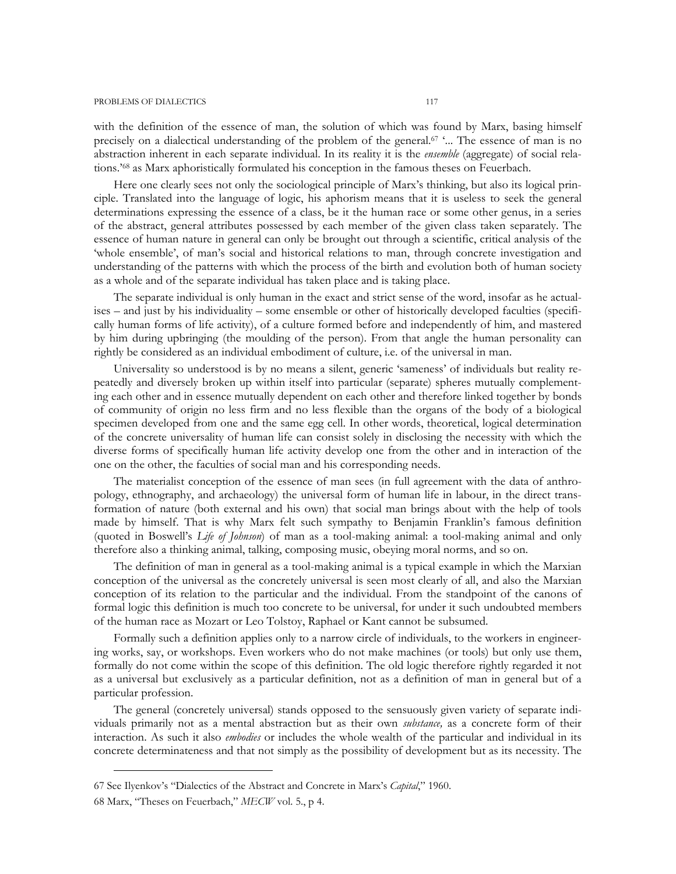with the definition of the essence of man, the solution of which was found by Marx, basing himself precisely on a dialectical understanding of the problem of the general.<sup>67</sup> '... The essence of man is no abstraction inherent in each separate individual. In its reality it is the *ensemble* (aggregate) of social relations.'68 as Marx aphoristically formulated his conception in the famous theses on Feuerbach.

Here one clearly sees not only the sociological principle of Marx's thinking, but also its logical principle. Translated into the language of logic, his aphorism means that it is useless to seek the general determinations expressing the essence of a class, be it the human race or some other genus, in a series of the abstract, general attributes possessed by each member of the given class taken separately. The essence of human nature in general can only be brought out through a scientific, critical analysis of the 'whole ensemble', of man's social and historical relations to man, through concrete investigation and understanding of the patterns with which the process of the birth and evolution both of human society as a whole and of the separate individual has taken place and is taking place.

The separate individual is only human in the exact and strict sense of the word, insofar as he actualises – and just by his individuality – some ensemble or other of historically developed faculties (specifically human forms of life activity), of a culture formed before and independently of him, and mastered by him during upbringing (the moulding of the person). From that angle the human personality can rightly be considered as an individual embodiment of culture, i.e. of the universal in man.

Universality so understood is by no means a silent, generic 'sameness' of individuals but reality repeatedly and diversely broken up within itself into particular (separate) spheres mutually complementing each other and in essence mutually dependent on each other and therefore linked together by bonds of community of origin no less firm and no less flexible than the organs of the body of a biological specimen developed from one and the same egg cell. In other words, theoretical, logical determination of the concrete universality of human life can consist solely in disclosing the necessity with which the diverse forms of specifically human life activity develop one from the other and in interaction of the one on the other, the faculties of social man and his corresponding needs.

The materialist conception of the essence of man sees (in full agreement with the data of anthropology, ethnography, and archaeology) the universal form of human life in labour, in the direct transformation of nature (both external and his own) that social man brings about with the help of tools made by himself. That is why Marx felt such sympathy to Benjamin Franklin's famous definition (quoted in Boswell's *Life of Johnson*) of man as a tool-making animal: a tool-making animal and only therefore also a thinking animal, talking, composing music, obeying moral norms, and so on.

The definition of man in general as a tool-making animal is a typical example in which the Marxian conception of the universal as the concretely universal is seen most clearly of all, and also the Marxian conception of its relation to the particular and the individual. From the standpoint of the canons of formal logic this definition is much too concrete to be universal, for under it such undoubted members of the human race as Mozart or Leo Tolstoy, Raphael or Kant cannot be subsumed.

Formally such a definition applies only to a narrow circle of individuals, to the workers in engineering works, say, or workshops. Even workers who do not make machines (or tools) but only use them, formally do not come within the scope of this definition. The old logic therefore rightly regarded it not as a universal but exclusively as a particular definition, not as a definition of man in general but of a particular profession.

The general (concretely universal) stands opposed to the sensuously given variety of separate individuals primarily not as a mental abstraction but as their own *substance,* as a concrete form of their interaction. As such it also *embodies* or includes the whole wealth of the particular and individual in its concrete determinateness and that not simply as the possibility of development but as its necessity. The

<sup>67</sup> See Ilyenkov's "Dialectics of the Abstract and Concrete in Marx's *Capital*," 1960.

<sup>68</sup> Marx, "Theses on Feuerbach," *MECW* vol. 5., p 4.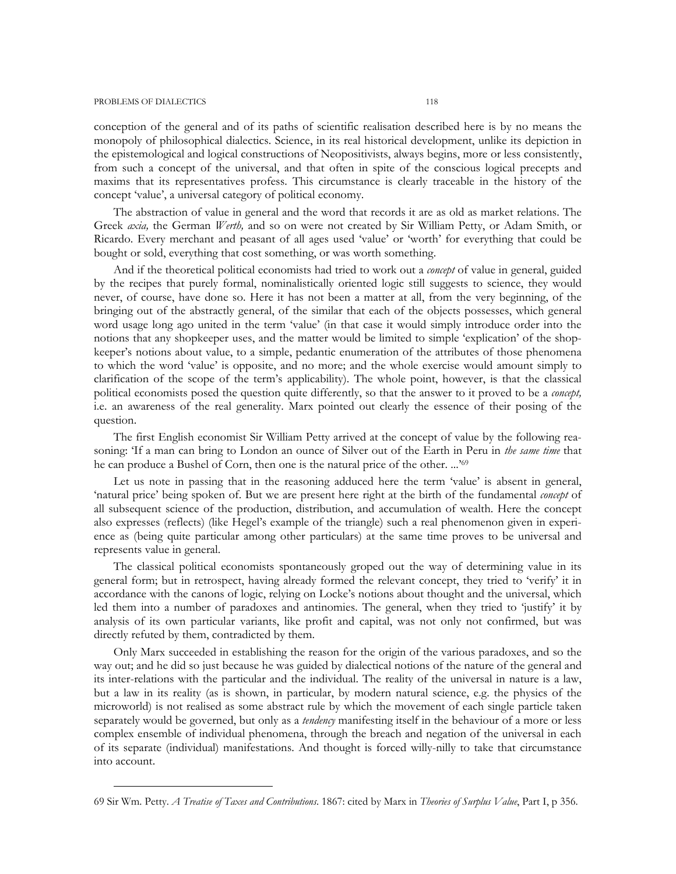**.** 

conception of the general and of its paths of scientific realisation described here is by no means the monopoly of philosophical dialectics. Science, in its real historical development, unlike its depiction in the epistemological and logical constructions of Neopositivists, always begins, more or less consistently, from such a concept of the universal, and that often in spite of the conscious logical precepts and maxims that its representatives profess. This circumstance is clearly traceable in the history of the concept 'value', a universal category of political economy.

The abstraction of value in general and the word that records it are as old as market relations. The Greek *axia,* the German *Werth,* and so on were not created by Sir William Petty, or Adam Smith, or Ricardo. Every merchant and peasant of all ages used 'value' or 'worth' for everything that could be bought or sold, everything that cost something, or was worth something.

And if the theoretical political economists had tried to work out a *concept* of value in general, guided by the recipes that purely formal, nominalistically oriented logic still suggests to science, they would never, of course, have done so. Here it has not been a matter at all, from the very beginning, of the bringing out of the abstractly general, of the similar that each of the objects possesses, which general word usage long ago united in the term 'value' (in that case it would simply introduce order into the notions that any shopkeeper uses, and the matter would be limited to simple 'explication' of the shopkeeper's notions about value, to a simple, pedantic enumeration of the attributes of those phenomena to which the word 'value' is opposite, and no more; and the whole exercise would amount simply to clarification of the scope of the term's applicability). The whole point, however, is that the classical political economists posed the question quite differently, so that the answer to it proved to be a *concept,*  i.e. an awareness of the real generality. Marx pointed out clearly the essence of their posing of the question.

The first English economist Sir William Petty arrived at the concept of value by the following reasoning: 'If a man can bring to London an ounce of Silver out of the Earth in Peru in *the same time* that he can produce a Bushel of Corn, then one is the natural price of the other. ...'69

Let us note in passing that in the reasoning adduced here the term 'value' is absent in general, 'natural price' being spoken of. But we are present here right at the birth of the fundamental *concept* of all subsequent science of the production, distribution, and accumulation of wealth. Here the concept also expresses (reflects) (like Hegel's example of the triangle) such a real phenomenon given in experience as (being quite particular among other particulars) at the same time proves to be universal and represents value in general.

The classical political economists spontaneously groped out the way of determining value in its general form; but in retrospect, having already formed the relevant concept, they tried to 'verify' it in accordance with the canons of logic, relying on Locke's notions about thought and the universal, which led them into a number of paradoxes and antinomies. The general, when they tried to 'justify' it by analysis of its own particular variants, like profit and capital, was not only not confirmed, but was directly refuted by them, contradicted by them.

Only Marx succeeded in establishing the reason for the origin of the various paradoxes, and so the way out; and he did so just because he was guided by dialectical notions of the nature of the general and its inter-relations with the particular and the individual. The reality of the universal in nature is a law, but a law in its reality (as is shown, in particular, by modern natural science, e.g. the physics of the microworld) is not realised as some abstract rule by which the movement of each single particle taken separately would be governed, but only as a *tendency* manifesting itself in the behaviour of a more or less complex ensemble of individual phenomena, through the breach and negation of the universal in each of its separate (individual) manifestations. And thought is forced willy-nilly to take that circumstance into account.

<sup>69</sup> Sir Wm. Petty. *A Treatise of Taxes and Contributions*. 1867: cited by Marx in *Theories of Surplus Value*, Part I, p 356.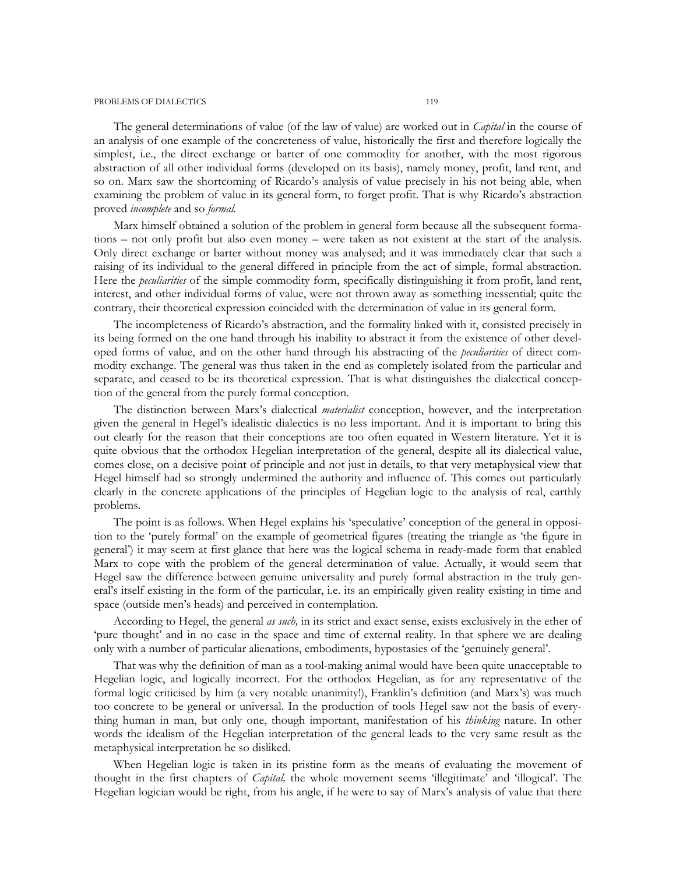The general determinations of value (of the law of value) are worked out in *Capital* in the course of an analysis of one example of the concreteness of value, historically the first and therefore logically the simplest, i.e., the direct exchange or barter of one commodity for another, with the most rigorous abstraction of all other individual forms (developed on its basis), namely money, profit, land rent, and so on. Marx saw the shortcoming of Ricardo's analysis of value precisely in his not being able, when examining the problem of value in its general form, to forget profit. That is why Ricardo's abstraction proved *incomplete* and so *formal.*

Marx himself obtained a solution of the problem in general form because all the subsequent formations – not only profit but also even money – were taken as not existent at the start of the analysis. Only direct exchange or barter without money was analysed; and it was immediately clear that such a raising of its individual to the general differed in principle from the act of simple, formal abstraction. Here the *peculiarities* of the simple commodity form, specifically distinguishing it from profit, land rent, interest, and other individual forms of value, were not thrown away as something inessential; quite the contrary, their theoretical expression coincided with the determination of value in its general form.

The incompleteness of Ricardo's abstraction, and the formality linked with it, consisted precisely in its being formed on the one hand through his inability to abstract it from the existence of other developed forms of value, and on the other hand through his abstracting of the *peculiarities* of direct commodity exchange. The general was thus taken in the end as completely isolated from the particular and separate, and ceased to be its theoretical expression. That is what distinguishes the dialectical conception of the general from the purely formal conception.

The distinction between Marx's dialectical *materialist* conception, however, and the interpretation given the general in Hegel's idealistic dialectics is no less important. And it is important to bring this out clearly for the reason that their conceptions are too often equated in Western literature. Yet it is quite obvious that the orthodox Hegelian interpretation of the general, despite all its dialectical value, comes close, on a decisive point of principle and not just in details, to that very metaphysical view that Hegel himself had so strongly undermined the authority and influence of. This comes out particularly clearly in the concrete applications of the principles of Hegelian logic to the analysis of real, earthly problems.

The point is as follows. When Hegel explains his 'speculative' conception of the general in opposition to the 'purely formal' on the example of geometrical figures (treating the triangle as 'the figure in general') it may seem at first glance that here was the logical schema in ready-made form that enabled Marx to cope with the problem of the general determination of value. Actually, it would seem that Hegel saw the difference between genuine universality and purely formal abstraction in the truly general's itself existing in the form of the particular, i.e. its an empirically given reality existing in time and space (outside men's heads) and perceived in contemplation.

According to Hegel, the general *as such,* in its strict and exact sense, exists exclusively in the ether of 'pure thought' and in no case in the space and time of external reality. In that sphere we are dealing only with a number of particular alienations, embodiments, hypostasies of the 'genuinely general'.

That was why the definition of man as a tool-making animal would have been quite unacceptable to Hegelian logic, and logically incorrect. For the orthodox Hegelian, as for any representative of the formal logic criticised by him (a very notable unanimity!), Franklin's definition (and Marx's) was much too concrete to be general or universal. In the production of tools Hegel saw not the basis of everything human in man, but only one, though important, manifestation of his *thinking* nature. In other words the idealism of the Hegelian interpretation of the general leads to the very same result as the metaphysical interpretation he so disliked.

When Hegelian logic is taken in its pristine form as the means of evaluating the movement of thought in the first chapters of *Capital,* the whole movement seems 'illegitimate' and 'illogical'. The Hegelian logician would be right, from his angle, if he were to say of Marx's analysis of value that there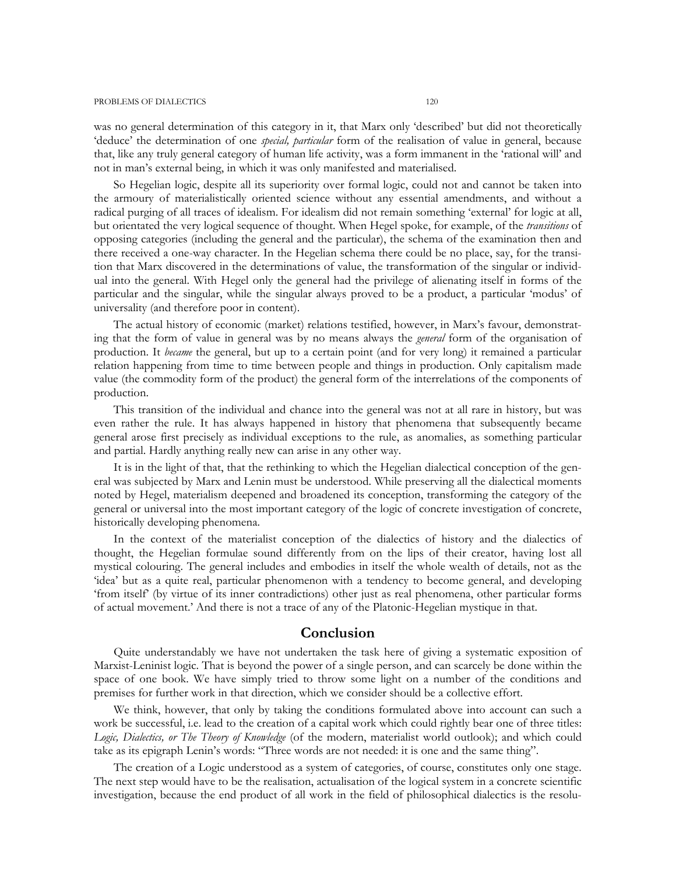was no general determination of this category in it, that Marx only 'described' but did not theoretically 'deduce' the determination of one *special, particular* form of the realisation of value in general, because that, like any truly general category of human life activity, was a form immanent in the 'rational will' and not in man's external being, in which it was only manifested and materialised.

So Hegelian logic, despite all its superiority over formal logic, could not and cannot be taken into the armoury of materialistically oriented science without any essential amendments, and without a radical purging of all traces of idealism. For idealism did not remain something 'external' for logic at all, but orientated the very logical sequence of thought. When Hegel spoke, for example, of the *transitions* of opposing categories (including the general and the particular), the schema of the examination then and there received a one-way character. In the Hegelian schema there could be no place, say, for the transition that Marx discovered in the determinations of value, the transformation of the singular or individual into the general. With Hegel only the general had the privilege of alienating itself in forms of the particular and the singular, while the singular always proved to be a product, a particular 'modus' of universality (and therefore poor in content).

The actual history of economic (market) relations testified, however, in Marx's favour, demonstrating that the form of value in general was by no means always the *general* form of the organisation of production. It *became* the general, but up to a certain point (and for very long) it remained a particular relation happening from time to time between people and things in production. Only capitalism made value (the commodity form of the product) the general form of the interrelations of the components of production.

This transition of the individual and chance into the general was not at all rare in history, but was even rather the rule. It has always happened in history that phenomena that subsequently became general arose first precisely as individual exceptions to the rule, as anomalies, as something particular and partial. Hardly anything really new can arise in any other way.

It is in the light of that, that the rethinking to which the Hegelian dialectical conception of the general was subjected by Marx and Lenin must be understood. While preserving all the dialectical moments noted by Hegel, materialism deepened and broadened its conception, transforming the category of the general or universal into the most important category of the logic of concrete investigation of concrete, historically developing phenomena.

In the context of the materialist conception of the dialectics of history and the dialectics of thought, the Hegelian formulae sound differently from on the lips of their creator, having lost all mystical colouring. The general includes and embodies in itself the whole wealth of details, not as the 'idea' but as a quite real, particular phenomenon with a tendency to become general, and developing 'from itself' (by virtue of its inner contradictions) other just as real phenomena, other particular forms of actual movement.' And there is not a trace of any of the Platonic-Hegelian mystique in that.

# **Conclusion**

Quite understandably we have not undertaken the task here of giving a systematic exposition of Marxist-Leninist logic. That is beyond the power of a single person, and can scarcely be done within the space of one book. We have simply tried to throw some light on a number of the conditions and premises for further work in that direction, which we consider should be a collective effort.

We think, however, that only by taking the conditions formulated above into account can such a work be successful, i.e. lead to the creation of a capital work which could rightly bear one of three titles: *Logic, Dialectics, or The Theory of Knowledge* (of the modern, materialist world outlook); and which could take as its epigraph Lenin's words: "Three words are not needed: it is one and the same thing".

The creation of a Logic understood as a system of categories, of course, constitutes only one stage. The next step would have to be the realisation, actualisation of the logical system in a concrete scientific investigation, because the end product of all work in the field of philosophical dialectics is the resolu-